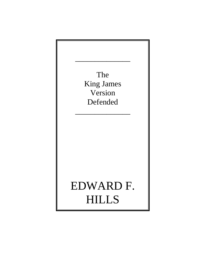The King James Version Defended

\_\_\_\_\_\_\_\_\_\_\_\_\_\_

 $\overline{\phantom{a}}$  , where  $\overline{\phantom{a}}$ 

# EDWARD F. HILLS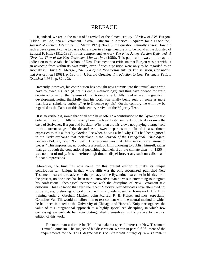# PREFACE

If, indeed, we are in the midst of "a revival of the almost century-old view of J.W. Burgon" (Eldon Jay Epp, "New Testament Textual Criticism in America: Requiem for a Discipline," *Journal of Biblical Literature* 98 [March 1979]: 94-98.), the question naturally arises: How did such a development come to pass? Our answer in a large measure is to be found at the doorstep of Edward F. Hills (1912-1981), in his comprehensive work *The King James Version Defended: A Christian View of the New Testament Manuscripts* (1956). This publication was, in its day, an indication to the established school of New Testament text criticism that Burgon was not without an advocate from within its own ranks, even if such a position were only to be regarded as an anomaly (v. Bruce M. Metzger, *The Text of the New Testament: Its Transmission, Corruption, and Restoration* [1968], p. 136 n. l; J. Harold Greenlee, *Introduction to New Testament Textual Criticism* [1964], p. 82 n. 2).

Recently, however, his contribution has brought new entrants into the textual arena who have followed his lead (if not his entire methodology) and thus have opened for fresh debate a forum for the defense of the Byzantine text. Hills lived to see this gratifying development, noting thankfully that his work was finally being seen by some as more than just a "scholarly curiosity" *(a la* Greenlee op. cit.). On the contrary, he will now be regarded as the Father of this 20th century revival of the Majority Text.

It is, nevertheless, ironic that of all who have offered a contribution to the Byzantine text defense, Edward F. Hills is the only bonafide New Testament text critic to do so since the days of Scrivener, Burgon and Hoskier. Why then are his views not playing a larger role in this current stage of the debate? An answer in part is to be found in a sentiment expressed to this author by Gordon Fee when he was asked why Hills had been ignored in the lively exchange that took place in the *Journal of the Evangelical Theological Society* (Vol. 21, nos. 1&2 1978). His response was that Hills' works were "museum pieces." This impression, no doubt, is a result of Hills choosing to publish himself, rather than go through the conventional publishing channels. But, the climate then—in 1956 was not that of today. It is, therefore, high time to dispel forever any such unrealistic and flippant impressions.

Moreover, the time has now come for this present edition to make its unique contribution felt. Unique in that, while Hills was the only recognized, published New Testament text critic to advocate the primacy of the Byzantine text either in his day or in the present, no one since has been more innovative than he was in attempting to integrate his confessional, theological perspective with the discipline of New Testament text criticism. This is a taboo that even the recent Majority Text advocates have attempted not to transgress, preferring to work from within a purely scientific framework. But Hills' training under J. Gresham Machen, John Murray, R. B. Kuiper and most especially, Cornelius Van Til, would not allow him to rest content with the neutral method to which he had been initiated at the University of Chicago and Harvard. Kuiper recognized the value of this integrational approach to a highly specialized discipline, in which few confessing evangelicals had ever distinguished themselves, in his preface to the first edition of this work:

For more than a decade he [Hills] has taken a special interest in New Testament Textual Criticism. The subject of his dissertation, written in partial fulfillment of the requirements for the Th.D. degree was: *The Caesarean Family of New Testament*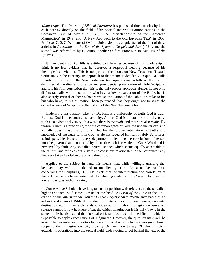*Manuscripts.* The *Journal of Biblical Literature* has published three articles by him, each bearing directly on the field of his special interest: "Harmonizations in the Caesarean Text of Mark" in 1947, "The Interrelationship of the Caesarean Manuscripts" in 1949, and "A New Approach to the Old Egyptian Text" in 1950. Professor C. S. C. Williams of Oxford University took cognizance of the first of these articles in *Alterations to the Text of the Synoptic Gospels and Acts* (1951), and the second was referred to by G. Zuntz, another Oxford Professor, in *The Text of the Epistles* (1953).

It is evident that Dr. Hills is entitled to a hearing because of his scholarship. I think it no less evident that he deserves a respectful hearing because of his theological convictions. This is not just another book on New Testament Textual Criticism. On the contrary, its approach to that theme is decidedly unique. Dr. Hills founds his criticism of the New Testament text squarely and solidly on the historic doctrines of the divine inspiration and providential preservation of Holy Scripture, and it is his firm conviction that this is the only proper approach. Hence, he not only differs radically with those critics who have a lower evaluation of the Bible, but is also sharply critical of those scholars whose evaluation of the Bible is similar to his but who have, in his estimation, been persuaded that they ought not to stress the orthodox view of Scripture in their study of the New Testament text.

Underlying this position taken by Dr. Hills is a philosophy of truth. God is truth. Because God is one, truth exists as unity. And as God is the author of all diversity, truth also exists as diversity. In a word, there is *the truth,* and there are also *truths.* By reason, which is a precious gift of the common grace of God, the unbeliever can, and actually does, grasp many truths. But for the proper integration of truths and knowledge of the truth, faith in God, as He has revealed Himself in Holy Scriptures, is indispensable. Hence, in every department of learning the conclusions of reason must be governed and controlled by the truth which is revealed in God's Word and is perceived by faith. Any so-called neutral science which seems equally acceptable to the faithful and faithless but sustains no conscious relationship to the Scriptures is by that very token headed in the wrong direction.

Applied to the subject in hand this means that, while willingly granting that believers may well be indebted to unbelieving critics for a number of facts concerning the Scriptures, Dr. Hills insists that the interpretation and correlation of the facts can safely be entrusted only to believing students of the Word. That they too are fallible goes without saying.

Conservative Scholars have long taken that position with reference to the so-called higher criticism. Said James Orr under the head *Criticism of the Bible* in the 1915 edition of the *International Standard Bible Encyclopedia:* "While invaluable as an aid in the domain of Biblical introduction (date, authorship, genuineness, contents, destination, etc.) it manifestly tends to widen out illimitably into regions where exact science cannot follow it, where often, the critic's imagination is his only "law". In the same article he also stated that "textual criticism has a well-defined field in which it is possible to apply exact canons of Judgment". However, the question may well be asked whether unbelieving critics have not in that discipline too at times given broad scope to their imagination. Significantly Orr went on to say: "Higher criticism extends its operations into the textual field, endeavoring to get behind the text of the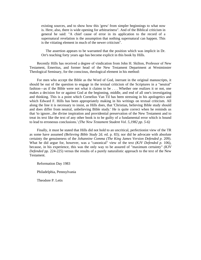existing sources, and to show how this 'grew' from simpler beginnings to what now is. Here, also, there is wide opening for arbitrariness". And of the Biblical criticism in general he said: "A chief cause of error in its application to the record of a supernatural revelation is the assumption that nothing supernatural can happen. This is the vitiating element in much of the newer criticism".

The assertion appears to be warranted that the position which was implicit in Dr. Orr's teaching forty years ago has become explicit in this book by Hills.

Recently Hills has received a degree of vindication from John H. Skilton, Professor of New Testament, Emeritus, and former head of the New Testament Department at Westminster Theological Seminary, for the conscious, theological element in his method:

For men who accept the Bible as the Word of God, inerrant in the original manuscripts, it should be out of the question to engage in the textual criticism of the Scriptures in a "neutral" fashion—as if the Bible were not what it claims to be . . . Whether one realizes it or not, one makes a decision for or against God at the beginning, middle, and end of all one's investigating and thinking. This is a point which Cornelius Van Til has been stressing in his apologetics and which Edward F. Hills has been appropriately making in his writings on textual criticism. All along the line it is necessary to insist, as Hills does, that 'Christian, believing Bible study should and does differ from neutral, unbelieving Bible study.' He is quite correct when he reminds us that 'to ignore...the divine inspiration and providential preservation of the New Testament and to treat its text like the text of any other book is to be guilty of a fundamental error which is bound to lead to erroneous conclusions.' *(The New Testament Student Vol. 5,1982 pp. 5-6)* 

Finally, it must be stated that Hills did not hold to an uncritical, perfectionist view of the TR as some have assumed *(Believing Bible Study* 2d. ed. p. 83); nor did he advocate with absolute certainty the genuineness of the *Johannine Comma (The King James Version Defended p.* 209). What he did argue for, however, was a "canonical" view of the text *(KJV Defended p.* 106), because, in his experience, this was the only way to be assured of "maximum certainty" *(KJV Defended* pp. 224-225) versus the results of a purely naturalistic approach to the text of the New Testament.

Reformation Day 1983

Philadelphia, Pennsylvania

Theodore P. Letis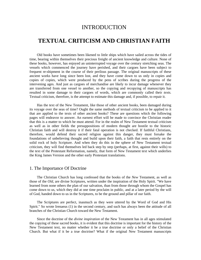# INTRODUCTION

# **TEXTUAL CRITICISM AND CHRISTIAN FAITH**

Old books have sometimes been likened to little ships which have sailed across the tides of time, bearing within themselves their precious freight of ancient knowledge and culture. None of these books, however, has enjoyed an uninterrupted voyage over the century stretching seas. The vessels which commenced the journey have perished, and their cargoes have been subject to frequent re-shipment in the course of their perilous passage. The original manuscripts of these ancient works have long since been lost, and they have come down to us only in copies and copies of copies, which were produced by the pens of scribes during the progress of the intervening ages. And just as cargoes of merchandise are likely to incur damage whenever they are transferred from one vessel to another, so the copying and recopying of manuscripts has resulted in some damage to their cargoes of words, which are commonly called their *texts.*  Textual criticism, therefore, is the attempt to estimate this damage and, if possible, to repair it.

Has the text of the New Testament, like those of other ancient books, been damaged during its voyage over the seas of time? Ought the same methods of textual criticism to be applied to it that are applied to the texts of other ancient books? These are questions which the following pages will endeavor to answer. An earnest effort will be made to convince the Christian reader that this is a matter to which he must attend. For in the realm of New Testament textual criticism as well as in other fields the presuppositions of modern thought are hostile to the historic Christian faith and will destroy it if their fatal operation is not checked. If faithful Christians, therefore, would defend their sacred religion against this danger, they must forsake the foundations of unbelieving thought and build upon their faith, a faith that rests entirely on the solid rock of holy Scripture. And when they do this in the sphere of New Testament textual criticism, they will find themselves led back step by step (perhaps, at first, against their wills) to the text of the Protestant Reformation, namely, that form of New Testament text which underlies the King James Version and the other early Protestant translations.

## 1. The Importance Of Doctrine

The Christian Church has long confessed that the books of the *New* Testament, as well as those of the *Old,* are divine Scriptures, written under the inspiration of the Holy Spirit. "We have learned from none others the plan of our salvation, than from those through whom the Gospel has come down to us, which they did at one time proclaim in public, and at a later period by the will of God, handed down to us in the Scriptures, to be the ground and pillar of our faith.

The Scriptures are perfect, inasmuch as they were uttered by the Word of God and His Spirit." So wrote Irenaeus (1) in the second century, and such has always been the attitude of all branches of the Christian Church toward the New Testament.

Since the doctrine of the *divine inspiration* of the New Testament has in all ages stimulated the copying of these sacred books, it is evident that this doctrine is important for the history of the New Testament text, no matter whether it be a true doctrine or only a belief of the Christian Church. But what if it be a true doctrine? What if the original New Testament manuscripts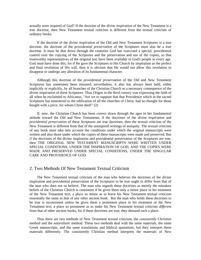actually were inspired of God? If the doctrine of the *divine inspiration* of the New Testament is a true doctrine, then New Testament textual criticism is different from the textual criticism of ordinary books.

If the doctrine of the *divine inspiration* of the Old and New Testament Scriptures is a true doctrine, the doctrine of the *providential preservation* of the Scriptures must also be a true doctrine. It must be that down through the centuries God has exercised a special, providential control over the copying of the Scriptures and the preservation and use of the copies, so that trustworthy representatives of the original text have been available to God's people in every age. God must have done this, for if He gave the Scriptures to His Church by inspiration as the perfect and final revelation of His will, then it is obvious that He would not allow this revelation to disappear or undergo any alteration of its fundamental character.

Although this doctrine of the *providential preservation* of the Old and New Testament Scriptures has sometimes been misused, nevertheless, it also has always been held, either implicitly or explicitly, by all branches of the Christian Church as a necessary consequence of the *divine inspiration* of these Scriptures. Thus Origen in the third century was expressing the faith of all when he exclaimed to Africanus, "Are we to suppose that that Providence which in the sacred Scriptures has ministered to the edification of all the churches of Christ, had no thought for those bought with a price, for whom Christ died!" (2)

If, now, the Christian Church has been correct down through the ages in her fundamental attitude toward the Old and New Testaments, if the doctrines of the *divine inspiration* and *providential preservation* of these Scriptures are true doctrines, then the textual criticism of the New Testament is different from that of the uninspired writings of antiquity. The textual criticism of any book must take into account the conditions under which the original manuscripts were written and also those under which the copies of these manuscripts were made and preserved. But if the doctrines of the divine inspiration and providential preservation of the Scriptures are true, then THE ORIGINAL NEW TESTAMENT MANUSCRIPTS WERE WRITTEN UNDER SPECIAL CONDITIONS, UNDER THE INSPIRATION OF GOD, AND THE COPIES WERE MADE AND PRESERVED UNDER SPECIAL CONDITIONS, UNDER THE SINGULAR CARE AND PROVIDENCE OF GOD.

## 2. Two Methods Of New Testament Textual Criticism

The New Testament textual criticism of the man who believes the doctrines of the divine inspiration and providential preservation of the Scriptures to be true ought to differ from that of the man who does not so believe. The man who regards these doctrines as merely the mistaken beliefs of the Christian Church is consistent if he gives them only a minor place in his treatment of the New Testament text, a place so minor as to leave his New Testament textual criticism essentially the same as that of any other ancient book. But the man who holds these doctrines to be true is inconsistent unless he gives them a prominent place in *his* treatment of the New Testament text, a place so prominent as to make his New Testament textual criticism *different*  from that of other ancient books, for if these doctrines are true, they demand such a place.

Thus there are two methods of New Testament textual criticism, the *consistently Christian*  method and the *naturalistic* method. These two methods deal with the same materials, the same Greek manuscripts, and the same translations and biblical quotations, but they interpret these materials differently. The consistently Christian method interprets the materials of New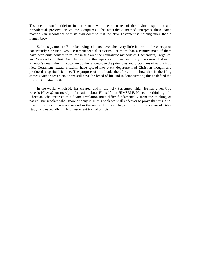Testament textual criticism in accordance with the doctrines of the divine inspiration and providential preservation of the Scriptures. The naturalistic method interprets these same materials in accordance with its own doctrine that the New Testament is nothing more than a human book.

Sad to say, modern Bible-believing scholars have taken very little interest in the concept of consistently Christian New Testament textual criticism. For more than a century most of them have been quite content to follow in this area the naturalistic methods of Tischendorf, Tregelles, and Westcott and Hort. And the result of this equivocation has been truly disastrous. Just as in Pharaoh's dream the thin cows ate up the fat cows, so the principles and procedures of naturalistic New Testament textual criticism have spread into every department of Christian thought and produced a spiritual famine. The purpose of this book, therefore, is to show that in the King James (Authorized) Version we still have the bread of life and in demonstrating this to defend the historic Christian faith.

In the world, which He has created, and in the holy Scriptures which He has given God reveals *Himself,* not merely information about Himself, but HIMSELF. Hence the thinking of a Christian who receives this divine revelation must differ fundamentally from the thinking of naturalistic scholars who ignore or deny it. In this book we shall endeavor to prove that this is so, first in the field of science second in the realm of philosophy, and third in the sphere of Bible study, and especially in New Testament textual criticism.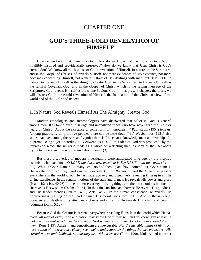# CHAPTER ONE

# **GOD'S THREE-FOLD REVELATION OF HIMSELF**

How do we know that there is a God? How do we know that the Bible is God's Word, infallibly inspired and providentially preserved? How do we know that Jesus Christ is God's eternal Son? We know all this because of God's revelation of Himself. In nature, in the Scriptures, and in the Gospel of Christ God reveals *Himself,* not mere evidences of His existence, not mere doctrines concerning Himself, not a mere history of His dealings with men, but HIMSELF. In nature God reveals Himself as the almighty Creator God, in the Scriptures God reveals Himself as the faithful Covenant God, and in the Gospel of Christ, which is the saving message of the Scriptures, God reveals Himself as the triune Saviour God. In this present chapter, therefore, we will discuss God's three-fold revelation of Himself, the foundation of the Christian view of the world and of the Bible and its text.

## 1. In Nature God Reveals Himself As The Almighty Creator God

Modern ethnologists and anthropologists have discovered that belief in God is general among men. It is found even in savage and uncivilized tribes who have never read the Bible or heard of Christ. "About the existence of some form of monotheism," Paul Radin (1954) tells us, "among practically all primitive peoples there can be little doubt.'' (1) W. Schmidt (1931) also states that even among the African Pygmies there is "the clear acknowledgement and worship of a Supreme Being." (2) According to Nieuwenhuis (1920), this idea of God was produced "by the impression which the universe made as a whole on reflecting men, as soon as they set about trying to understand the world round about them." (3)

But these discoveries of modern investigators were anticipated long ago by the inspired psalmist, who exclaimed, O *LORD our Lord, how excellent is Thy NAME in all the earth!* (Psalm 8:1). What is God's Name? As many scholars and theologians have pointed out, God's name is His revelation of *Himself.* God's name is excellent *in all the earth.* God the Creator is present everywhere in the world which He has made, actively and objectively revealing *Himself* in all His divine excellence. In the regular motions of the stars and planets He reveals His power and glory (Psalm 19:1; Isa. 40:26). In the immense variety of living things and their harmonious interaction He reveals His wisdom (Psalm 104:24). In the rain, sunshine and harvest He reveals His goodness and His tender mercies (Psalm 145:9; Acts 14:17). In the human conscience He reveals His righteousness. writing on the heart of man His moral law (Rom. 2:15). And in the universal prevalence of death and its attendant sickness and suffering He reveals His wrath and coming judgment (Rom. 5:12).

Because God the Creator is present everywhere revealing Himself in the world which He has made, all men of every tribe and nation may know God if they will and do know Him at least in part. *Because that which may be known of God is manifest in them; for God hath shewed it unto them* (Rom. 1:19). Atheism and agnosticism are inexcusable. *For the invisible things of him from the creation of the world are clearly seen, being understood by the things that are made, even His eternal power and Godhead, so that they are without excuse* (Rom. 1:20). Idolatry and all other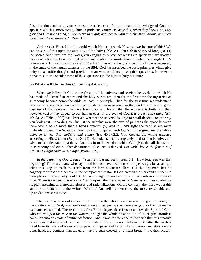false doctrines and observances constitute a departure from this natural knowledge of God, an apostasy which is motivated by human pride and vanity. *Because that, when they knew God, they glorified Him not as God, neither were thankful; but became vain in their imaginations, and their foolish heart was darkened* (Rom. 1:21).

God reveals Himself in the world which He has created. How can we be sure of this? We can be sure of this upon the authority of the holy Bible. As John Calvin observed long ago, (4) the sacred Scriptures are the God-given eyeglasses or contact lenses (to speak in ultra-modern terms) which correct our spiritual vision and enable our sin-darkened minds to see aright God's revelation of Himself in nature (Psalm 119:130). Therefore the guidance of the Bible is necessary in the study of the natural sciences. In the Bible God has inscribed the basic principles which give unity to scientific thought and provide the answers to ultimate scientific questions. In order to prove this let us consider some of these questions in the light of holy Scripture.

#### **(a) What the Bible Teaches Concerning Astronomy**

When we believe in God as the Creator of the universe and receive the revelation which He has made of Himself in nature and the holy Scriptures, then for the first time the mysteries of astronomy become comprehensible, at least in principle. Then for the first time we understand how astronomers with their tiny human minds can know as much as they do know concerning the vastness of the heavens. Then we learn once and for all that the universe is finite and that, however vast it may appear to our human eyes, in the eyes of God it *is a very little thing (Isa*. 40:15). As Thiel (1967) has observed whether the universe is large or small depends on the way you look at it. According to Thiel, if the nebulae were the size of pinheads the space between them would be no more than a hand's breadth. (5) And in God's sight the nebulae are mere pinheads. Indeed, the Scriptures teach us that compared with God's infinite greatness the whole universe is *less than nothing and vanity* (Isa. 40:17,22). God created the whole universe according to His wisdom (Psalm 104:24). He understands it completely, and to man He gives the wisdom to understand it partially. And it is from this wisdom which God gives that all that is true in astronomy and every other department of science is derived. *For with Thee is the fountain of life: in Thy light shall we see light* (Psalm 36:9).

*In the beginning God created the heaven and the earth* (Gen. 1:1) How long ago was that beginning? There are many who say that this must have been ten billion years ago, because light takes this long to reach the earth from the farthest quasi-stellars. But this argument has no cogency for those who believe in the omnipotent Creator. If God created the stars and put them in their places in space, why couldn't He have brought down their light to the earth in an instant of time? There is no need, therefore, to "re-interpret" the first chapter of Genesis and thus to obscure its plain meaning with modern glosses and rationalizations. On the contrary, the more we let this sublime introduction to the written Word of God tell its own story the more reasonable and up-to-date we see it to be.

The first two verses of Genesis 1 tell us how the whole universe was brought into being by the creative act of God, in an unformed state at first, perhaps as mere energy out of which matter was later constituted. The rest of this first Bible chapter describes to us how the Spirit of God, who *moved upon the face of the waters,* brought the whole creation out of its original formless condition into an estate of entire perfection. And it was in reference to the earth that this creative power was first exercised. No mention is made of the sun, moon and stars until after the earth is freed from its layers of water and carpeted with grass and herbs. The sun, moon and stars, on the other hand, are younger than the earth, having been created, or at least brought into their present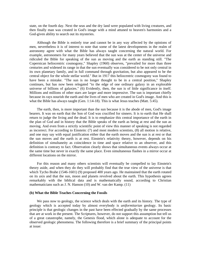state, on the fourth day. Next the seas and the dry land were populated with living creatures, and then finally man was created in God's image with a mind attuned to heaven's harmonies and a God-given ability to search out its mysteries.

Although the Bible is entirely true and cannot be in any way affected by the opinions of men, nevertheless it is of interest to note that some of the latest developments in the realm of astronomy agree with what the Bible has always taught concerning the natural world. For example, astronomers for many years believed that the sun was at the center of the universe and ridiculed the Bible for speaking of the sun as moving and the earth as standing still. "The Copernican heliocentric cosmogony," Shapley (1960) observes, "prevailed for more than three centuries and widened its range in that the sun eventually was considered to be not only central in its own planetary family, and in full command through gravitation, but also appeared to be the central object for the whole stellar world." But in 1917 this heliocentric cosmogony was found to have been a mistake. "The sun is no longer thought to be in a central position," Shapley continues, but has now been relegated "to the edge of one ordinary galaxy in an explorable universe of billions of galaxies." (6) Evidently, then, the sun is of little significance in itself. Millions and millions of other stars are larger and more impressive. The sun is important chiefly because its rays nourish the earth and the lives of men who are created in God's image. And this is what the Bible has always taught (Gen. 1:14-18). This is what Jesus teaches (Matt. 5:45).

The earth, then, is more important than the sun because it is the abode of men, God's image bearers. It was on earth that the Son of God was crucified for sinners. It is to earth that He shall return to judge the living and the dead. It is to emphasize this central importance of the earth in the plan of God and in history that the Bible speaks of the earth as being at rest and the sun as moving. And even from a strictly scientific point of view this manner of speaking is not regarded as incorrect. For according to Einstein: (7) and most modern scientists, (8) all motion is relative, and one may say with equal justification either that the earth moves and the sun is at rest or that the sun moves and the earth is at rest. Einstein's relativity theory, however, depends on his definition of simultaneity as coincidence in time and space relative to an observer, and this definition is contrary to fact. Observation clearly shows that simultaneous events always occur at the same time but never in exactly the same place. Even simultaneous flashes in a mirror occur at different locations on the mirror.

For this reason and many others scientists will eventually be compelled to lay Einstein's theory aside, and when they do they will probably find that the true view of the universe is that which Tycho Brahe (1546-1601) (9) proposed 400 years ago. He maintained that the earth rotated on its axis and that the sun, moon and planets revolved about the earth. This hypothesis agrees remarkably with the biblical data and is mathematically sound, according to Christian mathematicians such as J. N. Hanson (10) and W. van der Kamp. (11)

#### **(b) What the Bible Teaches Concerning the Fossils**

We pass now to geology, the science which deals with the earth and its history. The type of geology which is accepted today by almost everybody is *uniformitarian* geology. Its basic principle is that geologic changes in the past have been effected gradually by the same processes that are at work in the present. The Scriptures, however, do not support this assumption but tell us of a great catastrophe, namely, the Genesis flood, which alone is adequate to account for the observed geologic phenomena. The following therefore is a brief summary of the principal points at issue: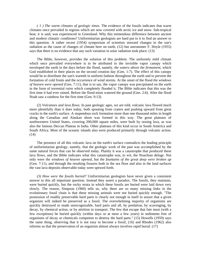*( 1 ) The warm climates of geologic times.* The evidence of the fossils indicates that warm climates once prevailed in regions which are now covered with arctic ice and snow. Sub-tropical heat, it is said, was experienced in Greenland. Why this tremendous difference between ancient and modern climatic conditions? Uniformitarian geologists are hard put to it to find an answer to this question. A rather recent (1954) symposium of scientists stressed changes in the sun's radiation as the cause of changes of climate here on earth, (12) but astronomer F. Hoyle (1955) says that there is no evidence that any such variation in solar radiation took place. (13)

The Bible, however, provides the solution of this problem. The uniformly mild climate which once prevailed everywhere is to be attributed to the invisible vapor canopy which enveloped the earth in the days before the flood, namely, *the waters above the firmament*, which God established in their places on the second creation day (Gen. 1:7). The effect of this canopy would be to distribute the sun's warmth in uniform fashion throughout the earth and to prevent the formation of cold fronts and the occurrence of wind storms. At the onset of the flood *the windows of heaven were opened (*Gen. 7:11), that is to say, the vapor canopy was precipitated on the earth in the form of torrential *rains* which completely flooded it. The Bible indicates that this was the first time it had ever rained. Before the flood mists watered the ground (Gen. 2:6). After the flood Noah saw a rainbow for the first time (Gen. 9:13).

(2) *Volcanoes and lava flows.* In past geologic ages, we are told, volcanic lava flowed much more plentifully than it does today, both spouting from craters and pushing upward from great cracks in the earth's surface. A stupendous rock formation more than one thousand miles in length along the Canadian and Alaskan shore was formed in this way. The great plateaus of northwestern United States, covering 200,000 square miles, were built by oozing lava, as was also the famous Deccan Plateau in India. Other plateaus of this kind occur in South America and South Africa. Most of the oceanic islands also were produced primarily through volcanic action. (14)

The presence of all this volcanic lava on the earth's surface contradicts the leading principle of uniformitarian geology, namely, that the geologic work of the past was accomplished by the same natural forces that can be observed today. Plainly it was a catastrophe that produced these lava flows, and the Bible indicates what this catastrophe was, to wit, the Noachian deluge. Not only were *the windows of heaven opened,* but *the fountains of the great deep were broken up*  (Gen. 7:11), and through the resulting fissures both in the sea floor and also in the land surfaces the vast lava deposits observable today were spewed forth.

*(3) How were the fossils buried?* Uniforrnitarian geologists have never given a consistent answer to this all important question. Instead they assert a paradox. The fossils, they maintain, were buried quickly, but the rocky strata in which these fossils are buried were laid down very slowly. The reason, Simpson (1960) tells us, why there are so many missing links in the evolutionary fossil chain is that these missing animals were not buried quickly enough. "The possession of readily preservable hard parts is clearly not enough in itself to assure that a given organism will indeed be preserved as a fossil. The overwhelming majority of organisms are quickly destroyed or made unrecognizable, hard parts and all, by predation, by scavenging, by decay, by chemical action, or by attrition in transport. The few that escape that fate must (with a few exceptions) be buried quickly (within days or at most a few years) in sediments free of organisms of decay or chemicals competent to destroy the hard parts.'' (15) Howells (1959) says the same thing, observing that it is not easy to become a fossil, (16) and Rhodes (1962) also informs us that the preservation of an organism almost always involves rapid burial. (17)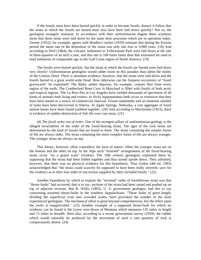If the fossils must have been buried quickly in order to become fossils, doesn't it follow that the strata in which the fossils are buried must also have been laid down quickly? Not so, the geologists strangely maintain. In accordance with their uniformitarian dogma these scientists insist that these strata were laid down by the same slow processes which are in operation today. Zeuner (1952), for example, agrees with Bradley's earlier (1929) estimate that during the Eocene period the mean rate of the deposition of the strata was only one foot in 3,000 years. (18) And according to Dorf (1964), the volcanic sediments in Yellowstone Park were laid down at the rate of three-quarters of an inch a year, and this rate is 100 times faster than that estimated for sand or mud sediments of comparable age in the Gulf Coast region of North America. (19)

The fossils were buried quickly, but the strata in which the fossils are buried were laid down very slowly! Uniformitarian geologists would rather insist on this paradox than admit the reality of the Genesis flood. There is abundant evidence, however, that the strata were laid down and the fossils buried in a great world-wide flood. How otherwise can the frequent occurrence of "fossil graveyards" be explained? The Baltic amber deposits, for example, contain flies from every region of the earth. The Cumberland Bone Cave in Maryland is filled with fossils of both arctic and tropical regions. The La Brea Pits in Los Angeles have yielded thousands of specimens of all kinds of animals both living and extinct. In Sicily hippopotamus beds occur so extensive that they have been mined as a source of commercial charcoal. Frozen mammoths and an immense number of tusks have been discovered in Siberia. At Agate Springs, Nebraska, a vast aggregate of fossil animal bones have been found jumbled together. (20) And according to Macfarlane (1923), there is evidence of sudden destruction of fish life over vast areas. (21)

*(4) The fossil order out of order.* One of the strongest pillars of uniformitarian geology is the alleged invariability of the order of the fossil-bearing strata. The ages of the rock strata are determined by the kind of fossils that are found in them. The strata containing the simpler forms of life are always older. The strata containing the more complex forms of life are always younger. The younger strata are always on top.

This theory, however, often contradicts the facts of nature. Often the younger strata are on the bottom and the older on top. In the Alps such "inverted" arrangements of the fossil-bearing strata occur "on a grand scale" (Geikie). The 19th century geologists explained them by supposing that the strata had been folded together and thus turned upside down. They admitted, however, that there was no physical evidence for this hypothesis. Thus Geikie (4th ed. 1903) acknowledged that "the strata could scarcely be supposed to have been really inverted, save for the evidence as to their true order of succession supplied by their included fossils." (22)

Another hypothesis by which to explain the "inverted" order of fossiliferous strata was that "thrust-faults" had occurred, that is to say, sections of the strata had been raised and pushed up on top of adjacent sections. But B. Willis (1893), U. S. government geologist, had this to say concerning assumed thrust-faults in the southern Appalachians. "These faults of great length, dividing the superficial crust into crowded scales, have provoked the wonder of the most experienced geologists. The mechanical effort is great beyond comprehension, but the effect upon the rocks is inappreciable." (23) Another example of a supposed thrust-fault for which no evidence can be found is the Lewis over-thrust of Montana which measures 135 miles in length and 15 miles in breadth. Here also, according to a recent government survey (1959), the rubble which would naturally be produced by the movement of such a vast quantity of rock is conspicuously absent. (24)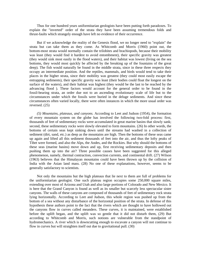Thus for one hundred years uniformitarian geologists have been putting forth paradoxes. To explain the "inverted" order of the strata they have been assuming tremendous folds and thrust-faults which strangely enough have left no evidence of their occurrence.

But if we acknowledge the reality of the Genesis flood, we no longer need to "explain" the strata but can take them as they come. As Whitcomb and Morris (1960) point out, the bottom-most strata would normally contain the trilobites and brachiopods, because their mobility was least (they would find it hardest to avoid entombment), their specific gravity was greatest (they would sink most easily in the flood waters), and their habitat was lowest (living on the sea bottoms, they would most quickly be affected by the breaking up of the fountains of the great deep). The fish would naturally be found in the middle strata, since in these three respects they occupy an intermediate position. And the reptiles, mammals, and birds would tend to take their places in the higher strata, since their mobility was greatest (they could most easily escape the entrapping sediments), their specific gravity was least (their bodies could float the longest on the surface of the waters), and their habitat was highest (they would be the last to be reached by the advancing flood ). These factors would account for the general order to be found in the fossil-bearing strata, an order due not to an ascending evolutionary scale of life but to the circumstances under which the fossils were buried in the deluge sediments. And since these circumstances often varied locally, there were often instances in which the more usual order was reversed. (25)

*(5) Mountains, plateaus, and canyons.* According to Leet and Judson (1954), the formation of every mountain system on the globe has involved the following two-fold process: first, thousands of feet of sedimentary rocks were accumulated in great marine basins that slowly sank; second, these sedimentary rocks were slowly elevated to form mountains. (26) In other words, the bottoms of certain seas kept sinking down until the streams had washed in a collection of sediment (dirt, sand, etc.) as deep as the mountains are high. Then the bottoms of these seas came up again and lifted all this sediment thousands of feet into the air, and thus the lofty peaks of Tibet were formed, and also the Alps, the Andes, and the Rockies. But why should the bottoms of these seas (marine basins) move down and up, first receiving sedimentary deposits and then pushing them up into the air? Three possible causes have been suggested for this alleged phenomenon, namely, thermal contraction, convection currents, and continental drift. (27) Wilson (1963) believes that the Himalayan mountains could have been thrown up by the collision of India with the Asian land mass. (28) No one of these explanations, however, seems to be generally satisfactory to scientists.

Not only the mountains but the high plateaus that lie next to them are full of problems for the uniformitarian geologist. One such plateau region occupies some 250,000 square miles, extending over most of Arizona and Utah and also large portions of Colorado and New Mexico. It is here that the Grand Canyon is found as well as its smaller but scarcely less spectacular sister canyons. The walls of these canyons are composed of thousands of feet of sedimentary rock strata lying horizontally. According to Leet and Judson, this whole region was pushed up from the bottom of a sea without any disturbance of the horizontal position of the strata. In defense of this hypothesis these authors point to the fact that the rivers which are thought to have hollowed out the canyons flow in curves called meanders. These curves, it is maintained, were established before the uplift began, and the uplift was so gentle that it did not disturb them, (29) But according to Whitcomb and Morris, such notions are vulnerable from the standpoint of hydromechanics. A river which is downcutting enough to excavate a canyon will not continue to flow in curves but will straighten itself out due to gravitational pull. (30)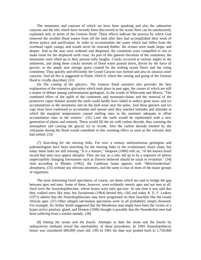The mountains and canyons of which we have been speaking and also the submarine canyons and the rifts which have recently been discovered in the ocean floor can be satisfactorily explained only in terms of the Genesis flood. These effects indicate the process by which God removed the swollen flood waters from off the land after they had accomplished their work of divine justice and purification. In order to accommodate the water which had fallen from the overhead vapor canopy and would never be returned thither, the oceans were made larger and deeper. And as the seas were widened and deepened, the continents were compelled to rise to make room for the displaced earth crust. As part of this general elevation of the continents, the mountains were lifted up to their present lofty heights. Cracks occurred at various angles in the sediments, and along these cracks torrents of flood water poured down, driven by the force of gravity, to the ample new storage space created by the sinking ocean floors and the rising continents. Thus quickly and efficiently the Grand Canyon was formed and also its sinuous sister canyons. And all this is suggested in Psalm 104:6-9, where the coming and going of the Genesis flood is vividly described. (31)

(6) *The coming of the glaciers.* The Genesis flood narrative also provides the best explanation of the extensive glaciation which took place in past ages, the causes of which are still a matter of debate among uniformitarian geologists. In the words of Whitcomb and Morris, "The combined effect of the uplift of the continents and mountain-chains and the removal of the protective vapor blanket around the earth could hardly have failed to induce great snow and ice accumulations in the mountains and on the land areas near the poles. And these glaciers and ice caps must have continued to accumulate and spread until they reached latitudes and altitudes at which the marginal temperatures caused melting rates in the summers adequate to offset accumulation rates in the winters." (32) Later the earth would be replenished with a new generation of plants and animals. These would fill the air with carbon dioxide, thus warming the atmosphere and causing the glacial ice to recede. Also the carbon dioxide emitted by the volcanoes during the flood would contribute to this warming effect as soon as the volcanic dust had settled. (33)

(7) *Searching for the missing links*. For over a century uniformitarian geologists and paleontologists have been searching for the missing links in the evolutionary fossil chain, but today these links are still missing. "It is a feature," Simpson (1960) tells us, "of the known fossil record that most taxa appear abruptly. They are not, as a rule, led up to by a sequence of almost imperceptibly changing forerunners such as Darwin believed should be usual in evolution." (34) And according to Rhodes (1962), the Cambrian fauna appears with "Melchisedechian" abruptness, (35) without any obvious ancestors, and the same is true of most of the major groups of organisms.

The most interesting fossil specimens, of course, are those which are said to bridge the gap between apes and men. Some of these, however, were evidently merely apes and not men at all. Such were the Australopithecines. whose brains were only ape-size. At one time it was said that they walked erect like men, but Zuckerman (1964) denied this, (36) and today R. E. F. Leakey (1971) admits that the Australopithecines may have progressed on their knuckles like the extant African apes. (37) Other alleged sub-human specimens were in all probability simply diseased. For example, Sir Arthur Keith suggested that the Rhodesian man might have been the victim of a hyper-active pituitary gland, and Hooton (1946) thought it possible that the Neanderthal men had been suffering from a similar malady. (38)

(8) *Dating the strata and the fossils.* Attempts to date the strata and the fossils by radioactivity methods reveal the unreliability of these procedures. In 1969 Australopithecus boisei was considered 600,000 years old. (39) In 1961 his date was pushed back to 1,750,000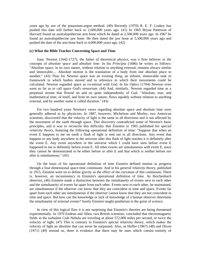years ago by use of the potassium-argon method. (40) Recently (1970) R. E. F. Leakey has pushed this date still farther back to 2,600,000 years ago. (41) In 1965 Bryan Patterson of Harvard found an australopithecine arm bone which he dated at 2,500,000 years ago. In 1967 he found an australopithecine jaw bone. He then dated the jaw bone at 5,500,000 years ago and pushed the date of the arm bone back to 4,000,000 years ago. (42)

#### **(c) What the Bible Teaches Concerning Space and Time**

Isaac Newton (1642-1727), the father of theoretical physics, was a firm believer in the concepts of *absolute space* and *absolute time*. In his *Principia* (1686) he writes as follows: "Absolute space, in its own nature, without relation to anything external, remains always similar and immovable.... Absolute motion is the translation of a body from one absolute place to another." (43) Thus for Newton space was an existing *thing*, an infinite, immovable tank or framework in which bodies moved and in reference to which their movements could be calculated. Newton regarded space as co-eternal with God. In his Optics (1704) Newton even went so far as to call space God's *sensorium*. (44) And, similarly, Newton regarded time as a perpetual stream that flowed on and on quite independently of God. "Absolute, true, and mathematical time, of itself, and from its own nature, flows equably without relation to anything external, and by another name is called duration." (43)

For two hundred years Newton's views regarding absolute space and absolute time were generally adhered to by physicists. In 1887, however, Michelson and Morley, two American scientists, discovered that the velocity of light is the same in all directions and is not affected by the movement of the earth through space. This discovery contradicted some of Newton's basic principles, and it was to reconcile this difficulty that Einstein in 1905 published *his special relativity theory*, featuring the following operational definition of time: "Suppose that when an event E happens to me on earth a flash of light is sent out in all directions. Any event that happens to any body anywhere in the universe after this flash of light reaches it is definitely after the event E. Any event anywhere in the universe which I could have seen before event E happened to me is definitely before event E. All other events are simultaneous with event E, since they cannot be demonstrated to be either before or after E and that which is neither before nor after is simultaneous." (45)

On the basis of his operational definition of time Einstein defined motion as progress through a four-dimensional space-time continuum. And in his *general relativity theory*, published in 1915, Einstein went on to define gravity as the effect of the curvature of this continuum. There is, however, an inconsistency in Einstein's operational definition of time. As Reichenbach observes, (46) Einstein made a distinction between the simultaneity of events next to each other and the simultaneity of events far apart from each other. Events next to each other, he maintained, are simultaneous if the observer can know that they are coincident in time and space. Events far apart from each other are simultaneous if the observer cannot know that they are not coincident in time and space. But how can the knowledge or lack of knowledge of a human observer determine the simultaneity of external events? Surely Einstein taught pantheism in the guise of science.

In view of this logical flaw it is not surprising that Einstein's theories are being threatened experimentally. In 1970 Endean and Allen, two British scientists, concluded that electromagnetic fields in the turbulent Crab Nebula are traveling at about 372,000 miles per second, or twice the velocity of light. (47) This is contrary to Einstein's special relativity theory, which makes the velocity of light an absolute that can never be surpassed. Also, as Huffer (1967) (48) and Dixon (1971) (49) remind us, there is evidence that there may be stars which consist entirely of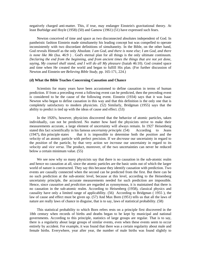negatively charged anti-matter. This, if true, may endanger Einstein's gravitational theory. At least Burbidge and Hoyle (1958) (50) and Gamow (1961) (51) have expressed such fears.

Newton conceived of time and space as two disconnected absolutes independent of God. In pantheistic fashion Einstein made simultaneity his leading concept but was compelled to operate inconsistently with two discordant definitions of simultaneity. In the Bible, on the other hand, God reveals Himself as the only Absolute*. I am God, and there is none else; I am God, and there is none like Me* (Isa. 46:9 ) . God's eternal plan for all things is the only ultimate continuum. *Declaring the end from the beginning, and from ancient times the things that are not yet done, saying, My counsel shall stand, and I will do all My pleasure* (Isaiah 46:10). God created space and time when He created the world and began to fulfill His plan. (For further discussion of Newton and Einstein see *Believing Bible Study*, pp. 165-171, 224.)

#### **(d) What the Bible Teaches Concerning Causation and Chance**

Scientists for many years have been accustomed to define causation in terms of human prediction. If from a preceding event a following event can be predicted, then the preceding event is considered to be the cause of the following event. Einstein (1934) says that it was Isaac Newton who began to define causation in this way and that this definition is the only one that is completely satisfactory to modern physicists. (52) Similarly, Bridgman (1955) says that the ability to predict is tied up with the ideas of cause and effect. (53)

In the 1920's, however, physicists discovered that the behavior of atomic particles, taken individually, can not be predicted. No matter how hard the physicists strive to make their measurements accurate, a large element of uncertainty will always remain. In 1927 Heisenberg stated this fact scientifically in his famous *uncertainty principle*. (54) According to Jeans (1947), this principle states that it is impossible to determine both the *position* and the *velocity* of an atomic particle with perfect precision. If we *decrease* our uncertainty in regard to the *position* of the particle, by that very action we *increase* our uncertainty in regard to its *velocity* and *vice versa*. The product, moreover, of the two uncertainties can never be reduced below a certain minimum value. (55)

We see now why so many physicists say that there is no causation in the sub-atomic realm and hence no causation at all, since the atomic particles are the basic units out of which the larger world of nature is constructed. They say this because they identify causation with prediction. Two events are causally connected when the second can be predicted from the first. But there can be no such prediction at the sub-atomic level, because at this level, according to the Heisenberg uncertainty principle, the accurate measurements needed for such prediction are impossible. Hence, since *causation* and *prediction* are regarded as synonymous, it is maintained that there is no causation in the sub-atomic realm. According to Heisenberg (1958), classical physics and causality have only a limited range of applicabllity. (56) According to Bridgman ( 1955 ), the law of cause and effect must be given up. (57) And Max Born (1951) tells us that all the laws of nature are really laws of chance in disguise, that is to say, laws of statistical probability. (58)

This statistical probability to which Born refers rests on a principle first discovered in the 18th century when records of births and deaths began to be kept by municipal and national governments. According to this principle, statistics of large groups are regular. That is to say, there is a regularity about large groups of similar events, even when these events seem to occur entirely by accident. For example, it was found that there was a certain regularity about male and female births. Everywhere, year after year, the number of male births was found slightly to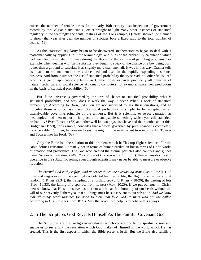exceed the number of female births. In the early 19th century also inspection of government records by the Belgian statistician Quetelet brought to light many other instances of statistical regularity in the seemingly accidental features of life. For example, Quetelet showed (or claimed to show) that year after year the number of suicides bore a fixed ratio to the total number of deaths. (59)

As this statistical regularity began to be discovered, mathematicians began to deal with it mathematically by applying to it the terminology and rules of the probability calculation which had been first formulated in France during the 1650's for the solution of gambling problems. For example, when dealing with birth statistics they began to speak of the chance of a boy being born rather than a girl and to calculate it as slightly more than one half. It was in this way, Cramer tells us, that actuarial mathematics was developed and used in the rapidly expanding insurance business. And from insurance the use of statistical probability theory spread into other fields until now its range of applications extends, as Cramer observes, over practically all branches of natural, technical and social science. Automatic computers, for example, make their predictions on the basis of statistical probability. (60)

But if the universe is governed by the laws of chance or statistical probability, what *is* statistical probability, and why does it work the way it does? What is back of statistical probability? According to Born, (61) you are not supposed to ask these questions, and he ridicules those who do ask them. Statistical probability is simply to be accepted as an unanalyzable governing principle of the universe. But is it scientific to reject causation as meaningless and then to put in its place an unanalyzable something which you call statistical probability? Even Einstein (62) and other well known physicists have had their doubts about this. Bridgman (1959), for example, concedes that a world governed by pure chance is completely inconceivable. For then, he goes on to say, he might in the next instant turn into his dog Towser and Towser into his Ford. (63)

Only the Bible has the solution to this problem which baffles top-flight scientists. For the Bible defines causation ultimately not in terms of human prediction but in terms of God's works of creation and providence. The God who created the atomic particles also controls and guides them. *He worketh all things after the counsel of His own will* (Eph. 1:11). Hence causation is still operative in the subatomic realm, even though scientists may never be able to measure or observe its action.

*The eternal God is thy refuge, and underneath are the everlasting arms* (Deut. 33:27). God rules and reigns even in the seemingly accidental features of life, the flight of an arrow shot at random (1 Kings 22:34), the trampling of a jostling crowd (2 Kings 7:18-20), the casting of lots (Prov. 16:33), the falling of a sparrow from its nest (Matt. 10:29). If we put our trust in Christ, then we know that He so preserves us that not a hair can fall from any of our heads without the will of our heavenly Father; yea, that all things must be subservient to our salvation*. And we know that all things work together for good to them that love God, to them who are the called according to His purpose* ( Rom. 8:28). May the good Lord help us to believe this always.

## 2. In The Scriptures God Reveals Himself As The Faithful Covenant God

The Scriptures are the God-given eyeglasses which correct our faulty spiritual vision and enable us to see aright the revelation which God makes of Himself in the world which He has created. This is the first aspect in which the Bible presents itself. But the Bible also fulfills a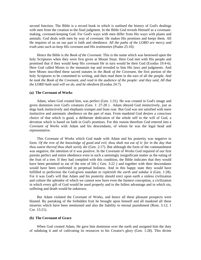second function. The Bible is a record book in which is outlined the history of God's dealings with men from the creation to the final judgment. In the Bible God reveals Himself as a covenantmaking, covenant-keeping God. For God's ways with men differ from His ways with plants and animals. God deals with men by way of covenant. He makes His promises and keeps them. All He requires of us on our part is faith and obedience. *All the paths of the LORD are mercy and truth unto such as keep His covenant and His testimonies* (Psalm 25:10).

Hence the Bible is *the Book of the Covenant*. This is the name which was bestowed upon the holy Scriptures when they were first given at Mount Sinai. Here God met with His people and promised that if they would keep His covenant He in turn would be their God (Exodus 19:4-6). Here God called Moses to the mountain top and revealed to him His laws and judgments. And here Moses inscribed these sacred statutes in *the Book of the Covenant*, the first portion of the holy Scriptures to be committed to writing, and then read them in the ears of all the people. *And he took the Book of the Covenant, and read in the audience of the people: and they said, All that the LORD hath said will we do, and be obedient* (Exodus 24:7).

#### **(a) The Covenant of Works**

Adam, when God created him, was perfect (Gen. 1:31). He was created in God's image and given dominion over God's creatures (Gen. 1: 27-28 ) . Adam obeyed God instinctively, just as dogs bark instinctively and elephants trumpet and lions roar. But God was not satisfied with mere instinctive and automatic obedience on the part of man. From mankind God desires a conscious choice of that which is good, a deliberate dedication of the whole self to the will of God, a devotion which is based on faith in God's promises. For this reason therefore God entered into a *Covenant of Works* with Adam and his descendants, of whom he was the legal head and representative.

This Covenant of Works which God made with Adam and his posterity was negative in form. *Of the tree of the knowledge of good and evil, thou shalt not eat of it: for in the day that thou eatest thereof thou shalt surely die* (Gen. 2:17). But although the form of the commandment was negative, the intention of it was positive. In the Covenant of Works God required of our first parents perfect and entire obedience even in such a seemingly insignificant matter as the eating of the fruit of a tree. If they had complied with this condition, the Bible indicates that they would have been permitted to eat of the tree of life (Gen. 3:22) and together with their descendants would have been confirmed in perpetual holiness. And in this happy state they would have fulfilled to perfection the God-given mandate *to replenish the earth and subdue it* (Gen. 1:28). For it was God's will that Adam and his posterity should erect upon earth a sinless civilization and culture the splendor of which we cannot now have even the faintest conception, a civilization in which every gift of God would be used properly and to the fullest advantage and in which sin, suffering and death would be unknown.

But Adam violated the Covenant of Works, and hence all these pleasant prospects were blasted. By partaking of the forbidden fruit he brought upon himself and all mankind all these miseries which have been mentioned and also the liability to eternal punishment (Rom. 5:12; 1 Cor. 15:21).

#### **(b) The Covenant of Grace**

When God created Adam, He gave him dominion over the earth and assigned him the duty of subduing it and of cultivating its resources to his Creator's glory (Gen. 1:28). This divine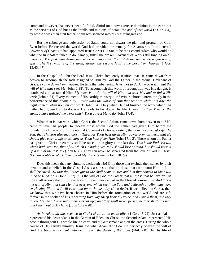command however, has never been fulfilled. Sinful men now exercise dominion in the earth not as the servants of God but as the thralls and minions of Satan, *the god of this world* (2 Cor. 4:4), by whose wiles their first father Adam was seduced into his first transgression.

But the sabotage and subversion of Satan could not thwart the plan and program of God. Even before He created the world God had provided the remedy for Adam's sin. In the eternal *Covenant of Grace* He had appointed Jesus Christ His Son to be the Second Adam who would do what the first Adam failed to do, namely, fulfill the broken Covenant of Works still binding on all mankind*. The first man Adam was made a living soul: the last Adam was made a quickening Spirit. The first man is of the earth, earthy: the second Man is the Lord from heaven* (1 Cor. 15:45, 47).

In the Gospel of John the Lord Jesus Christ frequently testifies that He came down from heaven to accomplish the task assigned to Him by God the Father in the eternal Covenant of Grace. *I came down from heaven*, He tells the unbelieving Jews, *not to do Mine own will, hut the will of Him that sent Me* (John 6:38). To accomplish this work of redemption was His delight. It nourished and sustained Him*. My meat is to do the will of Him that sent Me, and to finish His work* (John 4:34). Every moment of His earthly ministry our Saviour labored unremittingly in the performance of this divine duty. *I must work the works of Him that sent Me while it is day: the night cometh when no man can work* (John 9:4). Only when He had finished the work which His Father had given Him to do, was He ready to lay down His life*. I have glorified Thee on the earth: I have finished the work which Thou gayest Me to do* (John 17:4).

What then is that work which Christ, the Second Adam, came down from heaven to do? He came to save His people, to redeem those whom God the Father had given Him before the foundation of the world in the eternal Covenant of Grace. *Father, the hour is come; glorify Thy Son, that Thy Son also may glorify Thee: As Thou hast given Him power over all flesh, that He should give eternal life to as many as Thou hast given Him* (John 17:1-2). Those whom the Father has given to Christ in eternity shall be raised up in glory at the last day*. This is the Father's will which hath sent Me, that of all which He hath given Me I should lose nothing, but should raise it up again at the last day* (John 6 39). They can never be separated from the love of God in Christ. *No man is able to pluck them out of My Father's hand* (John 10:29).

Does this mean that any sinner is excluded? No! Only those that exclude themselves by their own sin and unbelief. In the Gospel Jesus assures us that all those that come unto Him in faith shall be saved. *All that the Father giveth Me shall come to Me; and him that cometh to Me I will in no wise cast out* (John 6:37). It is the will of God the Father that all those that believe on His Son shall receive the gift of everlasting life and have a part in the blessed resurrection. *And this is the will of Him that sent Me, that everyone which seeth the Son, and believeth on Him, may have everlasting life: and I will raise him up at the last day* (John 6:40). If we believe in Christ, then we know that we have been chosen in Him before the foundation of the world and are safe forever in the shelter of His redeeming love. *My sheep hear My voice, and I know them, and they follow Me: And I give unto them eternal life; and they shall never perish, neither shall any man pluck them out of My hand* (John 10:27-28).

*As in Adam all die, even so in Christ shall all be made alive* (1 Cor. 15:22). Just as Adam represented his descendants in the Garden of Eden, so Christ, the Second Adam, represented His people throughout His whole life on earth and at Gethsemane and on the cross. During the whole course of His earthly ministry Jesus did what Adam didn't do. He perfectly obeyed the will of God. He *became obedient unto death, even the death of the cross* (Phil. 2:8). By His life of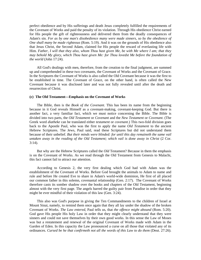perfect obedience and by His sufferings and death Jesus completely fulfilled the requirements of the Covenant of Works and paid the penalty of its violation. Through His obedience Christ earned for His people the gift of righteousness and delivered them from the deadly consequences of Adam's sin. *For as by one man's disobedience many were made sinners, so by the obedience of One shall many be made righteous* (Rom. 5:19). And it was on the grounds of His obedience also that Jesus Christ, the Second Adam, claimed for His people the reward of everlasting life with Him. *Father, I will that they also, whom Thou hast given Me, be with Me where I am; that they may behold My glory, which Thou hast given Me: for Thou lovedst Me before the foundation of the world* (John 17:24).

All God's dealings with men, therefore, from the creation to the final judgment, are summed up and comprehended in these two covenants, the Covenant of Works and the Covenant of Grace. In the Scriptures the Covenant of Works is also called the Old Covenant because it was the first to be established in time. The Covenant of Grace, on the other hand, is often called the New Covenant because it was disclosed later and was not fully revealed until after the death and resurrection of Christ.

#### **(c) The Old Testament—Emphasis on the Covenant of Works**

The Bible, then is the *Book of the Covenant*. This has been its name from the beginning because in it God reveals Himself as a covenant-making, covenant-keeping God. But there is another fact, a very familiar fact, which we must notice concerning the Bible. The Bible is divided into two parts, the *Old Testament* or *Covenant* and the *New Testament* or *Covenant*. (The Greek word *diatheke* can be translated either *testament* or *covenant*.) This two-fold division goes back to the Apostle Paul, who was the first to apply the name *Old Testament* to the ancient Hebrew Scriptures. The Jews, Paul said, read these Scriptures but did not understand them because of their unbelief. *But their minds were blinded: for until this day remaineth the same vail untaken away in the reading of the Old Testament; which vail is done away in Christ* (2 Cor.  $3:14$ ).

But why are the Hebrew Scriptures called the *Old* Testament? Because in them the emphasis is on the Covenant of Works. As we read through the Old Testament from Genesis to Malachi, this fact cannot fail to attract our attention.

According to Genesis 2, the very first dealing which God had with Adam was the establishment of the Covenant of Works. Before God brought the animals to Adam to name and rule and before He created Eve to share in Adam's world-wide dominion, He first of all placed our common father in this solemn, covenantal relationship (Gen. 2:17). The Covenant of Works therefore casts its somber shadow over the books and chapters of the Old Testament, beginning almost with the very first page. The angels barred the guilty pair from Paradise in order that they might be ever mindful of their violation of this law (Gen. 3:24).

This also was God's purpose in giving the Ten Commandments to the children of Israel at Mount Sinai, namely, to remind them once again that they all lay under the shadow of the broken Covenant of Works. *The Law entered*, Paul tells us, that *the offence might abound* (Rom. 5:20). God gave His people His holy Law in order that they might clearly understand that they were sinners and could not save themselves by their own good works. In this sense the Law of Moses was but a restatement and renewal of the original Covenant of Works made with Adam in the Garden of Eden. In this capacity the Law pronounced a curse on all those that violated any of its ordinances*. Cursed be he that confirmeth not all the words of this Law to do them* (Deut. 27:26).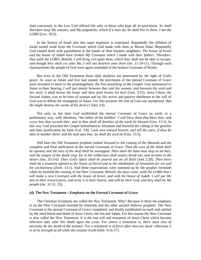And conversely in the Law God offered life only to those who kept all its provisions*. Ye shall therefore keep My statutes, and My judgments: which if a man do, he shall live in them: I am the LORD* (Lev. 18:5).

In the history of Israel also this same emphasis is continued. Repeatedly the children of Israel turned aside from the Covenant which God made with them at Mount Sinai. Repeatedly God visited them with punishment at the hands of their heathen neighbors. *The house of Israel and the house of Judah have broken My Covenant which I made with their fathers. Therefore, thus saith the LORD, Behold, I will bring evil upon them, which they shall not be able to escape; and though they shall cry unto Me, I will not hearken unto them (Jer. 11:10-11). Through such* chastisements the people of God were again reminded of the broken Covenant of Works.

But even in the Old Testament these dark shadows are penetrated by the light of God's grace. As soon as Adam and Eve had sinned, the provisions of the eternal Covenant of Grace were revealed to them in the proteangelium, the first preaching of the Gospel. God announced to Satan in their hearing*, I will put enmity between thee and the woman, and between thy seed and her seed; it shall bruise thy head, and thou shalt bruise his heel* (Gen. 3:15). Jesus Christ, the Second Adam, was to be born of woman and by His active and passive obedience to the will of God was to defeat the stratagems of Satan. *For this purpose the Son of God was manifested, that He might destroy the works of the devil* (1 John 3:8).

Not only so but later God established the eternal Covenant of Grace on earth, in a preliminary way, with Abraham, "the father of the faithful." *I will bless them that bless thee, and curse him that curseth thee: and in thee shall all families of the earth be blessed* (Gen. 12:3). In this way God preached the Gospel beforehand to Abraham and foretold the calling of the gentiles and their justification by faith (Gal. 3:8*). Look now toward heaven, and tell the stars, if thou be able to number them: and He said unto him, So shall thy seed be* (Gen. 15:5).

Still later the Old Testament prophets looked forward to the coming of the Messiah and the complete and final ratification of the eternal Covenant of Grace. *Then the eyes of the blind shall be opened, and the ears of the deaf shall be unstopped. Then shall the lame man leap as an hart, and the tongue of the dumb sing: for in the wilderness shall waters break out, and streams in the desert (Isa. 35:5-6). Then God's Spirit shall be poured out on all flesh* (Joel 2:28). *Then there shall be a fountain opened to the house of David and to the inhabitants of Jerusalem for sin and for uncleanness* (Zech. 13:1). And these expectations were summed up by the prophet Jeremiah when he foretold the coming of the New Covenant*. Behold, the days come, saith the LORD that I will make a new Covenant with the house of Israel, and with the house of Judah. I will put My law in their inward parts, and write it in their hearts; and will be their God, and they shall be My people* (Jer. 31:31, 33).

#### **(d) The New Testament—Emphasis on the Eternal Covenant of Grace**

The Christian Scriptures are called the *New* Testament. Why? Because in them the emphasis is on the New Covenant foretold by Jeremiah and the other ancient Hebrew prophets. The New Covenant is the eternal Covenant of Grace completely and finally established on earth and ratified by the shed blood and death of Jesus Christ, the Second Adam. For this reason the New Covenant is also called the New *Testament*. It is the last will and testament of Jesus Christ which became effective only after His death upon the cross*. For where a testament is, there must also of necessity be the death of the testator. For a testament is of force after men are dead: otherwise it is of no strength at all while the testator liveth* (Heb. 9:16-17).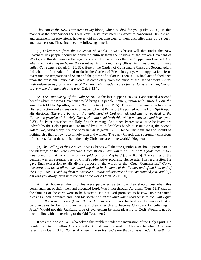*This cup is the New Testament in My blood, which is shed for you* (Luke 22:20). In this manner at the holy Supper the Lord Jesus Christ instructed His Apostles concerning His last will and testament. Its provisions, however, did not become clear to them until after their Lord's death and resurrection. These included the following benefits:

(1) *Deliverance from the Covenant of Works*. It was Christ's will that under the New Covenant His people should be delivered entirely from the shadow of the broken Covenant of Works, and this deliverance He began to accomplish as soon as the Last Supper was finished. *And when they had sung an hymn, they went out into the mount of Olives. And they came to a place called Gethsemane* (Mark 14:26, 32). Here in the Garden of Gethsemane Christ the Second Adam did what the first Adam failed to do in the Garden of Eden. In agony, with supplication, Jesus overcame the temptations of Satan and the power of darkness. Then in His final act of obedience upon the cross our Saviour delivered us completely from the curse of the law of works. *Christ hath redeemed us from tile curse of the Law, being made a curse for us: for it is written, Cursed is every one that hangeth on a tree* (Gal. 3:13 ) .

(2) *The Outpouring of the Holy Spirit*. At the last Supper also Jesus announced a second benefit which the New Covenant would bring His people, namely, union with Himself*. I am the vine*, He told His Apostles, *ye are the branches* (John 15:5). This union became effective after His resurrection and ascension into heaven when at Pentecost He poured out the Holy Spirit upon His disciples. *Therefore being by the right hand of God exalted, and having received of the Father the promise of the Holy Ghost, He hath shed forth this which ye now see and hear* (Acts 2:33). So Peter describes the Holy Spirit's coming. And since Pentecost all true believers are indwelt by the Holy Spirit and are united by Him in deathless bonds to Jesus Christ, the Second Adam. *We, being many, are one body in Christ* (Rom. 12:5). Hence Christians are and should be nothing else than a new race of holy men and women. The early Church was supremely conscious of this fact. "What the soul is in the body Christians are in the world." Diognetus

(3) *The Calling of the Gentiles*. It was Christ's will that the gentiles also should participate in the blessings of the New Covenant. *Other sheep I have which are not of this fold: them also I must bring . . and there shall be one fold, and one shepherd* (John 10:16). The calling of the gentiles was an essential part of Christ's redemptive program. Hence after His resurrection He gave final expression to His divine purpose in the words of the "Great Commission*." Go ye therefore, and teach all nations, baptizing them in the name of the Father, and of the Son, and of the Holy Ghost: Teaching them to observe all things whatsoever I have commanded you: and lo, I am with you alway, even unto the end of the world* (Matt. 28:19-20).

At first, however, the disciples were perplexed as to how they should best obey this commandment of their risen and ascended Lord. Was it not through Abraham (Gen. 12:3) that all the families of the earth were to be blessed? Had not God promised to bestow His covenanted blessings upon Abraham and upon his seed*? For all the land which thou seest, to thee will I give it, and to thy seed for ever* (Gen. 13:15). And so would it not be best for the gentiles first to become Jews by being circumcised and then after this to become Christians by believing in Jesus? Would not this Judaizing type of evangelism be most pleasing to God? Would it not be most in line with the teaching of the Old Testament?

It was the Apostle Paul who solved this problem under the inspiration of the Holy Spirit. He pointed out to his fellow Christians that Christ was the seed of Abraham to which God was referring in Gen. 13:15. *Now to Abraham and to his seed were the promises made. He saith not,*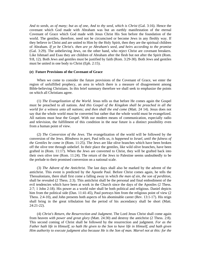*And to seeds, as of many; but as of one, And to thy seed, which is Christ* (Gal. 3:16). Hence the covenant which God made with Abraham was but an earthly manifestation of the eternal Covenant of Grace which God made with Jesus Christ His Son before the foundation of the world. The gentiles, therefore, need not be circumcised or become Jews in any fleshly way. If they believe in Christ and are united to Him by the Holy Spirit, then they are the spiritual children of Abraham. *If ye be Christ's. then are ye Abraham's seed, and heirs according to the promise*  (Gal. 3:29). The unbelieving Jews, on the other hand, who reject Christ are covenant breakers. Like Ishmael and Esau they are children of Abraham after the flesh but not after the Spirit (Rom. 9:8, 12). Both Jews and gentiles must be justified by faith (Rom. 3:29-30). Both Jews and gentiles must be united in one body to Christ (Eph. 2:15).

#### **(e) Future Provisions of the Covenant of Grace**

When we come to consider the future provisions of the Covenant of Grace, we enter the region of unfulfilled prophecy, an area in which there is a measure of disagreement among Bible-believing Christians. In this brief summary therefore we shall seek to emphasize the points on which all Christians agree.

(1) *The Evangelization of the World*. Jesus tells us that before He comes again the Gospel must be preached to all nations. *And this Gospel of the Kingdom shall be preached in all the world for a witness unto all nations; and then shall the end come* (Matt. 24 14). Jesus does not say that the whole world must be converted but rather that the whole world must be evangelized. All nations must hear the Gospel. With our modern means of communication, especially radio and television, the fulfillment of this condition in the near future is a distinct possibility even from a human point of view.

(2) *The Conversion of the Jews*. The evangelization of the world will be followed by the conversion of the Jews. *Blindness in part*, Paul tells us, *is happened to Israel, until the fulness of the Gentiles be come in* (Rom. 11:25). The Jews are like olive branches which have been broken off the olive tree through unbelief. In their place the gentiles, like wild olive branches, have been grafted in (Rom. 11:17). When the Jews are converted to Christ, they will be grafted back into their own olive tree (Rom. 11:24). The return of the Jews to Palestine seems undoubtedly to be the prelude to their promised conversion on a national scale.

(3) *The Advent of the Antichrist*. The last days shall also be marked by the advent of the antichrist. This event is predicted by the Apostle Paul. Before Christ comes again, he tells the Thessalonians, there shall first come a falling away in which *the man of sin, the son of perdition*, shall be revealed (2 Thess. 2:3). This antichrist shall be the personal and final embodiment of the evil tendencies which have been at work in the Church since the days of the Apostles (2 Thess. 2:7; 1 John 2:18). His power as a world ruler shall be both political and religious. Daniel depicts him from the political side (Dan. 11:41-45), Paul portrays him from the religious point of view (2) Thess. 2:4-10), and John presents both aspects of his abominable career (Rev. 13:1-17). His reign shall bring in the great tribulation but the period of his ascendancy shall be short (Matt. 24:21-22).

(4) *Christ's Return, the Resurrection and Judgment*. The Lord Jesus Christ shall come again from heaven *with power and great glory* (Matt. 24:30) and destroy the antichrist (2 Thess. 2:8). This second coming of Christ shall be followed by the resurrection and judgment*. For as the Father hath life in Himself, so hath He given to the Son to have life in Himself, and hath given Him authority to execute judgment also because He is the Son of man. Marvel not at this: for the*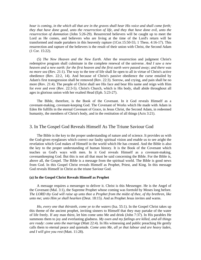*hour is coming, in the which all that are in the graves shall hear His voice and shall come forth; they that have done good, unto the resurrection of life, and they that have done evil, unto the resurrection of damnation* (John 5:26-29). Resurrected believers will be caught up to meet the Lord as He comes, and believers who are living at the time of the Lord's return will be transformed and made partakers in this heavenly rapture (1Cor.15:50-55; 1 Thess. 4:16-17). This resurrection and rapture of the believers is the result of their union with Christ, the Second Adam (1 Cor. 15:22).

(5) *The New Heaven and the New Earth*. After the resurrection and judgment Christ's redemptive program shall culminate in the complete renewal of the universe. *And I saw a new heaven and a new earth: for the first heaven and the first earth were passed away; and there was no more sea* (Rev. 21:1). The way to the tree of life shall lie open to all in virtue of Christ's active obedience (Rev. 22:2, 14). And because of Christ's passive obedience the curse entailed by Adam's first transgression shall be removed (Rev. 22:3). Sorrow, and crying, and pain shall be no more (Rev. 21:4). The people of Christ shall see His face and bear His name and reign with Him for ever and ever (Rev. 22:3-5). Christ's Church, which is His body, shall abide throughout all ages in glorious union with her exalted Head (Eph. 5:23-27).

The Bible, therefore, is the Book of the Covenant. In it God reveals Himself as a covenant-making, covenant-keeping God. The Covenant of Works which He made with Adam in Eden He fulfills in the eternal Covenant of Grace, in Jesus Christ, the Second Adam, in redeemed humanity, the members of Christ's body, and in the restitution of all things (Acts 3:21).

## 3. In The Gospel God Reveals Himself As The Triune Saviour God

The Bible is the key to the proper understanding of nature and of science. It provides us with the God-given eyeglasses which correct our faulty spiritual vision and enable us to see aright the revelation which God makes of Himself in the world which He has created. And the Bible is also the key to the proper understanding of human history. It is the Book of the Covenant which teaches us God's ways with men. In it God reveals Himself as a covenant-making, covenantkeeping God. But this is not all that must be said concerning the Bible. For the Bible is, above all, the Gospel. The Bible is a message from the spiritual world. The Bible is good news from God. In this Gospel Christ reveals Himself as Prophet, Priest, and King. In this message God reveals Himself in Christ as the triune Saviour God.

#### **(a) In the Gospel Christ Reveals Himself as Prophet**

A message requires a messenger to deliver it. Christ is this Messenger. He is the Angel of the Covenant (Mal. 3:1), the Supreme Prophet whose coming was foretold by Moses long before. *The LORD thy God will raise up unto thee a Prophet from the midst of thee, of thy brethren, like unto me; unto Him ye shall hearken* (Deut. 18:15). And as Prophet Jesus invites and warns.

*Ho, every one that thirsteth, come ye to the waters* (Isa. 55:1). In the Gospel Christ takes up this theme of the ancient prophet, inviting sinners to Himself that they may partake of the water of life freely. If any man thirst, let him come unto Me and drink (John 7:37). In His parables He summons them to joy and everlasting gladness. *My oxen and my fatlings are killed, and all things are ready: come unto the marriage* (Matt 22:4). In His witnessing and public preaching He gently calls them to eternal peace and quietude*. Come unto Me, all ye that labour and are heavy laden, and I will give you rest* (Matt. 11:28).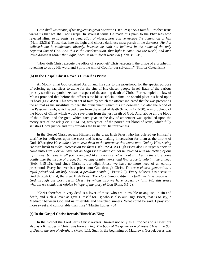*How shall we escape, if we neglect so great salvation* (Heb. 2:3)? As a faithful Prophet Jesus warns us that we shall not escape. In severest terms He made this plain to the Pharisees who rejected Him. *Ye serpents, ye generation of vipers, how can ye escape the damnation of hell* (Matt. 23:33)? Those that hate the light and choose darkness must perish in the darkness. *He that believeth not is condemned already, because he hath not believed in the name of the only begotten Son of God. And this is the condemnation, that light is come into the world, and men loved darkness rather than light, because their deeds were evil* (John 3:18-19).

"How doth Christ execute the office of a prophet? Christ executeth the office of a prophet in revealing to us by His word and Spirit the will of God for our salvation." (Shorter Catechism)

#### **(b) In the Gospel Christ Reveals Himself as Priest**

At Mount Sinai God ordained Aaron and his sons to the priesthood for the special purpose of offering up sacrifices to atone for the sins of His chosen people Israel. Each of the various priestly sacrifices symbolized some aspect of the atoning death of Christ. For example! the law of Moses provided that before the offerer slew his sacrificial animal he should place his hand upon its head (Lev. 4:29). This was an act of faith by which the offerer indicated that he was presenting the animal as his substitute to bear the punishment which his sin deserved. So also the blood of the Passover lamb, which saved them from the angel of death (Exodus 12:3-30), was prophetic of the blood of Christ which would save them from the just wrath of God. And, above all the blood of the bullock and the goat, which each year on the day of atonement was sprinkled upon the mercy seat of the ark (Lev. 16:14-15), was typical of the poured-out blood of Jesus, which fully satisfies God's justice and thus provides the basis for His forgiveness.

In the Gospel Christ reveals Himself as the great High Priest who has offered up Himself a sacrifice for believers upon the cross and is now making intercession for them at the throne of God. *Wherefore He is able also to save them to the uttermost that come unto God by Him, seeing He ever liveth to make intercession for them* (Heb. 7:25). As High Priest also He urges sinners to come unto Him. *For we have not an High Priest which cannot be touched with the feeling of our*  infirmities; but was in all points tempted like as we are yet without sin. Let us therefore come *boldly unto the throne of grace, that we may obtain mercy, and find grace to help in time of need* (Heb. 4:15-16). And since Christ is our High Priest, we have no more need of an earthly priesthood. Every believer is a priest unto God through Christ*. Ye are a chosen generation, a royal priesthood, an holy nation, a peculiar people* (1 Peter 2:9). Every believer has access to God through Christ, the great High Priest*. Therefore being justified by faith, we have peace with God through our Lord Jesus Christ, by whom also we have access by faith into this grace wherein we stand, and rejoice in hope of the glory of God* (Rom. 5:1-2).

"Christ therefore in very deed is a lover of those who are in trouble or anguish, in sin and death, and such a lover as gave Himself for us; who is also our High Priest, that is to say, a Mediator between God and us miserable and wretched sinners. What could be said, I pray you, more sweet and comfortable than this?" (Martin Luther) (64)

#### **(c) In the Gospel Christ Reveals Himself as King**

In the Gospel the Lord Jesus Christ reveals Himself not only as a Prophet and a Priest but also as a King. Jesus Christ was born a King*. The book of the generation of Jesus Christ, the Son of David, the son of Abraham* (Matt. 1:1). Such is the beginning of Matthew's Gospel. Jesus was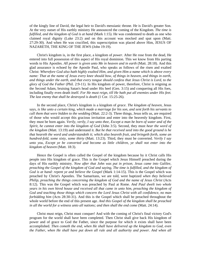of the kingly line of David, the legal heir to David's messianic throne. He is David's greater Son. At the very outset of His earthly ministry He announced the coming of the Kingdom*. The time is fulfilled, and the kingdom of God is at hand* (Mark 1:15). He was condemned to death as one who claimed royal dignity (Luke 23:2) and on this account was mocked and spat upon (Matt. 27:29-30). And when He was crucified, this superscription was placed above Him, JESUS OF NAZARETH, THE KING OF THE JEWS (John 19:19).

Christ's kingdom is, in the first place, a kingdom of *power*. After He rose from the dead, He entered into full possession of this aspect of His royal dominion. This we know from His parting words to His Apostles. *All power is given unto Me in heaven and in earth* (Matt. 28:18). And this glad assurance is echoed by the Apostle Paul, who speaks as follows of the risen and exalted Christ: *Wherefore God also hath highly exalted Him, and given Him a name which is above every name: That at the name of Jesus every knee should bow, of things in heaven, and things in earth, and things under the earth, and that every tongue should confess that Jesus Christ is Lord, to the glory of God the Father* (Phil. 2:9-11). In His kingdom of power, therefore, Christ is reigning as the Second Adam, bruising Satan's head under His heel (Gen. 3:15) and conquering all His foes, including finally even death itself. *For He must reign, till He hath put all enemies under His feet. The last enemy that shall be destroyed is death* (1 Cor. 15:25-26).

In the second place, Christ's kingdom is a kingdom of *grace*. *The kingdom of heaven*, Jesus says, *is like unto a certain king, which made a marriage for his son, and sent forth his servants to call them that were bidden to the wedding* (Matt. 22:2-3). Three things, Jesus tells us, are required of those who would accept this gracious invitation and enter into the heavenly kingdom. First, they must be born again. *Verily, verily, I say unto thee, Except a man be born of water and of the Spirit, he cannot enter into the kingdom of God* (John 3:5). Second, they must *hear the word of the kingdom* (Matt. 13:19) and understand it. *But he that received seed into the good ground is he that heareth the word and understandeth it; which also beareth fruit, and bringeth forth, some an hundred-fold, some sixty, some thirty* (Matt. 13:23). Third, they must be converted. *Verily I say unto you, Except ye be converted and become as little children, ye shall not enter into the kingdom of heaven* (Matt. 18:3).

Hence the Gospel is often called the Gospel of the kingdom because by it Christ calls His people into His kingdom of grace. This is the Gospel which Jesus Himself preached during the days of His earthly ministry. *Now after that John was put in prison, Jesus came into Galilee, preaching the Gospel of the kingdom of God and saying, The time is fulfilled, and the kingdom of God is at hand: repent ye and believe the Gospel* (Mark 1:14-15). This is the Gospel which was preached by Christ's Apostles. The Samaritans, we are told, were baptized *when they believed Philip, preaching the things concerning the kingdom of God and the name of Jesus Christ* (Acts 8:12). This was the Gospel which was preached by Paul at Rome. *And Paul dwelt two whole years in his own hired house and received all that came in unto him, preaching the kingdom of God and teaching those things which concern the Lord Jesus Christ with all confidence, no man forbidding him* (Acts 28:30-31). And this is the Gospel which shall be preached throughout the whole world before the end of this present age*. And this Gospel of the kingdom shall be preached in all the world for a witness unto all nations; and then shall the end come* (Matt. 24:14).

Christ must reign, Christ must conquer! And with the coming of Christ's final victory God's program for the world shall have been completed. Then Christ shall give back His kingdom of power and of grace to God the Father, since the purpose for which it exists shall have been accomplished. *Then cometh the end, when He shall have delivered up the kingdom to God, even the Father, when He shall have put down all rule and all authority and power. And when all*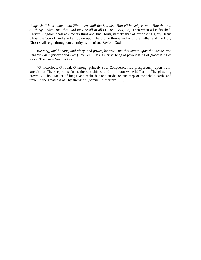*things shall be subdued unto Him, then shall the Son also Himself be subject unto Him that put all things under Him, that God may be all in all* (1 Cor. 15:24, 28). Then when all is finished, Christ's kingdom shall assume its third and final form, namely that of everlasting glory. Jesus Christ the Son of God shall sit down upon His divine throne and with the Father and the Holy Ghost shall reign throughout eternity as the triune Saviour God.

*Blessing, and honour, and glory, and power, be unto Him that sitteth upon the throne, and unto the Lamb for ever and ever* (Rev. 5:13). Jesus Christ! King of power! King of grace! King of glory! The triune Saviour God!

"O victorious, O royal, O strong, princely soul-Conqueror, ride prosperously upon truth: stretch out Thy sceptre as far as the sun shines, and the moon waxeth! Put on Thy glittering crown, O Thou Maker of kings, and make but one stride, or one step of the whole earth, and travel in the greatness of Thy strength." (Samuel Rutherford) (65)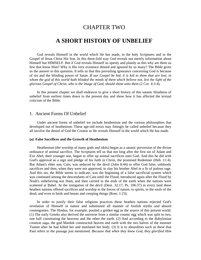# CHAPTER TWO

# **A SHORT HISTORY OF UNBELIEF**

God reveals Himself in the world which He has made, in the holy Scriptures and in the Gospel of Jesus Christ His Son. In this three-fold way God reveals not merely information about Himself but HIMSELF. But if God reveals Himself so openly and plainly as this why are there so few that know Him? Why is His very existence denied and ignored by so many? The Bible gives us the answer to this question. It tells us that this prevailing ignorance concerning God is because of sin and the blinding power of Satan. *If our Gospel be hid, it is hid to them that are lost, in whom the god of this world hath blinded the minds of them which believe not, lest the light of the glorious Gospel of Christ, who is the image of God, should shine unto them* (2 Cor. 4:3-4).

In this present chapter we shall endeavor to give a short history of this satanic blindness of unbelief from earliest times down to the present day and show how it has affected the textual criticism of the Bible.

## 1. Ancient Forms Of Unbelief

Under ancient forms of unbelief we include heathenism and the various philosophies that developed out of heathenism. These age-old errors may fittingly be called unbelief because they all involve the denial of God the Creator as He reveals Himself in the world which He has made.

#### **(a) False Sacrifices and the Growth of Heathenism**

Heathenism (the worship of many gods and idols) began as a satanic perversion of the divine ordinance of animal sacrifice. The Scriptures tell us that not long after the first sin of Adam and Eve Abel, their younger son, began to offer up animal sacrifices unto God. And this he did with God's approval as a sign and pledge of his faith in Christ, the promised Redeemer (Heb. 11:4). But Adam's elder son, Cain, was seduced by the devil (John 8:44) to offer God false, unbloody sacrifices and then, when they were not approved, to slay his brother Abel in a fit of jealous rage. And this sin, the Bible seems to indicate, was the beginning of a false sacrificial system which was continued among the descendants of Cain until the Flood, introduced again after the Flood by Noah's unbelieving son Ham, and then carried to the ends of the earth when the nations were scattered at Babel. At the instigation of the devil (Deut. 32:17; Ps. 106:37) in every land these heathen nations offered sacrifices and worship to the forces of nature, to spirits, to the souls of the dead, and even to birds and beasts and creeping things (Rom. 1:23).

In order to justify their false religious practices these heathen nations rejected God's revelation of Himself in nature and substituted all manner of foolish myths and absurd cosmogonies. The Hindus, for example, posited a golden egg as the source of this present world. (1) The early Greeks also derived the universe from a similar cosmic egg which was split in two, one half constituting the heavens and the other the earth. (2) And according to the Babylonian creation saga, the god Marduk constructed heaven and earth with the two halves of the monster Tiamet after he had killed her and mutilated her body. (3) It is to absurdities such as these that Paul refers in the passage just mentioned*. Because that when they knew God, they glorified Him*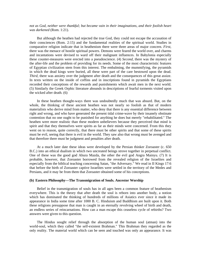*not as God, neither were thankful; but became vain in their imaginations, and their foolish heart was darkened* (Rom. 1:21).

But although the heathen had rejected the true God, they could not escape the accusation of their consciences (Rom. 2:15) and the fundamental realities of the spiritual world. Studies in comparative religion indicate that in heathenism there were three areas of major concern. *First*, there was the menace of hostile spiritual powers. Demons were feared the world over, and charms and incantations were devised to ward off their malignant influences. In Babylonia especially these counter-measures were erected into a pseudoscience. (4) *Second*, there was the mystery of the after-life and the problem of providing for its needs. Some of the most characteristic features of Egyptian civilization stem from this interest. The embalming, the mummifying, the pyramids in which the dead kings were buried, all these were part of the care bestowed upon the dead. *Third*, there was anxiety over the judgment after death and the consequences of this great assize. In texts written on the inside of coffins and in inscriptions found in pyramids the Egyptians recorded their conceptions of the rewards and punishments which await men in the next world. (5) Similarly the Greek Orphic literature abounds in descriptions of fearful torments visited upon the wicked after death. (6)

In these heathen thought-ways there was undoubtedly much that was absurd. But, on the whole, the thinking of these ancient heathen was not nearly so foolish as that of modern materialists who derive mind from matter, who deny that there is any essential difference between right and wrong, and who have generated the present tidal crime-wave by their insanely obstinate contention that no one ought to be punished for anything he does but merely "rehabilitated." The heathen were more realistic than these modern unbelievers because they perceived that mind is spirit and that they themselves were spirits as far as their minds were concerned. From this they went on to reason, quite correctly, that there must be other spirits and that some of these spirits must be evil, seeing that there is evil in the world. They saw also that wrong must be avenged and that therefore there must be judgment and penalties after death.

At a much later date these ideas were developed by the Persian thinker Zoroaster (c. 650 B.C.) into an ethical dualism in which two uncreated beings strove together in perpetual conflict. One of these was the good god Ahura Mazda, the other the evil god Angra Mainyu. (7) It is probable, however, that Zoroaster borrowed from the revealed religion of the Israelites and especially from the biblical teaching concerning Satan, "the Adversary." We read in II Kings 17:6 that before the birth of Zoroaster captive Israelites were settled in the territory of the Medes and Persians, and it may be from them that Zoroaster obtained some of his conceptions.

#### **(b) Eastern Philosophy—The Transmigration of Souls. Ancestor Worship**

Belief in the transmigration of souls has in all ages been a common feature of heathenism everywhere. This is the theory that after death the soul is reborn into another body, a notion which has dominated the thinking of hundreds of millions of Asiatics ever since it made its appearance in India some time after 1000 B. C. Hinduism and Buddhism are built upon it. Both these religions presuppose that man is caught in an eternally revolving wheel of birth and death, an endless series of reincarnations. How can a man escape this ceaseless cycle of rebirths? Two answers were given to this question.

The Hindus sought relief through the absorption of the human soul (atman) into the world-soul, which they called "the self-existent Brahman." This Brahman they regarded as the only reality. The material world which can be seen and touched was only an appearance. It was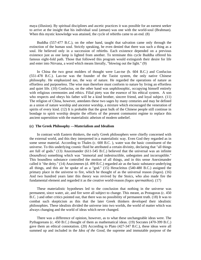maya (illusion). By spiritual disciplines and ascetic practices it was possible for an earnest seeker to arrive at the insight that his individual soul (atman) was one with the world-soul (Brahman). When this mystic knowledge was attained, the cycle of rebirths came to an end. (8)

Buddha (557-477 B.C.), on the other hand, taught that salvation came only through the extinction of the human soul. Strictly speaking, he even denied that there was such a thing as a soul. He believed only in a succession of rebirths. Each existence depended on a previous existence just as one lamp is lighted from another. To terminate this cycle Buddha offered his famous eight-fold path. Those that followed this program would extinguish their desire for life and enter into Nirvana, a word which means literally, "blowing out the light." (9)

In China the two great molders of thought were Lao-tse (b. 604 B.C.) and Confucius (551-478 B.C.). Lao-tse was the founder of the Taoist system, the only native Chinese philosophy. He emphasized *tao*, the way of nature. He regarded the operations of nature as effortless and purposeless. The wise man therefore must conform to nature by living an effortless and quiet life. (10) Confucius, on the other hand was unphilosophic, occupying himself entirely with religious ceremonies and ethics. Filial piety was the essence of his ethical system. A son who respects and obeys his father will be a kind brother, sincere friend, and loyal subject. (11) The religion of China, however, antedates these two sages by many centuries and may be defined as a union of nature worship and ancestor worship, a mixture which encouraged the veneration of spirits of every kind. (12) It is probable that the great bulk of the Chinese people still continue in bondage to spirit worship despite the efforts of the present communist regime to replace this ancient superstition with the materialistic atheism of modern unbelief.

#### **(c) The Greek Philosophy —Materialism and Idealism**

In contrast with Eastern thinkers, the early Greek philosophers were chiefly concerned with the external world, and this they interpreted in a materialistic way. Even God they regarded as in some sense material. According to Thales (c. 600 B.C. ), water was the basic constituent of the universe. To this underlying cosmic fluid he attributed a certain divinity, declaring that "all things are full of gods.'' (13) Anaximander (611-545 B.C.) believed that the universal was an infinite (*boundless*) something which was "immortal and indestructible, unbegotten and incorruptible." This boundless substance controlled the motion of all things, and in this sense Aneximander called it "the deity.'' (14) Anaximenes (d. 499 B.C.) regarded air as the basic substance underlying all things, and this air he spoke of as a "god." (15) Heracleitus (540-480 B.C.) assigned the primary place in the universe to fire, which he thought of as the universal reason (*logos*). (16) And two hundred years later this theory was revived by the Stoics, who also made fire the fundamental element and regarded it as the creative world-reason *(logos spermatikos*). (17)

These materialistic hypotheses led to the conclusion that nothing in the universe was permanent, since water, air, and fire were all subject to change. This meant, as Protagoras (c. 450 B.C. ) and other critics pointed out, that there was no possibility of permanent truth. (18) It was to combat such skepticism as this that the later Greek thinkers developed their idealistic philosophies. These idealists divided the universe into two worlds, the world of matter which was always changing and the world of ideas which never changed.

There was a difference of opinion, however, as to what these unchangeable ideas were. The Pythagoreans (c. 450 B.C.) thought of them as mathematical ideas. (19) Socrates (470-399 B.C.) gave them an ethical connotation. (20) According to Plato (427-347 B.C.), these ideas were all summed up and included in the *Idea of the Good*, the supreme and immutable purpose of the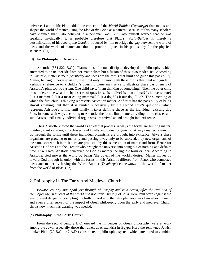universe. Late in life Plato added the concept of the *World-Builder (Demiurge)* that molds and shapes the world of matter, using the *Idea of the Good* as a pattern. Because of this many scholars have claimed that Plato believed in a personal God. But Plato himself warned that he was speaking mythically. It is probable therefore that Plato's *World-Builder* is merely a personification of his *Idea of the Good*, introduced by him to bridge the gap between the world of ideas and the world of matter and thus to provide a place in his philosophy for the physical sciences. (21)

#### **(d) The Philosophy of Aristotle**

Aristotle (384-322 B.C.), Plato's most famous disciple, developed a philosophy which attempted to be neither idealism nor materialism but a fusion of these two tendencies. According to Aristotle, matter is mere *possibility* and ideas are the *forms* that limit and guide this possibility. Matter, he taught, never exists by itself but only in union with these forms that limit and guide it. Perhaps a reference to a children's guessing game may serve to illustrate these basic tenets of Aristotle's philosophic system. One child says, "I am thinking of something." Then the other child tries to determine what it is by a series of questions. "Is it alive? Is it an animal? Is it a vertebrate? Is it a mammal? Is it a meat-eating mammal? Is it a dog? Is it our dog Fido?" The something of which the first child is thinking represents Aristotle's matter. At first it has the possibility of being almost anything, but then it is limited successively by the second child's questions, which represent Aristotle's forms, until finally it takes definite shape as the individual, existing dog Fido. In some such way, according to Aristotle, the forms limit matter, dividing it into classes and sub-classes, until finally individual organisms are arrived at and brought into existence.

Thus Aristotle viewed the world as an eternal process. Always the forms are limiting matter, dividing it into classes, sub-classes, and finally individual organisms. Always matter is moving up through the forms until these individual organisms are brought into existence. Always these organisms are growing to maturity and passing away only to be succeeded by new organisms of the same sort which in their turn are produced by this same union of matter and form. Hence for Aristotle God was not the Creator who brought the universe into being out of nothing at a definite time. Like Plato, Aristotle conceived of God as merely the highest form or idea. According to Aristotle, God moves the world by being "the object of the world's desire." Matter moves *up* toward God through its union with the forms. In this Aristotle differed from Plato, who connected ideas and matter by having the World-Builder (*Demiurge*) come *down* to the world of matter from the world of ideas. (22)

## 2. Philosophy In The Early And Medieval Church

*Beware lest any man spoil you through philosophy and vain deceit, after the tradition of men, after the rudiments of the world and not after Christ* (Col. 2:8). Here Paul warns against the ever present danger of corrupting the truth of God with the false philosophies of unbelieving men, and even a brief survey of the impact of Greek philosophy upon the early and medieval Church shows how much this warning was needed.

#### **(a) Philosophy in the Early Church**

From the second century B.C. onward the influences of Greek philosophy were at work among the Jews, especially those that dwelt at Alexandria in Egypt. Here the renowned Jewish thinker Philo (20 B.C. - 42 A.D.) constructed a philosophic system which attempted to combine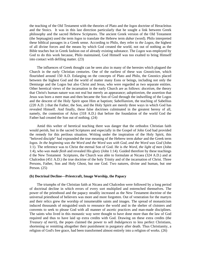the teaching of the Old Testament with the theories of Plato and the *logos* doctrine of Heracleitus and the Stoics. It was in this last direction particularly that he sought a link between Greek philosophy and the sacred Hebrew Scriptures. The ancient Greek version of the Old Testament (the Septuagint) used the term *logos* to translate the Hebrew term *dabar* (word). Philo interpreted these biblical passages in a Greek sense. According to Philo, they refer to *the Logos*, the highest of all divine forces and the means by which God created the world, not out of nothing as the Bible teaches but in Greek fashion out of already existing substance. The *Logos* was employed by God to do this work because, Philo maintained, God Himself was too exalted to bring Himself into contact with defiling matter. (23)

The influences of Greek thought can be seen also in many of the heresies which plagued the Church in the early Christian centuries. One of the earliest of these was *Gnosticism*, which flourished around 150 A.D. Enlarging on the concepts of Plato and Philo, the Gnostics placed between the highest God and the world of matter many Eons or beings, including not only the Demiurge and the Logos but also Christ and Jesus, who were regarded as two separate entities. Other heretical views of the incarnation in the early Church are as follows: *docetism*, the theory that Christ's human nature was not real but merely an appearance; *adoptionism*, the assertion that Jesus was born a mere man and then became the Son of God through the indwelling of the Logos and the descent of the Holy Spirit upon Him at baptism; *Sabellianism*, the teaching of Sabellius (220 A.D. ) that the Father, the Son, and the Holy Spirit are merely three ways in which God has revealed Himself. And finally, these false doctrines culminated in the greatest heresy of all, namely, the contention of Arius (318 A.D.) that before the foundation of the world God the Father had created the Son out of nothing. (24)

Amid this welter of heretical teaching there was danger that the orthodox Christian faith would perish, but in the sacred Scriptures and especially in the Gospel of John God had provided the remedy for this perilous situation. Writing under the inspiration of the Holy Spirit, this "beloved disciple" had expounded the true meaning of the Hebrew term *dabar* and the Greek term *logos. In the beginning was the Word and the Word was with God, and the Word was God* (John 1:1). The reference was to Christ the eternal Son of God. He is *the Word, the light of men* (John 1:4), who *was made flesh* and revealed His glory (John 1:14). Guided therefore by these teachings d the New Testament Scriptures, the Church was able to formulate at Nicaea (324 A.D.) and at Chalcedon (451 A.D.) the true doctrine of the holy Trinity and of the incarnation of Christ. Three Persons, Father, Son and Holy Ghost, but one God. Two natures, divine and human, but one Person. (25)

#### **(b) Doctrinal Decline—Priestcraft, Image Worship, the Papacy**

The triumphs of the Christian faith at Nicaea and Chalcedon were followed by a long period of doctrinal decline in which errors of every sort multiplied and entrenched themselves. The power of the priesthood and the papacy steadily increased as the New Testament doctrine of the universal priesthood of believers was more and more forgotten. Out of veneration for the martyrs and their relics grew the worship of innumerable saints and images. The spread of monasticism induced thousands of misguided souls to renounce the world and in the shelter of cloisters and convents to seek to please God with all manner of ascetic practices and man-made disciplines. The saints who lived in this monastic way were thought to have done more than the law of God required and thus to have laid up extra credits with God. Drawing on these extra credits (the *Treasury of merit*), the popes claimed the power to sell *Indulgences* to less perfect Christians, shortening or remitting altogether their punishment in purgatory after death. Thus Christianity, a religion of God's free grace, had been transformed almost entirely into a religion of works. (26)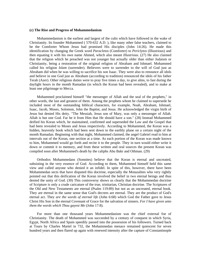#### **(c) The Rise and Progress of Mohammedanism**

Mohammedanism is the earliest and largest of the cults which have followed in the wake of Christianity. Its founder Mohammed ( 570-632 A.D. ), like many other false teachers, claimed to be the Comforter Whom Jesus had promised His disciples (John 14:26). He made this identification by changing the Greek word *Paracletos* (Comforter) to *Periclytos* (Illustrious) and then equating it with his own name Ahmed, which also meant *Illustrious*. (27) He also claimed that the religion which he preached was not younger but actually older than either Judaism or Christianity, being a restoration of the original religion of Abraham and Ishmael. Mohammed called his religion *Islam* (surrender). Believers were to surrender to the will of God just as Abraham did when he was willing to sacrifice his son Isaac. They were also to renounce all idols and believe in one God just as Abraham (according to tradition) renounced the idols of his father Terah (Azer). Other religious duties were to pray five times a day, to give alms, to fast during the daylight hours in the month Ramadan (in which the Koran had been revealed), and to make at least one pilgrimage to Mecca.

Mohammed proclaimed himself "the messenger of Allah and the seal of the prophets," in other words, the last and greatest of them. Among the prophets whom he claimed to supersede he included most of the outstanding biblical characters, for example, Noah, Abraham, Ishmael, Isaac, Jacob, Moses, Solomon, John the Baptist, and Jesus. He acknowledged the virgin birth of Jesus but denied His deity. "The Messiah, Jesus son of Mary, was only a messenger of Allah. Allah is but one God. Far be it from Him that He should have a son." (28) Instead Mohammed deified his Koran which, he maintained, confirmed and superseded the Law and the Gospel that had been revealed to Moses and Jesus respectively. According to Mohammed, the Koran was a hidden, heavenly book which had been sent down to the earthly plane on a certain night of the month Ramadan. Beginning with that night, Mohammed claimed, the angel Gabriel read to him at intervals out of the Koran, one section at a time. As each portion of the Koran was made known to him, Mohammed would go forth and recite it to the people. They in turn would either write it down or commit it to memory, and from these written and oral sources the present Koran was compiled soon after Mohammed's death by the caliphs Abu Bakr and Othman. (29)

Orthodox Mohammedans (Sonnites) believe that the Koran is eternal and uncreated, subsisting in the very essence of God. According to them, Mohammed himself held this same view and called anyone who denied it an infidel. In spite of this, however, there have been Mohammedan sects that have disputed this doctrine, especially the Motazalites who very rightly pointed out that this deification of the Koran involved the belief in two eternal beings and thus denied the unity of God. (30) This controversy shows us clearly that the Mohammedan doctrine of Scripture is only a crude caricature of the true, trinitarian, Christian doctrine. The Scriptures of the Old and New Testaments are eternal (Psalm 119:89) but not as an uncreated, eternal book. They are eternal in the same sense that God's decrees are eternal. They are the product of God's eternal act. They *are the words of eternal life* (John 6:68) which God the Father gave to Jesus Christ His Son in the eternal Covenant of Grace for the salvation of sinners. *For I have given unto them the words which Thou gayest Me* (John 17:8).

For more than one thousand years Mohammedanism was the chief external foe of Christianity. The death of Mohammed was succeeded by a century of conquest in which Syria, Egypt, North Africa and Spain speedily passed into the possession of his followers. Turned back at Tours by Charles Martel in 732, the Mohammedan menace remained quiescent for seven hundred years and then flared up again with renewed intensity after the capture of Constantinople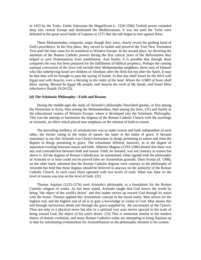in 1453 by the Turks. Under Suleyman the Magnificent (r. 1520-1566) Turkish power extended deep into central Europe and dominated the Mediterraneen. It was not until the Turks were defeated in the great naval battle of Lepanto in 1571 that the tide began to turn against them.

These Mohammedan conquests, tragic though they were, clearly reveal the guiding hand of God's providence. In the first place, they served to isolate and preserve the True New Testament Text until the time came for its transferal to Western Europe. In the second place, by diverting the attention of the Roman Catholic powers during the first critical years of the Reformation they helped to save Protestantism from annihilation. And finally, it is possible that through these conquests the way has been prepared for the fulfillment of biblical prophecy. Perhaps the coming national conversion of the Jews will include their Mohammedan neighbors, these sons of Ishmael who like unbelieving Israel are children of Abraham after the flesh but not after the Spirit. It may be that thus will be brought to pass the saying of Isaiah. *In that day shall Israel be the third with Egypt and with Assyria, even a blessing in the midst of the land. Whom the LORD of hosts shall bless, saying, Blessed be Egypt My people, and Assyria the work of My hands, and Israel Mine inheritance* (Isaiah 19:24-25).

#### **(d) The Scholastic Philosophy—Faith and Reason**

During the middle-ages the study of Aristotle's philosophy flourished greatly, at first among the Nestorians in Syria, then among the Mohammedans, then among the Jews, (31) and finally in the educational centers of Western Europe, where it developed into the Scholastic Philosophy. This was the attempt to harmonize the dogmas of the Roman Catholic Church with the teachings of Aristotle, an effort which placed new emphasis on the relation of faith to reason.

The prevailing tendency of scholasticism was to make reason and faith independent of each other, the former ruling in the realm of nature, the latter in the realm of grace. It became customary to say that Aristotle was Christ's forerunner in things pertaining to nature and John the Baptist in things pertaining to grace. The schoolmen differed, however, as to the degree of separation existing between reason and faith. Albertus Magnus (1193-1280) denied that there was any real contradiction between faith and reason. Faith, he insisted, was not contrary to reason but above it. All the dogmas of Roman Catholicism, he maintained, either agreed with the philosophy of Aristotle or at least could not be proved false on Aristotelian grounds. Duns Scotus (d. 1308), on the other hand, admitted that the Roman Catholic dogmas were contrary to the philosophy of Aristotle but held that these dogmas should be believed in anyway on the authority of the Roman Catholic Church. In such cases Duns operated with two levels of truth. What was false on the level of reason was true on the level of faith. (32)

Thomas Aquinas (1225-1274) used Aristotle's philosophy as a foundation for the Roman Catholic religion of works. As has been stated, Aristotle taught that God moves the world by being "the object of the world's desire" and that matter moves up toward God through its union with the forms. Thomas applied this Aristotelian concept to the moral realm. Man strives for the highest end, and the highest end of all is to gain a knowledge or vision of God. Man attains this end through meritorious deeds and through the grace supplied by the sacraments of the Church. Thus not only in a physical sense but also in a spiritual way man moves upward in the scale of being toward God, the object of his soul's desire. (33) This is somewhat similar to the modern theory of theistic evolution, and many Roman Catholics today are attempting to bring Aquinas up to date by substituting evolutionism for Aristotelianism as the philosophic element in his system.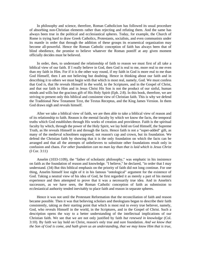In philosophy and science, therefore, Roman Catholicism has followed its usual procedure of absorbing non-Christian elements rather than rejecting and refuting them. And the same has always been true in the political and ecclesiastical spheres. Today, for example, the Church of Rome is trying hard to draw Greek Catholics, Protestants, socialists, and even communists under its mantle in order that through the addition of these groups its ecumenical organization may become all-powerful. Hence the Roman Catholic conception of faith has always been that of blind obedience, the promise to believe whatever the Roman pontiff at any given moment officially decides must be believed.

In order, then, to understand the relationship of faith to reason we must first of all take a biblical view of our faith. If I really believe in God, then God is real to me, more real to me even than my faith in Him. For if it is the other way round, if my faith in God is more real to me than God Himself, then I am not believing but doubting. Hence in thinking about our faith and in describing it to others we must begin with that which is most real, namely, God. We must confess that God *is*, that He reveals Himself in the world, in the Scriptures, and in the Gospel of Christ, and that our faith in Him and in Jesus Christ His Son is not the product of our sinful, human minds and wills but the gracious gift of His Holy Spirit (Eph. 2:8). In this book, therefore, we are striving to present only this biblical and consistent view of Christian faith. This is why we defend the Traditional New Testament Text, the Textus Receptus, and the King James Version. In them God draws nigh and reveals himself.

After we take a biblical view of faith, we are then able to take a biblical view of reason and of its relationship to faith. Reason is the mental faculty by which we know the facts, the temporal truths which God establishes through His works of creation and providence. Faith is the spiritual faculty by which, through the power of the Holy Spirit, we lay hold on God Himself, the Supreme Truth, as He reveals Himself in and through the facts. Hence faith is not a "super-added" gift, as many of the medieval schoolmen supposed, not reason's cap and crown, but its foundation. We defend the Christian faith by showing that it is the only foundation on which the facts can be arranged and that all the attempts of unbelievers to substitute other foundations result only in confusion and chaos*. For other foundation can no man lay than that is laid which is Jesus Christ* (I Cor. 3:11)

Anselm (1033-1109), the "father of scholastic philosophy," was emphatic in his insistence on faith as the foundation of reason and knowledge. "I believe," he declared, "in order that I may understand. (34) But this biblical emphasis on the priority of faith did not long continue. For one thing, Anselm himself lost sight of it in his famous "ontological" argument for the existence of God. Taking a neutral view of his idea of God, he first regarded it as merely a part of his mental experience and then attempted to prove that it was a necessarily true idea. And in Anselm's successors, as we have seen, the Roman Catholic conception of faith as submission to ecclesiastical authority tended inevitably to place faith and reason in separate spheres.

Hence it was not until the Protestant Reformation that the reconciliation of faith and reason became possible. Then it was that believing scholars and theologians began to describe their faith consistently, taking as their starting point that which is most real to every true believer, namely, God, who reveals Himself in the world, in the Scriptures, and in the Gospel of Christ. Such a description opens the way to a better understanding of the intellectual implications of our Christian faith. We see that we are not only justified by faith *but renewed in knowledge* (Col. 3:10). By faith we lay hold on Christ, reason's only true and sure foundation. *And we know that the Son of God is come, and hath given us an understanding, that we may know Him that is true,*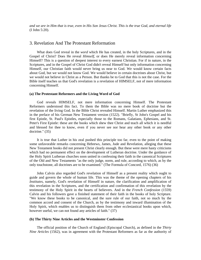*and we are in Him that is true, even in His Son Jesus Christ. This is the true God, and eternal life* (I John 5:20).

### 3. Revelation And The Protestant Reformation

What does God reveal in the *word* which He has created, in the holy Scriptures, and in the Gospel of Christ? Does He reveal *Himself*, or does He merely reveal information concerning Himself? This is a question of deepest interest to every earnest Christian. For if in nature, in the Scriptures, and in the Gospel of Christ God didn't reveal Himself but only information concerning Himself, our Christian faith would never bring us near to God. We would know certain facts about God, but we would not know God. We would believe in certain doctrines about Christ, but we would not believe in Christ as a Person. But thanks be to God that this is not the case. For the Bible itself teaches us that God's revelation is a revelation of HIMSELF, not of mere information concerning Himself.

#### **(a) The Protestant Reformers and the Living Word of God**

God reveals HIMSELF, not mere information concerning Himself. The Protestant Reformers understood this fact. To them the Bible was no mere book of doctrine but the revelation of the living God. In the Bible Christ revealed Himself. Martin Luther emphasized this in the preface of his German New Testament version (1522). "Briefly, St John's Gospel and his first Epistle, St. Paul's Epistles, especially those to the Romans, Galatians, Ephesians, and St. Peter's First Epistle: these are the books which shew thee Christ and teach all which it is needful and blessed for thee to know, even if you never see nor hear any other book or any other doctrine." (35)

It is true that Luther in his zeal pushed this principle too far, even to the point of making some unfavorable remarks concerning Hebrews, James, Jude and Revelation, alleging that these New Testament books did not present Christ clearly enough. But these were mere hasty criticisms which had no permanent effect on the development of Lutheran doctrine. Under the guidance of the Holy Spirit Lutheran churches soon united in confessing their faith in the canonical Scriptures of the Old and New Testaments "as the only judge, norm, and rule, according to which, as by the only touchstone, all doctrines are to be examined." (The Formula of Concord, 1576) (36)

John Calvin also regarded God's revelation of Himself as a present reality which ought to guide and govern the whole of human life. This was the theme of the opening chapters of his *Institutes*, namely, God's revelation of Himself in nature, the clarification and amplification of this revelation in the Scriptures, and the certification and confirmation of this revelation by the testimony of the Holy Spirit in the hearts of believers. And in the *French Confession* (1559) Calvin and his followers gave a finished statement of their faith in the books of holy Scripture. "We know these books to be canonical, and the sure rule of our faith, not so much by the common accord and consent of the Church, as by the testimony and inward illumination of the Holy Spirit, which enables us to distinguish them from other ecclesiastical books upon which, however useful, we can not found any articles of faith." (37)

#### **(b) The Thirty Nine Articles and the Westminster Confession**

The official position of the Church of England (Episcopal Church), as defined in the *Thirty Nine Articles* (1562), was in agreement with the Protestant Reformers as far as the authority of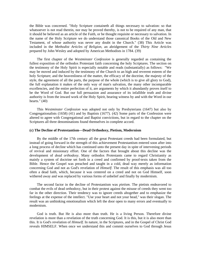the Bible was concerned. "Holy Scripture containeth all things necessary to salvation: so that whatsoever is not read therein, nor may be proved thereby, is not to be required of any man, that it should be believed as an article of the Faith, or be thought requisite or necessary to salvation. In the name of the Holy Scripture we do understand those canonical Books of the Old and New Testament, of whose authority was never any doubt in the Church." (38) This Article was included in the *Methodist Articles of Religion*, an abridgement of the *Thirty Nine Articles* prepared by John Wesley and adopted by American Methodists in 1784. (39)

The first chapter of the *Westminster Confession* is generally regarded as containing the fullest exposition of the orthodox Protestant faith concerning the holy Scriptures. The section on the testimony of the Holy Spirit is especially notable and reads (substantially) as follows: "We may be moved and induced by the testimony of the Church to an high and reverent esteem of the holy Scripture; and the heavenliness of the matter, the efficacy of the doctrine, the majesty of the style, the agreement of all the parts, the purpose of the whole (which is to give all glory to God), the full explanation it makes of the only way of man's salvation, the many other incomparable excellencies, and the entire perfection of it, are arguments by which it abundantly proves itself to be the Word of God. But our full persuasion and assurance of its infallible truth and divine authority is from the inward work of the Holy Spirit, bearing witness by and with the Word in our hearts." (40)

This *Westminster Confession* was adopted not only by Presbyterians (1647) but also by Congregationalists (1658) (41) and by Baptists (1677). (42) Some parts of the Confession were altered to agree with Congregational and Baptist convictions, but in regard to the chapter on the Scriptures all three denominations found themselves in complete accord.

## **(c) The Decline of Protestantism—Dead Orthodoxy, Pietism, Modernism**

By the middle of the 17th century all the great Protestant creeds had been formulated, but instead of going forward in the strength of this achievement Protestantism entered soon after into a long process of decline which has continued unto the present day in spite of intervening periods of revival and missionary effort. One of the factors that brought about this decline was the development of *dead orthodoxy*. Many orthodox Protestants came to regard Christianity as mainly a system of doctrine set forth in a creed and confirmed by proof-texts taken from the Bible. Hence the Gospel was preached and taught in a cold, dead way merely as information concerning God and not as God's revelation of *Himself*. The result of this emphasis was all too often a dead faith, which, because it was centered on a creed and not on God Himself, soon withered away and was replaced by various forms of unbelief and finally by modernism.

The second factor in the decline of Protestantism was *pietism*. The pietists endeavored to combat the evils of dead orthodoxy, but in their protest against the misuse of creeds they went too far in the other direction. Their tendency was to ignore creeds altogether and to emphasize the feelings at the expense of the intellect. "Use your heart and not your head," was their slogan. The result was an unthinking emotionalism which left the door open to many errors and eventually to modernism.

God is truth. But He is also more than truth. He is a living Person. Therefore divine revelation is more than a revelation of the truth concerning God. It is this, but it is also more than this. It is God's revelation of *Himself*. In nature, in the Scriptures, and in the Gospel of Christ God reveals HIMSELF. When once we understand this and commit ourselves to God through Jesus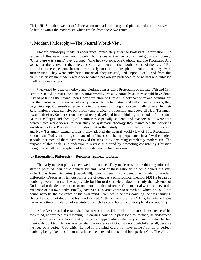Christ His Son, then we cut off all occasion to dead orthodoxy and pietism and arm ourselves to do battle against the modernism which results from these two errors.

# 4. Modern Philosophy—The Neutral World-View

Modern philosophy made its appearance immediately after the Protestant Reformation. The leaders of this new movement ridiculed both sides in the then current religious controversy. "Once there was a man," they quipped, "who had two sons, one Catholic and one Protestant. And so each brother converted the other, and God had mercy on them both because of their zeal." But in order to escape punishment these early modern philosophers denied that they were antichristian. They were only being impartial, they insisted, and unprejudiced. And from this claim has arisen the modern world-view, which has always pretended to be neutral and unbiased in all religious matters.

Weakened by dead orthodoxy and pietism, conservative Protestants of the late 17th and 18th centuries failed to resist the rising neutral world-view as vigorously as they should have done. Instead of taking their stand upon God's revelation of Himself in holy Scripture and pointing out that the neutral world-view is not really neutral but antichristian and full of contradictions, they began to adopt it themselves, especially in those areas of thought not specifically covered by their Reformation creeds, namely, philosophy and biblical introduction and above all New Testament textual criticism. Soon a serious inconsistency developed in the thinking of orthodox Protestants. At their colleges and theological seminaries especially students and teachers alike were torn between two world-views. In their study of systematic theology they maintained the believing world-view of the Protestant Reformation, but in their study of philosophy, biblical introduction, and New Testament textual criticism they adopted the neutral world-view of Post-Reformation rationalism. Today this illogical state of affairs is still being perpetuated in a few theological schools, but most of them have resolved the tension by becoming completely modernistic. The purpose of this book is to endeavor to reverse this trend by promoting consistently Christian thought especially in the sphere of New Testament textual criticism.

### **(a) Rationalistic Philosophy—Descartes, Spinoza, Leibniz**

The early modern philosophers were rationalists. They made reason (the thinking mind) the starting point of their philosophical systems. And of these rationalistic philosophers the very earliest was Rene Descartes (1596-1650), who is usually considered the founder of modern philosophy. Descartes is famous for his use of doubt as a philosophical method. (43) He began by doubting everything that it was possible for him to doubt. He doubted not only the existence of God but also the demonstrations of mathematics, the existence of the material world, and even the existence of his own body. Finally, however, Descartes came to something which he could not doubt, namely, the existence of his own mind. Even while he was doubting, he was thinking. Hence he could not doubt that his mind existed. "I think, therefore I am." This, he believed, was the rock-bottom foundation of certainty on which he could build his philosophical system. (44)

After Descartes had established that it was impossible for him to doubt the existence of his own mind, he reversed his reasoning. Discarding doubt as a philosophical method, he endeavored to argue his way back to certainty, using as stepping-stones the very convictions that he had previously doubted. He now asserted that the existence of God was not doubtful after all, because the idea of a perfect God which he had in his mind could not have come from an imperfect, doubting being like himself but must have been created in his mind by a perfect God. Therefore it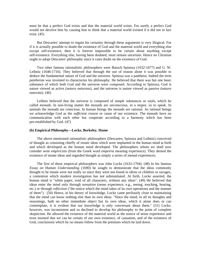must be that a perfect God exists and that the material world exists. For surely a perfect God would not deceive him by causing him to think that a material world existed if it did not in fact exist. (45)

But Descartes' attempt to regain his certainty through these arguments is very illogical. For if it is actually possible to doubt the existence of God and the material world and everything else except self-existence, then it is forever impossible to be certain about anything except self-existence. Everything else, having been doubted, must remain uncertain. Hence no Christian ought to adopt Descartes' philosophy since it casts doubt on the existence of God.

Two other famous rationalistic philosophers were Baruch Spinoza (1632-1677) and G. W. Leibniz (1646-1716). They believed that through the use of reason alone it was possible to deduce the fundamental nature of God and the universe. Spinoza was a pantheist. Indeed the term *pantheism* was invented to characterize his philosophy. He believed that there was but one basic substance of which both God and the universe were composed. According to Spinoza, God is nature viewed as active (*natura naturans*), and the universe is nature viewed as passive (*natura naturata*). (46)

Leibniz believed that the universe is composed of simple substances or souls, which he called *monads*. In non-living matter the monads are unconscious, in a stupor, so to speak. In animals the monads are conscious. In human beings the monads are rational. As rational beings we acknowledge God as the *sufficient reason* or cause of our existence. The monads have no communication with each other but cooperate according to a harmony which has been pre-established by God. (47)

## **(b) Empirical Philosophy—Locke, Berkeley. Hume**

The above mentioned rationalistic philosophers (Descartes, Spinoza and Leibniz) conceived of thought as consisting chiefly of *innate* ideas which were implanted in the human mind at birth and which developed as the human mind developed. The philosophers whom we shall now consider were *empiricists* (from the Greek word *empeiria* meaning experience). They denied the existence of innate ideas and regarded thought as simply a series of mental experiences.

The first of these empirical philosophers was John Locke (1632-1704). (48) In his famous *Essay on Human Understanding* (1690) he sought to demonstrate that the ideas commonly thought to be innate were not really so since they were not found in idiots or children or savages, a contention which modern investigation has not substantiated. At birth, Locke asserted, the human mind is "white paper, void of all characters, without any ideas". (49) He believed that ideas enter the mind only through *sensation* (sense experience, e.g., seeing, touching, hearing, etc.) or through *reflection* ("the notice which the mind takes of its own operations and the manner of them"). (50) Hence, in his theory of knowledge, Locke came perilously close to maintaining that the mind can know nothing else than its own ideas. "Since the mind, in all its thoughts and reasonings, hath no other immediate object but its own ideas, which it alone does or can contemplate, it is evident that our knowledge is only conversant about them." (51) Locke, however, was inconsistent and so declined to develop his philosophy to the point of complete skepticism. He allowed the existence of the material world as the source of sense experience and even insisted that we can be certain of our own existence, of causation, and of the existence of God, conclusions which by no means follow from the premises which he laid down.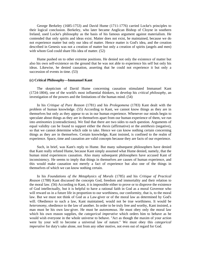George Berkeley (1685-1753) and David Hume (1711-1776) carried Locke's principles to their logical conclusion. Berkeley, who later became Anglican Bishop of Cloyne in southern Ireland, used Locke's philosophy as the basis of his famous argument against materialism. He contended that only spirits and ideas exist. Matter does not exist, he maintained, because we do not experience matter but only our idea of matter. Hence matter is God's idea, and the creation described in Genesis was not a creation of matter but only a creation of spirits (angels and men) with whom God could share His idea of matter. (52)

Hume pushed on to other extreme positions. He denied not only the existence of matter but also his own self-existence on the ground that he was not able to experience his self but only his ideas. Likewise, he denied causation, asserting that he could not experience it but only a succession of events in time. (53)

### **(c) Critical Philosophy—Immanuel Kant**

The skepticism of David Hume concerning causation stimulated Immanuel Kant (1724-1804), one of the world's most influential thinkers, to develop his *critical philosophy*, an investigation of the powers and the limitations of the human mind. (54)

In his *Critique of Pure Reason* (1781) and his *Prolegomena* (1783) Kant dealt with the problem of human knowledge. (55) According to Kant, we cannot know things as they are in themselves but only as they appear to us in our human experience. Whenever our minds begin to speculate about things as they are in themselves apart from our human experience of them, we run into *antinomies* (contradictions). We find that there are two sides to each question. Arguments of equal validity can be found to support either the *thesis* (affirmative) or the *antithesis* (negative), so that we cannot determine which side to take. Hence we can know nothing certain concerning things as they are in themselves. Certain knowledge, Kant insisted, is confined to the realm of experience. Space, time and causation are valid concepts because they are facts of our experience.

Such, in brief, was Kant's reply to Hume. But many subsequent philosophers have denied that Kant really refuted Hume, because Kant simply assumed what Hume denied, namely, that the human mind experiences causation. Also many subsequent philosophers have accused Kant of inconsistency. He seems to imply that things in themselves are causes of human experience, and this would make causation not merely a fact of experience but also one of the things in themselves of which we can know nothing certain.

In his *Foundations of the Metaphysics of Morals* (1785) and his *Critique of Practical Reason* (1788) Kant discussed the concepts God, freedom and immortality and their relation to the moral law. (56) According to Kant, it is impossible either to prove or to disprove the existence of God intellectually, but it is helpful to have a rational faith in God as a moral Governor who will reward us in a future life in proportion to our worthiness, our conformity, that is, to the moral law. But we must not think of God as a Law-giver or of the moral law as determined by God's will. Obedience to such a law, Kant maintained, would not be true worthiness. It would be *heteronomy*, obedience to the law of another. In order to be truly free and worthy, Kant insisted, a man must be his own law-giver. He must be *autonomous*. He must obey only the moral law which his own reason supplies, the *categorical imperative* which orders him to behave as he would wish everyone in the whole universe to behave. "Act as though the maxim of your action were by your will to become a universal law of nature." We must obey this *categorical imperative* for duty's sake alone, not from any other motive, not even out of regard for God.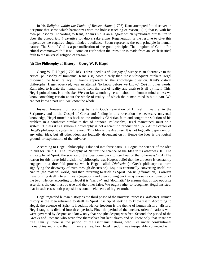In his *Religion within the Limits of Reason Alone* (1793) Kant attempted "to discover in Scripture that sense which harmonizes with the holiest teaching of reason," (57) that is, with his own philosophy. According to Kant, Adam's sin is an allegory which symbolizes our failure to obey the *categorical imperative* for duty's sake alone. Regeneration is the resolve to give this imperative the required single-minded obedience. Satan represents the evil principle in human nature. The Son of God is a personification of the good principle. The kingdom of God is "an ethical commonwealth." It will come on earth when the transition is made from an "ecclesiastical faith to the universal religion of reason."

## **(d) The Philosophy of History—Georg W. F. Hegel**

Georg W. F. Hegel (1770-1831 ) developed his *philosophy of history* as an alternative to the critical philosophy of Immanuel Kant. (58) More clearly than most subsequent thinkers Hegel discerned the basic fallacy in Kant's approach to the knowledge question. Kant's critical philosophy, Hegel observed, was an attempt "to know before we know." (59) In other words, Kant tried to isolate the human mind from the rest of reality and analyze it all by itself. This, Hegel pointed out, is a mistake. We can know nothing certain about the human mind unless we know something certain about the whole of reality, of which the human mind is but a part. We can not know a part until we know the whole.

Instead, however, of receiving by faith God's revelation of Himself in nature, in the Scriptures, and in the Gospel of Christ and finding in this revelation the necessary universal knowledge, Hegel turned his back on the orthodox Christian faith and sought the solution of his problem in a pantheism similar to that of Spinoza. Philosophy, Hegel maintained, must be a system. "Unless it is a system a philosophy is not a scientific production." (60) At the center of Hegel's philosophic system is the *Idea*. This Idea is the *Absolute*. It is not logically dependent on any other idea, but all other ideas are logically dependent on it. Hence the Idea is the logical ground, or explanation, of the universe.

According to Hegel, philosophy is divided into three parts. "I. Logic: the science of the Idea in and for itself. II. The Philosophy of Nature: the science of the Idea in its otherness. III. The Philosophy of Spirit: the science of the Idea come back to itself out of that otherness.'' (61) The reason for this three-fold division of philosophy was Hegel's belief that the universe is constantly engaged in a threefold process which Hegel called *Dialectic* (a Greek philosophical term signifying the discovery of truth through discussion). Logic is continually converting itself into Nature (the material world) and then returning to itself as Spirit. *Thesis* (affirmation) is always transforming itself into *antithesis* (negation) and then coming back as *synthesis* (a combination of the two). Hence, according to Hegel it is "narrow" and "dogmatic" to assume that of two opposite assertions the one must be true and the other false. We ought rather to recognize, Hegel insisted, that in such cases both propositions contain elements of higher truth.

Hegel regarded human history as the third phase of the universal process (*Dialectic*). Human history is the Idea returning to itself as Spirit It is Spirit seeking to know itself. According to Hegel, the essence of Spirit is freedom. Hence freedom is the theme of human history. History, Hegel taught, is divided into three periods. First, the period of the ancient, oriental nations who were governed by despots and knew only that *one* (the despot) was free. Second, the period of the Greeks and Romans who were free themselves but kept slaves and so knew only that *some* are free. Finally, there is the period of the Germanic nations, who live under constitutional monarchies and know that *all men* are free. For Hegel freedom was inseparably connected with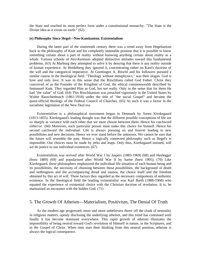the State and reached its most perfect form under a constitutional monarchy. "The State is the Divine Idea as it exists on earth." (62)

## **(e) Philosophy Since Hegel—Neo-Kantianism. Existentialism**

During the latter part of the nineteenth century there was a trend away from Hegelianism back to the philosophy of Kant and his completely untenable position that it is possible to know something certain about a part of reality without knowing anything certain about reality as a whole. Various schools of *Neo-Kantians* adopted distinctive attitudes toward this fundamental problems. (63) At Marburg they attempted to solve it by denying that there is any reality outside of human experience. At Heidelberg they ignored it, concentrating rather on Kant's doctrine of the will and the categorical imperative. At Goettingen A. Ritschl and his followers pursued a similar course in the theological field. "Theology without metaphysics," was their slogan. God is love and only love. It was in this sense that the Ritschlians called God Father. Christ they conceived of as the Founder of the Kingdom of God, the ethical commonwealth described by Immanuel Kant. They regarded Him as God, but not really. Only in the sense that for them He had "the value" of God. (64) This Ritschlianism was preached vigorously in the United States by Walter Rauschenbusch (1861-1918) under the title of "the social Gospel" and became the quasi-official theology of the Federal Council of Churches. (65) As such it was a factor in the socialistic legislation of the New Deal era.

*Existentialism* is a philosophical movement begun in Denmark by Soren Kierkegaard (1813-1855). Kierkegaard's leading thought was that the different possible conceptions of life are so sharply at variance with each other that we must choose between them. Hence his catchword *either/or*. (66) Moreover, each particular person must make this choice for himself. Hence his second catchword *the individual*. Life is always pressing on and forever leading to new possibilities and new decisions. Hence we ever stand before the unknown. We cannot be sure that the future will resemble the past. Hence a logically connected philosophy such as Hegel's is impossible. Our choices must be made by jerks and leaps. Only thus, Kierkegaard insisted, will we do justice to our individual existences. (67)

Existentialism was revived after World War I by Jaspers (1883-1969) (68) and Heidegger (born 1889) (69) and popularized after World War II by Sartre (born 1905). (70) Like Kierkegaard, these philosophers emphasized the individual life situation of each human being and its possibilities, the necessity of choosing between these possibilities, the background of death and nothingness and the accompanying dread and nausea, the choice itself and the freedom obtained by this act of will. These factors they regarded as the necessary components of authentic existence. In the theological field the leading existentialist was Karl Barth (1886-1968) who equated the experience of existential choice with the Christian doctrine of revelation. It is, he maintained an encounter with the hidden God. (71)

## 5. The Growth Of Atheism—Materialism, Positivism, The Denial Of Truth

As the modern age progressed, more and more unbelievers threw off the cloak of neutrality in religious matters, openly disclosing the underlying atheism, and this trend has continued until finally it has become dominant everywhere. This rapid growth of atheism illustrates the impossibility of being neutral toward God's revelation of Himself in nature, in the Scriptures, and in the Gospel of Christ. When men start their thinking from this neutral position, atheism is always the logical consequence.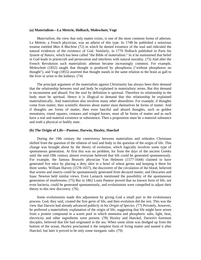#### **(a) Materialism—La Mettrie, Holbach, Moleschott, Vogt**

*Materialism*, the view that only matter exists, is one of the most common forms of atheism. La Mettrie, a French physician, was an atheist of this type. In 1748 he published a notorious treatise entitled *Man A Machine* (72) in which he denied existence of the soul and ridiculed the natural evidences of the existence of God. Similarly, in 1770 Holbach published in Paris his *System of Nature*, which has been called "the Bible of materialism." In it he maintained that belief in God leads to priestcraft and persecution and interferes with natural morality. (73) And after the French Revolution such materialistic atheism became increasingly common. For example, Moleschott (1852) taught that thought is produced by phosphorus ("without phosphorus no thought"), and Vogt (1855) asserted that thought stands in the same relation to the brain as gall to the liver or urine to the kidneys. (74)

The principal argument of the materialists against Christianity has always been their demand that the relationship between soul and body be explained in materialistic terms. But this demand is inconsistent and absurd. For the soul by definition is spiritual. Therefore its relationship to the body must be spiritual. Hence it is illogical to demand that this relationship be explained materialistically. And materialism also involves many other absurdities. For example, if thoughts come from matter, then scientific theories about matter must themselves be forms of matter. And if thoughts are forms of matter, then even fanciful and absurd thoughts, such as golden mountains, round squares, centaurs and winged horses, must all be forms of matter and as such have a real and material existence or subsistence. Then a proposition must be a material substance and truth a physical or bodily state.

## **(b) The Origin of Life—Pasteur, Darwin, Huxley, Haeckel**

During the 19th century the controversy between materialists and orthodox Christians shifted from the question of the relation of soul and body to the question of the origin of life. This change was brought about by the theory of evolution, which logically involves some type of spontaneous generation. At first this was no problem, for from the days of the ancient Greeks until the mid-19th century almost everyone believed that life could be generated spontaneously. For example, the famous Brussels physician Van Helmont (1577-1644) claimed to have generated live mice by placing a dirty shirt in a bowl of wheat germs and keeping it there for three weeks. William Harvey (1578-1657), the discoverer of the circulation of the blood, believed that worms and insects could be spontaneously generated from decayed matter, and Descartes and Isaac Newton held similar views. Even Lamarck mentioned the possibility of the spontaneous generation of mushrooms. (75) But in 1862 Louis Pasteur proved that no known form of life, not even bacteria, could be generated spontaneously, and evolutionists were compelled to adjust their theory to this new discovery. (76)

Some evolutionists made this adjustment by giving God a small part in the evolutionary process. God, they said, created the first germ of life, and then evolution did the rest. This was the view that Darwin had already advanced publicly in his *Origin of Species*. (77) Privately, however, he preferred a materialistic explanation of the origin of life, suggesting that life might have arisen from a protein compound in a warm pool in which ammonia and phosphoric salts, light, heat, electricity and other ingredients were present. (78) Huxley and Haeckel, Darwin's foremost disciples, believed that life had originated in the sea. When some slime was dredged up from the bottom of the ocean, Huxley proclaimed it the simplest form of living matter and named it after Haeckel, but later it proved to be only some inorganic salts. (79)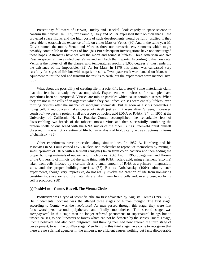Present-day followers of Darwin, Huxley and Haeckel look eagerly to space science to confirm their views. In 1959, for example, Urey and Miller expressed their opinion that all the projected space flights and the high costs of such developments would be fully justified if they were able to establish the existence of life on either Mars or Venus. (80) And in the same year M. Calvin named the moon, Venus and Mars as three non-terrestrial environments which might possibly contain life or the traces of life. (81) But subsequent investigations have not encouraged these hopes. Astronauts have walked the moon and found it lifeless. Three American and two Russian spacecraft have sailed past Venus and sent back their reports. According to this new data, Venus is the hottest of all the planets with temperatures reaching 1,000 degrees F. thus rendering the existence of life impossible. (82) As for Mars, in 1976 this planet was canvassed very carefully for signs of life but with negative results. Two space craft were landed on Mars with equipment to test the soil and transmit the results to earth, but the experiments were inconclusive. (83)

What about the possibility of creating life in a scientific laboratory? Some materialists claim that this feat has already been accomplished. Experiments with viruses, for example, have sometimes been so interpreted. Viruses are minute particles which cause certain diseases. When they are not in the cells of an organism which they can infect, viruses seem entirely lifeless, even forming crystals after the manner of inorganic chemicals. But as soon as a virus penetrates a living cell, it reproduces (makes copies of) itself just as if it were alive. Viruses, moreover, consist of two parts, a protein shell and a core of nucleic acid (DNA or RNA). (84) In 1955 at the University of California H. L. Fraenkel-Conrat accomplished the remarkable feat of disassembling two breeds of the tobacco mosaic virus and then successfully combining the protein shells of one breed with the RNA nuclei of the other. But as Fraenkel-Conrat himself observed, this was not a creation of life but an analysis of biologically active structures in terms of chemistry. (85)

Other experiments have proceeded along similar lines. In 1957 A. Kornberg and his associates in St. Louis caused DNA nucleic acid molecules to reproduce themselves by mixing a small "primer" of DNA with a ferment (enzyme) taken from colon bacteria and then adding the proper building materials of nucleic acid (nucleotides). (86) And in 1965 Spiegelman and Haruna of the University of Illinois did the same thing with RNA nucleic acid, using a ferment (enzyme) taken from cells infected by a certain virus, a small amount of RNA as a primere - magnesium salts, and the proper building-materials. (87) But as Dobzhansky (1964) admits, such experiments, though very impressive, do not really involve the creation of life from non-living constituents, since some of the materials are taken from living cells and, in any case, no living cell is produced. (88)

## **(c) Positivism—Comte. Russell, The Vienna Circle**

Positivism was a type of scientific atheism first advocated by Auguste Comte (1798-1857). His fundamental doctrine was the alleged three stages of human thought. The first stage, according to Comte, was the *theological*. As men passed through this stage, they were first fetish-worshipers, second polytheists, and finally monotheists. The second stage was *metaphysical*. In this stage men no longer referred phenomena to supernatural beings but to unseen causes, to occult powers or forces which can not be detected by the senses. But this stage, Comte believed, had also been outgrown, and thinking men had now entered the third stage of development, to wit, the *positive* stage. Men living in this third stage have come to recognize that there are no spiritual agencies in the universe, no efficient causes, nothing but facts discoverable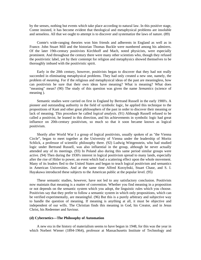by the senses, nothing but events which take place according to natural law. In this positive stage, Comte insisted, it has become evident that theological and metaphysical problems are insoluble and senseless. All that we ought to attempt is to discover and systematize the laws of nature. (89)

Comte's wide-ranging theories won him friends and adherents in England as well as in France. John Stuart Mill and the historian Thomas Buckle were numbered among his admirers. Of the later 19th-century positivists Kirchhoff and Mach, noted physicists, were especially prominent. And throughout the century there were many other scientists who, though they refused the positivistic label, yet by their contempt for religion and metaphysics showed themselves to be thoroughly imbued with the positivistic spirit.

Early in the 20th century, however, positivists began to discover that they had not really succeeded in eliminating metaphysical problems. They had only created a new one, namely, the problem of *meaning*. For if the religious and metaphysical ideas of the past are meaningless, how can positivists be sure that their own ideas have meaning? What is meaning? What does "meaning" mean? (90) The study of this question was given the name *Semantics* (science of meaning ).

Semantic studies were carried on first in England by Bertrand Russell in the early 1900's. A pioneer and outstanding authority in the field of symbolic logic, he applied this technique to the propositions of Kant and other great philosophers of the past in order to discover their meaning or lack of meaning. This procedure he called *logical analysis*. (91) Although Russell refused to be called a positivist, he leaned in this direction, and his achievements in symbolic logic had great influence on 20th-century positivism, so much so that it soon became known as logical positivism.

Shortly after World War I a group of logical positivists, usually spoken of as "the Vienna Circle", began to meet together at the University of Vienna under the leadership of Moritz Schlick, a professor of scientific philosophy there. (92) Ludwig Wittgenstein, who had studied logic under Bertrand Russell, was also influential in the group, although he never actually attended any of its meetings. (93) In Poland also during this same period similar groups were active. (94) Then during the 1930's interest in logical positivism spread to many lands, especially after the rise of Hitler to power, an event which had a scattering effect upon the whole movement. Many of its leaders fled to the United States and began to teach logical positivism and semantics in American Universities. And at the same time Alfred Korzybski, Stuart Chase, and S. I. Hayakawa introduced these subjects to the American public at the popular level. (95)

These semantic studies, however, have not led to any satisfactory conclusion. Positivists now maintain that meaning is a matter of convention. Whether you find meaning in a proposition or not depends on the semantic system which you adopt, the linguistic rules which you choose. Positivists say that they prefer to follow a semantic system in which only propositions, which can be verified experimentally, are meaningful. (96) But this is a purely arbitrary and subjective way to handle the question of meaning. If meaning is anything at all, it must be objective and independent of our wills. The Christian finds this meaning in God, his Creator, and in Jesus Christ, his Redeemer and Saviour.

### **(d) Cybernetics—The Philosophy of Automation**

A new era in the history of materialism seems to have begun in 1948, for this was the year in which Norbert Wiener (1894-1964), professor at Massachusetts Institute of Technology and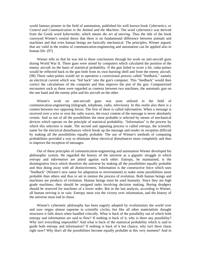world famous pioneer in the field of automation, published his well known book *Cybernetics*, *or Control and Communication in the Animal and the Machine*. The word *cybernetics* was derived from the Greek word *kybernetike*, which means *the art of steering*. Thus the title of the book conveyed Wiener's central thesis that there is no fundamental difference between animals and machines and that even human beings are basically mechanical. The principles, Wiener argued, that are valid in the realms of communication-engineering and automation can be applied also to human life. (97)

Wiener tells us that he was led to these conclusions through his work on anti-aircraft guns during World War II. These guns were aimed by computers which calculated the position of the enemy aircraft on the basis of statistical probability. If the gun failed to score a hit, radar-pulses would be reflected back to the gun both from its own bursting shell and from the enemy aircraft. (98) These radar-pulses would set in operation a correctional process called "feedback," namely an electrical current which was "fed back" into the gun's computer. This "feedback" would then correct the calculations of the computer and thus improve the aim of the gun. Computerized encounters such as these were regarded as contests between two machines, the automatic gun on the one hand and the enemy pilot and his aircraft on the other.

Wiener's work on anti-aircraft guns was soon utilized in the field of communication-engineering (telegraph, telephone, radio, television). In this realm also there is a contest between two opposing forces. The first of these is called *information*. When a message is received over a wire or over the radio waves, the exact content of the message is never absolutely certain. And so out of all the possibilities the most probable is selected by means of mechanical devices which operate on the principle of statistical probability. "Information" is the process by which this selection is made. The second and opposing process is called *entropy*, the scientific name for the electrical disturbances which break up the message and render its reception difficult by making all the possibilities equally probable. The use of Wiener's methods of computing probabilities provided a way to eliminate these electrical disturbances more completely and thus to improve the reception of messages.

Out of these principles of communication-engineering and automation Wiener developed his philosophic system. He regarded the history of the universe as a gigantic struggle in which *entropy* and *information* are pitted against each other. Entropy, he maintained, is the disintegrative force which dissolves the universe by making all the possibilities equally probable and thus doing away with all distinctiveness. Information is the constructive force which uses "feedback" (Wiener's new name for adaptation to environment) to make some possibilities more probable than others and thus to set in motion the process of evolution. Both human beings and machines are products of evolution. Human beings must be used humanly. Since they are high grade machines, they should be assigned tasks involving decision making. Boring drudgery should be reserved for machines of a lower order. But in the last analysis, according to Wiener, all human striving is in vain. Entropy must win the victory over information, and the history of the universe must end in chaos.

Wiener's cybernetic philosophy has been eagerly adopted by evolutionists the world over and now reigns almost supreme in scientific circles, but like all other materialistic thought structures it falls down when handled critically. What is back of the possibility out of which both entropy and information are said to flow? If nothing is back of it, why is there any possibility? Why isn't everything impossible? And what is back of the statistical probability which is said to guide both entropy and information? If nothing is back of it but chance, why isn't there chaos right now? Why don't all the possibilities become equally probable at this very moment? And in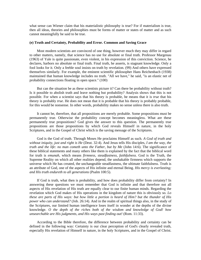what sense can Wiener claim that his materialistic philosophy is true? For if materialism is true, then all ideas, theories and philosophies must be forms of matter or states of matter and as such cannot meaningfully be said to be true.

## **(e) Truth and Certainty, Probability and Error. Common and Saving Grace**

Most modern scientists are convinced of one thing, however much they may differ in regard to other matters, namely, that science has no use for absolute or final truth. Professor Margenau (1963) of Yale is quite passionate, even violent, in his expression of this conviction. Science, he declares, harbors no absolute or final truth. Final truth, he asserts, is stagnant knowledge. Only a fool looks for it. Only a feeble soul insists on truth by revelation. (99) And others have expressed themselves similarly. For example, the eminent scientific philosopher Hans Reichenbach (1938) maintained that human knowledge includes no truth. "All we have," he said, "is an elastic net of probability connections floating in open space." (100)

But can the situation be as these scientists picture it? Can there be probability without truth? Is it possible to abolish truth and leave nothing but probability? Analysis shows that this is not possible. For when a scientist says that his theory is probable, he means that it is *true* that his theory is probably *true*. He does not mean that it is probable that his theory is probably probable, for this would be nonsense. In other words, probability makes no sense unless there is also truth.

It cannot be, therefore, that all propositions are merely probable. Some propositions must be permanently true. Otherwise the probability concept becomes meaningless. What are these permanently true propositions? God gives the answer to this question. The permanently true propositions are those propositions by which God reveals Himself in nature, in the holy Scriptures, and in the Gospel of Christ which is the saving message of the Scriptures.

God is the God of truth. Through Moses He proclaims Himself as such*. A God of truth and without iniquity, just and right is He* (Deut. 32:4). And Jesus tells His disciples*, I am the way, the truth and the life: no man cometh unto the Father, but by Me* (John 14:6). The significance of these biblical statements and many others like them is explained by the fact that the biblical word for truth is *emunah*, which means *firmness, steadfastness, faithfulness*. God is the Truth, the Supreme Reality on which all other realities depend, the unshakable firmness which supports the universe which He has created, the unchangeable steadfastness, the ultimate faithfulness. Truth is an attribute of God, one of the aspects of His infinite and eternal Being. *His mercy is everlasting; and His truth endureth to all generations* (Psalm 100:5).

If God is truth, what then is probability, and how does probability differ from certainty? In answering these questions we must remember that God is infinite and that therefore not all aspects of His revelation of His truth are equally clear to our finite human minds. Regarding the revelation which God makes of His operations in the kingdom of nature this is obviously so. *Lo these are parts of His ways: but how little a portion is heard of Him? but the thunder of His power who can understand?* (Job. 26:14). And in the realm of spiritual things also, in the study of the Scriptures, our limited human intelligence loses itself in wonder at the depths of the divine knowledge. *O the depth of the riches both of the wisdom and knowledge of God! how unsearchable are His judgments, and His ways past finding out!* (Rom. 11:33).

According to the Bible therefore, the difference between probability and certainty can be defined in the following way: Certainty is our clear perception of God's clearly revealed truth, especially His revelation of Himself in nature, in the holy Scriptures, and in the Gospel of Christ.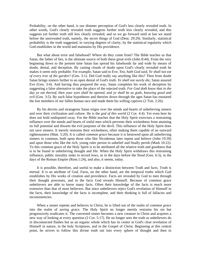Probability, on the other hand, is our dimmer perception of God's less clearly revealed truth. In other words, God's clearly revealed truth suggests further truth less clearly revealed, and this suggests yet further truth still less clearly revealed, and so we go forward until at last we stand before the unrevealed truth, namely, the secret things of God (Deut. 29:29). Similarly, statistical probability is the truth suggested, in varying degrees of clarity, by the statistical regularity which God establishes in the world and maintains by His providence.

But what about error and falsehood? Where do they come from? The Bible teaches us that Satan, the father of lies, is the ultimate source of both these great evils (John 8:44). From the very beginning down to the present time Satan has spread his falsehoods far and wide by means of doubt, denial, and deception. By casting clouds of doubt upon God's clearly revealed truth he makes it seem only probable. For example, Satan said to Eve*, Yea, hath God said, Ye shall not eat of every tree of the garden?* (Gen. 3:1). Did God really say anything like this? Then from doubt Satan brings sinners farther to an open denial of God's truth. *Ye shall not surely die*, Satan assured Eve (Gen. 3:4). And having thus prepared the way, Satan completes his work of deception by suggesting a false alternative to take the place of the rejected truth. *For God doth know that in the day ye eat thereof, then your eyes shall be opened, and ye shall be as gods, knowing good and evil* (Gen. 3:5). By such false hypotheses and theories down through the ages Satan has ensnared the lost members of our fallen human race and made them his willing captives (2 Tim. 2:26).

By his deceits and stratagems Satan reigns over the minds and hearts of unbelieving sinners and over their civilization and culture. He is the *god of this world* (2 Cor. 4:4). Yet even here he does not hold undisputed sway. For the Bible teaches that the Holy Spirit exercises a restraining influence over the minds and hearts of sinful men which prevents their wickedness from attaining its full potential and thwarts the evil purposes of the devil. This influence of the Holy Spirit does not save sinners. It merely restrains their wickedness, often making them capable of an outward righteousness (Matt. 5:20). It is called *common grace* because it is bestowed upon all unbelieving sinners in common, both upon those who like Nicodemus later repent and believe (John 19:39) and upon those who like the rich, young ruler persist in unbelief and finally perish (Mark 10:22). To this common grace of the Holy Spirit is to be attributed all the relative truth and goodness that is to be found in unbelieving thought and life. When the Holy Spirit withdraws this restraining influence, public morality sinks to record lows, as in the days before the flood (Gen. 6:3), in the days of the Roman Empire (Rom.1:24), and also, it seems, today.

It is possible, therefore, and useful to make a distinction between Truth and facts. Truth is eternal. It is an attribute of God. Facts, on the other hand, are the temporal truths which God establishes by His works of creation and providence. Facts are revealed by God to men through their thought processes, and in the facts God reveals Himself. Because of common grace unbelievers are able to know many facts. Often their knowledge of the facts is much more extensive than that of most believers. But since unbelievers reject God's revelation of Himself in the facts, their knowledge of the facts is incomplete, and their thinking is full of fallacies and inconsistencies.

When a sinner repents and believes in Christ, he is lifted out of the realm of *common grace* into the realm of *saving grace*. The Holy Spirit no longer merely restrains his sin but progressively eradicates it. The converted sinner becomes a new creature in Christ and acquires a new way of looking at every question (2 Cor. 5:17). He no longer sees the truth as unbelievers do in disconnected flashes but as an organic whole which has its center in God's clear revelation of Himself in nature, in the holy Scriptures, and in the Gospel of Christ. Beginning at this central point, he strives to follow this divine truth out into every sphere of thought and then to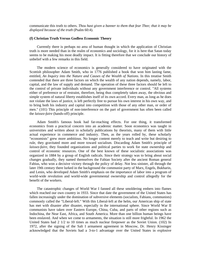communicate this truth to others. *Thou hast given a banner to them that fear Thee; that it may be displayed because of the truth* (Psalm 60:4).

## **(f) Christian Truth Versus Godless Economic Theory**

Currently there is perhaps no area of human thought in which the application of Christian truth is more needed than in the realm of economics and sociology, for it is here that Satan today seems to be making his most deadly impact. It is fitting therefore that we conclude our history of unbelief with a few remarks in this field.

The modern science of economics is generally considered to have originated with the Scottish philosopher Adam Smith, who in 1776 published a book that won him lasting fame, entitled, *An Inquiry into the Nature and Causes of the Wealth of Nations*. In this treatise Smith contended that there are three factors on which the wealth of any nation depends, namely, labor, capital, and the law of supply and demand. The operation of these three factors should be left to the control of private individuals without any government interference or control. "All systems either of preference or of restraint, therefore, being thus completely taken away, the obvious and simple system of natural liberty establishes itself of its own accord. Every man, as long as he does not violate the laws of justice, is left perfectly free to pursue his own interest in his own way, and to bring both his industry and capital into competition with those of any other man, or order of men." (101) This principle of non-interference on the part of government has often been called the *laissez-faire* (hands-off) principle.

Adam Smith's famous book had far-reaching effects. For one thing, it transformed economics from a practical concern into an academic matter. Soon economics was taught in universities and written about in scholarly publications by theorists, many of them with little actual experience in commerce and industry. Then, as the years rolled by, these scholarly "economists" grew more ambitious. No longer content merely to teach and write but desiring to rule, they gravitated more and more toward socialism. Discarding Adam Smith's principle of *laissez-faire*, they founded organizations and political parties to work for state ownership and control of economic resources. One of the best known of these socialistic associations was organized in 1884 by a group of English radicals. Since their strategy was to bring about social changes gradually, they named themselves the Fabian Society after the ancient Roman general Fabius, who won a decisive victory through the policy of delay. Not less sinister, all through the later 19th century there lurked in the background the communist party of Marx, Engels, Bukharin, and Lenin, who developed Adam Smith's emphasis on the importance of labor into a program of world-wide revolution and world-wide governmental ownership and control allegedly for the benefit of the workers.

The catastrophic changes of World War I fanned all these smoldering embers into flames which reached our own country in 1933. Since that date the government of the United States has fallen increasingly under the domination of subversive elements (socialists, Fabians, communists) commonly called the "Liberal-left." With this Liberal-left at the helm, our American ship of state has met with disaster after disaster, especially in the international sphere. Since World War II communists have taken over Eastern Europe, China, Cuba, and parts of other regions such as Indochina, the Near East, Africa, and South America. More than one billion human beings have been enslaved. And when we come to armaments, the situation is still more frightful. In 1962 the United States had 2 1/2 to 10 times as much nuclear firepower as the Soviet Union. (102) In 1972, after the signing of the Salt I armament agreement in Moscow, Dr. Henry Kissinger acknowledged that the Soviets had a 3-to-1 advantage over the United States in explosive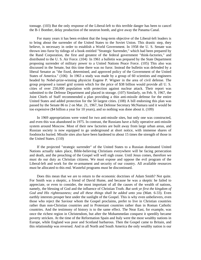tonnage. (103) But the only response of the Liberal-left to this terrible danger has been to cancel the B-1 Bomber, delay production of the neutron bomb, and give away the Panama Canal.

For many years it has been evident that the long-term objective of the Liberal-left leaders is to bring about the surrender of the United States to the Soviet Union. This drastic step, they believe, is necessary in order to establish a World Government. In 1958 the U. S. Senate was thrown into furor by tidings of a book entitled "Strategic Surrender," which had been prepared by the Rand Corporation, the first and greatest of the federal government "think-factories," and distributed to the U. S. Air Force. (104) In 1961 a bulletin was prepared by the State Department proposing surrender of military power to a United Nations Peace Force. (105) This also was discussed in the Senate, but this time there was no furor. Instead the bulletin was defended by a liberal Senator as "the fixed, determined, and approved policy of the Government of the United States of America." (106) In 1963 a study was made by a group of 60 scientists and engineers headed by Nobel-prize-winning physicist Eugene P. Wigner in the area of civil defense. The group proposed a tunnel grid system which for the price of \$38 billion would provide all U. S. cities of over 250,000 population with protection against nuclear attack. Their report was submitted to the Defense Department and placed in storage. (107) Similarly, on Feb. 9, 1967, the Joint Chiefs of Staff recommended a plan providing a thin anti-missile defense for the entire United States and added protection for the 50 largest cities. (108) A bill endorsing this plan was passed by the Senate 86 to 2 on Mar. 21, 1967, but Defense Secretary McNamara said it would be too expensive (\$4 billion a year for 10 years), and so nothing was done about it. (109)

In 1969 appropriations were voted for two anti-missile sites, but only one was constructed, and even this was abandoned in 1975. In contrast, the Russians have a fully operative anti-missile system around Moscow. Most of their new factories are built away from large urban areas, and Russian society is now equipped to go underground at short notice, with immense shares of foodstocks buried. Missile sites also have been hardened to about 15 times the strength of those in the United States. (110)

If the projected "strategic surrender" of the United States to a Russian dominated United Nations actually takes place, Bible-believing Christians everywhere will be facing persecution and death, and the preaching of the Gospel will well nigh cease. Until Jesus comes, therefore we must do our duty as Christian citizens. We must expose and oppose the evil program of the Liberal-left and work for the re-armament and security of our country. All available resources must be allocated to this end. Wasteful programs must be discontinued.

Does this mean that we are to return to the economic doctrines of Adam Smith? Not quite. For Smith was a skeptic, a friend of David Hume, and because he was a skeptic he failed to appreciate, or even to consider, the most important of all the causes of the wealth of nations, namely, the blessing of God and the influence of Christian Truth. *But seek ye first the kingdom of God and His righteousness; and all these things shall be added unto you* (Matt. 6-33). Even earthly interests prosper best under the sunlight of the Gospel. This is why even unbelievers, even those who reject the Saviour whom the Gospel proclaims, prefer to live in Christian countries rather than non-Christian countries and in Protestant countries rather than in Roman Catholic countries. And the testimony of history is to the same effect. The Near East, for example, was once the richest region in Christendom, but after the Mohammedan conquest it speedily became poverty stricken. At the time of the Reformation Spain and Italy were the most wealthy nations in Europe, while England was poor and Scotland barbarous. Then the Gospel came to Britain, and this relationship was reversed. And in all North and South America the only wealthy nation is our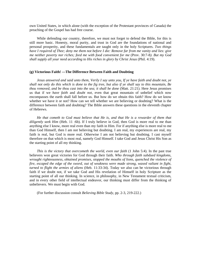own United States, in which alone (with the exception of the Protestant provinces of Canada) the preaching of the Gospel has had free course.

While defending our country, therefore, we must not forget to defend the Bible, for this is still more basic. Honesty, moral purity, and trust in God are the foundations of national and personal prosperity, and these fundamentals are taught only in the holy Scriptures. *Two things have I required of Thee; deny me them not before I die: Remove far from me vanity and lies: give me neither poverty nor riches; feed me with food convenient for me* (Prov. 30:7-8*). But my God shall supply all your need according to His riches in glory by Christ Jesus* (Phil. 4:19).

#### **(g) Victorious Faith! —The Difference Between Faith and Doubting**

*Jesus answered and said unto them, Verily I say unto you, If ye have faith and doubt not, ye shall not only do this which is done to the fig tree, but also if ye shall say to this mountain, Be thou removed, and be thou cast into the sea; it shall be done* (Matt. 21:21). Here Jesus promises us that if we *have faith* and *doubt not*, even that great mountain of unbelief which now encompasses the earth shall fall before us. But how do we obtain this faith? How do we know whether we have it or not? How can we tell whether we are believing or doubting? What is the difference between faith and doubting? The Bible answers these questions in the eleventh chapter of Hebrews.

*He that cometh to God must believe that He is, and that He is a rewarder of them that diligently seek Him* (Heb. 11 :6b). If I truly believe in God, then God is more real to me than anything else I know, more real even than my faith in Him. For if anything else is more real to me than God Himself, then I am not believing but doubting. I am real, my experiences are real, my faith is real, but God is more real. Otherwise I am not believing but doubting. I cast myself therefore on that which is most real, namely God Himself. I take God and Jesus Christ His Son as the starting point of all my thinking.

*This is the victory that overcometh the world, even our faith* (1 John 5:4). In the past true believers won great victories for God through their faith. *Who through faith subdued kingdoms, wrought righteousness, obtained promises, stopped the mouths of lions, quenched the violence of fire, escaped the edge of the sword, out of weakness were made strong, waxed valiant in fight, turned to flight the armies of aliens* (Heb. 11:33-34). Today we also can be victorious through faith if we doubt not, if we take God and His revelation of Himself in holy Scripture as the starting point of all our thinking. In science, in philosophy, in New Testament textual criticism, and in every other field of intellectual endeavor, our thinking must differ from the thinking of unbelievers. We must begin with God.

(For further discussion consult *Believing Bible Study*, pp. 2-3, 219-222.)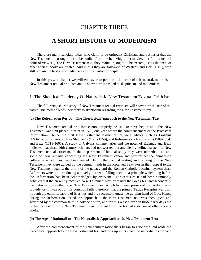# CHAPTER THREE

# **A SHORT HISTORY OF MODERNISM**

There are many scholars today who claim to be orthodox Christians and yet insist that the New Testament text ought not to be studied from the believing point of view but from a neutral point of view. (1) The New Testament text, they maintain, ought to be treated just as the texts of other ancient books are treated. And in this they are followers of Westcott and Hort (1881), who still remain the best known advocates of this neutral principle.

In this present chapter we will endeavor to point out the error of this neutral, naturalistic New Testament textual criticism and to show how it has led to skepticism and modernism.

## 1. The Skeptical Tendency Of Naturalistic New Testament Textual Criticism

The following short history of New Testament textual criticism will show how the use of the naturalistic method leads inevitably to skepticism regarding the New Testament text.

## **(a) The Reformation Period—The Theological Approach to the New Testament Text**

New Testament textual criticism cannot properly be said to have begun until the New Testament was first placed in print in 1516, one year before the commencement of the Protestant Reformation. Hence the first New Testament textual critics were editors such as Erasmus (1466-1536), printers such as Stephanus (1503-1559), and Reformers such as Calvin (1509-1564) and Beza (1519-1605). A study of Calvin's commentaries and the notes of Erasmus and Beza indicates that these 16th-century scholars had not worked out any clearly defined system of New Testament textual criticism. In this department of biblical study they were unmethodical, and some of their remarks concerning the New Testament canon and text reflect the humanistic culture in which they had been reared. But in their actual editing and printing of the New Testament they were guided by the common faith in the Received Text. For in their appeal to the New Testament against the errors of the papacy and the Roman Catholic doctrinal system these Reformers were not introducing a novelty but were falling back on a principle which long before the Reformation had been acknowledged by everyone. For centuries it had been commonly believed that the currently received New Testament text, primarily the Greek text and secondarily the Latin text, was the True New Testament Text which had been preserved by God's special providence. It was out of this common faith, therefore, that the printed Textus Receptus was born through the editorial labors of Erasmus and his successors under the guiding hand of God. Hence during the Reformation Period the approach to the New Testament text was theological and governed by the common faith in holy Scripture, and for this reason even in those early days the textual criticism of the New Testament was different from the textual criticism of other ancient books.

### **(b) The Age of Rationalism - The Naturalistic Approach to the New Testament Text**

After the commencement of the 17th century rationalists began to arise who laid aside the theological approach to the New Testament text and took up in its stead the naturalistic approach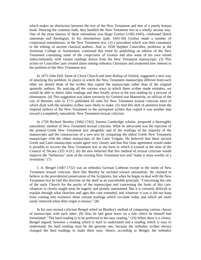which makes no distinction between the text of the New Testament and that of a purely human book. Denying the common faith, they handled the New Testament text in a wholly secular way. One of the most famous of these rationalists was Hugo Grotius (1583-1645), celebrated Dutch statesman and theologian. In his *Annotations* (pub. 1641-50) Grotius made a number of conjectural emendations, in the New Testament text. (2) a procedure which was then customary in the editing of ancient classical authors. And in 1658 Stephen Courcelles, professor at the Arminian College in Amsterdam, continued this trend by publishing an edition of the New Testament containing some of the conjectures of Grotius and also some of his own mixed indiscriminately with variant readings drawn from the New Testament manuscripts. (3) This action on Courcelles' part created alarm among orthodox Christians and awakened new interest in the problem of the New Testament text.

In 1675 John Fell, Dean of Christ Church and later Bishop of Oxford, suggested a new way of attacking this problem. In places in which the New Testament manuscripts differed from each other we should think of the scribes that copied the manuscripts rather than of the original apostolic authors. By noticing all the various ways in which these scribes made mistakes, we would be able to detect false readings and thus finally arrive at the true reading by a process of elimination. (4) This suggestion was taken seriously by Gerhard von Maestricht, an official of the city of Bremen, who in 1711 published 43 rules for New Testament textual criticism most of which dealt with the mistakes scribes were likely to make. (5) And this shift of attention from the inspired authors of the New Testament to the uninspired scribes that copied it was another step toward a completely naturalistic New Testament textual criticism.

In 1720 Richard Bentley (1662-1742), famous Cambridge scholar, proposed a thoroughly naturalistic method of New Testament textual criticism. What he advocated was the rejection of the printed Greek New Testament text altogether and of the readings of the majority of the manuscripts and the construction of a new text by comparing the oldest Greek New Testament manuscripts with the oldest manuscripts of the Latin Vulgate. He believed that these ancient Greek and Latin manuscripts would agree very closely and that this close agreement would make it possible to recover the New Testament text in the form in which it existed at the time of the Council of Nicaea (325 A.D.). (6) He also believed that this method of textual criticism would improve the "barbarous" style of the existing New Testament text and "make it more worthy of a revelation." (7)

J. A. Bengel (1687-1752) was an orthodox German Lutheran except in the realm of New Testament textual criticism. Here like Bentley he inclined toward rationalism. He claimed to believe in the providential preservation of the Scriptures, but when he began to deal with the New Testament text he laid this doctrine on the shelf as an unworkable principle. "Concerning the care of the early Church for the purity of the manuscripts and concerning the fruits of this care, whatever is clearly taught must be eagerly and piously maintained. But it is certainly difficult to explain through what churches and ages this care extended, and whatever it was it did not keep from coming into existence those variant readings which circulate today and which are more easily removed when their origin is known." (8)

In his own textual criticism Bengel relied on Bentley's method of comparing various classes of manuscripts with each other. (9) Also he laid great stress on a rule which he himself had formulated: "The hard reading is to be preferred to the easy reading." (10) When there is a choice, Bengel argued, between a reading which is hard to understand and a reading which is easy to understand, the hard reading must be the genuine one, because the orthodox scribes always changed the hard readings to make them easy. Hence, according to Bengel, the orthodox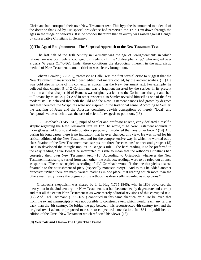Christians had corrupted their own New Testament text. This hypothesis amounted to a denial of the doctrine that God by His special providence had preserved the True Text down through the ages in the usage of believers. It is no wonder therefore that an outcry was raised against Bengel by conservative Christians in Germany.

## **(c) The Age of Enlightenment—The Skeptical Approach to the New Testament Text**

The last half of the 18th century in Germany was the age of "enlightenment" in which rationalism was positively encouraged by Frederick II, the "philosopher king," who reigned over Prussia 46 years (1740-86). Under these conditions the skepticism inherent in the naturalistic method of New Testament textual criticism was clearly brought out.

Johann Semler (1725-91), professor at Halle, was the first textual critic to suggest that the New Testament manuscripts had been edited, not merely copied, by the ancient scribes. (11) He was bold also in some of his conjectures concerning the New Testament text. For example, he believed that chapter 9 of 2 Corinthians was a fragment inserted by the scribes in its present location and that chapter 16 of Romans was originally a letter to the Corinthians that got attached to Romans by mistake. (12) And in other respects also Semler revealed himself as one of the first modernists. He believed that both the Old and the New Testament canons had grown by degrees and that therefore the Scriptures were not inspired in the traditional sense. According to Semler, the teaching of Jesus and the Apostles contained Jewish conceptions of merely "local" and "temporal" value which it was the task of scientific exegesis to point out. (13)

J. J. Griesbach (1745-1812), pupil of Semler and professor at Jena, early declared himself a skeptic regarding the New Testament text. In 1771 he wrote, "The New Testament abounds in more glosses, additions, and interpolations purposely introduced than any other book." (14) And during his long career there is no indication that he ever changed this view. He was noted for his critical editions of the New Testament and for the comprehensive way in which he worked out a classification of the New Testament manuscripts into three "rescensions" or ancestral groups. (15) He also developed the thought implicit in Bengel's rule, "The hard reading is to be preferred to the easy reading." Like Bengel he interpreted this rule to mean that the orthodox Christians had corrupted their own New Testament text. (16) According to Griesbach, whenever the New Testament manuscripts varied from each other, the orthodox readings were to be ruled out at once as spurious. "The most suspicious reading of all," Griesbach wrote, "is the one that yields a sense favorable to the nourishment of piety (especially monastic piety)." And to this he added another directive: "When there are many variant readings in one place, that reading which more than the others manifestly favors the dogmas of the orthodox is deservedly regarded as suspicious."

Griesbach's skepticism was shared by J. L. Hug (1765-1846), who in 1808 advanced the theory that in the 2nd century the New Testament text had become deeply degenerate and corrupt and that all the extant New Testament texts were merely editorial revisions of this corrupted text. (17) And Carl Lachmann (1793-1851) continued in this same skeptical vein. He believed that from the extant manuscripts it was not possible to construct a text which would reach any farther back than the 4th century. To bridge the gap between this reconstructed 4th-century text and the original text Lachmann proposed to resort to conjectural emendation. In 1831 he published an edition of the Greek New Testament which reflected his views. (18)

## **(d) Westcott and Hort—The Light That Failed**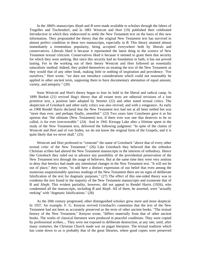In the 1860's manuscripts *Aleph* and *B* were made available to scholars through the labors of Tregelles and Tischendorf, and in 1881 Westcott and Hort (19) published their celebrated *Introduction* in which they endeavored to settle the New Testament text on the basis of this new information. They propounded the theory that the original New Testament text has survived in almost perfect condition in these two manuscripts, especially in *B*. This theory attained almost immediately a tremendous popularity, being accepted everywhere both by liberals and conservatives. Liberals liked it because it represented the latest thing in the science of New Testament textual criticism. Conservatives liked it because it seemed to grant them that security for which they were seeking. But since this security had no foundation in faith, it has not proved lasting. For in the working out of their theory Westcott and Hort followed an essentially naturalistic method. Indeed, they prided themselves on treating the text of the New Testament as they would that of any other book, making little or nothing of inspiration and providence. "For ourselves," Hort wrote, "we dare not introduce considerations which could not reasonably be applied to other ancient texts, supposing them to have documentary attestation of equal amount, variety, and antiquity." (20)

Soon Westcott and Hort's theory began to lose its hold in the liberal and radical camp. In 1899 Burkitt (21) revived Hug's theory that all extant texts are editorial revisions of a lost primitive text, a position later adopted by Streeter (22) and other noted textual critics. The skepticism of Griesbach and other early critics was also revived, and with a vengeance. As early as 1908 Rendel Harris declared that the New Testament text had not at all been settled but was "more than ever, and perhaps finally, unsettled." (23) Two years later Conybeare gave it as his opinion that "the ultimate (New Testament) text, if there ever was one that deserves to be so called, is for ever irrecoverable." (24) And in 1941 Kirsopp Lake after a lifetime spent in the study of the New Testament text, delivered the following judgment: "In spite of the claims of Westcott and Hort and of von Soden, we do not know the original form of the Gospels, and it is quite likely that we never shall." (25)

Westcott and Hort professed to "venerate" the name of Griesbach "above that of every other textual critic of the New Testament." (26) Like Griesbach they believed that the orthodox Christian scribes had altered the New Testament manuscripts in the interests of orthodoxy. Hence like Griesbach they ruled out in advance any possibility of the providential preservation of the New Testament text through the usage of believers. But at the same time they were very zealous to deny that heretics had made any intentional changes in the New Testament text. "It will not be out of place," they wrote, "to add here a distinct expression of our belief that even among the numerous unquestionably spurious readings of the New Testament there are no signs of deliberate falsification of the text for dogmatic purposes." (27) The effect of this one-sided theory was to condemn the text found in the majority of the New Testament manuscripts and exonerate that of B and Aleph. This evident partiality, however, did not appeal to Rendel Harris (1926), who condemned all the manuscripts, including *B* and *Aleph*. All of them, he asserted, were "actually reeking" with "dogmatic falsifications." (28)

As the 20th century progressed, other distinguished scholars grew more and more skeptical. In 1937, for example, F. G. Kenyon revived Griesbach's contention that the text of the New Testament had not been as accurately preserved as the texts of other ancient books. "The textual history of the New Testament," Kenyon wrote, "differs materially from that of other ancient books. The works of classical literature were produced in peaceful conditions. They were copied by professional scribes.... They were not exposed to deliberate destruction, at any rate, until, after many centuries, the Christian Church made war on pagan literature. The textual tradition which has come down to us is probably that of the great libraries, where good copies were preserved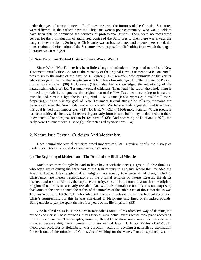under the eyes of men of letters.... In all these respects the fortunes of the Christian Scriptures were different. In the earliest days the Christians were a poor community, who would seldom have been able to command the services of professional scribes. There were no recognized centres for the promulgation of authorized copies of the Scriptures.... Then there was always the danger of destruction.... So long as Christianity was at best tolerated and at worst persecuted, the transcription and circulation of the Scriptures were exposed to difficulties from which the pagan literature was free." (29)

## **(e) New Testament Textual Criticism Since World War II**

Since World War II there has been little change of attitude on the part of naturalistic New Testament textual critics. As far as the recovery of the original New Testament text is concerned, pessimism is the order of the day. As G. Zuntz (1953) remarks, "the optimism of the earlier editors has given way to that scepticism which inclines towards regarding 'the original text' as an unattainable mirage." (30) H. Greeven (1960) also has acknowledged the uncertainty of the naturalistic method of New Testament textual criticism. "In general," he says, "the whole thing is limited to probability judgments; the original text of the New Testament, according to its nature, must be and remain a hypothesis.'' (31) And R. M. Grant (1963) expresses himself still more despairingly. "The primary goal of New Testament textual study," he tells us, "remains the recovery of what the New Testament writers wrote. We have already suggested that to achieve this goal is well nigh impossible." (32) Nor is K. W. Clark (1966) more hopeful. "Great progress has been achieved," he says, "in recovering an early form of text, but it may be doubted that there is evidence of one original text to be recovered." (33) And according to K. Aland (1970), the early New Testament text is "strongly" characterized by variations. (34)

## 2. Naturalistic Textual Criticism And Modernism

Does naturalistic textual criticism breed modernism? Let us review briefly the history of modernistic Bible study and draw our own conclusions.

### **(a) The Beginning of Modernism—The Denial of the Biblical Miracles**

Modernism may fittingly be said to have begun with the deists, a group of "free-thinkers" who were active during the early part of the 18th century in England, where they founded the Masonic Lodge. They taught that all religions are equally true since all of them, including Christianity, are merely republications of the original religion of nature. Reason, the deists insisted, and not the Bible is the supreme authority, since it is to human reason that the original religion of nature is most clearly revealed. And with this naturalistic outlook it is not surprising that some of the deists denied the reality of the miracles of the Bible. One of those that did so was Thomas Woolston (1669-1731), who ridiculed Christ's miracles and even the biblical account of Christ's resurrection. For this he was convicted of blasphemy and fined one hundred pounds. Being unable to pay, he spent the last four years of his life in prison. (35)

One hundred years later the German rationalists found a less offensive way of denying the miracles of Christ. These miracles, they asserted, were actual events which took place according to the laws of nature. The disciples, however, thought that these remarkable occurrences were miracles because they were ignorant of these natural laws. H. E. G. Paulus (1761-1851), theological professor at Heidelberg, was especially active in devising a naturalistic explanation for each one of the miracles of Christ. Jesus' walking on the water, Paulus explained, was an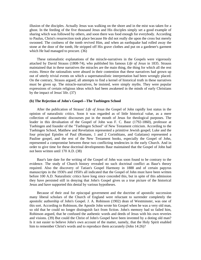illusion of the disciples. Actually Jesus was walking on the shore and in the mist was taken for a ghost. In the feeding of the five thousand Jesus and His disciples simply set a good example of sharing which was followed by others, and soon there was food enough for everybody. According to Paulus, Christ's resurrection took place because He did not really die upon the cross but merely swooned. The coolness of the tomb revived Him, and when an earthquake had rolled away the stone at the door of the tomb, He stripped off His grave clothes and put on a gardener's garment which He had managed to procure. (36)

These rationalistic explanations of the miracle-narratives in the Gospels were vigorously attacked by David Strauss (1808-74), who published his famous *Life of Jesus* in 1835. Strauss maintained that in these narratives the miracles are the main thing, the thing for which all the rest exists. Hence the rationalists were absurd in their contention that these narratives had grown up out of utterly trivial events on which a supernaturalistic interpretation had been wrongly placed. On the contrary, Strauss argued, all attempts to find a kernel of historical truth in these narratives must be given up. The miracle-narratives, he insisted, were simply myths. They were popular expressions of certain religious ideas which had been awakened in the minds of early Christians by the impact of Jesus' life. (37)

## **(b) The Rejection of John's Gospel—The Tuebingen School**

After the publication of Strauss' *Life of Jesus* the Gospel of John rapidly lost status in the opinion of naturalistic critics. Soon it was regarded as of little historical value, as a mere collection of unauthentic discourses put in the mouth of Jesus for theological purposes. The leader in this devaluation of the Gospel of John was F. C. Baur (1792-1860), professor at Tuebingen and founder of the "Tuebingen School" of New Testament criticism. According to the Tuebingen School, Matthew and Revelation represented a primitive Jewish gospel; Luke and the four principal Epistles of Paul (Romans, 1 and 2 Corinthians, and Galatians) represented a Pauline gospel, and the rest of the New Testament books, especially the Gospel of John, represented a compromise between these two conflicting tendencies in the early Church. And in order to give time for these doctrinal developments Baur maintained that the Gospel of John had not been written until 170 A.D. (38)

Baur's late date for the writing of the Gospel of John was soon found to be contrary to the evidence. The study of Church history revealed no such doctrinal conflict as Baur's theory required. Also the discovery of Tatian's Gospel Harmony in 1888 and of certain papyrus manuscripts in the 1930's and 1950's all indicated that the Gospel of John must have been written before 100 A.D. Naturalistic critics have long since conceded this, but in spite of this admission they have persisted still in denying that John's Gospel gives us a true picture of the historical Jesus and have supported this denial by various hypotheses.

Because of their zeal for episcopal government and the doctrine of apostolic succession many liberal scholars of the Church of England were reluctant to surrender completely the apostolic authorship of John's Gospel. J. A. Robinson (1902) dean of Westminster, was one of this sort. According to Robinson, the Apostle John wrote his Gospel when he was a very old man, so old that he could no longer distinguish fact from fiction. John's memory had so failed him, Robinson argued, that he confused the authentic words and deeds of Jesus with his own reveries and visions. (39) But could the Christ of John's Gospel have been invented by a doting old man? Is it not easier to believe John's own account of the matter, namely, that the Holy Spirit enabled him to remember Christ's words and to reproduce them accurately (John 14:26)?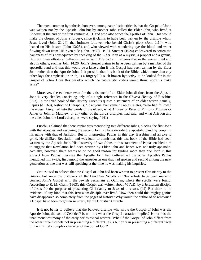The most common hypothesis, however, among naturalistic critics is that the Gospel of John was written not by the Apostle John but by another John called the Elder John, who lived at Ephesus at the end of the first century A. D. and who also wrote the Epistles of John. This would make the Gospel of John a forgery, since it claims to have been written by the disciple whom Jesus loved (John 21:24), that intimate follower who beheld Christ's glory (John 1:14), who leaned on His bosom (John 13:23), and who viewed with wondering eye the blood and water flowing down from His riven side (John 19:35). B. H. Streeter (1924) endeavored to soften the harshness of this consequence by speaking of the Elder John as a mystic, a prophet and a genius, (40) but these efforts at palliation are in vain. The fact still remains that in the verses cited and also in others, such as John 14:26, John's Gospel claims to have been written by a member of the apostolic band and that this would be a false claim if this Gospel had been written by the Elder John rather than the Apostle John. Is it possible that this book of the Bible, which more than any other lays the emphasis on truth, is a forgery? Is such brazen hypocrisy to be looked for in the Gospel of John? Does this paradox which the naturalistic critics would thrust upon us make sense?

Moreover, the evidence even for the existence of an Elder John distinct from the Apostle John is very slender, consisting only of a single reference in the *Church History* of Eusebius (323). In the third book of this History Eusebius quotes a statement of an older writer, namely, Papias (d. 160), bishop of Hierapolis. "If anyone ever came," Papias relates, "who had followed the elders, I inquired into the words of the elders, what Andrew or Peter or Philip or Thomas or James or John or Matthew, or any other of the Lord's disciples, had said, and what Aristion and the elder John, the Lord's disciples, were saying." (41)

Eusebius claimed that here Papias was mentioning two different Johns, placing the first John with the Apostles and assigning the second John a place outside the apostolic band by coupling his name with that of Aristion. But in interpreting Papias in this way Eusebius had an axe to grind. He disliked Revelation and was loath to admit that this last book of the Bible had been written by the Apostle John. His discovery of two Johns in this statement of Papias enabled him to suggest that Revelation had been written by Elder John and hence was not truly apostolic. Actually, however, there seems to be no good reason for finding more than one John in this excerpt from Papias. Because the Apostle John had outlived all the other Apostles Papias mentioned him twice, first among the Apostles as one that had spoken and second among the next generation as one that was still speaking at the time he was making his inquiries.

Critics used to believe that the Gospel of John had been written to present Christianity to the Greeks, but since the discovery of the Dead Sea Scrolls in 1947 efforts have been made to connect John's Gospel with the Jewish Sectarians at Qumran, where the scrolls were found. According to R. M. Grant (1963), this Gospel was written about 70 A.D. by a Jerusalem disciple of Jesus for the purpose of presenting Christianity to Jews of this sort. (42) But there is no evidence of any kind that this Jerusalem disciple ever lived. How then could this mighty genius have disappeared so completely from the pages of history? Why would the author of so renowned a Gospel have been forgotten so utterly by the Christian Church?

Is it not better to believe that the beloved disciple who wrote the Gospel of John was the Apostle John, the son of Zebedee? Is not this what the Gospel narrative implies? Is not this the unanimous testimony of the early ecclesiastical writers? What if the Gospel of John differs from the other three Gospels not in presenting a different Jesus but only in presenting a different facet of the infinitely complex character of the Son of God?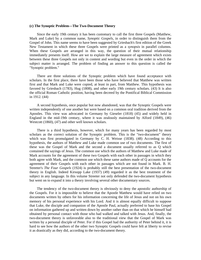### **(c) The Synoptic Problem—The Two-Document Theory**

Since the early 19th century it has been customary to call the first three Gospels (Matthew, Mark and Luke) by a common name, *Synoptic Gospels*, in order to distinguish them from the Gospel of John. This name seems to have been suggested by Griesbach's first edition of the Greek New Testament in which these three Gospels were printed as a *synopsis* in parallel columns. When these Gospels are arranged in this way, the question of their mutual relationship immediately presents itself. How are we to explain the large measure of agreement which exists between these three Gospels not only in content and wording but even in the order in which the subject matter is arranged. The problem of finding an answer to this question is called the "Synoptic problem."

There are three solutions of the Synoptic problem which have found acceptance with scholars. In the first place, there have been those who have believed that Matthew was written first and that Mark and Luke were copied, at least in part, from Matthew. This hypothesis was favored by Griesbach (1783), Hug (1808), and other early 19th century scholars. (43) It is also the official Roman Catholic position, having been decreed by the Pontifical Biblical Commission in 1912. (44)

A second hypothesis, once popular but now abandoned, was that the Synoptic Gospels were written independently of one another but were based on a common oral tradition derived from the Apostles. This view was advocated in Germany by Gieseler (1818) (45) and widely held in England in the mid-19th century, where it was zealously maintained by Alford (1849), (46) Westcott (1860), (47) and other well known scholars.

There is a third hypothesis, however, which for many years has been regarded by most scholars as the correct solution of the Synoptic problem. This is the "two-document" theory which was first promulgated in Germany by C. H. Weisse (1838). (48) According to this hypothesis, the authors of Matthew and Luke made common use of two documents. The first of these was the Gospel of Mark and the second a document usually referred to as Q which contained the sayings of Jesus. The common use which the authors of Matthew and Luke made of Mark accounts for the agreement of these two Gospels with each other in passages in which they both agree with Mark, and the common use which these same authors made of Q accounts for the agreement of their Gospels with each other in passages which are not found in Mark. B. H. Streeter's *The Four Gospels* (1924) is probably still the best presentation of the two-document theory in English. Indeed Kirsopp Lake (1937) (49) regarded it as the best treatment of the subject in any language. In this volume Streeter not only defended the two-document hypothesis but went on to expand it into a theory involving several other documentary sources.

The tendency of the two-document theory is obviously to deny the apostolic authorship of the Gospels. For it is impossible to believe that the Apostle Matthew would have relied on two documents written by others for his information concerning the life of Jesus and not on his own memory of his personal experience with his Lord. And it is almost equally difficult to suppose that Luke, the disciple and companion of the Apostle Paul, actually preferred to base his Gospel on information gathered up and written down by another rather than on that which he himself had obtained by personal contact with those who had walked and talked with Jesus. And, finally, the two-document theory is unfavorable also to the traditional view that the Gospel of Mark was written by a personal disciple of Peter. For if this Gospel had the authority of Peter behind it, it is hard to see how the authors of the other two Synoptic Gospels could have felt at liberty to revise it as drastically as they did, according to the two-document theory.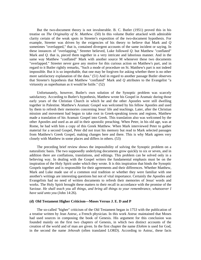But the two-document theory is not invulnerable. B. C. Butler (1951) proved this in his treatise on *The Originality of St. Matthew*. (50) In this volume Butler attacked with admirable clarity certain of the weak spots in Streeter's exposition of the two-document hypothesis. For example, Streeter was driven by the exigencies of his theory to believe that Mark and *Q* sometimes "overlapped," that is, contained divergent accounts of the same incident or saying. In these instances of "overlapping," Streeter believed, Luke followed *Q*. but Matthew "conflated" Mark and *Q*. that is, pieced them together in a very intricate and laborious manner. And in the same way Matthew "conflated" Mark with another source M whenever these two documents "overlapped." Streeter never gave any motive for this curious action on Matthew's part, and in regard to it Butler rightly remarks, "Such a mode of procedure on St. Matthew's part is not indeed impossible. But it is so improbable, that one may be forgiven for asking whether there is no other more satisfactory explanation of the data.'' (51) And in regard to another passage Butler observes that Streeter's hypothesis that Matthew "conflated" Mark and *Q* attributes to the Evangelist "a virtuosity as superhuman as it would be futile." (52)

Unfortunately, however, Butler's own solution of the Synoptic problem was scarcely satisfactory. According to Butler's hypothesis, Matthew wrote his Gospel in Aramaic during those early years of the Christian Church in which he and the other Apostles were still dwelling together in Palestine. Matthew's Aramaic Gospel was welcomed by his fellow Apostles and used by them to refresh their memories concerning Jesus' life and teachings. Later, after the Christian mission and movement had begun to take root in Greek-speaking towns and regions, Matthew made a translation of his Aramaic Gospel into Greek. This translation also was welcomed by the other Apostles and used as an aid in their apostolic preaching. When Peter, in his old age, was at Rome, he had with him a copy of this Greek Matthew. When Mark interviewed Peter to gather material for a second Gospel, Peter did not trust his memory but read to Mark selected passages from Matthew's Greek Gospel, making changes here and there. This is why Mark agrees very closely with Matthew in some places and differs in others. (53)

The preceding brief review shows the impossibility of solving the Synoptic problem on a naturalistic basis. The two supposedly underlying documents grow quickly to six or seven, and in addition there are conflations, translations, and editings. This problem can be solved only in a believing way. In dealing with the Gospel writers the fundamental emphasis must be on the inspiration of the Holy Spirit under which they wrote. It is this inspiration that binds the Synoptic Gospels together and is responsible for their agreements and their differences. Whether Matthew, Mark and Luke made use of a common oral tradition or whether they were familiar with one another's writings are interesting questions but not of vital importance. Certainly the Apostles and Evangelists had no need of written documents to refresh their memories of Jesus' words and works. The Holy Spirit brought these matters to their recall in accordance with the promise of the Saviour. *He shall teach you all things, and bring all things to your remembrance, whatsoever I have said unto you* (John 14:26).

#### **(d) Old Testament Higher Criticism—Moses Versus J. E. D and P**

The so-called "higher" criticism of the Old Testament began in 1753 with the publication of a treatise written by Jean Astruc, a French physician. In this work Astruc maintained that Moses had used sources in composing the book of Genesis. His argument for this conclusion was founded mainly on the first two chapters of Genesis, in which two distinct accounts of the creation of the world and of man are given. In the first chapter the name *Elohim* is used for God, in the second the name *Jehovah* (often translated LORD). According to Astruc, these facts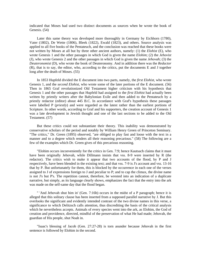indicated that Moses had used two distinct documents as sources when he wrote the book of Genesis. (54)

Later this same theory was developed more thoroughly in Germany by Eichhorn (1780), Vater (1802), De Wette (1806), Bleek (1822), Ewald (1823), and others. Source analysis was applied to all five books of the Pentateuch, and the conclusion was reached that these books were not written by Moses at all but by three other ancient authors, namely: (1) the *Elohist* (E), who wrote Genesis 1 and the other passages in which God is given the name *Elohim*; (2) the *Jehovist* (J), who wrote Genesis 2 and the other passages in which God is given the name *Jehovah*; (3) the *Deuteronomist* (D), who wrote the book of Deuteronomy. And in addition there was the *Redactor* (R), that is to say, the editor, who, according to the critics, put the documents E and J together long after the death of Moses. (55)

In 1853 Hupfeld divided the E document into two parts, namely, the *first Elohist*, who wrote Genesis 1, and the *second Elohist*, who wrote some of the later portions of the E document. (56) Then in 1865 Graf revolutionized Old Testament higher criticism with his hypothesis that Genesis 1 and the other passages that Hupfeld had assigned to the *first Elohist* had actually been written by priestly writers after the Babylonian Exile and then added to the Pentateuch by a priestly redactor (editor) about 445 B.C. In accordance with Graf's hypothesis these passages were labelled P (*priestly*) and were regarded as the latest rather than the earliest portions of Scripture. In other words, according to Graf and his supporters, the creation account of Genesis 1 was a late development in Jewish thought and one of the last sections to be added to the Old Testament. (57)

But these critics could not substantiate their theory. This inability was demonstrated by conservative scholars of the period and notably by William Henry Green of Princeton Seminary. "The critics," Dr. Green (1895) observed, "are obliged to play fast and loose with the text in a manner and to a degree which renders all their reasoning precarious." (58) The following are a few of the examples which Dr. Green gives of this precarious reasoning.

"Elohim occurs inconveniently for the critics in Gen. 7:9; hence Kautsach claims that it must have been originally Jehovah, while Dillmann insists that vss. 8-9 were inserted by R (the redactor). The critics wish to make it appear that two accounts of the flood, by P and J respectively, have been blended in the existing text; and that vss. 7-9 is J's account and vss. 13-16 that by P. But unfortunately for them, this is blocked by the occurrence in each one of the verses assigned to J of expressions foreign to J and peculiar to P; and to cap the climax, the divine name is not J's but P's. The repetition cannot, therefore, be wrested into an indication of a duplicate narrative, but simply, as its language clearly shows, emphasizes the fact that the entry into the ark was made on the self-same day that the flood began.

" 'And Jehovah shut him in' (Gen. 7:16b) occurs in the midst of a P paragraph; hence it is alleged that this solitary clause has been inserted from a supposed parallel narrative by J. But this overlooks the significant and evidently intended contrast of the two divine names in this verse, a significance to which Delitzsch calls attention, thus discrediting the basis of the critical analysis which he nevertheless accepts. Animals of every species went into the ark, as Elohim, the God of creation and providence, directed, mindful of the preservation of what He had made; Jehovah, the guardian of His people, shut Noah in.

"Isaac's blessing of Jacob (Gen. 27:27-28) is torn asunder because Jehovah in the first sentence is followed by Elohim in the second.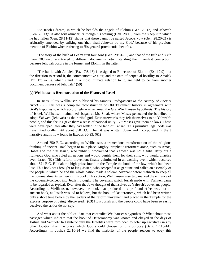"So Jacob's dream, in which he beholds the angels of Elohim (Gen. 28:12) and Jehovah (Gen. 28:13)" is also torn asunder; "although his waking (Gen. 28:16) from the sleep into which he had fallen (Gen. 28:11-12) shows that these cannot be parted Jacob's vow (Gen. 28:20-21) is arbitrarily amended by striking out 'then shall Jehovah be my God,' because of his previous mention of Elohim when referring to His general providential benefits.

"The story of the birth of Leah's first four sons (Gen. 29:31-35) and that of the fifth and sixth (Gen. 30:17-20) are traced to different documents notwithstanding their manifest connection, because Jehovah occurs in the former and Elohim in the latter.

"The battle with Amalek (Ex. 17:8-13) is assigned to E because of Elohim (Ex. 17:9); but the direction to record it, the commemorative altar, and the oath of perpetual hostility to Amalek (Ex. 17:14-16), which stand in a most intimate relation to it, are held to be from another document because of Jehovah." (59)

### **(e) Wellhausen's Reconstruction of the History of Israel**

In 1878 Julius Wellhausen published his famous *Prolegomena to the History of Ancient Israel*. (60) This was a complete reconstruction of Old Testament history in agreement with Graf's hypothesis, which accordingly was renamed the Graf-Wellhausen hypothesis. The history of Israel, Wellhausen maintained, began at Mt. Sinai, where Moses persuaded the Israelites to adopt Yahweh (Jehovah) as their tribal god. Ever afterwards they felt themselves to be Yahweh's people, and this feeling gave them a sense of national unity. But Moses gave them no laws. These were developed later after they had settled in the land of Canaan. This primitive legal code was transmitted orally until about 850 B.C. Then it was written down and incorporated in the J narrative and is now found in Exodus 20-23. (61)

Around 750 B.C., according to Wellhausen, a tremendous transformation of the religious thinking of ancient Israel began to take place. Mighty, prophetic reformers arose, such as Amos, Hosea and the first Isaiah, who publicly proclaimed that Yahweh was not a tribal deity but a righteous God who ruled all nations and would punish them for their sins, who would chastise even Israel. (62) This reform movement finally culminated in an exciting event which occurred about 621 B.C. Hilkiah the high priest found in the Temple the book of the law, which had been lost. This book was brought to king Josiah, who accepted it as genuine and called an assembly of the people in which he and the whole nation made a solemn covenant before Yahweh to keep all the commandments written in this book. This action, Wellhausen asserted, marked the entrance of the covenant-concept into Jewish thought. The covenant which Josiah made with Yahweh came to be regarded as typical. Ever after the Jews thought of themselves as Yahweh's covenant people. According to Wellhausen, however, the book that produced this profound effect was not an ancient book, as Josiah was led to believe, but the book of Deuteronomy, which had been written only a short time before by the leaders of the reform movement and placed in the Temple for the express purpose of being "discovered." (63) How Josiah and the people could have been so easily deceived the critics do not say.

And what about the biblical data that contradict Wellhausen's hypothesis? What about those passages which indicate that the book of Deuteronomy was known and obeyed in the days of Joshua and Samuel? In Deuteronomy the Israelites were forbidden to offer up sacrifices in any other location than the place which God should choose for this purpose (Deut. 12:13-14). Accordingly, in Joshua 22:10-34 we find the majority of the people zealous to obey this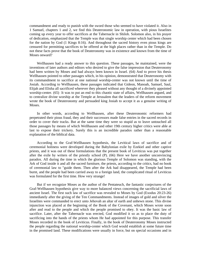commandment and ready to punish with the sword those who seemed to have violated it. Also in 1 Samuel, chapters 1 and 2, we find this Deuteronomic law in operation, with pious Israelites coming up every year to offer sacrifices at the Tabernacle in Shiloh. Solomon also, in his prayer of dedication, emphasized that the Temple was that single worship center which had been chosen for the nation by God (1 Kings 8:16). And throughout the sacred history even pious kings are censured for permitting sacrifices to be offered at the high places rather than in the Temple. Do not these facts prove that the book of Deuteronomy was in existence and known from the time of Moses onward?

Wellhausen had a ready answer to this question. These passages, he maintained, were the inventions of later authors and editors who desired to give the false impression that Deuteronomy had been written by Moses and had always been known in Israel. (64) And to prove his thesis Wellhausen pointed to other passages which, in his opinion, demonstrated that Deuteronomy with its commandment to sacrifice at one national worship-center was not known until the time of Josiah. According to Wellhausen, these passages indicated that Gideon, Manoah, Samuel, Saul, Elijah and Elisha all sacrificed wherever they pleased without any thought of a divinely appointed worship-center. (65) It was to put an end to this chaotic state of affairs, Wellhausen argued, and to centralize divine worship at the Temple at Jerusalem that the leaders of the reform movement wrote the book of Deuteronomy and persuaded king Josiah to accept it as a genuine writing of Moses.

In other words, according to Wellhausen, after these Deuteronomic reformers had perpetrated their pious fraud, they and their successors made false entries in the sacred records in order to cover their tracks. But at the same time they were so stupid as to leave untouched all those passages by means of which Wellhausen and other 19th century higher critics were able at last to expose their trickery. Surely this is an incredible paradox rather than a reasonable explanation of the biblical data.

According to the Graf-Wellhausen hypothesis, the Levitical laws of sacrifice and of ceremonial holiness were developed during the Babylonian exile by Ezekiel and other captive priests, and it was out of these formulations that the present book of Leviticus was put together after the exile by writers of the priestly school (P). (66) Here we have another unconvincing paradox. All during the time in which the glorious Temple of Solomon was standing, with the Ark of God inside it and all the sacred furniture, the priests, according to the critics, had no book of ceremonial law to "guide them. Then after the Ark had disappeared, the Temple had been burnt, and the people had been carried away to a foreign land, the complicated ritual of Leviticus was formulated for the first time. How very strange!

But if we recognize Moses as the author of the Pentateuch, the fantastic conjectures of the Graf-Wellhausen hypothesis give way to more balanced views concerning the sacrificial laws of ancient Israel. The first such law of sacrifice was revealed to Moses by God (Exodus 20:23-26) immediately after the giving of the Ten Commandments. Instead of images of gold and silver the Israelites were commanded to erect unto Jehovah an altar of earth and unhewn stone. This divine injunction was placed at the beginning of the Book of the Covenant, which Moses wrote soon after and read to the people and which the people promised to obey. It was the basic law of sacrifice. Later, after the Tabernacle was erected, God modified it so as to place the duty of sacrificing into the hands of the priests whom He had appointed for this purpose. This transfer Moses recorded in the book of Leviticus. Finally, in the book of Deuteronomy Moses instructed the people regarding the national worship-center which God would establish at some future time in the promised land. These modifications were usually in force, but on special occasions and in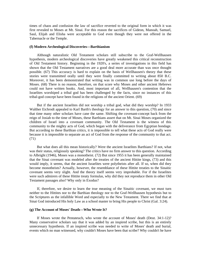times of chaos and confusion the law of sacrifice reverted to the original form in which it was first revealed to Moses at Mt. Sinai. For this reason the sacrifices of Gideon, Manoah, Samuel, Saul, Elijah and Elisha were acceptable to God even though they were not offered in the Tabernacle or the Temple.

### **(f) Modern Archeological Discoveries—Barthianism**

Although naturalistic Old Testament scholars still subscribe to the Graf-Wellhausen hypothesis, modern archeological discoveries have greatly weakened this critical reconstruction of Old Testament history. Beginning in the 1920's, a series of investigations in this field has shown that the Old Testament narratives are a good deal more accurate than was once thought possible. (67) This accuracy is hard to explain on the basis of Wellhausen's theory that these stories were transmitted orally until they were finally committed to writing about 850 B.C. Moreover, it has been demonstrated that writing was in common use long before the days of Moses. (68) There is no reason, therefore, on that score why Moses and other ancient Hebrews could not have written books. And, most important of all, Wellhausen's contention that the Israelites worshiped a tribal god has been challenged by the facts, since no instances of this tribal-god concept have been found in the religions of the ancient Orient. (69)

But if the ancient Israelites did not worship a tribal god, what did they worship? In 1933 Walther Eichrodt appealed to Karl Barth's theology for an answer to this question, (70) and since that time many other scholars have cane the same. Shifting the covenant-concept back from the reign of Josiah to the time of Moses, these Barthians assert that on Mt. Sinai Moses organized the children of Israel into a covenant community. The Old Testament is the witness of this community to the mighty acts of God, which began with the deliverance from Egyptian bondage. But according to these Barthian critics, it is impossible to tell what these acts of God really were because it is impossible to separate an act of God from the response of the community to that act. (71)

But what does all this mean historically? Were the ancient Israelites Barthians? If not, what was their status, religiously speaking? The critics have no firm answer to this question. According to Albright (1946), Moses was a monotheist. (72) But since 1955 it has been generally maintained that the Sinai covenant was modeled after the treaties of the ancient Hittite kings, (73) and this would imply, it seems, that the ancient Israelites were polytheists after all. If so, when did they become monotheists? Actually, however, the resemblance of these Hittite treaties to the Sinaitic covenant seems very slight. And the theory itself seems very improbable. For if the Israelites were such admirers of these Hittite treaty formulas, why did they not reproduce them in other Old Testament passages also? Why only in Exodus?

If, therefore, we desire to learn the true meaning of the Sinaitic covenant, we must turn neither to the Hittites nor to the Barthian theology nor to the Graf-Wellhausen hypothesis but to the Scriptures as the infallible Word and especially to the New Testament. There we find that at Sinai God introduced His holy Law as a school master to bring His people to Christ (Gal. 3:24).

## **(g) The Account of Moses' Death—Who Wrote It?**

If Moses wrote the Pentateuch, who wrote the account of Moses' death (Deut. 34:1-12)? Many conservative scholars say that it was added by an inspired scribe, but this is an entirely unnecessary hypothesis. If an inspired scribe was needed to write of Moses' death and burial, events which no man witnessed, why couldn't Moses have been that scribe? Why couldn't he have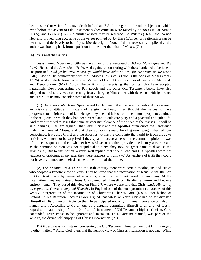been inspired to write of his own death beforehand? And in regard to the other objections which even before the advent of Old Testament higher criticism were raised by Spinoza (1670), Simon (1685), and LeClerc (1685), a similar answer may be returned. As Witsius (1692), the learned Hebraist, proved long ago, none of the verses pointed out by these 17th century rationalists can be demonstrated decisively to be of post-Mosaic origin. None of them necessarily implies that the author was looking back from a position in time later than that of Moses. (74)

#### **(h) Jesus and the Critics**

Jesus named Moses explicitly as the author of the Pentateuch. *Did not Moses give you the*  Law?, He asked the Jews (John 7:19). And again, remonstrating with these hardened unbelievers, He protested*, Had ye believed Moses, ye would have believed Me; for He wrote of Me* (John 5:46). Also in His controversy with the Saducees Jesus calls Exodus the book of Moses (Mark 12:26). And similarly Jesus recognized Moses, not P and D, as the author of Leviticus (Matt. 8:4) and Deuteronomy (Mark 10:5). Hence it is not surprising that critics who have adopted naturalistic views concerning the Pentateuch and the other Old Testament books have also adopted naturalistic views concerning Jesus, charging Him either with deceit or with ignorance and error. Let us now consider some of these views.

(1 ) *The Aristocratic Jesus*. Spinoza and LeClerc and other 17th-century rationalists assumed an aristocratic attitude in matters of religion. Although they thought themselves to have progressed to a higher state of knowledge, they deemed it best for the common people to continue in the religions in which they had been reared and to cultivate piety and a peaceful and quiet life. And they attributed to Jesus this same aristocratic tolerance of the errors of the masses. "It will be said, perhaps," LeClerc argued, "that Jesus Christ and the Apostles often quote the Pentateuch under the name of Moses, and that their authority should be of greater weight than all our conjectures. But Jesus Christ and the Apostles not having come into the world to teach the Jews criticism, we must not be surprised if they speak in accordance with the common opinion. It was of little consequence to them whether it was Moses or another, provided the history was true; and as the common opinion was not prejudicial to piety, they took no great pains to disabuse the Jews." (75) But to this notion Witsius well replied that if our Lord and His Apostles were not teachers of criticism, at any rate, they were teachers of truth. (76) As teachers of truth they could not have accommodated their doctrine to the errors of their time.

(2) *The Kenotic Jesus*. During the 19th century there were certain theologians and critics who adopted a kenotic view of Jesus. They believed that the incarnation of Jesus Christ, the Son of God, took place by means of a *kenosis*, which is the Greek word for *emptying*. At the incarnation, they maintained, Jesus Christ emptied Himself of His divine nature and became entirely human. They based this view on Phil. 2:7, where we are told that Christ *made Himself of no reputation* (literally, *emptied Himself*). In England one of the most prominent advocates of this *kenotic* interpretation of the incarnation of Christ was Charles Gore (1891), later bishop of Oxford. In his Bampton Lectures Gore argued that while on earth Christ had so far divested Himself of His divine omniscience that He participated not only in human ignorance but also in human error. According to Gore, "our Lord actually committed Himself to an error of fact in regard to the authorship of the 110th Psalm." In matters of Old Testament higher criticism, Gore contended, Jesus chose to be ignorant and mistaken. This, Gore maintained, was part of the *kenosis*, the divine self-emptying of Christ's incarnation. (77)

But if Jesus was so mistaken concerning the Old Testament, how can we trust Him in regard to other matters ? Praise God, then, that the kenotic view of Christ's incarnation is not true! While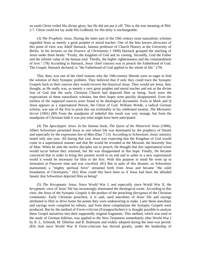on earth Christ veiled His divine glory, but He did not put it off. This is the true meaning of Phil. 2:7. Christ could not lay aside His Godhead, for His deity is unchangeable.

(3) *The Prophetic Jesus*. During the latter part of the 19th century most naturalistic scholars regarded Jesus as merely a great prophet or moral teacher. One of the best known advocates of this point of view was Adolf Harnack, famous professor of Church History at the University of Berlin. In his lectures on the *Essence of Christianity* ( 1900) Harnack grouped the teaching of Jesus under three heads: "Firstly, the kingdom of God and its coming. Secondly, God the Father and the infinite value of the human soul. Thirdly, the higher righteousness and the commandment of love." (78) According to Harnack, Jesus' chief concern was to preach the Fatherhood of God. The Gospel, Harnack declared, is "the Fatherhood of God applied to the whole of life." (79)

This, then, was one of the chief reasons why the 19th-century liberals were so eager to find the solution of their Synoptic problem. They believed that if only they could trace the Synoptic Gospels back to their sources they would recover the historical Jesus. They would see Jesus, they thought, as He really was, as merely a very great prophet and moral teacher and not as the divine Son of God that the early Christian Church had depicted Him as being. Such were the expectations of these naturalistic scholars, but their hopes were quickly disappointed. Even the earliest of the supposed sources were found to be theological documents. Even in Mark and Q Jesus appears as a supernatural Person, the Christ of God. William Wrede, a radical German scholar, was one of the first to point this out irrefutably in his celebrated treatise, *The Messianic Secret* (1901) (80) From the standpoint of unbelief this result was very strange, but from the standpoint of Christian faith it was just what might have been anticipated.

(4) The *Apocalyptic Jesus*. In his famous book, *The Quest of the Historical Jesus* (1906), Albert Schweitzer presented Jesus as one whose life was dominated by the prophecy of Daniel and especially by the expression *Son of Man* (Dan 7:13). According to Schweitzer, Jesus' ministry lasted only one year. All during that year Jesus was expecting that the Kingdom of God would come in a supernatural manner and that He would be revealed as the Messiah, the heavenly Son of Man. When he sent the twelve disciples out to preach, He thought that this supernatural event would occur before they returned, but He was disappointed in this hope. Finally, He became convinced that in order to bring this present world to an end and to usher in a new supernatural world it would be necessary for Him to die first. With this purpose in mind He went up to Jerusalem at Passover time and was crucified. (81) But in spite of this disaster, so Schweitzer maintained, a "mighty spiritual force" streamed forth from Jesus and became "the solid foundation of Christianity." (82) How could this have been so if Jesus had been the deluded fanatic that Schweitzer depicted Him as being?

(5) *The Kerygmatic Jesus*. Since World War I, and especially since World War II, the *kerygmatic* view of Jesus' life has increasingly dominated the theological scene. According to this view, the Jesus of the Synoptic Gospels is the product of the preaching (*kerygma*) of the Christian community. Early Christian preachers, it is said, used anecdotes of Jesus' life and sayings attributed to Him to drive home the points they were endeavoring to make. Later these anecdotes and sayings were compiled by editors, and from these compilations the Synoptic Gospels were produced. But by the method of *Form-criticism* (Formgeschichte) it is thought possible to analyze these Gospel narratives into their supposedly original fragments. This method, which was used in the study of German folklore, was applied to the New Testament immediately after World War I by K. L. Schmidt, M. Dibelius and R. Bultmann and widely adopted during the inter-war period. (83) And since World War II Form-criticism has thrived greatly, under the leadership of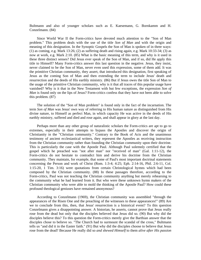Bultmann and also of younger scholars such as E. Kaesemann, G. Bornkamm and H. Conzelmann. (84)

Since World War II the Form-critics have devoted much attention to the "Son of Man problem." This problem deals with the use of the title *Son of Man* and with the origin and meaning of this designation. In the Synoptic Gospels the Son of Man is spoken of in three ways:  $(1)$  as coming, e.g. Mark 13:26; (2) as suffering death and rising again, e.g. Mark 10:33-34; (3) as now at work, e.g. Mark 2:10. (85) What is the basic meaning of this term, and why is it used in these three distinct senses? Did Jesus ever speak of the Son of Man, and if so, did He apply this title to Himself? Many Form-critics answer this last question in the negative. Jesus, they insist, never claimed to be the Son of Man, never even used this expression, some of them add. It was the primitive Christian community, they assert, that introduced this designation, first speaking of Jesus as the coming Son of Man and then extending the term to include Jesus' death and resurrection and the deeds of His earthly ministry. (86) But if Jesus owes the title Son of Man to the usage of the primitive Christian community, why is it that all traces of this popular usage have vanished? Why is it that in the New Testament with but few exceptions, the expression *Son of Man* is found only on the lips of Jesus? Form-critics confess that they have not been able to solve this problem. (87)

The solution of the "Son of Man problem" is found only in the fact of the incarnation. The term *Son of Man* was Jesus' own way of referring to His human nature as distinguished from His divine nature, to Himself as perfect Man, in which capacity He was active in the deeds of His earthly ministry, suffered and died and rose again, and shall appear in glory at the last day.

Perhaps more than any other group of naturalistic scholars the Form-critics are apt to go to extremes, especially in their attempts to bypass the Apostles and discover the origin of Christianity in the "Christian community." Contrary to the Book of Acts and the unanimous testimony of ancient ecclesiastical writers, they represent the Apostles as receiving instruction from the Christian community rather than founding the Christian community upon their doctrine. This is particularly the case with the Apostle Paul. Although Paul solemnly certified that the gospel which he preached was "not after man" nor "received of man" (Gal. 1:11-12), the Form-critics do not hesitate to contradict him and derive his doctrine from the Christian community. They maintain, for example, that some of Paul's most important doctrinal statements concerning the Person and work of Christ (Rom. 1:3-4; 4:25; Eph. 2:14-16, Phil. 2:6-11, Col. 1:15-20, 1 Tim. 3:16) were quotations from certain Christological hymns which had been composed by the Christian community. (88) In these passages therefore, according to the Form-critics, Paul was not teaching the Christian community anything but merely rehearsing to the community what he had learned from it. But who were these unknown hymn makers of the Christian community who were able to mold the thinking of the Apostle Paul? How could these profound theological geniuses have remained anonymous?

According to Conzelmann (1969), the Christian community was assembled "through the appearances of the Risen One and the preaching of the witnesses to these appearances!" (89) Are we to conclude from this, then, that Jesus' resurrection is a historical event? To this question Conzelmann gives a disappointing answer. A historian, he asserts, cannot prove that Jesus really rose from the dead but only that the disciples believed that Jesus did so. (90) But why did the disciples believe this? To this question the Form-critics merely give the Barthian answer that the disciples chose to believe so. "The Church had to surmount the scandal of the cross," Bultmann tells us "and did it in the Easter faith." (91) But why did the disciples choose to believe that Jesus rose from the dead? Because He really did so *and shewed Himself* to them *alive after His passion*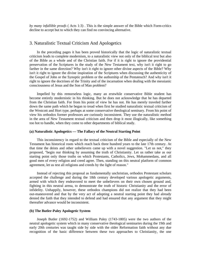*by many infallible proofs* ( Acts 1:3) . This is the simple answer of the Bible which Form-critics decline to accept but to which they can find no convincing alternative.

# 3. Naturalistic Textual Criticism And Apologetics

In the preceding pages it has been proved historically that the logic of naturalistic textual criticism leads to complete modernism, to a naturalistic view not only of the biblical text but also of the Bible as a whole and of the Christian faith. For if it is right to ignore the providential preservation of the Scriptures in the study of the New Testament text, why isn't it right to go farther in the same direction? Why isn't it right to ignore other divine aspects of the Bible? Why isn't it right to ignore the divine inspiration of the Scriptures when discussing the authenticity of the Gospel of John or the Synoptic problem or the authorship of the Pentateuch? And why isn't it right to ignore the doctrines of the Trinity and of the incarnation when dealing with the messianic consciousness of Jesus and the Son of Man problem?

Impelled by this remorseless logic, many an erstwhile conservative Bible student has become entirely modernistic in his thinking. But he does not acknowledge that he has departed from the Christian faith. For from his point of view he has not. He has merely traveled farther down the same path which he began to tread when first he studied naturalistic textual criticism of the Westcott and Hort type, perhaps at some conservative theological seminary. From his point of view his orthodox former professors are curiously inconsistent. They use the naturalistic method in the area of New Testament textual criticism and then drop it most illogically, like something too hot to handle, when they come to other departments of biblical study.

## **(a) Naturalistic Apologetics — The Fallacy of the Neutral Starting Point**

This inconsistency in regard to the textual criticism of the Bible and especially of the New Testament has historical roots which reach back three hundred years to the late 17th century. At that time the deists and other unbelievers came up with a novel suggestion. "Let us not," they proposed, "begin our thinking by assuming the truth of Christianity. Let us rather take as our starting point only those truths on which Protestants, Catholics, Jews, Mohammedans, and all good men of every religion and creed agree. Then, standing on this neutral platform of common agreement, let us test all religions and creeds by the light of reason."

Instead of rejecting this proposal as fundamentally unchristian, orthodox Protestant scholars accepted the challenge and during the 18th century developed various apologetic arguments, armed with which they endeavored to meet the unbelievers on their own chosen ground and, fighting in this neutral arena, to demonstrate the truth of historic Christianity and the error of infidelity. Unhappily, however, these orthodox champions did not realize that they had been out-maneuvered and that by the very act of adopting a neutral starting point they had already denied the faith that they intended to defend and had ensured that any argument that they might thereafter advance would be inconsistent.

## **(b) The Butler-Paley Apologetic System**

Joseph Butler (1692-1752) and William Paley (1743-1805) were the two authors of the neutral apologetic system which in many conservative theological seminaries during the 19th and early 20th centuries was taught side by side with the older Reformation faith without any due recognition of the basic difference between these two approaches to Christianity, the one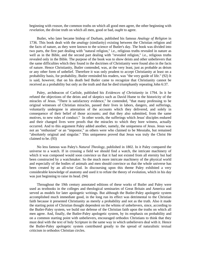beginning with *reason*, the common truths on which all good men agree, the other beginning with *revelation*, the divine truth on which all men, good or bad, *ought* to agree.

Butler, who later became bishop of Durham, published his famous *Analogy of Religion* in 1736. This book dealt with the *analogy* (similarity) existing between the Christian religion and the facts of nature, as they were known to the science of Butler's day. The book was divided into two parts, the first part dealing with "natural religion," i.e., religious truths revealed in nature as well as in the Bible, and the second part dealing with "revealed religion," i.e., religious truths revealed only in the Bible. The purpose of the book was to show deists and other unbelievers that the same difficulties which they found in the doctrines of Christianity were found also in the facts of nature. Hence Christianity, Butler contended, was, at the very least, just as probable as deism or any other form of unbelief. Therefore it was only prudent to accept Christianity at least on a probability basis, for probability, Butler reminded his readers, was "the very guide of life." (92) It is said, however, that on his death bed Butler came to recognize that Christianity cannot be received as a probability but only as the truth and that he died triumphantly repeating John 6:37.

Paley, archdeacon of Carlisle, published his *Evidences of Christianity* in 1794. In it he refuted the objections of the deists and of skeptics such as David Hume to the historicity of the miracles of Jesus. "There is satisfactory evidence," he contended, "that many professing to be original witnesses of Christian miracles, passed their lives in labors, dangers, and sufferings, voluntarily undergone in attestation of the accounts which they delivered, and solely in consequence of their belief of those accounts; and that they also submitted, from the same motives, to new rules of conduct." In other words, the sufferings which Jesus' disciples endured and their changed lives were proofs that the miracles to which they bore witness, actually occurred. And to this argument Paley added another, namely, the uniqueness of Jesus. Jesus was not an "enthusiast" or an "impostor," as others were who claimed to be Messiahs, but remained "absolutely original and singular." This uniqueness proved that Jesus was truly the Christ He claimed to be. (93)

No less famous was Paley's *Natural Theology*, published in 1802. In it Paley compared the universe to a watch. If in crossing a field we should find a watch, the intricate machinery of which it was composed would soon convince us that it had not existed from all eternity but had been constructed by a watchmaker. So the much more intricate machinery of the physical world and especially of the bodies of animals and men should convince us that the whole universe has been created by an all-wise God. In discoursing upon this theme Paley exhibited a very considerable knowledge of anatomy and used it to refute the theory of evolution, which in his day was just beginning to raise its head. (94)

Throughout the 19th century annotated editions of these works of Butler and Paley were used as textbooks in the colleges and theological seminaries of Great Britain and America and served as models for later apologetic writings. But although the Butler-Paley apologetic system accomplished much immediate good, in the long run its effect was detrimental to the Christian faith because it presented Christianity as merely a probability and not as the truth. Also it made the starting point of Christian thought dependent on the whims of unbelievers, since, according to the Butler-Paley system, we build our defense of the Christian faith upon the truths on which all men agree. And, finally, the Butler-Paley apologetic system, by its emphasis on probability and on a common starting point with unbelievers, encouraged orthodox Christians to think that they must deal with the text of holy Scripture in the same way in which unbelievers deal with it. Hence the Butler-Paley apologetic system contributed greatly to the spread of naturalistic textual criticism in orthodox Christian circles.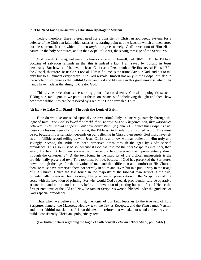### **(c) The Need for a Consistently Christian Apologetic System**

Today, therefore, there is great need for a consistently Christian apologetic system, for a defense of the Christian faith which takes as its starting point not the facts on which all men agree but the supreme fact on which all men *ought* to agree, namely, God's revelation of Himself in nature, in the holy Scriptures, and in the Gospel of Christ, the saving message of the Scriptures.

God reveals *Himself*, not mere doctrines concerning Himself, but HIMSELF. The Biblical doctrine of salvation reminds us that this is indeed a fact. I am saved by trusting in Jesus personally. But how can I believe in Jesus Christ as a Person unless He first reveal Himself? In the Gospel, therefore, Jesus Christ reveals Himself to me as the triune Saviour God, and not to me only but to all sinners everywhere. And God reveals Himself not only in the Gospel but also in the whole of Scripture as the faithful Covenant God and likewise in this great universe which His hands have made as the almighty Creator God.

This divine revelation is the starting point of a consistently Christian apologetic system. Taking our stand upon it, we point out the inconsistencies of unbelieving thought and then show how these difficulties can be resolved by a return to God's revealed Truth.

### **(d) How to Take Our Stand—Through the Logic of Faith**

How do we take our stand upon divine revelation? Only in one way, namely through the logic of faith. *For God so loved the world, that He gave His only begotten Son, that whosoever believeth in Him should not perish, but have everlasting life* (John 3:16). Since this Gospel is true, these conclusions logically follow: *First*, the Bible is God's infallibly inspired Word. This must be so, because if our salvation depends on our believing in Christ, then surely God must have left us an infallible record telling us who Jesus Christ is and how we may believe in Him truly and savingly. *Second*, the Bible has been preserved down through the ages by God's special providence. This also must be so, because if God has inspired the holy Scriptures infallibly, then surely He has not left their survival to chance but has preserved them providentially down through the centuries. *Third*, the text found in the majority of the biblical manuscripts is the providentially preserved text. This too must be true, because if God has preserved the Scriptures down through the ages for the salvation of men and the edification and comfort of His Church, then He must have preserved them not secretly in holes and caves but in a public way in the usage of His Church. Hence the text found in the majority of the biblical manuscripts is the true, providentially preserved text. *Fourth*, The providential preservation of the Scriptures did not cease with the invention of printing. For why would God's special, providential care be operative at one time and not at another time, before the invention of printing but not after it? Hence the first printed texts of the Old and New Testament Scriptures were published under the guidance of God's special providence.

Thus when we believe in Christ, the logic of our faith leads us to the true text of holy Scripture, namely, the Masoretic Hebrew text, the Textus Receptus, and the King James Version and other faithful translations. It is on this text, therefore, that we take our stand and endeavor to build a consistently Christian apologetic system.

(For further details regarding the logic of faith consult *Believing Bible Study*, pp. 55-66.)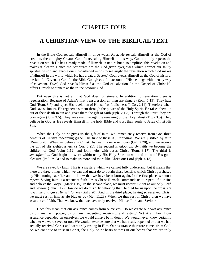# CHAPTER FOUR

# **A CHRISTIAN VIEW OF THE BIBLICAL TEXT**

In the Bible God reveals Himself in three ways: *First*, He reveals Himself as the God of creation, the almighty Creator God. In revealing Himself in this way, God not only repeats the revelation which He has already made of Himself in nature but also amplifies this revelation and makes it clearer. Hence the Scriptures are the God-given eyeglasses which correct our faulty spiritual vision and enable our sin-darkened minds to see aright the revelation which God makes of Himself in the world which He has created. *Second*, God reveals Himself as the God of history, the faithful Covenant God. In the Bible God gives a full account of His dealings with men by way of covenant. *Third*, God reveals Himself as the God of salvation. In the Gospel of Christ He offers Himself to sinners as the triune Saviour God.

But even this is not all that God does for sinners. In addition to revelation there is regeneration. Because of Adam's first transgression all men are sinners (Rom. 5:19). They hate God (Rom. 8:7) and reject His revelation of Himself as foolishness (1 Cor. 2:14). Therefore when God saves sinners, He regenerates them through the power of the Holy Spirit. He raises them up out of their death in sin and gives them the gift of faith (Eph. 2:1,8). Through the Spirit they are born again (John 3:5). They are saved through the renewing of the Holy Ghost (Titus 3:5). They believe in God as He reveals Himself in the holy Bible and trust their souls to Jesus Christ His Son.

When the Holy Spirit gives us the gift of faith, we immediately receive from God three benefits of Christ's redeeming grace. The first of these is *justification*. We are justified by faith (Rom. 3:28). When we believe in Christ His death is reckoned ours (Gal. 2:20), and we receive the gift of His righteousness (2 Cor. 5:21). The second is *adoption*. By faith we become the children of God (John 1:12) and joint heirs with Jesus Christ (Rom. 8:17). The third is *sanctification*. God begins to work within us by His Holy Spirit to will and to do of His good pleasure (Phil. 2:13) and to make us more and more like Christ our Lord (Eph. 4:13).

We are saved by faith! This is a mystery which we cannot fully understand, but it means that there are three things which we can and must do to obtain these benefits which Christ purchased by His atoning sacrifice and to know that we have been born again. In the first place, we must *repent*. Saving faith is a repentant faith. Jesus Christ Himself commands us to repent of our sins and believe the Gospel (Mark 1:15). In the second place, we must *receive* Christ as our only Lord and Saviour (John 1:12). How do we do this? By believing that He died for us upon the cross. *He loved me and gave Himself for me* (Gal.2:20). And in the third place, having so received Christ, we must *rest* in Him as He bids us do (Matt.11:28). When we thus rest in Christ, then we have assurance of faith. Then we know that we have truly received Him as Lord and Saviour.

Does this mean that our assurance comes from ourselves? Do we create our own assurance by our own will power, by our own repenting, receiving, and resting? Not at all! For if our assurance depended on ourselves, we would always be in doubt. We would never know certainly whether we were saved or not. We would never be sure that we had really repented or that we had actually received Christ and were truly resting in Him. Our assurance therefore comes from God. As we continue to trust in Christ, the Holy Spirit bears witness in our hearts that we are truly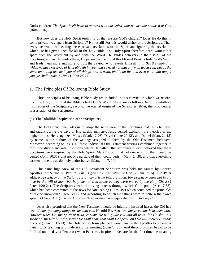God's children*. The Spirit itself beareth witness with our spirit, that we are the children of God*  (Rom. 8:16).

But how does the Holy Spirit testify to us that we are God's children? Does He do this in some private way apart from Scripture? Not at all! For this would dishonor the Scriptures. Then everyone would be seeking these private revelations of the Spirit and ignoring the revelation which He has given once for all in the holy Bible. The Holy Spirit therefore bears witness not apart from the Word but by and with the Word. He guides believers in their study of the Scriptures, and as He guides them, He persuades them that this blessed Book is truly God's Word and leads them more and more to trust the Saviour who reveals Himself in it*. But the anointing which ye have received of Him abideth in you, and ye need not that any man teach you: but as the same anointing teacheth you of all things, and is truth, and is no lie, and even as it hath taught you, ye shall abide in Him* (1 John 2:27).

## 1. The Principles Of Believing Bible Study

Three principles of believing Bible study are included in this conviction which we receive from the Holy Spirit that the Bible is truly God's Word. These are as follows: *first*, the infallible inspiration of the Scriptures; *second*, the eternal origin of the Scriptures; *third*, the providential preservation of the Scriptures.

## **(a) The Infallible Inspiration of the Scriptures**

The Holy Spirit persuades us to adopt the same view of the Scriptures that Jesus believed and taught during the days of His earthly ministry. Jesus denied explicitly the theories of the higher critics. He recognized Moses (Mark 12:26), David (Luke 20:42), and Daniel (Matt. 24:15) by name as the authors of the writings assigned to them by the Old Testament believers. Moreover, according to Jesus, all these individual Old Testament writings combined together to form one divine and infallible Book which He called "the Scriptures." Jesus believed that these Scriptures were inspired by the Holy Spirit (Mark 12:36), that not one word of them could be denied (John 10:35), that not one particle of them could perish (Matt. 5: 18), and that everything written in them was divinely authoritative (Matt. 4:4, 7, 10).

This same high view of the Old Testament Scriptures was held and taught by Christ's Apostles. *All Scripture*, Paul tells us, is *given by inspiration of God* (2 Tim. 3:16). And Peter adds, *No prophecy of the Scripture is of any private interpretation. For prophecy came not in old time by the will of man: but holy men of God spake as they were moved by the Holy Ghost* (2 Peter 1:20-21). The Scriptures were the living oracles through which God spoke (Acts. 7:38), which had been committed to the Jews for safekeeping (Rom. 3:2) which contained the principles of divine knowledge (Heb. 5:12), and according to which Christians were to pattern their own speech (1 Peter 4:11). To the Apostles, "It is written," was equivalent to, ``God says.''

Jesus also promised that the New Testament would be infallibly inspired just as the Old had been. *I have yet many things to say unto you*, He told His Apostles*, but ye cannot bear them now. Howbeit when He, the Spirit of truth, is come He will guide you into all truth: for He shall not speak of Himself; but whatsoever He shall hear, that shall He speak: and He will shew you things to come* (John 16:12-13). The Holy Spirit, Jesus pledged, would enable the Apostles to remember their Lord's teaching and understand its meaning (John 14:26). And these promises began to be fulfilled on the day of Pentecost when Peter was inspired to declare for the first time the meaning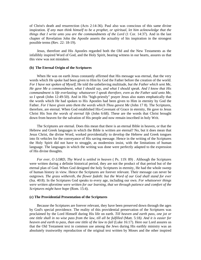of Christ's death and resurrection (Acts 2:14-36). Paul also was conscious of this same divine inspiration*. If any man think himself to be a prophet, or spiritual, let him acknowledge that the things that I write unto you are the commandments of the Lord* (1 Cor. 14:37). And in the last chapter of Revelation John the Apostle asserts the actuality of his inspiration in the strongest possible terms (Rev. 22: 18-19).

Jesus, therefore and His Apostles regarded both the Old and the New Testaments as the infallibly inspired Word of God, and the Holy Spirit, bearing witness in our hearts, assures us that this view was not mistaken.

#### **(b) The Eternal Origin of the Scriptures**

When He was on earth Jesus constantly affirmed that His message was eternal, that the very words which He spoke had been given to Him by God the Father before the creation of the world. *For I have not spoken of Myself*, He told the unbelieving multitude, *but the Father which sent Me, He gave Me a commandment, what I should say, and what I should speak. And I know that His commandment is life everlasting: whatsoever I speak therefore, even as the Father said unto Me, so I speak* (John 12:49-50). And in His "high-priestly" prayer Jesus also states emphatically that the words which He had spoken to His Apostles had been given to Him in eternity by God the Father. For I have given unto them the words which Thou gavest Me (John 178). The Scriptures, therefore, are eternal. When God established His-Covenant of Grace in eternity, He gave to Jesus Christ His Son *the words of eternal life* (John 6:68). These are the words that Christ brought down from heaven for the salvation of His people and now remain inscribed in holy Writ.

The Scriptures are eternal. Does this mean that there is an eternal Bible in heaven, or that the Hebrew and Greek languages in which the Bible is written are eternal? No, but it does mean that Jesus Christ, the divine Word, worked providentially to develop the Hebrew and Greek tongues into fit vehicles for the conveyance of His saving message. Hence in the writing of the Scriptures the Holy Spirit did not have to struggle, as modernists insist, with the limitations of human language. The languages in which the writing was done were perfectly adapted to the expression of His divine thoughts.

*For ever, O LORD, Thy Word is settled in heaven* ( Ps. 119: 89) . Although the Scriptures were written during a definite historical period, they are not the product of that period but of the eternal plan of God. When God designed the holy Scriptures in eternity, He had the whole sweep of human history in view. Hence the Scriptures are forever relevant. Their message can never be outgrown*. The grass withereth, the flower fadeth: but the Word of our God shall stand for ever* (Isa. 40:8). In the Scriptures God speaks to every age, including our own. *For whatsoever things were written aforetime were written for our learning, that we through patience and comfort of the Scriptures might have hope* (Rom. 15:4).

#### **(c) The Providential Presentation of the Scriptures**

Because the Scriptures are forever relevant, they have been preserved down through the ages by God's special providence. The reality of this providential preservation of the Scriptures was proclaimed by the Lord Himself during His life on earth. *Till heaven and earth pass, one jot or one tittle shall in no wise pass from the law, till all be fulfilled* (Matt. 5:18*). And it is easier for heaven and earth to pass, than one tittle of the law to fail* (Luke 16:17). Here our Lord assures us that the Old Testament text in common use among the Jews during His earthly ministry was an absolutely trustworthy reproduction of the original text written by Moses and the other inspired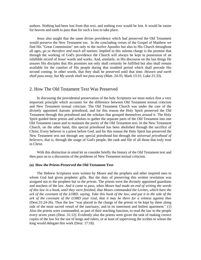authors. Nothing had been lost from that text, and nothing ever would be lost. It would be easier for heaven and earth to pass than for such a loss to take place.

Jesus also taught that the same divine providence which had preserved the Old Testament would preserve the New Testament too. In the concluding verses of the Gospel of Matthew we find His "Great Commission" not only to the twelve Apostles but also to His Church throughout all ages, *go ye therefore and teach all nations*. Implied in this solemn charge is the promise that through the working of God's providence the Church will always be kept in possession of an infallible record of Jesus' words and works. And, similarly, in His discourse on the last things He assures His disciples that His promises not only shall certainly be fulfilled but also shall remain available for the comfort of His people during that troubled period which shall precede His second coming. In other words, that they shall be preserved until that time. *Heaven and earth shall pass away, but My words shall not pass away* (Matt. 24:35; Mark 13:31; Luke 21:33).

## 2. How The Old Testament Text Was Preserved

In discussing the providential preservation of the holy Scriptures we must notice first a very important principle which accounts for the difference between Old Testament textual criticism and New Testament textual criticism. The Old Testament Church was under the care of the divinely appointed Aaronic priesthood, and for this reason the Holy Spirit preserved the Old Testament through this priesthood and the scholars that grouped themselves around it. The Holy Spirit guided these priests and scholars to gather the separate parts of the Old Testament into one Old Testament canon and to maintain the purity of the Old Testament text. In the New Testament Church, on the other hand, this special priesthood has been abolished through the sacrifice of Christ. Every believer is a priest before God, and for this reason the Holy Spirit has preserved the New Testament text not through any special priesthood but through the *universal priesthood of believers*, that is, through the usage of God's people, the rank and file of all those that truly trust in Christ.

With this distinction in mind let us consider briefly the history of the Old Testament text and then pass on to a discussion of the problems of New Testament textual criticism.

#### **(a) How the Priests Preserved the Old Testament Text**

The Hebrew Scriptures were written by Moses and the prophets and other inspired men to whom God had given prophetic gifts. But the duty of preserving this written revelation was assigned not to the prophets but to the *priests*. The priests were the divinely appointed guardians and teachers of the law. *And it came to pass, when Moses had made an end of writing the words of this law in a book, until they were finished, that Moses commanded the Levites, which bare the ark of the covenant of the LORD. saying, Take this book of the law, and put it in the side of the ark of the covenant of the LORD your God, that it may be there for a witness against thee* (Deut.31:24-26). Thus the law "was placed in the charge of the priests to be kept by them along side of the most sacred vessel of the sanctuary, and in its innermost and holiest apartment." (1) Also the priests were commanded, as part of their teaching function, to read the law to the people every seven years (Deut. 31:12). Evidently also the priests were given the task of making correct copies of the law for the use of kings and rulers, or at least of supervising the scribes to whom the king would delegate this work (Deut. 17:18).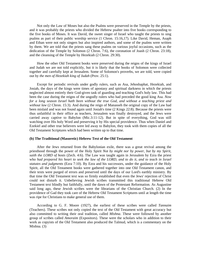Not only the Law of Moses but also the Psalms were preserved in the Temple by the priests, and it was probably the priests who divided the Hebrew psalter into five books corresponding to the five books of Moses. It was David, the sweet singer of Israel who taught the priests to sing psalms as part of their public worship service (1 Chron. 15:16,17). Like David, Heman, Asaph and Ethan were not only singers but also inspired authors, and some of the psalms were written by them. We are told that the priests sang these psalms on various joyful occasions, such as the dedication of the Temple by Solomon (2 Chron. 7:6), the coronation of Joash (2 Chron. 23:18), and the cleansing of the Temple by Hezekiah (2 Chron. 29:30).

How the other Old Testament books were preserved during the reigns of the kings of Israel and Judah we are not told explicitly, but it is likely that the books of Solomon were collected together and carefully kept at Jerusalem. Some of Solomon's proverbs, we are told, were copied out by *the men of Hezekiah king of Judah* (Prov. 25:1).

Except for periodic revivals under godly rulers, such as Asa, Jehoshaphat, Hezekiah, and Josiah, the days of the kings were times of apostasy and spiritual darkness in which the priests neglected almost entirely their God-given task of guarding and teaching God's holy law. This had been the case during the reigns of the ungodly rulers who had preceded the good king Asa. *Now for a long season Israel hath been without the true God, and without a teaching priest and without law* (2 Chron. 15:3). And during the reign of Manasseh the original copy of the Law had been mislaid and was not found again until Josiah's time (2 Kings 22:8). Because the priests were thus unfaithful in their office as teachers, Jerusalem was finally destroyed, and the Jews were carried away captive to Babylon (Mic.3:11-12). But in spite of everything, God was still watching over His holy Word and preserving it by His special providence. Thus when Daniel and Ezekiel and other true believers were led away to Babylon, they took with them copies of all the Old Testament Scriptures which had been written up to that time.

#### **(b) The Traditional (Masoretic) Hebrew Text of the Old Testament**

After the Jews returned from the Babylonian exile, there was a great revival among the priesthood through the power of the Holy Spirit *Not by might nor by power, but by my Spirit, saith the LORD of hosts* (Zech. 4:6). The Law was taught again in Jerusalem by Ezra the priest who *had prepared his heart to seek the law of the LORD, and to do it, and to teach in Israel statutes and judgments* (Ezra 7:10). By Ezra and his successors, under the guidance of the Holy Spirit, all the Old Testament books were gathered together into one Old Testament canon, and their texts were purged of errors and preserved until the days of our Lord's earthly ministry. By that time the Old Testament text was so firmly established that even the Jews' rejection of Christ could not disturb it. Unbelieving Jewish scribes transmitted this traditional Hebrew Old Testament text blindly but faithfully, until the dawn of the Protestant Reformation. As Augustine said long ago, these Jewish scribes were the librarians of the Christian Church. (2) In the providence of Gad they took care of the Hebrew Old Testament Scriptures until at length the time was ripe for Christians to make general use of them.

According to G. F. Moore (1927), the earliest of these scribes were called *Tannaim* (Teachers). These scribes not only copied the text of the Old Testament with great accuracy but also committed to writing their oral tradition, called *Mishna*. These were followed by another group of scribes called *Amoraim* (Expositors). These were the scholars who in addition to their work as copyists of the Old Testament also produced the Talmud, which is a commentary on the Mishna. (3)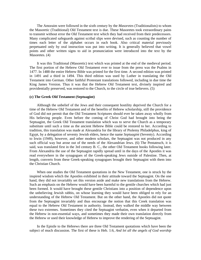The Amoraim were followed in the sixth century by the *Masoretes* (Traditionalists) to whom the Masoretic (Traditional) Old Testament text is due. These Masoretes took extraordinary pains to transmit without error the Old Testament text which they had received from their predecessors. Many complicated safeguards against scribal slips were devised, such as counting the number of times each letter of the alphabet occurs in each book. Also critical material previously perpetuated only by oral instruction was put into writing. It is generally believed that vowel points and other written signs to aid in pronunciation were introduced into the text by the Masoretes. (4)

It was this Traditional (Masoretic) text which was printed at the end of the medieval period. The first portion of the Hebrew Old Testament ever to issue from the press was the Psalms in 1477. In 1488 the entire Hebrew Bible was printed for the first time. A second edition was printed in 1491 and a third in 1494. This third edition was used by Luther in translating the Old Testament into German. Other faithful Protestant translations followed, including in due time the King James Version. Thus it was that the Hebrew Old Testament text, divinely inspired and providentially preserved, was restored to the Church, to the circle of true believers. (5)

#### **(c) The Greek Old Testament (Septuagint)**

Although the unbelief of the Jews and their consequent hostility deprived the Church for a time of the Hebrew Old Testament and of the benefits of Hebrew scholarship, still the providence of God did not permit that the Old Testament Scriptures should ever be taken away wholly from His believing people. Even before the coming of Christ God had brought into being the Septuagint, the Greek Old Testament translation which was to serve the Church as a temporary substitute until such a time as the ancient Hebrew Bible could be restored to her. According to tradition, this translation was made at Alexandria for the library of Ptolemy Philadelphus, king of Egypt, by a delegation of seventy Jewish elders, hence the name *Septuagint* (Seventy). According to Irwin (1949), however, and other modern scholars, the Septuagint was not produced in any such official way but arose out of the needs of the Alexandrian Jews. (6) The Pentateuch, it is said, was translated first in the 3rd century B. C., the other Old Testament books following later. From Alexandria the use of the Septuagint rapidly spread until in the days of the Apostles it was read everywhere in the synagogues of the Greek-speaking Jews outside of Palestine. Then, at length, converts from these Greek-speaking synagogues brought their Septuagint with them into the Christian Church.

When one studies the Old Testament quotations in the New Testament, one is struck by the inspired wisdom which the Apostles exhibited in their attitude toward the Septuagint. On the one hand, they did not invariably set this version aside and make new translations from the Hebrew. Such an emphasis on the Hebrew would have been harmful to the gentile churches which had just been formed. It would have brought these gentile Christians into a position of dependence upon the unbelieving Jewish rabbis, on whose learning they would have been obliged to rely for an understanding of the Hebrew Old Testament. But on the other hand, the Apostles did not quote from the Septuagint invariably and thus encourage the notion that this Creek translation was equal to the Hebrew Old Testament in authority. Instead, they walked the middle way between these two extremes. Sometimes they cited the Septuagint verbatim, even when it departed from the Hebrew in non-essential ways, and sometimes they made their own translation directly from the Hebrew or used their knowledge of Hebrew to improve the rendering of the Septuagint.

In the Epistle to the Hebrews there are three Old Testament quotations which have been the subject of much discussion. The first of these is Heb. 1:6, *And let all the angels of God worship*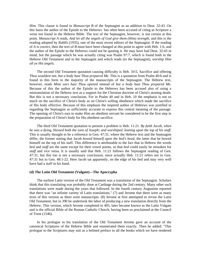*Him*. This clause is found in *Manuscript B* of the Septuagint as an addition to Deut. 32:43. On this basis the author of the Epistle to the Hebrews has often been accused of citing as Scripture a verse not found in the Hebrew Bible. The text of the Septuagint, however, is not certain at this point. *Manuscript A* reads*, And let all the angels of God give them (Him) strength*, and this is the reading adopted by Rahlfs (1935), one of the most recent editors of the Septuagint. If the reading of *A* is correct, then the text of *B* must have been changed at this point to agree with Heb. 1:6, and the author of the Epistle to the Hebrews could not be quoting it. He may have had Deut. 32:43 in mind, but the passage which he was actually citing was Psalm 97:7, which is found both in the Hebrew Old Testament and in the Septuagint and which reads (in the Septuagint), *worship Him all ye His angels.*

The second Old Testament quotation causing difficulty is Heb. 10:5, Sacrifice and offering *Thou wouldest not, but a body hast Thou prepared Me*. This is a quotation from Psalm 40:6 and is found in this form in the majority of the manuscripts of the Septuagint. The Hebrew text, however, reads *Mine ears hast Thou opened* instead of *but a body hast Thou prepared Me*. Because of this the author of the Epistle to the Hebrews has been accused also of using a mistranslation of the Hebrew text as a support for the Christian doctrine of Christ's atoning death. But this is not a necessary conclusion. For in Psalm 40 and in Heb. 10 the emphasis is not so much on the sacrifice of Christ's body as on Christ's willing obedience which made the sacrifice of His body effective. Because of this emphasis the inspired author of Hebrews was justified in regarding the Septuagint as sufficiently accurate to express this central meaning of the passage. The opening of Christ's ears to make Him an obedient servant he considered to be the first step in the preparation of Christ's body for His obedient sacrifice.

The third Old Testament quotation to present a problem is Heb. 11:21. *By faith Jacob, when he was a dying, blessed both the sons of Joseph; and worshiped, leaning upon the top of his staff*. This is usually thought to be a reference to Gen. 47:31, where the Hebrew text and the Septuagint differ, the former stating that Jacob *bowed himself upon the bed's head*, the latter that he bowed himself on the top of his staff. This difference is attributable to the fact that in Hebrew the words *bed* and *staff* are the same except for their vowel points, so that *bed* could easily be mistaken for *staff* and vice versa. It is usually said that Heb. 11:21 follows the Septuagint reading of Gen. 47:31, but this too is not a necessary conclusion, since actually Heb. 11:21 refers not to Gen. 47:31 but to Gen. 48:1-22. Here Jacob sat apparently, on the edge of his bed and may very well have had a staff in his hand.

#### **(d) The Latin Old Testament (Vulgate)—The Apocrypha**

The earliest Latin version of the Old Testament was a translation of the Septuagint. Scholars think that this translating was probably done at Carthage during the 2nd century. Many other such translations were made during the years that followed. In the fourth century Augustine reported that there was "an infinite variety of Latin translations," (7) and Jerome that there were as many texts of this version as there were manuscripts. (8) Jerome at first attempted to revise the Latin Old Testament, but in 390 he undertook the labor of producing a new translation directly from the Hebrew. This version, which Jerome completed in 405, later became known as the Latin Vulgate and is the official Bible of the Roman Catholic Church, having been so proclaimed at the Council of Trent (1546).

In his prologue to his translation of the Old Testament Jerome gave an account of the canonical Scriptures of the Hebrew Bible and enumerated them exactly. Then he added: "This prologue to the Scriptures may suit as a helmed preface to all the books which we have rendered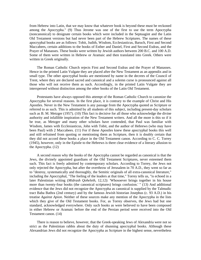from Hebrew into Latin, that we may know that whatever book is beyond these must be reckoned among the Apocrypha." (9) Thus Jerome was one of the first to use the term Apocrypha (noncanonical) to designate certain books which were included in the Septuagint and the Latin Old Testament versions but had never been part of the Hebrew Scriptures. The names of these apocryphal books are as follows: Tobit, Judith, Wisdom, Ecclesiasticus, Baruch, First and Second Maccabees, certain additions to the books of Esther and Daniel, First and Second Esdras, and the Prayer of Manasses. These books were written by Jewish authors between 200 B.C. and 100 A.D. Some of them were written in Hebrew or Aramaic and then translated into Greek. Others were written in Greek originally.

The Roman Catholic Church rejects First and Second Esdras and the Prayer of Manasses. Hence in the printed Latin Vulgate they are placed after the New Testament as an appendix and in small type. The other apocryphal books are mentioned by name in the decrees of the Council of Trent, where they are declared sacred and canonical and a solemn curse is pronounced against all those who will not receive them as such. Accordingly, in the printed Latin Vulgate they are interspersed without distinction among the other books of the Latin Old Testament.

Protestants have always opposed this attempt of the Roman Catholic Church to canonize the Apocrypha for several reasons. In the first place, it is contrary to the example of Christ and His Apostles. Never in the New Testament is any passage from the Apocrypha quoted as Scripture or referred to as such. This is admitted by all students of this subject, including present-day scholars such as B. M. Metzger (1957). (10) This fact is decisive for all those who acknowledge the divine authority and infallible inspiration of the New Testament writers. And all the more is this so if it be true, as Metzger and many other scholars have contended, that Paul was familiar with Wisdom, James with Ecclesiasticus, John with Tobit, and the author of Hebrews (who may have been Paul) with 2 Maccabees. (11) For if these Apostles knew these apocryphal books this well and still refrained from quoting or mentioning them as Scripture, then it is doubly certain that they did not accord these books a place in the Old Testament canon. According to C. C. Torrey (1945), however, only in the Epistle to the Hebrews is there clear evidence of a literary allusion to the Apocrypha. (12)

A second reason why the books of the Apocrypha cannot be regarded as canonical is that the Jews, the divinely appointed guardians of the Old Testament Scriptures, never esteemed them such. This fact is freely admitted by contemporary scholars. According to Torrey, the Jews not only rejected the Apocrypha, but after the overthrow of Jerusalem in 70 A.D., they went so far as to "destroy, systematically and thoroughly, the Semitic originals of all extra-canonical literature," including the Apocryphal, "The feeling of the leaders at that time," Torrey tells us, "is echoed in a later Palestinian writing (*Midrash Qoheleth*, 12,12): 'Whosoever brings together in his house more than twenty-four books (the canonical scriptures) brings confusion.' " (13) And additional evidence that the Jews did not recognize the Apocrypha as canonical is supplied by the Talmudic tract Baba Bathra (2nd century) and by the famous Jewish historian Josephus (c. 93 A.D.) in his treatise *Against Apion*. Neither of these sources make any mention of the Apocrypha in the lists which they give of the Old Testament books. For, as Torrey observes, the Jews had but one standard, acknowledged everywhere. Only such books as were believed to have been composed in either Hebrew or Aramaic before the end of the Persian period were received into the Old Testament canon. (14)

There is reason to believe, however, that the Greek-speaking Jews of Alexandria were not so strict as the Palestinian rabbis about the duty of shunning apocryphal books. Although these Alexandrian Jews did not recognize the Apocrypha as Scripture in the highest sense, nevertheless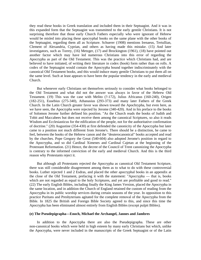they read these books in Greek translation and included them in their Septuagint. And it was in this expanded form that the Septuagint was transmitted to the early gentile Christians. It is not surprising therefore that those early Church Fathers especially who were ignorant of Hebrew would be misled into placing these apocryphal books on the same plane with the other books of the Septuagint, regarding them all as Scripture. Schuerer (1908) mentions Irenaeus, Tertullian, Clement of Alexandria, Cyprian, and others as having made this mistake. (15) And later investigators, such as Torrey, (16) Metzger, (17) and Brockington (1961), (18) have pointed out another factor which may have led numerous Christians into this error of regarding the Apocrypha as part of the Old Testament. This was the practice which Christians had, and are believed to have initiated, of writing their literature in codex (book) form rather than on rolls. A codex of the Septuagint would contain the Apocrypha bound together indiscriminately with the canonical Old Testament books, and this would induce many gentile Christians to put them all on the same level. Such at least appears to have been the popular tendency in the early and medieval Church.

But whenever early Christians set themselves seriously to consider what books belonged to the Old Testament and what did not the answer was always in favor of the Hebrew Old Testament. (19) This was the case with Melito (?-172), Julius Africanus (160-240), Origen (182-251), Eusebius (275-340), Athanasius (293-373) and many later Fathers of the Greek Church. In the Latin Church greater favor was shown toward the Apochrypha, but even here, as we have seen, the Apocrypha were rejected by Jerome (340-420). And in his preface to the books of Solomon Jerome further defined his position. "As the Church reads the books of Judith and Tobit and Maccabees but does not receive them among the canonical Scriptures, so also it reads Wisdom and Ecclesiasticus for the edification of the people, not for the authoritative confirmation of doctrine." (20) Augustine (354-430) at first defended the canonicity of the Apocrypha but later came to a position not much different from Jerome's. There should be a distinction, he came to feel, between the books of the Hebrew canon and the "deuterocanonical" books accepted and read by the churches. Pope Gregory the Great (540-604) also adopted Jerome's position in regard to the Apocrypha, and so did Cardinal Ximenes and Cardinal Cajetan at the beginning of the Protestant Reformation. (21) Hence, the decree of the Council of Trent canonizing the Apocrypha is contrary to the informed conviction of the early and medieval Church. And this is the third reason why Protestants reject it.

But although all Protestants rejected the Apocrypha as canonical Old Testament Scripture, there was still considerable disagreement among them as to what to do with these controversial books. Luther rejected 1 and 2 Esdras, and placed the other apocryphal books in an appendix at the close of the Old Testament, prefacing it with the statement: "Apocrypha — that is, books which are not regarded as equal to the holy Scriptures, and yet are profitable and good to read." (22) The early English Bibles, including finally the King James Version, placed the Apocrypha in the same location, and in addition the Church of England retained the custom of reading from the Apocrypha in its public worship services during certain seasons of the year. In opposition to this practice Puritans and Presbyterians agitated for the complete removal of the Apocrypha from the Bible. In 1825 the British and Foreign Bible Society agreed to this, and since this time the Apocrypha has been eliminated almost entirely from English Bibles (except pulpit Bibles).

#### **(e) The Pseudepigrapha—Enoch, Michael the Archangel, Jannes and Jambres**

In addition to the Apocrypha there are also the Pseudepigrapha. These are other non-canonical books which were held in high esteem by many early Christians but which, unlike the Apocrypha, were never included in the manuscripts of the Greek Septuagint or of the Latin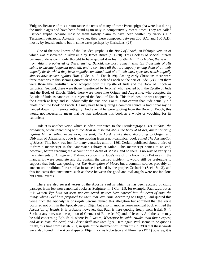Vulgate. Because of this circumstance the texts of many of these Pseudepigrapha were lost during the middle-ages and have been found again only in comparatively recent times. They are called Pseudepigrapha because most of them falsely claim to have been written by various Old Testament patriarchs. Actually, however, they were composed between 200 B.C. and 100 A.D., mostly by Jewish authors but in some cases perhaps by Christians. (23)

One of the best known of the Pseudepigrapha is the *Book of Enoch*, an Ethiopic version of which was discovered in Abyssinia by James Bruce (c. 1770). This Book is of special interest because Jude is commonly thought to have quoted it in his Epistle. *And Enoch also, the seventh from Adam, prophesied of these, saying, Behold, the Lord cometh with ten thousands of His saints to execute judgment upon all, and to convince all that are ungodly among them of all their ungodly deeds which they have ungodly committed, and of all their hard speeches which ungodly sinners have spoken against Him.* (Jude 14-15; Enoch 1:9). Among early Christians there were three reactions to this seeming quotation of the Book of Enoch on the part of Jude. (24) First there were those like Tertullian, who accepted both the Epistle of Jude and the Book of Enoch as canonical. Second, there were those (mentioned by Jerome) who rejected both the Epistle of Jude and the Book of Enoch. Third, there were those like Origen and Augustine, who accepted the Epistle of Jude as canonical but rejected the Book of Enoch. This third position was adopted by the Church at large and is undoubtedly the true one. For it is not certain that Jude actually did quote from the Book of Enoch. He may have been quoting a common source, a traditional saying handed down from remote antiquity. And even if he were quoting from the Book of Enoch, this would not necessarily mean that he was endorsing this book as a whole or vouching for its canonicity.

Jude 9 is another verse which is often attributed to the Pseudepigrapha. *Yet Michael the archangel, when contending with the devil he disputed about the body of Moses, durst not bring against him a railing accusation, but said, the Lord rebuke thee*. According to Origen and Didymus of Alexandria, Jude is here quoting from a non-canonical book *called The Assumption of Moses*. This book was lost for many centuries until in 1861 Ceriani published about a third of it from a manuscript in the Ambrosian Library at Milan. This manuscript comes to an end, however, before reaching the account of the death of Moses, and so there is no way of verifying the statements of Origen and Didymus concerning Jude's use of this book. (25) But even if the manuscript were complete and did contain the desired incident, it would still be preferable to suppose that Jude was quoting not *The Assumption of Moses* but a common source, probably an ancient oral tradition. For a similar instance is related by the prophet Zechariah (Zech. 3:1-3), and this indicates that encounters such as these between the good and evil angels were not fabulous but actual events.

There are also several verses of the Apostle Paul in which he has been accused of citing passages from lost non-canonical books as Scripture. In 1 Cor. 2:9, for example, Paul says, but as it is written, *Eye hath not seen, nor ear heard, neither have entered into the heart of man, the things which God hath prepared for them that love Him*. According to Origen, Paul quoted this verse from the *Apocalypse of Elijah*. Jerome denied this allegation but admitted that the verse occurred not only in the Apocalypse of Elijah but also in another non-canonical book entitled the *Ascension of Isaiah*. It is probable however, that Paul is here quoting freely from Isaiah 64:4. Such, at any rate, was the opinion of Clement of Rome (c. 90) and of Jerome. And the same may be said concerning Eph. 5:14, where Paul writes*, Wherefore he saith, Awake thou that sleepest, and arise from the dead, and Christ shall give thee light*. Here again Paul seems to be quoting freely, this time from Isaiah 60:1, in spite of the statement of Epiphanius (c. 390) that these words were also found in the Apocalypse of Elijah. For, as Robertson and Plummer (1911) observe, it is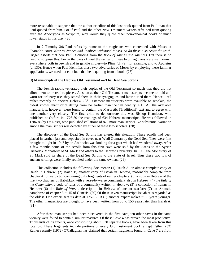more reasonable to suppose that the author or editor of this lost book quoted from Paul than that Paul quoted from him. For if Paul and the other New Testament writers refrained from quoting even the Apocrypha as Scripture, why would they quote other non-canonical books of much lower status in this way. (26)

In 2 Timothy 3:8 Paul refers by name to the magicians who contended with Moses at Pharaoh's court. *Now as Jannes and Jambres withstood Moses, so do these also resist the truth*. Origen asserts that here Paul is quoting from the *Book of Jannes and Jambres*. But there is no need to suppose this. For in the days of Paul the names of these two magicians were well known everywhere both in Jewish and in gentile circles—to Pliny (d. 79), for example, and to Apuleius (c. 130). Hence when Paul identifies these two adversaries of Moses by employing these familiar appellations, we need not conclude that he is quoting from a book. (27)

#### **(f) Manuscripts of the Hebrew Old Testament — The Dead Sea Scrolls**

The Jewish rabbis venerated their copies of the Old Testament so much that they did not allow them to be read to pieces. As soon as their Old Testament manuscripts became too old and worn for ordinary use, they stored them in their synagogues and later buried them. Hence, until rather recently no ancient Hebrew Old Testament manuscripts were available to scholars, the oldest known manuscript dating from no earlier than the 9th century A.D. All the available manuscripts, however, were found to contain the Masoretic (Traditional) text and to agree with one another very closely. The first critic to demonstrate this was Bishop Kennicott, who published at Oxford in 1776-80 the readings of 634 Hebrew manuscripts. He was followed in 1784-88 by De Rossi, who published collations of 825 more manuscripts. No substantial variation among the manuscripts was detected by either of these two scholars. (28)

The discovery of the Dead Sea Scrolls has altered this situation. These scrolls had been placed in earthen jars and deposited in caves near Wadi Qumran by the Dead Sea. They were first brought to light in 1947 by an Arab who was looking for a goat which had wandered away. After a few months some of the scrolls from this first cave were sold by the Arabs to the Syrian Orthodox Monastery of St. Mark and others to the Hebrew University. In 1955 the Monastery of St. Mark sold its share of the Dead Sea Scrolls to the State of Israel. Thus these two lots of ancient writings were finally reunited under the same owners. (29)

This collection includes the following documents: (1) Isaiah A, an almost complete copy of Isaiah in Hebrew; (2) Isaiah B, another copy of Isaiah in Hebrew, reasonably complete from chapter 41 onwards but containing only fragments of earlier chapters; (3) a copy in Hebrew of the first two chapters of Habakkuk with a verse-by-verse commentary also in Hebrew; (4) the *Rule of the Community*, a code of rules of a community written in Hebrew; (5) a collection of hymns in Hebrew; (6) the *Rule of War*, a description in Hebrew of ancient warfare; (7) an Aramaic paraphrase of chapter 5 to 15 of Genesis. (30) Of these seven manuscripts Isaiah A is regarded as the oldest. One expert sets its date at 175-150 B.C.; another expert makes it 50 years younger. The other manuscripts are thought to have been written from 50 to 150 years later than Isaiah A. (31)

After these manuscripts had been discovered in the first cave, ten other caves in the same vicinity were found to contain similar treasures. Of these Cave 4 has proved the most productive. Thousands of fragments, once constituting about 330 separate books, have been taken from this location. These fragments include portions of every Old Testament book except Esther. (32) Rather recently (1972) O'Callaghan has claimed that certain fragments found in Cave 7 are from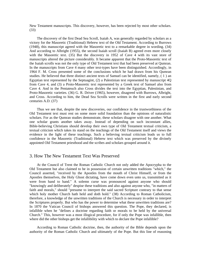New Testament manuscripts. This discovery, however, has been rejected by most other scholars. (33)

The discovery of the first Dead Sea Scroll, Isaiah A, was generally regarded by scholars as a victory for the Masoretic (Traditional) Hebrew text of the Old Testament. According to Burrows (1948), this manuscript agreed with the Masoretic text to a remarkable degree in wording. (34) And according to Albright (1955), the second Isaiah scroll (Isaiah B) agreed even more closely with the Masoretic text. (35) But the discovery in 1952 of Cave 4 with its vast store of manuscripts altered the picture considerably. It became apparent that the Proto-Masoretic text of the Isaiah scrolls was not the only type of Old Testament text that had been preserved at Qumran. In the manuscripts from Cave 4 many other text-types have been distinguished. Accordingly, in 1964 F. M. Cross presented some of the conclusions which he had drawn from his Qumran studies. He believed that three distinct ancient texts of Samuel can be identified, namely, ( 1 ) an Egyptian text represented by the Septuagint, (2) a Palestinian text represented by manuscript 4Q from Cave 4, and (3) a Proto-Masoretic text represented by a Greek text of Samuel also from Cave 4. And in the Pentateuch also Cross divides the text into the Egyptian, Palestinian, and Proto-Masoretic varieties. (36) G. R. Driver (1965), however, disagreed with Burrows, Albright, and Cross. According to him, the Dead Sea Scrolls were written in the first and early second centuries A.D. (37)

Thus we see that, despite the new discoveries, our confidence in the trustworthiness of the Old Testament text must rest on some more solid foundation than the opinions of naturalistic scholars. For as the Qumran studies demonstrate, these scholars disagree with one another. What one scholar grants another takes away. Instead of depending on such inconstant allies, Bible-believing Christians should develop their own type of Old Testament textual criticism, a textual criticism which takes its stand on the teachings of the Old Testament itself and views the evidence in the light of these teachings. Such a believing textual criticism leads us to full confidence in the Masoretic (Traditional) Hebrew text which was preserved by the divinely appointed Old Testament priesthood and the scribes and scholars grouped around it.

# 3. How The New Testament Text Was Preserved

At the Council of Trent the Roman Catholic Church not only added the Apocrypha to the Old Testament but also claimed to be in possession of certain unwritten traditions "which," the Council asserted, "received by the Apostles from the mouth of Christ Himself, or from the Apostles themselves, the Holy Ghost dictating, have come down even unto us, transmitted as it were from hand to hand." A solemn curse was pronounced against anyone who should "knowingly and deliberately" despise these traditions and also against anyone who, "in matters of faith and morals," should "presume to interpret the said sacred Scripture contrary to that sense which holy mother Church hath held and doth hold." (38) According to Roman Catholicism, therefore, a knowledge of the unwritten traditions of the Church is necessary in order to interpret the Scriptures properly. But who has the power to determine what these unwritten traditions are? In 1870 the Vatican Council of bishops answered this question. The Pope, they declared, is infallible when he "defines a doctrine regarding faith or morals to be held by the universal Church." This, however was a most illogical procedure, for if only the Pope was infallible, then where did the other bishops get the infallibility with which to declare the Pope infallible?

According to Roman Catholic doctrine, then, the authority of the Bible depends upon the authority of the Roman Catholic Church and ultimately of the Pope. But this line of reasoning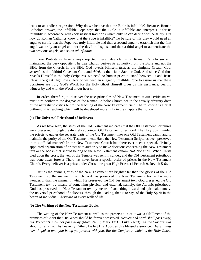leads to an endless regression. Why do we believe that the Bible is infallible? Because, Roman Catholics answer, the infallible Pope says that the Bible is infallible and interprets it for us infallibly in accordance with ecclesiastical traditions which only he can define with certainty. But how do Roman Catholics know that the Pope is infallible? To be sure of this they would need an angel to certify that the Pope was truly infallible and then a second angel to establish that the first angel was truly an angel and not the devil in disguise and then a third angel to authenticate the two previous angels, and so on *ad infinitum*.

True Protestants have always rejected these false claims of Roman Catholicism and maintained the very opposite. The true Church derives its authority from the Bible and not the Bible from the Church. In the Bible God reveals Himself, *first*, as the almighty Creator God, *second*, as the faithful Covenant God, and *third*, as the triune Saviour God. And since God thus reveals Himself in the holy Scriptures, we need no human priest to stand between us and Jesus Christ, the great High Priest. Nor do we need an allegedly infallible Pope to assure us that these Scriptures are truly God's Word, for the Holy Ghost Himself gives us this assurance, bearing witness by and with the Word in our hearts.

In order, therefore, to discover the true principles of New Testament textual criticism we must turn neither to the dogmas of the Roman Catholic Church nor to the equally arbitrary dicta of the naturalistic critics but to the teaching of the New Testament itself. The following is a brief outline of this teaching which will be developed more fully in the chapters that follow.

#### **(a) The Universal Priesthood of Believers**

As we have seen, the study of the Old Testament indicates that the Old Testament Scriptures were preserved through the divinely appointed Old Testament priesthood. The Holy Spirit guided the priests to gather the separate parts of the Old Testament into one Old Testament canon and to maintain the purity of the Old Testament text. Have the New Testament Scriptures been preserved in this official manner? In the New Testament Church has there ever been a special, divinely appointed organization of priests with authority to make decisions concerning the New Testament text or the books that should belong to the New Testament canon? No! Not at all! When Christ died upon the cross, the veil of the Temple was rent in sunder, and the Old Testament priesthood was done away forever There has never been a special order of priests in the New Testament Church. Every believer is a priest under Christ, the great High Priest. (1 Peter 2: 9, Rev. 1: 5-6).

Just as the divine glories of the New Testament are brighter far than the glories of the Old Testament, so the manner in which God has preserved the New Testament text is far more wonderful than the manner in which He preserved the Old Testament text. God preserved the Old Testament text by means of something physical and external, namely, the Aaronic priesthood. God has preserved the New Testament text by means of something inward and spiritual, namely, the universal priesthood of believers, through the leading, that is to say, of the Holy Spirit in the hearts of individual Christians of every walk of life.

## **(b) The Writing of the New Testament Books**

The writing of the New Testament as well as the preservation of it was a fulfillment of the promises of Christ that His Word should be forever preserved*. Heaven and earth shall pass away, but My words shall not pass away* (Matt. 24:35; Mark 13:31; Luke 21-33). As the Saviour was about to return to His heavenly Father, He left His Apostles this blessed assurance: *These things have I spoken unto you being yet present with you. But the Comforter, which is the Holy Ghost,*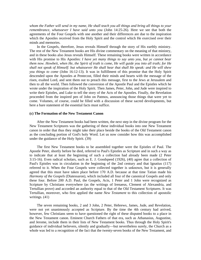*whom the Father will send in my name, He shall teach you all things and bring all things to your remembrance, whatsoever I have said unto you* (John 14:25-26). Here we see that both the agreements of the Four Gospels with one another and their differences are due to the inspiration which the Apostles received from the Holy Spirit and the control which He exercised over their minds and memories.

In the Gospels, therefore, Jesus reveals Himself through the story of His earthly ministry. The rest of the New Testament books are His divine commentary on the meaning of that ministry, and in these books also Jesus reveals Himself. These remaining books were written in accordance with His promise to His Apostles: *I have yet many things to say unto you, but ye cannot bear them now. Howbeit, when He, the Spirit of truth is come, He will guide you into all truth; for He shall not speak of Himself: but whatsoever He shall hear that shall He speak: and He will shew you things to come* (John 16:12-13). It was in fulfillment of this promise that the Holy Spirit descended upon the Apostles at Pentecost, filled their minds and hearts with the message of the risen, exalted Lord, and sent them out to preach this message, first to the Jews at Jerusalem and then to all the world. Then followed the conversion of the Apostle Paul and the Epistles which he wrote under the inspiration of the Holy Spirit. Then James, Peter, John, and Jude were inspired to write their Epistles, and Luke to tell the story of the Acts of the Apostles. Finally, the Revelation proceeded from the inspired pen of John on Patmos, announcing those things that were yet to come. Volumes, of course, could be filled with a discussion of these sacred developments, but here a bare statement of the essential facts must suffice.

#### **(c) The Formation of the New Testament Canon**

After the New Testament books had been written, the next step in the divine program for the New Testament Scriptures was the gathering of these individual books into one New Testament canon in order that thus they might take their place beside the books of the Old Testament canon as the concluding portion of God's holy Word. Let us now consider how this was accomplished under the guidance of the Holy Spirit. (39)

The first New Testament books to be assembled together were the Epistles of Paul. The Apostle Peter, shortly before he died, referred to Paul's Epistles as Scripture and in such a way as to indicate that at least the beginning of such a collection had already been made (2 Peter 3:15-16). Even radical scholars, such as E. J. Goodspeed (1926), (40) agree that a collection of Paul's Epistles was in circulation in the beginning of the 2nd century and that Ignatius (117) referred to it. When the Four Gospels were collected together is unknown, but it is generally agreed that this must have taken place before 170 A.D. because at that time Tatian made his *Harmony of the Gospels* (Diatessaron), which included all four of the canonical Gospels and only these four. Before 200 A.D. Paul, the Gospels, Acts, 1 Peter and 1 John were recognized as Scripture by Christians everywhere (as the writings of Irenaeus, Clement of Alexandria, and Tertullian prove) and accorded an authority equal to that of the Old Testament Scriptures. It was Tertullian, moreover, who first applied the name *New Testament* to this collection of apostolic writings. (41)

The seven remaining books, 2 and 3 John, 2 Peter, Hebrews, James, Jude, and Revelation, were not yet unanimously accepted as Scripture. By the time the 4th century had arrived, however, few Christians seem to have questioned the right of these disputed books to a place in the New Testament canon. Eminent Church Fathers of that era, such as Athanasius, Augustine, and Jerome, include them in their lists of New Testament books. Thus through the Holy Spirit's guidance of individual believers, silently and gradually—but nevertheless surely, the Church as a whole was led to a recognition of the fact that the twenty-seven books of the New Testament, and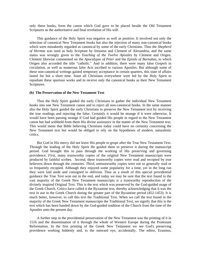only these books, form the canon which God gave to be placed beside the Old Testament Scriptures as the authoritative and final revelation of His will.

This guidance of the Holy Spirit was negative as well as positive. It involved not only the selection of canonical New Testament books but also the rejection of many non-canonical books which were mistakenly regarded as canonical by some of the early Christians. Thus the *Shepherd of Hermas* was used as holy Scripture by Irenaeus and Clement of Alexandria, and the same status was wrongly given to the *Teaching of the Twelve Apostles* by Clement and Origen. Clement likewise commented on the *Apocalypse of Peter* and the *Epistle of Barnabas*, to which Origen also accorded the title "catholic." And in addition, there were many false *Gospels* in circulation, as well as numerous false *Acts* ascribed to various Apostles. But although some of these non-canonical writings gained temporary acceptance in certain quarters, this state of affairs lasted for but a short time. Soon all Christians everywhere were led by the Holy Spirit to repudiate these spurious works and to receive only the canonical books as their New Testament Scriptures.

#### **(b) The Preservation of the New Testament Text**

Thus the Holy Spirit guided the early Christians to gather the individual New Testament books into one New Testament canon and to reject all non-canonical books. In the same manner also the Holy Spirit guided the early Christians to preserve the New Testament text by receiving the true readings and rejecting the false. Certainly it would be strange if it were otherwise. It would have been passing strange if God had guided His people in regard to the New Testament canon but had withheld from them His divine assistance in the matter of the New Testament text. This would mean that Bible believing Christians today could have no certainty concerning the New Testament text but would be obliged to rely on the hypotheses of modern, naturalistic critics.

But God in His mercy did not leave His people to grope after the True New Testament Text. Through the leading of the Holy Spirit He guided them to preserve it during the manuscript period. God brought this to pass through the working of His preserving and governing providence. *First*, many trustworthy copies of the original New Testament manuscripts were produced by faithful scribes. *Second*, these trustworthy copies were read and recopied by true believers down through the centuries. *Third*, untrustworthy copies were not so generally read or so frequently recopied. Although they enjoyed some popularity for a time, yet in the long run they were laid aside and consigned to oblivion. Thus as a result of this special providential guidance the True Text won out in the end, and today we may be sure that the text found in the vast majority of the Greek New Testament manuscripts is a trustworthy reproduction of the divinely inspired Original Text. This is the text which was preserved by the God-guided usage of the Greek Church. Critics have called it the Byzantine text, thereby acknowledging that it was the text in use in the Greek Church during the greater part of the Byzantine period (452-1453). It is much better, however, to call this text the Traditional Text. When we call the text found in the majority of the Greek New Testament manuscripts the Traditional Text, we signify that this is the text which has been handed down by the God-guided tradition of the Church from the time of the Apostles unto the present day.

A further step in the providential preservation of the New Testament was the printing of it in 1516 and the dissemination of it through the whole of Western Europe during the Protestant Reformation. In the first printing of the Greek New Testament we see God's preserving providence working hiddenly and, to the outward eye, accidentally. The editor, Erasmus,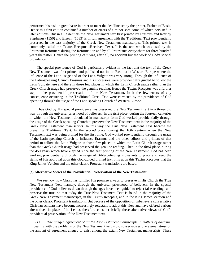performed his task in great haste in order to meet the deadline set by the printer, Froben of Basle. Hence this first edition contained a number of errors of a minor sort, some of which persisted in later editions. But in all essentials the New Testament text first printed by Erasmus and later by Stephanus (1550) and Elzevir (1633) is in full agreement with the Traditional Text providentially preserved in the vast majority of the Greek New Testament manuscripts. This printed text is commonly called the Textus Receptus (Received Text). It is the text which was used by the Protestant Reformers during the Reformation and by all Protestants everywhere for three hundred years thereafter. Hence the printing of it was, after all, no accident but the work of God's special providence.

The special providence of God is particularly evident in the fact that the text of the Greek New Testament was first printed and published not in the East but in Western Europe where the influence of the Latin usage and of the Latin Vulgate was very strong. Through the influence of the Latin-speaking Church Erasmus and his successors were providentially guided to follow the Latin Vulgate here and there in those few places in which the Latin Church usage rather than the Greek Church usage had preserved the genuine reading. Hence the Textus Receptus was a further step in the providential preservation of the New Testament. In it the few errors of any consequence occurring in the Traditional Greek Text were corrected by the providence of God operating through the usage of the Latin speaking Church of Western Europe.

Thus God by His special providence has preserved the New Testament text in a three-fold way through the universal priesthood of believers. In the *first* place, during the fourteen centuries in which the New Testament circulated in manuscript form God worked providentially through the usage of the Greek-speaking Church to preserve the New Testament text in the majority of the Greek New Testament manuscripts. In this way the True New Testament Text became the prevailing Traditional Text. In the *second* place, during the 16th century when the New Testament text was being printed for the first time, God worked providentially through the usage of the Latin-speaking Church to influence Erasmus and the other editors and printers of that period to follow the Latin Vulgate in those few places in which the Latin Church usage rather than the Greek Church usage had preserved the genuine reading. Then in the *third* place, during the 450 years which have elapsed since the first printing of the New Testament, God has been working providentially through the usage of Bible-believing Protestants to place and keep the stamp of His approval upon this God-guided printed text. It is upon this Textus Receptus that the King James Version and the other classic Protestant translations are based.

#### **(e) Alternative Views of the Providential Preservation of the New Testament**

We see now how Christ has fulfilled His promise always to preserve in His Church the True New Testament Text, namely, through the universal priesthood of believers. In the special providence of God believers down through the ages have been guided to reject false readings and preserve the true, so that today the True New Testament Text is found in the majority of the Greek New Testament manuscripts, in the Textus Receptus, and in the King James Version and the other classic Protestant translations. But because of the opposition of unbelievers conservative Christian scholars have become increasingly reluctant to adopt this view and have offered various alternatives in place of it. Let us therefore consider briefly these alternative views of God's providential preservation of the New Testament text.

*(1) The alleged agreement of all the New Testament manuscripts in matters of doctrine*. In dealing with the problems of the New Testament text most conservatives place great stress on the amount of agreement alleged to exist among the extant New Testament manuscripts. These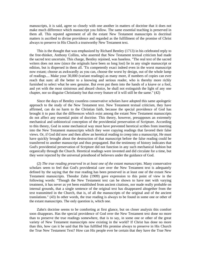manuscripts, it is said, agree so closely with one another in matters of doctrine that it does not make much difference which manuscript you follow. The same essential teaching is preserved in them all. This reputed agreement of all the extant New Testament manuscripts in doctrinal matters is ascribed to divine providence and regarded as the fulfillment of the promise of Christ always to preserve in His Church a trustworthy New Testament text.

This is the thought that was emphasized by Richard Bentley (1713) in his celebrated reply to the free-thinker, Anthony Collins, who asserted that New Testament textual criticism had made the sacred text uncertain. This charge, Bentley rejoined, was baseless. "The real text of the sacred writers does not now (since the originals have been so long lost) lie in any single manuscript or edition, but is dispersed in them all. 'Tis competently exact indeed even in the worst manuscript now extant; choose as awkwardly as you can, choose the worst by design, out of the whole lump of readings.... Make your 30,000 (variant readings) as many more, if numbers of copies can ever reach that sum: all the better to a knowing and serious reader, who is thereby more richly furnished to select what he sees genuine. But even put them into the hands of a knave or a fool, and yet with the most sinistrous and absurd choice, he shall not extinguish the light of any one chapter, nor so disguise Christianity but that every feature of it will still be the same." (42)

Since the days of Bentley countless conservative scholars have adopted this same apologetic approach to the study of the New Testament text. New Testament textual criticism, they have affirmed, can do no harm to the Christian faith, because the special providence of God has brought it to pass that the differences which exist among the extant New Testament manuscripts do not affect any essential point of doctrine. This theory, however, presupposes an extremely mechanical and unhistorical conception of the providential preservation of Scripture. According to this theory, God in some mechanical way must have prevented heretical scribes from inserting into the New Testament manuscripts which they were copying readings that favored their false views. Or, if God did now and then allow an heretical reading to creep into a manuscript, He must have quickly brought about the destruction of that manuscript before the false reading could be transferred to another manuscript and thus propagated. But the testimony of history indicates that God's providential preservation of Scripture did not function in any such mechanical fashion but organically through the Church. Heretical readings were invented and did circulate for a time, but they were rejected by the universal priesthood of believers under the guidance of God.

(2) *The true reading preserved in at least one of the extant manuscripts*. Many conservative scholars seem to feel that God's providential care over the New Testament text is adequately defined by the saying that the true reading has been preserved in at least one of the extant New Testament manuscripts. Theodor Zahn (1909) gave expression to this point of view in the following words: "Though the New Testament text can be shown to have met with varying treatment, it has never as yet been established from ancient citations, nor made really probable on internal grounds, that a single sentence of the original text has disappeared altogether from the text transmitted in the Church, that is, of all the manuscripts of the original and of the ancient translations." (43) In other words, the true reading is always to be found in some one or other of the extant manuscripts. The only question is, which one.

Zahn's doctrine seems to be comforting at first glance, but on closer analysis this comfort soon disappears. Has the special providence of God over the New Testament text done no more than to preserve the true readings somewhere, that is to say, in some one or other of the great variety of New Testament manuscripts now existing in the world? If Christ has done no more than this, how can it be said that He has fulfilled His promise always to preserve in His Church the True New Testament Text? How can His people ever be certain that they have the True New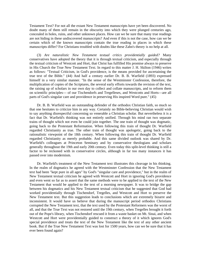Testament Text? For not all the extant New Testament manuscripts have yet been discovered. No doubt many of them still remain in the obscurity into which they were plunged centuries ago, concealed in holes, ruins, and other unknown places. How can we be sure that many true readings are not hiding in these undiscovered manuscripts? And even if this is not the case, how can we be certain which of the known manuscripts contain the true reading in places in which these manuscripts differ? For Christians troubled with doubts like these Zahn's theory is no help at all.

(3) *Are naturalistic New Testament textual critics providentially guided?* Many conservatives have adopted the theory that it is through textual criticism, and especially through the textual criticism of Westcott and Hort, that Christ has fulfilled His promise always to preserve in His Church the True New Testament Text. In regard to this matter J. H. Skilton (1946) writes as follows: "Textual Criticism, in God's providence, is the means provided for ascertaining the true text of the Bible." (44) And half a century earlier Dr. B. B. Warfield (1893) expressed himself in a very similar manner. "In the sense of the Westminster Confession, therefore, the multiplication of copies of the Scriptures, the several early efforts towards the revision of the text, the raising up of scholars in our own day to collect and collate manuscripts, and to reform them on scientific principles— of our Tischendorfs and Tregelleses, and Westcotts and Horts—are all parts of God's singular care and providence in preserving His inspired Word pure." (45)

Dr. B. B. Warfield was an outstanding defender of the orthodox Christian faith, so much so that one hesitates to criticize him in any way. Certainly no Bible-believing Christian would wish to say anything disrespectful concerning so venerable a Christian scholar. But nevertheless it is a fact that Dr. Warfield's thinking was not entirely unified. Through his mind ran two separate trains of thought which not even he could join together. The one train of thought was dogmatic, going back to the Protestant Reformation. When following this train of thought Dr. Warfield regarded Christianity as true. The other train of thought was apologetic, going back to the rationalistic viewpoint of the 18th century. When following this train of thought Dr. Warfield regarded Christianity as merely probable. And this same divided outlook was shared by Dr. Warfield's colleagues at Princeton Seminary and by conservative theologians and scholars generally throughout the 19th and early 20th century. Even today this split-level thinking is still a factor to be reckoned with in conservative circles, although in far too many instances it has passed over into modernism.

Dr. Warfield's treatment of the New Testament text illustrates this cleavage in his thinking. In the realm of dogmatics he agreed with the Westminster Confession that the New Testament text had been "kept pure in all ages" by God's "singular care and providence," but in the realm of New Testament textual criticism he agreed with Westcott and Hort in ignoring God's providence and even went so far as to assert that the same methods were to be applied to the text of the New Testament that would be applied to the text of a morning newspaper. It was to bridge the gap between his dogmatics and his New Testament textual criticism that he suggested that God had worked providentially through Tischendorf, Tregelles, and Westcott and Hort to preserve the New Testament text. But this suggestion leads to conclusions which are extremely bizarre and inconsistent. It would have us believe that during the manuscript period orthodox Christians corrupted the New Testament text, that the text used by the Protestant Reformers was the worst of all, and that the True Text was not restored until the 19th century, when Tregelles brought it forth out of the Pope's library, when Tischendorf rescued it from a waste basket on Mt. Sinai, and when Westcott and Hort were providentially guided to construct a theory of it which ignores God's special providence and treats the text of the New Testament like the text of any other ancient book. But if the True New Testament Text was lost for 1500 years, how can we be sure that it has ever been found again?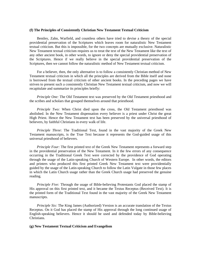#### **(f) The Principles of Consistently Christian New Testament Textual Criticism**

Bentley, Zahn, Warfield, and countless others have tried to devise a theory of the special providential preservation of the Scriptures which leaves room for naturalistic New Testament textual criticism. But this is impossible, for the two concepts are mutually exclusive. Naturalistic New Testament textual criticism requires us to treat the text of the New Testament like the text of any other ancient book, in other words, to ignore or deny the special providential preservation of the Scriptures. Hence if we really believe in the special providential preservation of the Scriptures, then we cannot follow the naturalistic method of New Testament textual criticism.

For a believer, then, the only alternative is to follow a consistently Christian method of New Testament textual criticism in which all the principles are derived from the Bible itself and none is borrowed from the textual criticism of other ancient books. In the preceding pages we have striven to present such a consistently Christian New Testament textual criticism, and now we will recapitulate and summarize its principles briefly:

*Principle One:* The Old Testament text was preserved by the Old Testament priesthood and the scribes and scholars that grouped themselves around that priesthood.

*Principle Two:* When Christ died upon the cross, the Old Testament priesthood was abolished. In the New Testament dispensation every believer is a priest under Christ the great High Priest. Hence the New Testament text has been preserved by the universal priesthood of believers, by faithful Christians in every walk of life.

*Principle Three*: The Traditional Text, found in the vast majority of the Greek New Testament manuscripts, is the True Text because it represents the God-guided usage of this universal priesthood of believers.

*Principle Four:* The first printed text of the Greek New Testament represents a forward step in the providential preservation of the New Testament. In it the few errors of any consequence occurring in the Traditional Greek Text were corrected by the providence of God operating through the usage of the Latin-speaking Church of Western Europe. In other words, the editors and printers who produced this first printed Greek New Testament text were providentially guided by the usage of the Latin-speaking Church to follow the Latin Vulgate in those few places in which the Latin Church usage rather than the Greek Church usage had preserved the genuine reading.

*Principle Five:* Through the usage of Bible-believing Protestants God placed the stamp of His approval on this first printed text, and it became the Textus Receptus (Received Text). It is the printed form of the Traditional Text found in the vast majority of the Greek New Testament manuscripts.

*Principle Six:* The King James (Authorized) Version is an accurate translation of the Textus Receptus. On it God has placed the stamp of His approval through the long continued usage of English-speaking believers. Hence it should be used and defended today by Bible-believing Christians.

#### **(g) New Testament Textual Criticism and Evangelism**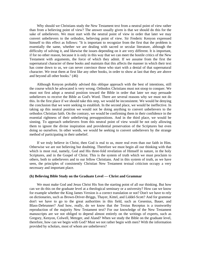Why should we Christians study the New Testament text from a neutral point of view rather than from a believing point of view? The answer usually given is that we should do this for the sake of unbelievers. We must start with the neutral point of view in order that later we may convert unbelievers to the orthodox, believing point of view. Sir Frederic Kenyon expressed himself to this effect as follows: "It is important to recognize from the first that the problem is essentially the same, whether we are dealing with sacred or secular literature, although the difficulty of solving it, and likewise the issues depending on it are very different. It is important, if for no other reason, because it is only in this way that we can meet the hostile critics of the New Testament with arguments, the force of which they admit. If we assume from the first the supernatural character of these books and maintain that this affects the manner in which their text has come down to us, we can never convince those who start with a denial of that supernatural character. We treat them at first like any other books, in order to show at last that they are above and beyond all other books." (46)

Although Kenyon probably advised this oblique approach with the best of intentions, still the course which he advocated is very wrong. Orthodox Christians must not stoop to conquer. We must not first adopt a neutral position toward the Bible in order that later we may persuade unbelievers to receive the Bible as God's Word. There are several reasons why we must not do this. In the first place if we should take this step, we would be inconsistent. We would be denying the conclusion that we were seeking to establish. In the second place, we would be ineffective. In taking up this neutral position we would not be doing anything to convert unbelievers to the orthodox Christian faith. On the contrary, we would be confirming them in their confidence in the essential rightness of their unbelieving presuppositions. And in the third place, we would be sinning. To approach unbelievers from this neutral point of view would be not only allowing them to ignore the divine inspiration and providential preservation of the Scriptures but even doing so ourselves. In other words, we would be seeking to convert unbelievers by the strange method of participating in their unbelief.

If we truly believe in Christ, then God is real to us, more real even than our faith in Him. Otherwise we are not believing but doubting. Therefore we must begin all our thinking with that which is most real, namely, God and His three-fold revelation of Himself in nature, in the holy Scriptures, and in the Gospel of Christ. This is the system of truth which we must proclaim to others, both to unbelievers and to our fellow Christians. And in this system of truth, as we have seen, the principles of consistently Christian New Testament textual criticism occupy a very necessary and important place.

#### **(h) Believing Bible Study on the Graduate Level — Christ and Grammar**

We must make God and Jesus Christ His Son the starting point of all our thinking. But how can we do this on the graduate level at a theological seminary or a university? How can we know for example whether the King James Version is a correct translation or not? Don't we have to rely on dictionaries, such as Brown-Driver-Briggs, Thayer, Kittel, and Liddel-Scott? And for grammar don't we have to go to the great authorities in this field, such as Gesenius, Bauer, and Blass-Debrunner? And how, really, do we know that the Textus Receptus is a trustworthy reproduction of the majority New Testament text? For our knowledge of the New Testament manuscripts are we not obliged to depend almost entirely on the writings of experts, such as Gregory, Kenyon, Colwell, Metzger, and Aland? When we study the Bible on the graduate level, therefore, how can we begin with God? Must we not rather begin with men? With the information provided by scholars, most of whom are unbelievers?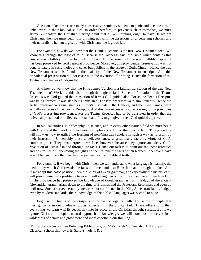Questions like these cause many conservative seminary students to panic and become virtual unbelievers in their biblical studies. In order therefore, to prevent such catastrophes, we must always emphasize the Christian starting point that all our thinking ought to have. If we are Christians, then we must begin our thinking not with the assertions of unbelieving scholars and their naturalistic human logic, but with Christ and the logic of faith.

For example, how do we know that the Textus Receptus is the true New Testament text? We know this through the logic of faith. Because the Gospel is true, the Bible which contains this Gospel was infallibly inspired by the Holy Spirit. And because the Bible was infallibly inspired it has been preserved by God's special providence. Moreover, this providential preservation was not done privately in secret holes and caves but publicly in the usage of God's Church. Hence the true New Testament text is found in the majority of the New Testament manuscripts. And this providential preservation did not cease with the invention of printing. Hence the formation of the Textus Receptus was God-guided.

And how do we know that the King James Version is a faithful translation of the true New Testament text? We know this also through the logic of faith. Since the formation of the Textus Receptus was God-guided the translation of it was God-guided also. For as the Textus Receptus was being formed, it was also being translated. The two processes were simultaneous. Hence the early Protestant versions, such as Luther's, Tyndale's, the Geneva, and the King James, were actually varieties of the Textus Receptus. And this was necessarily so according to the principles of God's preserving providence. For the Textus Receptus had to be translated in order that the universal priesthood of believers, the rank and file, might give it their God-guided approval.

In biblical studies, in philosophy, in science, and in every other learned field we must begin with Christ and then work out our basic principles according to the logic of faith. This procedure will show us how to utilize the learning of non-Christian scholars in such a way as to profit by their instruction. Undeniably these unbelievers know a great many facts by virtue of God's common grace. They misinterpret these facts however, because they ignore and deny God's revelation of Himself in and through the facts. Hence our task is to point out the inconsistencies and absurdities of unbelieving thought and then to take the facts which learned unbelievers have assembled and place them in their proper framework of biblical truth.

For example, if we begin with Christ, then we will understand what language is, namely, the medium by which God reveals the facts unto men and also Himself in and through the facts And if we adopt this basic position, then the study of Greek grammar, and especially the history of it, will prove immensely profitable to us and will strengthen our faith, for then we will see how God in His providence has preserved the knowledge of Greek grammar from the days of the ancient Alexandrian grammarians down to the time of Erasmus and the Protestant Reformers and even up until now. Such a survey certainly increases our confidence in the King James translators. Judged even by modern standards, their knowledge of the biblical languages was second to none.

Begin with Christ and the Gospel and follow the logic of faith. This is the principle that must guide us in our graduate studies, especially in the biblical field. If we adhere to it, then everything we learn will fit beautifully into its place in the Christian thought-system. But if we ignore Christ and adopt a neutral approach to knowledge, we will soon lose ourselves in a wilderness of details and grow more and more chaotic in our thinking.

(For further discussion see Believing Bible Study, pp. 51-52, 214-225. See also A History of Classical Scholarship, by J. E. Sandys, vols. 1 & 2.)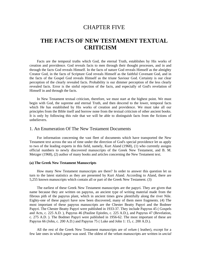# CHAPTER FIVE

# **THE FACTS OF NEW TESTAMENT TEXTUAL CRITICISM**

Facts are the temporal truths which God, the eternal Truth, establishes by His works of creation and providence. God reveals facts to men through their thought processes, and in and through the facts God reveals Himself. In the facts of nature God reveals Himself as the almighty Creator God, in the facts of Scripture God reveals Himself as the faithful Covenant God, and in the facts of the Gospel God reveals Himself as the triune Saviour God. Certainty is our clear perception of the clearly revealed facts. Probability is our dimmer perception of the less clearly revealed facts. Error is the sinful rejection of the facts, and especially of God's revelation of Himself in and through the facts.

In New Testament textual criticism, therefore, we must start at the highest point. We must begin with God, the supreme and eternal Truth, and then descend to the lower, temporal facts which He has established by His works of creation and providence. We must take all our principles from the Bible itself and borrow none from the textual criticism of other ancient books. It is only by following this rule that we will be able to distinguish facts from the fictions of unbelievers.

# 1. An Enumeration Of The New Testament Documents

For information concerning the vast fleet of documents which have transported the New Testament text across the sea of time under the direction of God's special providence let us apply to two of the leading experts in this field, namely, Kurt Aland (1968), (1) who currently assigns official numbers to newly discovered manuscripts of the Greek New Testament, and B. M. Metzger (1968), (2) author of many books and articles concerning the New Testament text.

#### **(a) The Greek New Testament Manuscripts**

How many New Testament manuscripts are there? In order to answer this question let us turn to the latest statistics as they are presented by Kurt Aland. According to Aland, there are 5,255 known manuscripts which contain all or part of the Greek New Testament. (3)

The earliest of these Greek New Testament manuscripts are the papyri. They are given that name because they are written on papyrus, an ancient type of writing material made from the fibrous pith of the papyrus plant, which in ancient times grew plentifully along the river Nile. Eighty-one of these papyri have now been discovered, many of them mere fragments. (4) The most important of these papyrus manuscripts are the Chester Beatty Papyri and the Bodmer Papyri. The Chester Beatty Papyri were published in 1933-37. They include Papyrus 45 ( Gospels and Acts, c. 225 A.D. ), Papyrus 46 (Pauline Epistles, c. 225 A.D.), and Papyrus 47 (Revelation, c. 275 A.D. ). The Bodmer Papyri were published in 1956-62. The most important of these are Papyrus 66 (John, c. 200 A.D.) and Papyrus 75 ( Luke and John 1: 15, c. 200 A.D.).

All the rest of the Greek New Testament manuscripts are of *velum* ( leather), except for a few late ones in which paper was used. The oldest of the velum manuscripts are written in *uncial*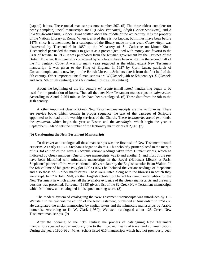(capital) letters. These uncial manuscripts now number 267. (5) The three oldest complete (or nearly complete) uncial manuscripts are B (*Codex Vaticanus*), *Aleph* (*Codex Sinaiticus)*, and *A (Codex Alexandrinus*). *Codex B* was written about the middle of the 4th century. It is the property of the Vatican Library at Rome. When it arrived there is not known, but it must have been before 1475, since it is mentioned in a catalogue of the library made in that year. *Codex Aleph* was discovered by Tischendorf in 1859 at the Monastery of St. Catherine on Mount Sinai. Tischendorf persuaded the monks to give it as a present (requited with money and favors) to the Czar of Russia. In 1933 it was purchased from the Russian government by the Trustees of the British Museum. It is generally considered by scholars to have been written in the second half of the 4th century. *Codex A* was for many years regarded as the oldest extant New Testament manuscript. It was given to the King of England in 1627 by Cyril Lucar, patriarch of Constantinople, and is now kept in the British Museum. Scholars date it from the first half of the 5th century. Other important uncial manuscripts are *W* (Gospels, 4th or 5th century), *D* (Gospels and Acts, 5th or 6th century), and *D2* (Pauline Epistles, 6th century).

About the beginning of the 9th century *minuscule* (small letter) handwriting began to be used for the production of books. Thus all the later New Testament manuscripts are *minuscules*. According to Aland, 2,764 minuscules have been catalogued. (6) These date from the 9th to the 16th century.

Another important class of Greek New Testament manuscripts are the *lectionaries*. These are service books which contain in proper sequence the text of the passages of Scripture appointed to be read at the worship services of the Church. These *lectionaries* are of two kinds, the *synaxaria*, which begin the year at Easter, and the *menologia*, which begin the year at September 1. Aland sets the number of the lectionary manuscripts at 2,143. (7)

#### **(b) Cataloguing the New Testament Manuscripts**

To discover and catalogue all these manuscripts was the first task of New Testament textual criticism. As early as 1550 Stephanus began to do this. This scholarly printer placed in the margin of his 3rd edition of the Textus Receptus variant readings taken from 15 manuscripts, which he indicated by Greek numbers. One of these manuscripts was *D* and another *L*, and most of the rest have been identified with minuscule manuscripts in the Royal (National) Library at Paris. Stephanus' pioneer efforts were continued 100 years later by the English scholar Brian Walton. In the 6th volume of his great Polyglot Bible (1657) he included the variant readings of Stephanus and also those of 15 other manuscripts. These were listed along with the libraries in which they were kept. In 1707 John Mill, another English scholar, published his monumental edition of the New Testament in which almost all the available evidence of the Greek manuscripts and the early versions was presented. Scrivener (1883) gives a list of the 82 Greek New Testament manuscripts which Mill knew and catalogued in his epoch making work.  $(8)$ 

The modern system of cataloguing the New Testament rnanuscripts was introduced by J. J. Wettstein in his two volume edition of the New Testament, published at Amsterdam in 1751-52. He designated the uncial manuscripts by capital letters and the minuscule manuscripts by Arabic numerals. According to K. W. Clark (1950), Wettstein catalogued about 125 Greek New Testament manuscripts. (9)

After the opening of the 19th century the process of cataloguing New Testament manuscripts speeded up tremendously due to the improved means of travel and communication. During the years 1820-36 J. M. A. Scholz listed 616 manuscripts which had not previously been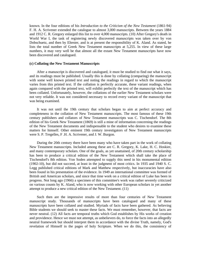known. In the four editions of his *Introduction to the Criticism of the New Testament* (1861-94) F. H. A. Scrivener extended the catalogue to almost 3,000 manuscripts. Between the years 1884 and 1912 C. R. Gregory enlarged this list to over 4,000 manuscripts. (10) After Gregory's death in World War I, the task of registering newly discovered manuscripts was taken over by von Dobschuetz, and then by Eltester, and is at present the responsibility of K. Aland. As stated, he lists the total number of Greek New Testament manuscripts at 5,255. In view of these large numbers, it may very well be that almost all the extant New Testament manuscripts have now been discovered and catalogued.

### **(c) Collating the New Testament Manuscripts**

After a manuscript is discovered and catalogued, it must be studied to find out what it says, and its readings must be published. Usually this is done by collating (comparing) the manuscript with some well known printed text and noting the readings in regard to which the manuscript varies from this printed text. If the collation is perfectly accurate, these variant readings, when again compared with the printed text, will exhibit perfectly the text of the manuscript which has been collated. Unfortunately, however, the collations of the earlier New Testament scholars were not very reliable. It was not considered necessary to record every variant of the manuscript that was being examined.

It was not until the 19th century that scholars began to aim at perfect accuracy and completeness in the collation of New Testament manuscripts. The most famous of these 19th century publishers and collators of New Testament manuscripts was C. Tischendorf. The 8th edition of his Greek New Testament (1869) is still a mine of information concerning the readings of the New Testament documents and indispensable to the student who desires to examine these matters for himself. Other eminent 19th century investigators of New Testament manuscripts were S. P. Tregelles, F .H. A. Scrivener, and J. W. Burgon.

During the 20th century there have been many who have taken part in the work of collating New Testament manuscripts. Included among these are C. R. Gregory, K. Lake, H. C. Hoskier, and many contemporary scholars. One of the goals, as yet unattained, of 20th century scholarship has been to produce a critical edition of the New Testament which shall take the place of Tischendorf's 8th edition. Von Soden attempted to supply this need in his monumental edition (1902-10), but did not succeed, at least in the judgment of most critics. In 1935 and 1940 S. C. Legg published critical editions of Mark and Matthew respectively, but inaccuracies have also been found in his presentation of the evidence. In 1949 an international committee was formed of British and American scholars, and since that time work on a critical edition of Luke has been in progress. Not long ago (1966) a specimen of this committee's work was rather severely criticized on various counts by K. Aland, who is now working with other European scholars in yet another attempt to produce a new critical edition of the New Testament. (11)

Such then are the impressive results of more than four centuries of New Testament manuscript study. Thousands of manuscripts have been catalogued and many of these manuscripts have been collated and studied. Myriads of facts have been gathered. As believing Bible students we should seek to master these facts. We must remember, however, that facts are never neutral. (12) All facts are temporal truths which God establishes by His works of creation and providence. Hence we must not attempt, as unbelievers do, to force the facts into an allegedly neutral framework but should interpret them in accordance with the divine Truth, namely, God's revelation of Himself in the pages of holy Scripture. When we do this, the consistency of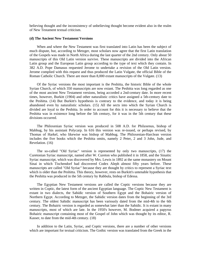believing thought and the inconsistency of unbelieving thought become evident also in the realm of New Testament textual criticism.

#### **(d) The Ancient New Testament Versions**

When and where the New Testament was first translated into Latin has been the subject of much dispute, but, according to Metzger, most scholars now agree that the first Latin translation of the Gospels was made in North Africa during the last quarter of the 2nd century. Only about 50 manuscripts of this Old Latin version survive. These manuscripts are divided into the African Latin group and the European Latin group according to the type of text which they contain. In 382 A.D. Pope Damasus requested Jerome to undertake a revision of the Old Latin version. Jerome complied with this request and thus produced the Latin Vulgate, the official Bible of the Roman Catholic Church. There are more than 8,000 extant manuscripts of the Vulgate. (13)

Of the Syriac versions the most important is the Peshitta, the historic Bible of the whole Syrian Church, of which 350 manuscripts are now extant. The Peshitta was long regarded as one of the most ancient New Testament versions, being accorded a 2nd-century date. In more recent times, however, Burkitt (1904) and other naturalistic critics have assigned a 5th-century date to the Peshitta. (14) But Burkitt's hypothesis is contrary to the evidence, and today it is being abandoned even by naturalistic scholars. (15) All the sects into which the Syrian Church is divided are loyal to the Peshitta. In order to account for this it is necessary to believe that the Peshitta was in existence long before the 5th century, for it was in the 5th century that these divisions occurred.

The Philoxenian Syriac version was produced in 508 A.D. for Philaxenus, bishop of Mabbug, by his assistant Polycarp. In 616 this version was re-issued, or perhaps revised, by Thomas of Harkel, who likewise was bishop of Mabbug. The Philoxenian-Harclean version includes the five books which the Peshitta omits, namely 2 Peter, 2 and 3 John, Jude, and Revelation. (16)

The so-called "Old Syriac" version is represented by only two manuscripts, (17) the Curetonian Syriac manuscript, named after W. Cureton who published it in 1858, and the Sinaitic Syriac manuscript, which was discovered by Mrs. Lewis in 1892 at the same monastery on Mount Sinai in which Tischendorf had discovered Codex Aleph almost fifty years before. These manuscripts are called "Old Syriac" because they are thought by critics to represent a Syriac text which is older than the Peshitta. This theory, however, rests on Burkitt's untenable hypothesis that the Peshitta was produced in the 5th century by Rabbula, bishop of Edessa.

The Egyptian New Testament versions are called the Coptic versions because they are written in Coptic, the latest form of the ancient Egyptian language. The Coptic New Testament is extant in two dialects, the Sahidic version of Southern Egypt and the Bohairic version of Northern Egypt. According to Metzger, the Sahidic version dates from the beginning of the 3rd century. The oldest Sahidic manuscript has been variously dated from the mid-4th to the 6th century. The Bohairic version is regarded as somewhat later than the Sahidic. It is extant in many manuscripts, most of which are late. In the 1950's however, M. Bodmer acquired a papyrus Bohairic manuscript containing most of the Gospel of John which was thought by its editor, R. Kasser, to date from the mid-4th century. (18)

In addition to the Latin, Syriac, and Coptic versions, there are a number of other versions which are important for textual criticism. The Gothic version was translated from the Greek in the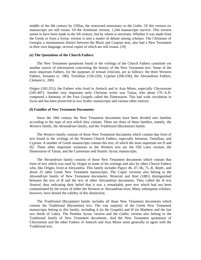middle of the 4th century by Ulfilas, the renowned missionary to the Goths. Of this version six manuscripts are still extant. Of the Armenian version, 1,244 manuscripts survive. This version seems to have been made in the 5th century, but by whom is uncertain. Whether it was made from the Greek or from a Syriac version is also a matter of debate among scholars. The Christians of Georgia, a mountainous district between the Black and Caspian seas, also had a New Testament in their own language, several copies of which are still extant. (19)

#### **(e) The Quotations of the Church Fathers**

The New Testament quotations found in the writings of the Church Fathers constitute yet another source of information concerning the history of the New Testament text. Some of the most important Fathers, for the purposes of textual criticism, are as follows: the three Western Fathers, Irenaeus (c. 180), Tertullian (150-220), Cyprian (200-258); the Alexandrian Fathers, Clement (c. 200)

Origen (182-251); the Fathers who lived in Antioch and in Asia Minor, especially Chrysostom (345-407). Another very important early Christian writer was Tatian, who about 170 A.D. composed a harmony of the Four Gospels called the Diatessaron. This had wide circulation in Syria and has been preserved in two Arabic manuscripts and various other sources.

#### **(f) Families of New Testament Documents**

Since the 18th century the New Testament documents have been divided into families according to the type of text which they contain. There are three of these families, namely, the *Western* family, the *Alexandrian* family, and the *Traditional* (Byzantine) family.

The *Western* family consists of those New Testament documents which contain that form of text found in the writings of the Western Church Fathers, especially Irenaeus, Tertullian, and Cyprian. A number of Greek manuscripts contain this text, of which the most important are D and D2. Three other important witnesses to the Western text are the Old Latin version, the Diatessaron of Tatian, and the Curetonian and Sinaitic Syriac manuscripts.

The *Alexandrian* family consists of those New Testament documents which contain that form of text which was used by Origen in some of his writings and also by other Church Fathers who, like Origen, lived at Alexandria. This family includes Papyri 46, 47, 66, 75, *B, Aleph*., and about 25 other Greek New Testament manuscripts. The Coptic versions also belong to the *Alexandrian* family of New Testament documents. Westcott and Hort (1881) distinguished between the text of *B* and the text of other Alexandrian documents. They called the *B* text *Neutral*, thus indicating their belief that it was a remarkably pure text which had not been contaminated by the errors of either the Western or Alexandrian texts. Many subsequent scholars, however, have denied the validity of this distinction.

The *Traditional* (Byzantine) family includes all those New Testament documents which contain the Traditional (Byzantine) text. The vast majority of the Greek New Testament manuscripts belong to this family, including *A* (in the Gospels) and *W* (in Matthew and the last two thirds of Luke). The Peshitta Syriac version and the Gothic version also belong to the Traditional family of New Testament documents. And the New Testament quotations of Chrysostom and the other Fathers of Antioch and Asia Minor seem generally to agree with the Traditional text.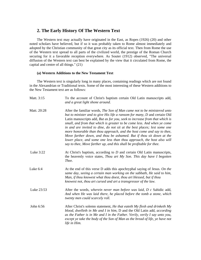# **2. The Early History Of The Western Text**

The Western text may actually have originated in the East, as Ropes (1926) (20) and other noted scholars have believed, but if so it was probably taken to Rome almost immediately and adopted by the Christian community of that great city as its official text. Then from Rome the use of the Western text spread to all parts of the civilized world, the prestige of the Roman Church securing for it a favorable reception everywhere. As Souter (1912) observed, "The universal diffusion of the Western text can best be explained by the view that it circulated from Rome, the capital and centre of all things." (21)

## **(a) Western Additions to the New Testament Text**

The Western text is singularly long in many places, containing readings which are not found in the Alexandrian or Traditional texts. Some of the most interesting of these Western additions to the New Testament text are as follows:

| Matt. 3:15  | To the account of Christ's baptism certain Old Latin manuscripts add,<br>and a great light shone around.                                                                                                                                                                                                                                                                                                                                                                                                                                                                                                                                                                                   |
|-------------|--------------------------------------------------------------------------------------------------------------------------------------------------------------------------------------------------------------------------------------------------------------------------------------------------------------------------------------------------------------------------------------------------------------------------------------------------------------------------------------------------------------------------------------------------------------------------------------------------------------------------------------------------------------------------------------------|
| Matt. 20:28 | After the familiar words, The Son of Man came not to be ministered unto<br>but to minister and to give His life a ransom for many, D and certain Old<br>Latin manuscripts add, But as for you, seek to increase from that which is<br>small, and from that which is greater to be come less. And when ye come<br>in and are invited to dine, do not sit at the best places; lest some one<br>more honorable than thou approach, and the host come and say to thee,<br>Move farther down, and thou be ashamed. But if thou sit down at the<br>lower place, and some one less than thou approach, the host also will<br>say to thee, Move farther up, and this shall be profitable for thee. |
| Luke 3:22   | At Christ's baptism, according to $D$ and certain Old Latin manuscripts,<br>the heavenly voice states, Thou art My Son. This day have I begotten<br>Thee.                                                                                                                                                                                                                                                                                                                                                                                                                                                                                                                                  |
| Luke 6:4    | At the end of this verse $D$ adds this apochryphal saying of Jesus. On the<br>same day, seeing a certain man working on the sabbath, He said to him,<br>Man, if thou knowest what thou doest, thou art blessed, but if thou<br>knowest not, thou art cursed and art a transgressor of the law.                                                                                                                                                                                                                                                                                                                                                                                             |
| Luke 23:53  | After the words, wherein never man before was laid, D c Sahidic add,<br>And when He was laid there, he placed before the tomb a stone, which<br>twenty men could scarcely roll.                                                                                                                                                                                                                                                                                                                                                                                                                                                                                                            |
| John 6:56   | After Christ's solemn statement, He that eateth My flesh and drinketh My<br>blood, dwelleth in Me and I in him, D and the Old Latin add, according<br>as the Father is in Me and I in the Father. Verily, verily I say unto you,<br>except ye take the body of the Son of Man as the bread of life, ye have not<br>life in Him.                                                                                                                                                                                                                                                                                                                                                            |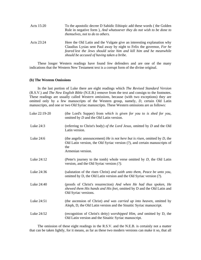| Acts 15:20 | To the apostolic decree D Sahidic Ethiopic add these words (the Golden<br>Rule in negative form ), And whatsoever they do not wish to be done to<br>themselves, not to do to others.                                                                                 |
|------------|----------------------------------------------------------------------------------------------------------------------------------------------------------------------------------------------------------------------------------------------------------------------|
| Acts 23:24 | Here the Old Latin and the Vulgate give an interesting explanation why<br>Claudius Lysias sent Paul away by night to Felix the governor, For he<br>feared lest the Jews should seize him and kill him and he meanwhile<br>should be accused of having taken a bribe. |

These longer Western readings have found few defenders and are one of the many indications that the Western New Testament text is a corrupt form of the divine original.

#### **(b) The Westem Omissions**

In the last portion of Luke there are eight readings which *The Revised Standard Version* (R.S.V.) and *The New English Bible* (N.E.B.) remove from the text and consign to the footnotes. These readings are usually called *Western omissions*, because (with two exceptions) they are omitted only by a few manuscripts of the Western group, namely, *D*, certain Old Latin manuscripts, and one or two Old Syriac manuscripts. These Western omissions are as follows:

| Luke 22:19-20 | (the Lord's Supper) from which is given for you to is shed for you,<br>omitted by $D$ and the Old Latin version.                                                                        |
|---------------|-----------------------------------------------------------------------------------------------------------------------------------------------------------------------------------------|
| Luke 24:3     | (referring to Christ's body) of the Lord Jesus, omitted by D and the Old<br>Latin version.                                                                                              |
| Luke $24:6$   | (the angelic announcement) $He$ is not here but is risen, omitted by $D$ , the<br>Old Latin version, the Old Syriac version (?), and certain manuscripts of<br>the<br>Armenian version. |
| Luke 24:12    | (Peter's journey to the tomb) whole verse omitted by $D$ , the Old Latin<br>version, and the Old Syriac version (?).                                                                    |
| Luke 24:36    | (salutation of the risen Christ) and saith unto them, Peace be unto you,<br>omitted by D, the Old Latin version and the Old Syriac version (?).                                         |
| Luke 24:40    | (proofs of Christ's resurrection) And when He had thus spoken, He<br>shewed them His hands and His feet, omitted by D and the Old Latin and<br>Old Syriac versions.                     |
| Luke 24:51    | (the ascension of Christ) and was carried up into heaven, omitted by<br>Aleph, D, the Old Latin version and the Sinaitic Syriac manuscript.                                             |
| Luke 24:52    | (recognition of Christ's deity) worshipped Him, and omitted by D, the<br>Old Latin version and the Sinaitic Syriac manuscript.                                                          |

The omission of these eight readings in the R.S.V. and the N.E.B. is certainly not a matter that can be taken lightly, for it means, as far as these two modern versions can make it so, that all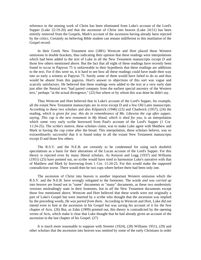reference to the atoning work of Christ has been eliminated from Luke's account of the Lord's Supper (Luke 22:19-20) and that the ascension of Christ into heaven (Luke 24:51) has been entirely removed from the Gospels, Mark's account of the ascension having already been rejected by the critics. Certainly no believing Bible student can remain indifferent to this mutilation of the Gospel record.

In their Greek New Testament text (1881) Westcott and Hort placed these Western omissions in double brackets, thus indicating their opinion that these readings were interpolations which had been added to the text of Luke in all the New Testament manuscripts except *D* and those few others mentioned above. But the fact that all eight of these readings have recently been found to occur in Papyrus 75 is unfavorable to their hypothesis that these readings are additions to the text. For if this were so, it is hard to see how all these readings could have made their way into so early a witness as Papyrus 75. Surely some of them would have failed to do so and thus would be absent from this papyrus. Hort's answer to objections of this sort was vague and scarcely satisfactory. He believed that these readings were added to the text at a very early date just after the Neutral text "had parted company from the earliest special ancestry of the Western text," perhaps "at the actual divergence," (22) but where or by whom this was done he didn't say.

Thus Westcott and Hort believed that in Luke's account of the Lord's Supper, for example, all the extant New Testament manuscripts are in error except D and a few Old Latin manuscripts. According to these two scholars and also Kilpatrick (1946) (23) and Chadwick (1957), (24) the reading, *which is given for you: this do in remembrance of Me. Likewise the cup after supper, saying, This cup is the new testament in My blood, which is shed for you,* is an interpolation which some very early scribe borrowed from Paul's account of the Lord's Supper (1 Cor. 11:24-25). The scribe's motive, these scholars claim, was to make Luke agree with Matthew and Mark in having the cup come after the bread. This interpolation, these scholars believe, was so extraordinarily successful that it is found today in all the extant New Testament manuscripts except *D* and those few others.

The R.S.V. and the N.E.B. are certainly to be condemned for using such doubtful speculations as a basis for their alterations of the Lucan account of the Lord's Supper. For this theory is rejected even by many liberal scholars. As Kenyon and Legg (1937) and Williams (1951) (25) have pointed out, no scribe would have tried to harmonize Luke's narrative with that of Matthew and Mark by borrowing from 1 Cor. 11:24-25. For this would make the supposed contradiction worse. There would then be two cups where before there had been only one.

The ascension of Christ into heaven is another important Western omission which the R.S.V. and the N.E.B. have wrongly relegated to the footnotes. The words *and was carried up into heaven* are found not in "some" documents or "many" documents, as these two modernistic versions misleadingly state in their footnotes, but in *all* the New Testament documents except those few mentioned above. Westcott and Hort believed that these words were not originally a part of Luke's Gospel but were inserted by a scribe who thought that the ascension was implied by the preceding words, *He was parted from them.* According to Westcott and Hort, Luke did not intend even to hint at the ascension in his Gospel but was saving his account of it for the first chapter of Acts. (26) But, as Zahn (1909) pointed out, this theory is contradicted by the opening verses of Acts, which make it clear that Luke thought that he had already given an account of the ascension in the last chapter of his Gospel. (27)

It is much more reasonable to suppose with Streeter (1924), (28) Williams 1951), (29) and other scholars that the ascension into heaven was omitted by some of the early Christians in order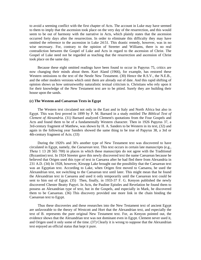to avoid a seeming conflict with the first chapter of Acts. The account in Luke may have seemed to them to imply that the ascension took place on the very day of the resurrection, and this would seem to be out of harmony with the narrative in Acts, which plainly states that the ascension occurred forty days after the resurrection. In order to eliminate this difficulty they may have omitted the reference to the ascension in Luke 24:51. This drastic remedy, however, was in no wise necessary. For, contrary to the opinion of Streeter and Williams, there is no real contradiction between the Gospel of Luke and Acts in regard to the ascension of Christ. The Gospel of Luke need not be regarded as teaching that the resurrection and ascension of Christ took place on the same day.

Because these eight omitted readings have been found to occur in Papyrus 75, critics are now changing their minds about them. Kurt Aland (1966), for example, has restored these Western omissions to the text of the Nestle New Testament. (30) Hence the R.S.V., the N.E.B., and the other modern versions which omit them are already out of date. And this rapid shifting of opinion shows us how untrustworthy naturalistic textual criticism is. Christians who rely upon it for their knowledge of the New Testament text are to be pitied. Surely they are building their house upon the sands.

#### **(c) The Westem and Caesarean Texts in Egypt**

The Western text circulated not only in the East and in Italy and North Africa but also in Egypt. This was first proved in 1899 by P. M. Barnard in a study entitled *The Biblical Text of Clement of Alexandria*. (31*)* Barnard analyzed Clement's quotations from the Four Gospels and Acts and found them to be of a fundamentally Western character. Then in 1926 Papyrus 37, a 3rd-century fragment of Matthew, was shown by H. A. Sanders to be Western in its text, (32) and again in the following year Sanders showed the same thing to be true of Papyrus 38, a 3rd or 4th-century fragment of Acts. (33)

During the 1920's and 30's another type of New Testament text was discovered to have circulated in Egypt, namely, the *Caesarean* text. This text occurs in certain late manuscripts (e.g., *Theta* 1 13 28 565 700) in places in which these manuscripts do not agree with the Traditional (Byzantine) text. In 1924 Streeter gave this newly discovered text the name Caesarean because he believed that Origen used this type of text in Caesarea after he had fled there from Alexandria in 231 A.D. (34) In 1928, however, Kirsopp Lake brought out the possibility that the Caesarean text was an Egyptian text. According to Lake, when Origen first moved to Caesarea, he used the Alexandrian text, not switching to the Caesarean text until later. This might mean that he found the Alexandrian text in Caesarea and used it only temporarily until the Caesarean text could be sent to him out of Egypt. (35) Then, finally, in 1933-37 F. G. Kenyon published the newly discovered Chester Beatty Papyri. In Acts, the Pauline Epistles and Revelation he found them to possess an Alexandrian type of text, but in the Gospels, and especially in Mark, he discovered them to be Caesarean. (36) This discovery provided one more link in the chain binding the Caesarean text to Egypt.

Thus these discoveries and these researches into the New Testament text of ancient Egypt are unfavorable to the theory of Westcott and Hort that the Alexandrian text, and especially the text of B. represents the pure original New Testament text. For, as Kenyon pointed out, the evidence shows that the Alexandrian text was not dominant even in Egypt. Clement never used it, and Origen used it only some of the time. (37) Clearly it is wrong to suppose that the Alexandrian text enjoyed an official status that kept it pure.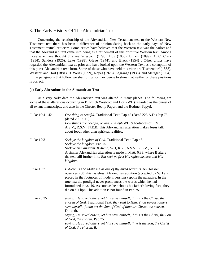# 3. The Early History Of The Alexandrian Text

Concerning the relationship of the Alexandrian New Testament text to the Western New Testament text there has been a difference of opinion dating back to the early days of New Testament textual criticism. Some critics have believed that the Western text was the earlier and that the Alexandrian text came into being as a refinement of this primitive Western text. Among those who have thought this are Griesbach (1796), Hug (1808), Burkitt (1899), A. C. Clark (1914), Sanders (1926), Lake (1928), Glaue (1944), and Black (1954) . Other critics have regarded the Alexandrian text as prior and have looked upon the Western Text as a corruption of this purer Alexandrian text-form. Some of those who have held this view are Tischendorf (1868), Westcott and Hort (1881), B. Weiss (1899), Ropes (1926), Lagrange (1935), and Metzger (1964). In the paragraphs that follow we shall bring forth evidence to show that neither of these positions is correct.

#### **(a) Early Alterations in the Alexandrian Text**

At a very early date the Alexandrian text was altered in many places. The following are some of these alterations occurring in B. which Westcott and Hort (WH) regarded as the purest of all extant manuscripts, and also in the Chester Beatty Papyri and the Bodrner Papyri.

| Luke 10:41-42 | One thing is needful. Traditional Text, Pap 45 (dated 225 A.D.) Pap 75<br>(dated 200 A.D.).                                                                                                                                                                                                                                                                                                                                                                             |
|---------------|-------------------------------------------------------------------------------------------------------------------------------------------------------------------------------------------------------------------------------------------------------------------------------------------------------------------------------------------------------------------------------------------------------------------------------------------------------------------------|
|               | Few things are needful, or one. B Aleph WH & footnotes of R.V.,<br>A.S.V., R.S.V., N.E.B. This Alexandrian alteration makes Jesus talk<br>about food rather than spiritual realities.                                                                                                                                                                                                                                                                                   |
| Luke 12:31    | Seek ye the kingdom of God. Traditional Text, Pap 45.<br>Seek ye the kingdom. Pap 75.<br>Seek ye His kingdom. B Aleph, WH, R.V., A.S.V., R.S.V., N.E.B.<br>A similar Alexandrian alteration is made in Matt. 6:33, where B alters<br>the text still further into, But seek ye first His righteousness and His<br>kingdom.                                                                                                                                               |
| Luke 15:21    | B Aleph D add Make me as one of thy hired servants. As Hoskier<br>observes, (38) this tasteless Alexandrian addition (accepted by WH and<br>placed in the footnotes of modern versions) spoils the narrative. In the<br>true text the prodigal never pronounces the words which he had<br>formulated in vs. 19. As soon as he beholds his father's loving face, they<br>die on his lips. This addition is not found in Pap 75.                                          |
| Luke 23:35    | saying, He saved others, let him save himself, if this is the Christ, the<br>chosen of God. Traditional Text. they said to Him, Thou savedst others,<br>save thyself, if thou art the Son of God, if thou art Christ, the chosen.<br>D c aeth.<br>saying, He saved others, let him save himself, if this is the Christ, the Son<br>of God, the chosen. Pap 75.<br>saying, He saved others, let him save himself, if he is the Son, the Christ<br>of God, the chosen. B. |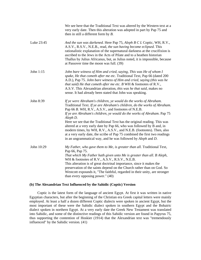|            | We see here that the Traditional Text was altered by the Western text at a<br>very early date. Then this alteration was adopted in part by Pap 75 and<br>then in still a different form by $B$ .                                                                                                                                                                                                                                                                                                                                                                                                                                                                                     |
|------------|--------------------------------------------------------------------------------------------------------------------------------------------------------------------------------------------------------------------------------------------------------------------------------------------------------------------------------------------------------------------------------------------------------------------------------------------------------------------------------------------------------------------------------------------------------------------------------------------------------------------------------------------------------------------------------------|
| Luke 23:45 | And the sun was darkened. Here Pap 75, Aleph B C L Coptic, WH, R.V.,<br>A.S.V., R.S.V., N.E.B., read, the sun having become eclipsed. This<br>rationalistic explanation of the supernatural darkness at the crucifixion is<br>ascribed to the Jews in the Acts of Pilate and to a heathen historian<br>Thallus by Julius Africanus, but, as Julius noted, it is impossible, because<br>at Passover time the moon was full. (39)                                                                                                                                                                                                                                                      |
| John 1:15  | John bare witness of Him and cried, saying, This was He of whom I<br>spake, He that cometh after me etc. Traditional Text, Pap 66 (dated 200<br>A.D.), Pap 75. John bare witness of Him and cried, saying (this was he<br>that said) He that cometh after me etc. $B$ WH $\&$ footnotes of R.V.,<br>A.S.V. This Alexandrian alteration, this was he that said, makes no<br>sense. It had already been stated that John was speaking.                                                                                                                                                                                                                                                 |
| John 8:39  | If ye were Abraham's children, ye would do the works of Abraham.<br>Traditional Text. If ye are Abraham's children, do the works of Abraham.<br>Pap 66 B. WH, R.V., A.S.V., and footnotes of N.E.B.<br>If ye are Abraham's children, ye would do the works of Abraham. Pap 75<br>Aleph D.<br>Here we see that the Traditional Text has the original reading. This was<br>altered at a very early date by Pap 66, who was followed by B and, in<br>modern times, by WH, R.V., A.S.V., and N.E.B. (footnotes). Then, also<br>at a very early date, the scribe of Pap 75 combined the first two readings<br>in an ungrammatical way, and he was followed by <i>Aleph</i> and <i>D</i> . |
| John 10:29 | My Father, who gave them to Me, is greater than all. Traditional Text,<br>Pap 66, Pap 75.<br>That which My Father hath given unto Me is greater than all. B Aleph,<br>WH & footnotes of R.V., A.S.V., R.S.V., N.E.B.<br>This alteration is of great doctrinal importance, since it makes the<br>preservation of the saints depend on the Church rather than on God. So<br>Westcott expounds it, "The faithful, regarded in their unity, are stronger<br>than every opposing power." $(40)$                                                                                                                                                                                           |

## **(b) The Alexandrian Text Influenced by the Sahidic (Coptic) Version**

Coptic is the latest form of the language of ancient Egypt. At first it was written in native Egyptian characters, but after the beginning of the Christian era Greek capital letters were mainly employed. At least a half a dozen different Coptic dialects were spoken in ancient Egypt, but the most important of these were the Sahidic dialect spoken in southern Egypt and the Bohairic dialect spoken in northern Egypt. At a very early date the Greek New Testament was translated into Sahidic, and some of the distinctive readings of this Sahidic version are found in Papyrus 75, thus supporting the contention of Hoskier (1914) that the Alexandrian text was "tremendously influenced" by the Sahidic version. (41)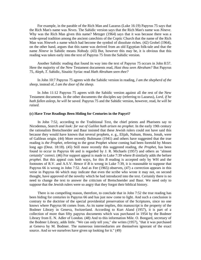For example, in the parable of the Rich Man and Lazarus (Luke 16:19) Papyrus 75 says that the Rich Man's name was *Neves*. The Sahidic version says that the Rich Man's name was *Nineve*. Why was the Rich Man given this name? Metzger (1964) says that it was because there was a wide-spread tradition among the ancient catechists of the Coptic Church that the name of the Rich Man was *Nineveh* a name which had become the symbol of dissolute riches. (42) Grobel (1964), on the other hand, argues that this name was derived from an old Egyptian folk-tale and that the name *Nineve* in Sahidic means *Nobody*. (43) But, however this may be, it is obvious that this reading was taken early into the text of Papyrus 75 from the Sahidic version.

Another Sahidic reading that found its way into the text of Papyrus 75 occurs in John 8:57. Here the majority of the New Testament documents read, *Hast thou seen Abraham?* But Papyrus 75, *Aleph*, *T*. Sahidic, Sinaitic Syriac read *Hath Abraham seen thee?* 

In John 10:7 Papyrus 75 agrees with the Sahidic version in reading*, I am the shepherd of the sheep*, instead of, *I am the door of the sheep.* 

In John 11:12 Papyrus 75 agrees with the Sahidic version against all the rest of the New Testament documents. In the other documents the disciples say (referring to Lazarus), *Lord, if he hath fallen asleep, he will be saved*. Papyrus 75 and the Sahidic version, however, read, *he will be raised.* 

#### **(c) Have True Readings Been Hiding for Centuries in the Papyri?**

In John 7:52, according to the Traditional Text, the chief priests and Pharisees say to Nicodemus, *Search and look: for out of Galilee hath arisen no prophet*. In the early 19th century the rationalists Bretschneider and Baur insisted that these Jewish rulers could not have said this because they would have known that several prophets, e. g., Elijah, Nahum, Hosea, Jonah, were of Galilean origin. (44) More recently Bultmann (1941) and others have suggested that the true reading is *the Prophet*, referring to the great Prophet whose coming had been foretold by Moses long ago (Deut. 18:18). (45) Still more recently this suggested reading, *the Prophet*, has been found to occur in Papyrus 66 and is regarded by J. R. Michaels (1957) and others as "almost certainly" correct. (46) For support appeal is made to Luke 7:39 where *B* similarly adds *the* before *prophet*. But this appeal cuts both ways, for this *B* reading is accepted only by WH and the footnotes of R.V. and A.S.V. Hence if *B* is wrong in Luke 7:39, it is reasonable to suppose that Papyrus 66 is wrong in John 7:52. And as Fee (1965) observes, (47) a correction appears in this verse in Papyrus 66 which may indicate that even the scribe who wrote it may not, on second thought, have approved of the novelty which he had introduced into the text. Certainly there is no need to change the text to answer the criticism of Bretschneider and Baur. We need only to suppose that the Jewish rulers were so angry that they forgot their biblical history.

There is no compelling reason, therefore, to conclude that in John 7:52 the true reading has been hiding for centuries in Papyrus 66 and has just now come to light. And such a conclusion is contrary to the doctrine of the special providential preservation of the Scriptures, since no one knows where Papyrus 66 comes from. As its name implies, this manuscript is the property of the Bodmer Library in Geneva, Switzerland. According to Kurt Aland (1957), it is part of a collection of more than fifty papyrus documents which was purchased in 1954 by the Bodmer Library from E. N. Adler of London. (48) And to this information Mile. O. Bongard, secretary of the Bodmer Library, adds little. "We can only tell you," she writes (1957), "that it was purchased at Geneva by M. Bodmer. The numerous intermediaries are themselves ignorant of the exact source. And so we ourselves have given up looking for it." (49)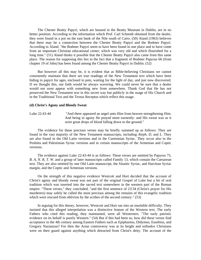The Chester Beatty Papyri, which are housed in the Beatty Museum in Dublin, are in no better position. According to the information which Prof. Carl Schmidt obtained from the dealer, they were found in a pot on the east bank of the Nile south of Cairo. (50) Aland (1963) believes that there may be a connection between the Chester Beatty Papyri and the Bodmer Papyri. According to Aland, "the Bodmer Papyri seem to have been found in one place and to have come from an important Christian educational center, which was very old and which flourished for a long time." (51) Aland thinks it possible that the Chester Beatty Papyri also came from this same place. The reason for supposing this lies in the fact that a fragment of Bodmer Papyrus 66 (from chapter 19 of John) has been found among the Chester Beatty Papyri in Dublin. (52)

But however all this may be, it is evident that as Bible-believing Christians we cannot consistently maintain that there are true readings of the New Testament text which have been hiding in papyri for ages, enclosed in pots, waiting for the light of day, and just now discovered. If we thought this, our faith would be always wavering. We could never be sure that a dealer would not soon appear with something new from somewhere. Thank God that He has not preserved the New Testament text in this secret way but publicly in the usage of His Church and in the Traditional Text and the Textus Receptus which reflect this usage.

## **(d) Christ's Agony and Bloody Sweat**

Luke 22:43-44 "And there appeared an angel unto Him from heaven strengthening Him. And being in agony He prayed more earnestly: and His sweat was as it were great drops of blood falling down to the ground."

The evidence for these precious verses may be briefly summed up as follows: They are found in the vast majority of the New Testament manuscripts, including *Aleph, D,* and *L*. They are also found in the Old Latin versions and in the Curetonian Syriac. They occur also in the Peshitta and Palestinian Syriac versions and in certain manuscripts of the Armenian and Coptic versions.

The evidence against Luke 22:43-44 is as follows: These verses are omitted by Papyrus 75*, B. A, N. R, T. W*. and a group of later manuscripts called Family 13, which contain the Caesarean text. They are also omitted by one Old Latin manuscript, the Sinaitic Syriac, and Harclean Syriac margin, and the Coptic and Armenian versions.

On the strength of this negative evidence Westcott and Hort decided that the account of Christ's agony and bloody sweat was not part of the original Gospel of Luke but a bit of oral tradition which was inserted into the sacred text somewhere in the western part of the Roman empire. "These verses," they concluded, "and the first sentence of 23:34 (Christ's prayer for His murderers) may safely be called the most precious among the remains of this evangelic tradition which were rescued from oblivion by the scribes of the second century." (53)

In arguing for this theory, however, Westcott and Hort ran into an insoluble difficulty. They insisted that this alleged interpolation was a distinctive feature of the Western text. The early Fathers who cited this reading, they maintained, were all Westerners. "The early patristic evidence on its behalf is purely Western." (54) But if this had been so, how did these verses find acceptance in the 4th century among Eastern Fathers such as Epiphanius, Didymus, Eusebius, and Gregory Nazianzus? For then the Arian controversy was at its height and orthodox Christians were on their guard against anything which detracted from Christ's deity. The account of the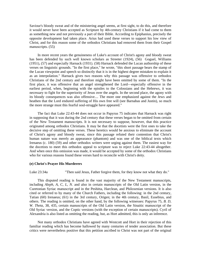Saviour's bloody sweat and of the ministering angel seems, at first sight, to do this, and therefore it would never have been accepted as Scripture by 4th-century Christians if it had come to them as something new and not previously a part of their Bible. According to Epiphanius, precisely the opposite development had taken place. Arius had used these verses to support his low view of Christ, and for this reason some of the orthodox Christians had removed them from their Gospel manuscripts. (55)

In more recent years the genuineness of Luke's account of Christ's agony and bloody sweat has been defended by such well known scholars as Streeter (1924), (56) Goguel, Williams (1951), (57) and especially Harnack (1931). (58) Harnack defended the Lucan authorship of these verses on linguistic grounds. "In the first place," he wrote, "this short passage bears the stamp of the Lucan viewpoint and speech so distinctly that it is in the highest degree mistaken to explain it as an interpolation." Harnack gives two reasons why this passage was offensive to orthodox Christians of the 2nd century and therefore might have been omitted by some of them. "In the first place, it was offensive that an angel strengthened the Lord—especially offensive in the earliest period, when, beginning with the epistles to the Colossians and the Hebrews, it was necessary to fight for the superiority of Jesus over the angels. In the second place, the agony with its bloody consequences was also offensive.... The more one emphasized against the Jews and heathen that the Lord endured suffering of His own free will (see Barnabas and Justin), so much the more strange must this fearful soul-struggle have appeared."

The fact that Luke 22:43-44 does not occur in Papyrus 75 indicates that Harnack was right in supposing that it was during the 2nd century that these verses began to be omitted from certain of the New Testament manuscripts. It is not necessary to suppose, however, that this practice originated among orthodox Christians. It may be that the docetists were the first ones to take the decisive step of omitting these verses. These heretics would be anxious to eliminate the account of Christ's agony and bloody sweat, since this passage refuted their contention that Christ's human nature was merely an appearance (phantom) and was one of the biblical texts which Irenaeus (c. 180) (59) and other orthodox writers were urging against them. The easiest way for the docetists to meet this orthodox appeal to scripture was to reject Luke 22:43-44 altogether. And when once this omission was made, it would be accepted by some of the orthodox Christians who for various reasons found these verses hard to reconcile with Christ's deity.

#### **(e) Christ's Prayer His Murderers**

Luke 23:34a "Then said Jesus, Father forgive them, for they know not what they do."

This disputed reading is found in the vast majority of the New Testament manuscripts, including *Aleph, A, C, L, N.* and also in certain manuscripts of the Old Latin version, in the Curetonian Syriac manuscript and in the Peshitta, Harclean, and Philoxenian versions. It is also cited or referred to by many of the Church Fathers, including the following: in the 2nd century, Tatian (60) Irenaeus; (61) in the 3rd century, Origen; in the 4th century, Basil, Eusebius, and others. The reading is omitted, on the other hand, by the following witnesses: Papyrus 75, *B. D, W. Theta,* 38, 435, certain manuscripts of the Old Latin version, the Sinaitic manuscript of the Old Syriac version, and the Coptic versions (with the exception of certain manuscripts). Cyril of Alexandria is also listed as omitting the reading, but, as Hort admitted, this is only an inference.

Not many orthodox Christians have agreed with Westcott and Hort in their rejection of this familiar reading which has become hallowed by many centuries of tender association. But these critics were nevertheless positive that this petition ascribed to Christ was not part of the original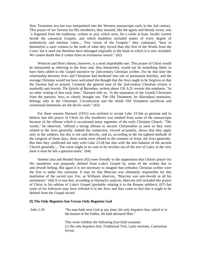New Testament text but was interpolated into the Western manuscripts early in the 2nd century. This prayer of our Saviour for His murderers, they insisted, like the agony and bloody sweat, was "a fragment from the traditions, written or oral, which were, for a while at least, locally current beside the canonical Gospels, and which doubtless included matter of every degree of authenticity and intrinsic value.... Few verses of the Gospels," they continued, "bear in themselves a surer witness to the truth of what they record than this first of the Words from the Cross: but it need not therefore have belonged originally to the book in which it is now included. We cannot doubt that it comes from an extraneous source." (62)

Westcott and Hort's theory, however, is a most improbable one. This prayer of Christ would be interpreted as referring to the Jews and, thus interpreted, would not be something likely to have been added to the Gospel narrative by 2nd-century Christian scribes. For by that time the relationship between Jews and Christians had hardened into one of permanent hostility, and the average Christian would not have welcomed the thought that the Jews ought to be forgiven or that the Saviour had so prayed. Certainly the general tone of the 2nd-century Christian writers is markedly anti-Jewish. *The Epistle of Barnabas,* written about 130 A.D. reveals this emphasis. "In no other writing of that early time," Harnack tells us, "is the separation of the Gentile Christians from the patriotic Jews so clearly brought out. The Old Testament, he (Barnabas) maintains, belongs only to the Christians. Circumcision and the whole Old Testament sacrificial and ceremonial institution are the devil's work." (63)

For these reasons Harnack (1931) was inclined to accept Luke 23:34a as genuine and to believe that this prayer of Christ for His murderers was omitted from some of the manuscripts because of the offense which it occasioned many segments of the early Christian Church. "The words," he observed, "offered a strong offense to ancient Christendom as soon as they were related to the Jews generally. Indeed the connection, viewed accurately, shows that they apply only to the soldiers; but this is not said directly, and so, according to the far-sighted methods of the exegesis of those days, these words were related to the enemies of Jesus, the Jews generally. But then they conflicted not only with Luke 23:28 but also with the anti-Judaism of the ancient Church generally.... The verse ought in no case to be stricken out of the text of Luke; at the very most it must be left a question mark." (64)

Streeter also and Rendel Harris (65) were friendly to the supposition that Christ's prayer for His murderers was purposely deleted from Luke's Gospel by some of the scribes due to anti-Jewish feeling. But again it is not necessary to imagine that orthodox Christian scribes were the first to make this omission. It may be that Marcion was ultimately responsible for this mutilation of the sacred text. For, as Williams observes, "Marcion was anti-Jewish in all his sentiments." (66) It is true that, according to Harnack's analysis, Marcion still included this prayer of Christ in his edition of Luke's Gospel (probably relating it to the Roman soldiers), (67) but some of his followers may have referred it to the Jews and thus come to feel that it ought to be deleted from the Gospel record.

#### **(f) The Only Begotten Son Versus Only Begotten God**

 John 1:18 "No man hath seen God at any time; *the only begotten Son,* which is in the bosom of the Father, He hath declared Him."

> This verse exhibits the following four-fold variation: (1*) the only begotten Son,* Traditional Text, Latin versions, Curetonian Syriac.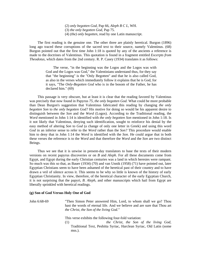(2) *only begotten God,* Pap 66, *Aleph B C L,* WH. (3) *the only begotten God,* Pap 75. (4) *(the) only begotten,* read by one Latin manuscript.

The first reading is the genuine one. The other three are plainly heretical. Burgon (1896) long ago traced these corruptions of the sacred text to their source, namely Valentinus. (68) Burgon pointed out that the first time John 1:18 is quoted by any of the ancients a reference is made to the doctrines of Valentinus. This quotation is found in a fragment entitled *Excerpts from Theodotus,* which dates from the 2nd century. R. P. Casey (1934) translates it as follows:

> The verse, "in the beginning was the Logos and the Logos was with God and the Logos was God," the Valentinians understand thus, for they say that "the beginning" is the "Only Begotten" and that he is also called God, as also in the verses which immediately follow it explains that he is God, for it says, "The *Only-Begotten God* who is in the bosom of the Father, he has declared him." (69)

This passage is very obscure, but at least it is clear that the reading favored by Valentinus was precisely that now found in Papyrus *75, the only begotten God.* What could be more probable than Dean Burgon's suggestion that Valentinus fabricated this reading by changing *the only begotten Son* to *the only begotten God?* His motive for doing so would be his apparent desire to distinguish between the *Son* and the *Word* (Logos). According to the Traditional reading, the *Word* mentioned in John 1:14 is identified with *the only begotten Son* mentioned in John 1:18. Is it not likely that Valentinus, denying such identification, sought to reinforce his denial by the easy method of altering *Son* to *God* (a change of only one letter in Greek) and using this word *God* in an inferior sense to refer to the *Word* rather than the *Son?* This procedure would enable him to deny that in John 1:14 the *Word* is identified with the *Son.* He could argue that in both these verses the reference is to the *Word* and that therefore the *Word* and the *Son* are two distinct Beings.

Thus we see that it is unwise in present-day translators to base the texts of their modern versions on recent papyrus discoveries or on *B* and *Aleph.* For all these documents come from Egypt, and Egypt during the early Christian centuries was a land in which heresies were rampant. So much was this so that, as Bauer (1934) (70) and van Unnik (1958) (71) have pointed out, later Egyptian Christians seem to have been ashamed of the heretical past of their country and to have drawn a veil of silence across it. This seems to be why so little is known of the history of early Egyptian Christianity. In view, therefore, of the heretical character of the early Egyptian Church, it is not surprising that the papyri, *B*. *Aleph,* and other manuscripts which hail from Egypt are liberally sprinkled with heretical readings.

#### **(g) Son of God Versus Holy One of God**

John 6:68-69 "Then Simon Peter answered Him, Lord, to whom shall we go? Thou hast the words of eternal life. And we believe and are sure that Thou art *the Christ, the Son of the living God."* 

This verse exhibits the following four-fold variation:

(1) *the Christ, the Son of the living God,*  Traditional Text, Peshitta Syriac, Harclean Syriac, Old Latin (some mss.).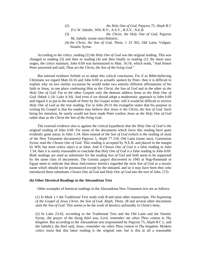- (2) *the Holy One of God,* Papyrus *75, Aleph B C D L W.* Sahidic, WH, R.V., A.S.V., R.S.V., N.E.B.
- (3) *the Christ, the Holy One of God,* Papyrus 66, Sahidic (some mss) Bohairic.
- (4) *the Christ, the Son of God, Theta, 1 33* 565, Old Latin, Vulgate, Sinaitic Syriac.

According to the critics, reading (2) *the Holy One of God* was the original reading. This was changed to reading  $(3)$  and then to reading  $(4)$  and then finally to reading  $(1)$ . By these easy stages, the critics maintain, John 6:69 was harmonized to Matt. 16:16, which reads, "And Simon Peter answered and said, *Thou art the Christ, the Son of the living God."* 

But internal evidence forbids us to adopt this critical conclusion. For if as Bible-believing Christians we regard Matt.16:16 and John 6:69 as actually spoken by Peter, then it is difficult to explain why on two similar occasions he would make two entirely different affirmations of his faith in Jesus, in one place confessing Him as *the Christ, the Son of God* and in the other as *the Holy One of God.* For in the other Gospels only the demons address Jesus as *the Holy One of God.* (Mark *1:24;* Luke *4:34).* And even if we should adopt a modernistic approach to John 6:69 and regard it as put in the mouth of Peter by the Gospel writer, still it would be difficult to receive *Holy One of God* as the true reading. For in John 20:31 the evangelist states that his purpose in writing his Gospel is that his readers may believe *that Jesus is the Christ, the Son of God.* Such being his intention, he surely would not have made Peter confess Jesus as *the Holy One of God*  rather than as *the Christ the Son of the living God.* 

The external evidence also is against the critical hypothesis that *the Holy One of God* is the original reading of John 6:69. For some of the documents which favor this reading have quite evidently gone astray in John 1:34. Here instead of *the Son of God* (which is the reading of most of the New Testament documents) Papyrus 5, *Aleph* 77 218, Old Latin (some mss), Curetonian Syriac read *the Chosen One of God.* This reading is accepted by N.E.B. and placed in the margin by WH, but most critics reject it as false. And if *Chosen One of God is* a false reading in John 1:34, then it is surely reasonable to conclude that *Holy One of God is* a false reading in John 6:69. Both readings are used as substitutes for the reading *Son of God* and both seem to be supported by the same class of documents. The Gnostic papyri discovered in 1945 at Nag-Hammadi in Egypt seem to indicate that these 2nd-century heretics regarded the term *Son of God* as a mystic name which should not be pronounced except by the initiated, and so it may have been they who introduced these substitutes *Chosen One of God* and *Holy One of God* into the text of John. (72)

#### **(h) Other Heretical Readings in the Alexandrian Text**

Other examples of heretical readings in the Alexandrian New Testament text are as follows:

(1) In Mark 1:1 the Traditional Text reads with *B* and most other manuscripts, *The beginning of the Gospel of Jesus Christ, the Son of God. Aleph, Theta,* 28 and several other documents omit *the Son of God.* This seems to be the work of heretics unfriendly to Christ's deity.

(2) In Luke 23:42, according to the Traditional Text and the Old Latin and the Sinaitic Syriac, the prayer of the dying thief was, *Lord, remember me when Thou comest in Thy kingdom.* But according to the Alexandrian text (represented by Papyrus 75, *Aleph B C L,* and the Sahidic), the thief said, *Jesus, remember me when Thou comest in Thy kingdom.* Modern critics insist that this latter reading is the original one, but is this at all a reasonable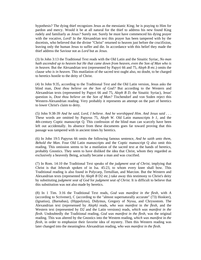hypothesis? The dying thief recognizes Jesus as the messianic King; he is praying to Him for pardon and mercy. Would it be at all natural for the thief to address his new found King rudely and familiarly as *Jesus?* Surely not. Surely he must have commenced his dying prayer with the vocative, *Lord!* In the Alexandrian text this prayer has been tampered with by the docetists, who believed that the divine "Christ" returned to heaven just before the crucifixion, leaving only the human Jesus to suffer and die. In accordance with this belief they made the thief address the Saviour not as *Lord* but as *Jesus.* 

(3) In John 3:13 the Traditional Text reads with the Old Latin and the Sinaitic Syriac, *No man hath ascended up to heaven but He that came down from heaven, even the Son of Man who is in heaven.* But the Alexandrian text (represented by Papyri 66 and 75, *Aleph B* etc.) omits the clause *who is in heaven.* This mutilation of the sacred text ought also, no doubt, to be charged to heretics hostile to the deity of Christ.

(4) In John 9:35, according to the Traditional Text and the Old Latin version, Jesus asks the blind man, *Dost thou believe on the Son of God?* But according to the Western and Alexandrian texts (represented by Papyri 66 and 75, *Aleph B D,* the Sinaitic Syriac), Jesus' question is, *Dost thou believe on* the *Son of Man?* Tischendorf and von Soden reject this Western-Alexandrian reading. Very probably it represents an attempt on the part of heretics to lower Christ's claim to deity.

(5) John 9:38-39 *And he said, Lord, I believe. And he worshipped Him. And Jesus said . . .*  These words are omitted by Papyrus 75, *Aleph W.* Old Latin manuscripts *b 1,* and the 4th-century Coptic manuscript Q. This confession of the blind man can scarcely have been left out accidentally. Its absence from these documents goes far toward proving that this passage was tampered with in ancient times by heretics.

(6) In John 19:5 Papyrus 66 omits the following famous sentence, *And he saith unto them, Behold the Man.* Four Old Latin manuscripts and the Coptic manuscript Q also omit this reading. This omission seems to be a mutilation of the sacred text at the hands of heretics, probably Gnostics. They seem to have disliked the idea that Christ, whom they regarded as exclusively a heavenly Being, actually became a man and was crucified.

(7) In Rom. 14:10 the Traditional Text speaks of the *judgment seat of Christ,* implying that Christ is that Jehovah spoken of in Isa. 45:23, to whom every knee shall bow. This Traditional reading is also found in Polycarp, Tertullian, and Marcion. But the Western and Alexandrian texts (represented by *Aleph B* D2 etc.) take away this testimony to Christ's deity by substituting *judgment seat of God* for *judgment seat of Christ.* It is difficult to believe that this substitution was not also made by heretics.

(8) In 1 Tim. 3:16 the Traditional Text reads, *God was manifest in the flesh,* with *A*  (according to Scrivener), C (according to the "almost supernaturally accurate" (73) Hoskier), (Ignatius), (Barnabas), (Hippolytus), Didymus, Gregory of Nyssa, and Chrysostom. The Alexandrian text (represensed by *Aleph)* reads, *who was manifest* in *the flesh,* and the Western text (represented by D2 and the Latin versions) reads, *which was manifest in the flesh.* Undoubtedly the Traditional reading, *God was manifest in the flesh,* was the original reading. This was altered by the Gnostics into the Westem reading, *which was manifest* in *the flesh,* in order to emphasize their favorite idea of mystery. Then this Western reading was later changed into the meaningless Alexandrian reading, *who was manifest in the flesh.*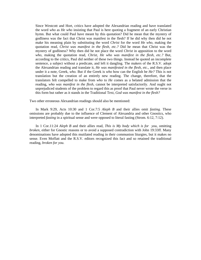Since Westcott and Hort, critics have adopted the Alexandrian reading and have translated the word *who* as *He who* insisting that Paul is here quoting a fragment of an early Christian hymn. But what could Paul have meant by this quotation? Did he mean that the mystery of godliness was the fact that Christ was manifest in the flesh? If he did why then did he not make his meaning plain by substituting the word *Christ* for the word *He who,* making the quotation read, *Christ was manifest in the flesh, etc.?* Did he mean that Christ was the mystery of godliness? Why then did he not place the word *Christ* in apposition to the word *who,* making the quotation read, *Christ, He who was manifest in the flesh, etc.?* But, according to the critics, Paul did neither of these two things. Instead he quoted an incomplete sentence, a subject without a predicate, and left it dangling. The makers of the R.S.V. adopt the Alexandrian reading and translate it, *He was manifested in the flesh, etc.,* and then place under it a note, Greek, *who.* But if the Greek is *who* how can the English be *He?* This is not translation but the creation of an entirely new reading. The change, therefore, that the translators felt compelled to make from *who* to *He* comes as a belated admission that the reading, *who was manifest in the flesh,* cannot be interpreted satisfactorily. And ought not unprejudiced students of the problem to regard this as proof that Paul never wrote the verse in this form but rather as it stands in the Traditional Text, *God was manifest in the flesh?* 

Two other erroneous Alexandrian readings should also be mentioned:

In Mark 9:29, Acts 10:30 and 1 Cor.7:5 *Aleph B* and their allies omit *fasting.* These omissions are probably due to the influence of Clement of Alexandria and other Gnostics, who interpreted *fasting* in a spiritual sense and were opposed to literal fasting (Strom. 6:12, 7:12).

In 1 Cor.11:24 *Aleph B* and their allies read, *This is My body which is for you,* omitting *broken,* either for Gnostic reasons or to avoid a supposed contradiction with John 19:33ff. Many denominations have adopted this mutilated reading in their communion liturgies, but it makes no sense. Even Moffatt and the R.S.V. editors recognized this fact and so retained the traditional reading, *broken for you.*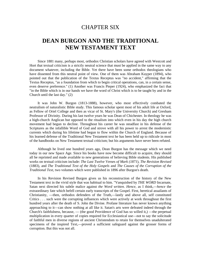# CHAPTER SIX

# **DEAN BURGON AND THE TRADITIONAL NEW TESTAMENT TEXT**

Since 1881 many, perhaps most, orthodox Christian scholars have agreed with Westcott and Hort that textual criticism is a strictly neutral science that must be applied in the same way to any document whatever, including the Bible. Yet there have been some orthodox theologians who have dissented from this neutral point of view. One of them was Abraham Kuyper (1894), who pointed out that the publication of the Textus Receptus was "no accident," affirming that the Textus Receptus, "as a foundation from which to begin critical operations, can, in a certain sense, even deserve preference.'' (1) Another was Francis Pieper (1924), who emphasized the fact that "in the Bible which is in our hands we have the word of Christ which is to be taught by and in the Church until the last day." (2)

It was John W. Burgon (1813-1888), however, who most effectively combated the neutralism of naturalistic Bible study. This famous scholar spent most of his adult life at Oxford, as Fellow of Oriel College and then as vicar of St. Mary's (the University Church) and Gresham Professor of Divinity. During his last twelve years he was Dean of Chichester. In theology he was a high-church Anglican but opposed to the ritualism into which even in his day the high church movement had begun to decline. Throughout his career he was steadfast in his defense of the Scriptures as the infallible Word of God and strove with all his power to arrest the modernistic currents which during his lifetime had begun to flow within the Church of England. Because of his learned defense of the Traditional New Testament text he has been held up to ridicule in most of the handbooks on New Testament textual criticism; but his arguments have never been refuted.

Although he lived one hundred years ago, Dean Burgon has the message which we need today in our new Space Age. Since his books have now become difficult to acquire, they should all be reprinted and made available to new generations of believing Bible students. His published works on textual criticism include: *The Last Twelve* Verses *of Mark (1871*), *The Revision Revised* (1883), and *The Traditional Text of the Holy Gospels* and *The Causes of the Corruption of the Traditional Text,* two volumes which were published in 1896 after Burgon's death.

In his Revision Revised Burgon gives us his reconstruction of the history of the New Testament text in the vivid style that was habitual to him. "Vanquished by *THE WORD* Incarnate, Satan next directed his subtle malice against *the Word written. Hence,* as I think,—*hence* the extraordinary fate which befell certain early transcripts of the Gospel. First, heretical assailants of Christianity, —then, orthodox defenders of the Truth,—lastly and above all, self constituted Critics . . . such were the corrupting influences which were actively at work throughout the first hundred years after the death of S. John the Divine. Profane literature has never known anything approaching to it—can show nothing at all like it. Satan's arts were defeated indeed through the Church's faithfulness, because, — (the good Providence of God has so willed it,) —the perpetual multiplication in every quarter of copies required for Ecclesiastical use—not to say the solicitude of faithful men in diverse regions of ancient Christendom to retain for themselves unadulterated specimens of the inspired Text,—proved a sufficient safeguard against the grosser forms of corruption. But this was not all.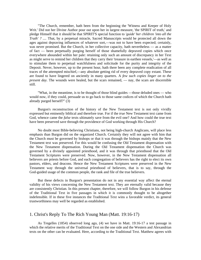"The Church, remember, hath been from the beginning the 'Witness and Keeper of Holy Writ.' Did not her Divine Author pour out upon her in largest measure, 'the SPIRIT of truth,' and pledge Himself that it should be that SPIRIT'S special function to *'guide' her children 'into all the Truth' ? ....* That, by a perpetual miracle, Sacred Manuscripts would be protected all down the ages against depraving influences of whatever sort,—was not to have been expected; certainly, was never promised. But the Church, in her collective capacity, hath nevertheless — as a matter of fact — been perpetually purging herself of those shamefully depraved copies which once everywhere abounded within her pale: retaining only such an amount of discrepancy in her Text as might serve to remind her children that they carry their 'treasure in earthen vessels,'—as well as to stimulate them to perpetual watchfulness and solicitude for the purity and integrity of the Deposit. Never, however, up to the present hour, hath there been any complete eradication of all traces of the attempted mischief,—any absolute getting rid of every depraved copy extant. These are found to have lingered on anciently in many quarters. A *few such copies linger on to the present day.* The wounds were healed, but the scars remained, — nay, the scars are discernible still.

"What, in the meantime, is to be thought of those blind guides —those deluded ones — who would now, if they could, persuade us to go back to those same codices of which the Church hath already purged herself?" (3)

Burgon's reconstruction of the history of the New Testament text is not only vividly expressed but eminently biblical and therefore true. For if the *true* New Testament text came from God, whence came the *false* texts ultimately save from the evil one? And how could the true text have been preserved save through the providence of God working through His Church?

No doubt most Bible-believing Christians, not being high-church Anglicans, will place less emphasis than Burgon did on the organized Church. Certainly they will not agree with him that the Church must be governed by bishops or that it was through the bishops mainly that the New Testament text was preserved. For this would be confusing the Old Testament dispensation with the New Testament dispensation. During the Old Testament dispensation the Church was governed by a divinely appointed priesthood, and it was through that priesthood that the Old Testament Scriptures were preserved. Now, however, in the New Testament dispensation all believers are priests before God, and each congregation of believers has the right to elect its own pastors, elders, and deacons. Hence the New Testament Scriptures were preserved in the New Testament way through the universal priesthood of believers, that is to say, through the God-guided usage of the common people, the rank and file of the true believers.

But these defects in Burgon's presentation do not in any essential way affect the eternal validity of his views concerning the New Testament text. They are eternally valid because they are consistently Christian. In this present chapter, therefore, we will follow Burgon in his defense of the Traditional Text in five passages in which it is commonly thought to be altogether indefensible. If in these five instances the Traditional Text wins a favorable verdict, its general trustworthiness may well be regarded as established.

# 1. Christ's Reply To The Rich Young Man (Matt. 19:16-17)

As Tregelles (1854) observed long ago, (4) we have in Matt. 19:16-17 a test passage in which the relative merits of the Traditional Text on the one side and the Western and Alexandrian texts on the other can be evaluated. Here, according to the Traditional Text. Matthew agrees with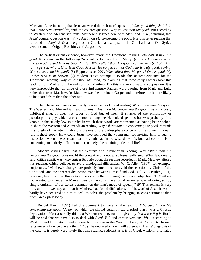Mark and Luke in stating that Jesus answered the rich man's question*, What good thing shall I do that I may have eternal life,* with the counter-question, *Why callest thou Me good.* But according to Western and Alexandrian texts, Matthew disagrees here with Mark and Luke, affirming that Jesus' counter-question was, *Why askest thou Me concerning the good.* It is this latter reading that is found in *Aleph B D* and eight other Greek manuscripts, in the Old Latin and Old Syriac versions and in Origen, Eusebius, and Augustine.

The earliest extant evidence, however, favors the Traditional reading, *why callest thou Me good.* It is found in the following 2nd-century Fathers: Justin Martyr (c. 150), *He answered to one who addressed Him as Good Master, Why callest thou Me good?* (5) Irenaeus (c. 180), *And to the person who said to Him Good Master, He confessed that God who is truly good, saying, Why callest thou Me good?* (6) Hippolytus (c. 200), *Why callest thou Me good? One is good, My Father who is in heaven.* (7) Modern critics attempt to evade this ancient evidence for the Traditional reading. *Why callest thou Me good,* by claiming that these early Fathers took this reading from Mark and Luke and not from Matthew. But this is a very unnatural supposition. It is very improbable that all three of these 2nd-century Fathers were quoting from Mark and Luke rather than from Matthew, for Matthew was the dominant Gospel and therefore much more likely to be quoted from than the other two.

The internal evidence also clearly favors the Traditional reading, *Why callest thou Me good.*  The Western and Alexandrian reading, *Why askest thou Me concerning the good,* has a curiously unbiblical ring. It does not savor of God but of men. It smacks of the philosophy or pseudo-philosophy which was common among the Hellenized gentiles but was probably little known in the strictly Jewish circles in which these words are represented as having been spoken. In short, the Western and Alexandrian reading, *Why askest thou Me concerning the good,* reminds us strongly of the interminable discussions of the philosophers concerning the *summum bonum*  (the highest good). How could Jesus have reproved the young man for inviting Him to such a discussion, when it was clear that the youth had in no wise done this but had come to Him concerning an entirely different matter, namely, the obtaining of eternal life?

Modern critics agree that the Western and Alexandrian reading, *Why askest thou Me concerning the good,* does not fit the context and is not what Jesus really said. What Jesus really said, critics admit, was, *Why callest thou Me good,* the reading recorded in Mark. Matthew altered this reading, critics believe, to avoid theological difficulties. W. C. Allen (1907), for example, conjectures, "Matthew's changes are probably intentional to avoid the rejection by Christ of the title 'good', and the apparent distinction made between Himself and God." (8) B. C. Butler (1951), however, has punctured this critical theory with the following well placed objection. "If Matthew had wanted to change the Marcan version, he could have found an easier way of doing so (by simple omission of our Lord's comment on the man's mode of speech)." (9) This remark is very true, and to it we may add that if Matthew had found difficulty with this word of Jesus it would hardly have occurred to him to seek to solve the problem by bringing in considerations taken from Greek philosophy.

Rendel Harris (1891) had this comment to make on the reading, *Why askest thou Me concerning the good. "A* text of which we should certainly say a priori that it was a Gnostic depravation. Most assuredly this is a Western reading, for it is given by *D a b c e ff g h.* But it will be said that we have also to deal with *Aleph B L* and certain versions. Well, according to Westcott and Hort, *Aleph* and *B* were both written in the West, probably at Rome. Did Roman texts never influence one another?" (10) The unbiased student will agree with Harris' diagnosis of the case. It is surely very likely that this reading, redolent as it is of Greek wisdom, originated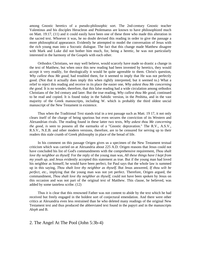among Gnostic heretics of a pseudo-philosophic sort. The 2nd-century Gnostic teacher Valentinus and his disciples Heracleon and Ptolemaeus are known to have philosophized much on Matt. 19:17, (11) and it could easily have been one of these three who made this alteration in the sacred text. Whoever it was, he no doubt devised this reading in order to give the passage a more philosophical appearance. Evidently he attempted to model the conversation of Jesus with the rich young man into a Socratic dialogue. The fact that this change made Matthew disagree with Mark and Luke did not bother him much, for, being a heretic, he was not particularly interested in the harmony of the Gospels with each other.

Orthodox Christians, we may well believe, would scarcely have made so drastic a change in the text of Matthew, but when once this new reading had been invented by heretics, they would accept it very readily, for theologically it would be quite agreeable to them. Christ's question, *Why callest thou Me good,* had troubled them, for it seemed to imply that He was not perfectly good. (Not that it actually does imply this when rightly interpreted, but it seemed to.) What a relief to reject this reading and receive in its place the easier one, *Why askest thou Me concerning the good.* It is no wonder, therefore, that this false reading had a wide circulation among orthodox Christians of the 3rd century and later. But the true reading, *Why callest thou Me good,* continued to be read and copied. It is found today in the Sahidic version, in the Peshitta, and in the vast majority of the Greek manuscripts, including W. which is probably the third oldest uncial manuscript of the New Testament in existence.

Thus when the Traditional Text stands trial in a test passage such as Matt. 19 17, it not only clears itself of the charge of being spurious but even secures the conviction of its Western and Alexandrian rivals. The reading found in these latter two texts, *Why askest thou Me concerning the good, is* seen to possess all the earmarks of a "Gnostic depravation." The R.V., A.S.V., R.S.V., N.E.B. and other modern versions, therefore, are to be censured for serving up to their readers this stale crumb of Greek philosophy in place of the bread of life.

In his comment on this passage Origen gives us a specimen of the New Testament textual criticism which was carried on at Alexandria about 225 A.D. Origen reasons that Jesus could not have concluded his list of God's commandments with the comprehensive requirement, *Thou shalt love thy neighbor as thyself.* For the reply of the young man was, *All these things have I kept from my youth up,* and Jesus evidently accepted this statement as true. But if the young man had loved his neighbor as himself, he would have been perfect, for Paul says that the whole law is summed up in this saying, *Thou shalt love thy neighbor as thyself.* But Jesus answered, *If thou wilt be perfect, etc.,* implying that the young man was not yet perfect. Therefore, Origen argued, the commandment, *Thou shalt love thy neighbor as thyself,* could not have been spoken by Jesus on this occasion and was not part of the original text of Matthew. This clause, he believed, was added by some tasteless scribe. (12)

Thus it is clear that this renowned Father was not content to abide by the text which he had received but freely engaged in the boldest sort of conjectural emendation. And there were other critics at Alexandria even less restrained than he who deleted many readings of the original New Testament text and thus produced the abbreviated text found in the papyri and in the manuscripts *Aleph* and B.

### 2. The Angel At The Pool (John 5:3b-4)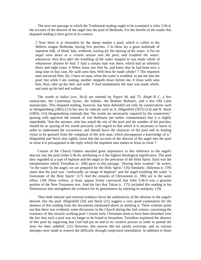The next test passage in which the Traditional reading ought to be examined is John 5:3b-4, the account of the descent of the angel into the pool of Bethesda. For the benefit of the reader this disputed reading is here given in its context.

2 Now there is at Jerusalem by the sheep market a pool, which is called in the Hebrew tongue Bethesda, having five porches. 3 In these lay a great multitude of impotent folk, of blind, halt, withered, *waiting for the moving of the water.* 4 For *an angel went down at a certain season into the pool, and troubled the water: whosoever then first after the troubling of the water stepped in was made whole of whatsoever disease he had. 5* And a certain man was there, which had an infirmity thirty and eight years. 6 When Jesus saw him lie, and knew that he had been now a long time in that case, He saith unto him, Wilt thou be made whole? 7 The impotent man answered Him, Sir, I have no man, when the water is troubled, to put me into the pool: but while I am coming, another steppeth down before me. 8 Jesus saith unto him, Rise, take up thy bed, and walk. 9 And immediately the man was made whole, and took up his bed and walked.

The words in italics (vss. 3b-4) are omitted by Papyri 66 and 75, *Aleph B C,* a few minuscules, the Curetonian Syriac, the Sahidic, the Bodmer Bohairic, and a few Old Latin manuscripts. This disputed reading, however, has been defended not only by conservatives such as Hengstenberg (1861) (13) but also by radicals such as A. Hilgenfeld (1875) (14) and R. Steck (1893). (15) Hengstenberg contends that "the words are necessarily required by the connection," quoting with approval the remark of von Hofmann (an earlier commentator) that it is highly improbable "that the narrator, who has stated the site of the pool and the number of the porches, should be so sparing of his words precisely with regard to that which it is necessary to know in order to understand the occurrence, and should leave the character of the pool and its healing virtue to be guessed from the complaint of the sick man, which presupposes a knowledge of it." Hilgenfeld and Steck also rightly insist that the account of the descent of the angel into the pool in verse 4 is presupposed in the reply which the impotent man makes to Jesus in verse 7.

Certain of the Church Fathers attached great importance to this reference to the angel's descent into the pool (John 5:3b-4), attributing to it the highest theological significance. The pool they regarded as a type of baptism and the angel as the precursor of the Holy Spirit. Such was the interpretation which Tertullian (c. 200) gave to this passage. "Having been washed," he writes, "in the water by the angel, we are prepared for the Holy Spirit.'' (16) Similarly, Didymus (c 379) states that the pool was "confessedly an image of baptism" and the angel troubling the water "a forerunner of the Holy Spirit.'' (17) And the remarks of Chrysostom (c. 390) are to the same effect. (18) These writers, at least, appear firmly convinced that John 5:3b-4 was a genuine portion of the New Testament text. And the fact that Tatian (c. 175) included this reading in his Diatessaron also strengthens the evidence for its genuineness by attesting its antiquity. (19)

Thus both internal and external evidence favor the authenticity of the allusion to the angel's descent into the pool. Hilgenfeld (20) and Steck (21) suggest a very good explanation for the absence of this reading from the documents mentioned above as omitting it. These scholars point out that there was evidently some discussion in the Church during the 2nd century concerning the existence of this miracle working pool. Certain early Christians seem to have been disturbed over the fact that such a pool was no longer to be found at Jerusalem. Tertullian explained the absence of this pool by supposing that God had put an end to its curative powers in order to punish the Jews for their unbelief. (22) However, this answer did not satisfy everyone, and so various attempts were made to remove the difficulty through conjectural emendation. In addition to those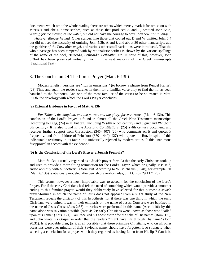documents which omit the whole reading there are others which merely mark it for omission with asterisks and obels. Some scribes, such as those that produced A and *L,* omitted John 5:3b, *waiting for the moving* of *the water,* but did not have the courage to omit John 5:4, *For an angel . . . whatever disease he had.* Other scribes, like those that copied out D and W omitted John 5:4 but did not see the necessity of omitting John 5:3b. A and *L* and about 30 other manuscripts add the genitive *of the Lord* after *angel,* and various other small variations were introduced. That the whole passage has been tampered with by rationalistic scribes is shown by the various spellings of the name of the pool, *Bethesda, Bethsaida, Bethzatha,* etc. In spite of this, however, John 5:3b-4 has been preserved virtually intact in the vast majority of the Greek manuscripts (Traditional Text).

# 3. The Conclusion Of The Lord's Prayer (Matt. 6:13b)

Modern English versions are "rich in omissions," (to borrow a phrase from Rendel Harris). (23) Time and again the reader searches in them for a familiar verse only to find that it has been banished to the footnotes. And one of the most familiar of the verses to be so treated is Matt. 6:13b, the doxology with which the Lord's Prayer concludes.

### **(a) External Evidence in Favor of Matt. 6:13b**

*For Thine is the kingdom, and the power, and the glory, forever,* Amen (Matt. 6:13b). This conclusion of the Lord's Prayer is found in almost all the Greek New Testament manuscripts (according to Legg, (24) in all but ten), including W (4th or 5th century) and *Sigma* and *Phi* (both 6th century). It is also found in the *Apostolic Constitutions,* (25) a 4th century document, and receives further support from Chrysostom (345- 407) (26) who comments on it and quotes it frequently, and from Isidore of Pelusiurn (370 - 440), (27) who quotes it. But, in spite of this indisputable testimony in its favor, it is universally rejected by modern critics. Is this unanimous disapproval in accord with the evidence?

### **(b) Is the Conclusion of the Lord's Prayer a Jewish Formula?**

Matt. 6: 13b is usually regarded as a Jewish prayer-formula that the early Christians took up and used to provide a more fitting termination for the Lord's Prayer, which originally, it is said, ended abruptly with *but deliver us from evil.* According to W. Michaelis (1948), for example, "It (Matt. 6:13b) is obviously modeled after Jewish prayer-formulas, cf. 1 Chron 29:11." (28)

This seems, however a most improbable way to account for the conclusion of the Lord's Prayer. For if the early Christians had felt the need of something which would provide a smoother ending to this familiar prayer, would they deliberately have selected for that purpose a Jewish prayer-formula in which the name of Jesus does not appear? Even a slight study of the New Testament reveals the difficulty of this hypothesis, for if there was one thing in which the early Christians were united it was in their emphasis on the name of Jesus. Converts were baptized in the name of Jesus Christ (Acts 2:38); miracles were performed in this name (Acts 4:10); by this name alone was salvation possible (Acts 4:12); early Christians were known as those who "called upon this name" (Acts 9:21). Paul received his apostleship "for the sake of His name" (Rom. 1:5), and John wrote his Gospel in order that the readers "might have life through His name" (John 20:31). Is it probable then, (is it at all possible) that these primitive Christians, who on all other occasions were ever mindful of their Saviour's name, should have forgotten it so strangely when selecting a conclusion for a prayer which they regarded as having fallen from His lips? Can it be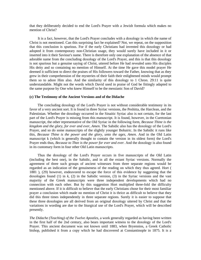that they deliberately decided to end the Lord's Prayer with a Jewish formula which makes no mention of Christ?

It is a fact, however, that the Lord's Prayer concludes with a doxology in which the name of Christ is not mentioned. Can this surprising fact be explained? Not, we repeat, on the supposition that this conclusion is spurious. For if the early Christians had invented this doxology or had adopted it from contemporary non-Christian usage, they would surely have included in it or inserted into it their Saviour's name. There is therefore only one explanation of the absence of that adorable name from the concluding doxology of the Lord's Prayer, and this is that this doxology is not spurious but a genuine saying of Christ, uttered before He had revealed unto His disciples His deity and so containing no mention of Himself. At the time He gave this model prayer He deemed it sufficient to direct the praises of His followers toward the Father, knowing that as they grew in their comprehension of the mysteries of their faith their enlightened minds would prompt them so to adore Him also. And the similarity of this doxology to 1 Chron. 29:11 is quite understandable. Might not the words which David used in praise of God be fittingly adapted to the same purpose by One who knew Himself to be the messianic Son of David?

### **(c) The Testimony of the Ancient Versions and of the Didache**

The concluding doxology of the Lord's Prayer is not without considerable testimony in its favor of a very ancient sort. It is found in three Syriac versions, the Peshitta, the Harclean, and the Palestinian. Whether the doxology occurred in the Sinaitic Syriac also is not certain, for the last part of the Lord's Prayer is missing from this manuscript. It is found, however, in the Curetonian manuscript, the other representative of the Old Syriac in the following form, *Because Thine is the kingdom and the glory, for ever and ever, Amen.* The Sahidic also has the doxology of the Lord's Prayer, and so do some manuscripts of the slightly younger Bohairic. In the Sahidic it runs like this, *Because Thine is the power and the glory, unto the ages, Amen.* And in the Old Latin manuscript k (which is generally thought to contain the version in its oldest form) the Lord's Prayer ends thus, *Because to Thee is the power for ever and ever*. And the doxology is also found in its customary form in four other Old Latin manuscripts.

Thus the doxology of the Lord's Prayer occurs in five manuscripts of the Old Latin (including the best one), in the Sahidic, and in all the extant Syriac versions. Normally the agreement of three such groups of ancient witnesses from three separate regions would be regarded as an indication of the genuineness of the reading on which they thus agreed. Hort ( 1881 ), (29) however, endeavored to escape the force of this evidence by suggesting that the doxologies found  $(1)$  in  $k$ ,  $(2)$  in the Sahidic version,  $(3)$  in the Syriac versions and the vast majority of the Greek manuscripts were three independent developments which had no connection with each other. But by this suggestion Hort multiplied three-fold the difficulty mentioned above. If it is difficult to believe that the early Christians chose for their most familiar prayer a conclusion which made no mention of Christ it is thrice as difficult to believe that they did this three times independently in three separate regions. Surely it is easier to suppose that these three doxologies are all derived from an original doxology uttered by Christ and that the variations in wording are due to the liturgical use of the Lord's Prayer, which will be described presently.

*The Didache (Teaching) of the Twelve Apostles,* a work generally regarded as having been written in the first half of the 2nd century, also bears important witness to the doxology of the Lord's Prayer. This ancient document was not known until 1883, when Bryennios, a Greek Catholic bishop, published it from a copy which he had discovered at Constantinople in 1875. It is a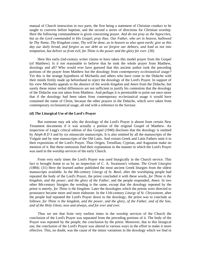manual of Church instruction in two parts, the first being a statement of Christian conduct to be taught to converts before baptism, and the second a series of directions for Christian worship. Here the following commandment is given concerning prayer. *And do not pray as the hypocrites, but as the Lord commanded in His Gospel, pray thus: Our Father, who art in heaven, hallowed be Thy Name, Thy Kingdom come, Thy will be done, as in heaven so also upon earth; give us this day our daily bread, and forgive us our debt as we forgive our debtors, and lead us not into temptation, but deliver us from evil, for Thine is the power and the glory for ever.* (30)

Here this early-2nd-century writer claims to have taken this model prayer from the Gospel (of Matthew). Is it not reasonable to believe that he took the whole prayer from Matthew, doxology and all? Who would ever have guessed that this ancient author took the preceding portions of the prayer from Matthew but the doxology from *contemporary ecclesiastical usage?*  Yet this is the strange hypothesis of Michaelis and others who have come to the Didache with their minds firmly made up beforehand to reject the doxology of the Lord's Prayer. In support of his view Michaelis appeals to the absence of the words *kingdom* and *Amen* from the Didache, but surely these minor verbal differences are not sufficient to justify his contention that the doxology of the Didache was not taken from Matthew. And perhaps it is permissible to point out once more that if the doxology had been taken from contemporary ecclesiastical usage it would have contained the name of Christ, because the other prayers in the Didache, which *were* taken from contemporary ecclesiastical usage, all end with a reference to the Saviour.

### **(d) The Liturgical Use of the Lord's Prayer**

But someone may ask why the doxology of the Lord's Prayer is absent from certain New Testament documents if it was actually a portion of the original Gospel of Matthew. An inspection of Legg's critical edition of this Gospel (1940) discloses that the doxology is omitted by *Aleph B D S* and by six minuscule manuscripts. It is also omitted by all the manuscripts of the Vulgate and by nine manuscripts of the Old Latin. And certain Greek and Latin Fathers omit it in their expositions of the Lord's Prayer. Thus Origen, Tertullian, Cyprian, and Augustine make no mention of it. But these omissions find their explanation in the manner in which the Lord's Prayer was used in the worship services of the early Church.

From very early times the Lord's Prayer was used liturgically in the Church service. This fact is brought home to us by an inspection of C. A. Swainson's volume, *The Greek Liturgies (1884).* (31) Here the learned author published the most ancient Greek liturgies from the oldest manuscripts available. In the 8th-century *Liturgy of St. Basil,* after the worshiping people had repeated the body of the Lord's Prayer, the priest concluded it with these words, *for Thine is the kingdom, and the power, and the glory of the Father,* and the people responded, *Amen.* In two other 8th-century liturgies the wording is the same, except that the doxology repeated by the priest is merely, *for Thine is the kingdom.* Later the doxologies which the priests were directed to pronounce became more and more elaborate. In the 11th-century *Liturgy of St. Chrysostom,* after the people had repeated the Lord's Prayer down to the doxology, the priest was to conclude as follows: *for Thine is the kingdom, and the power, and the glory, of the Father, and of the Son, and of the Holy Ghost, now and always, and for ever and ever.* 

Thus we see that from very earliest times in the worship services of the Church the conclusion of the Lord's Prayer was separated from the preceding portions of it. The body of the Prayer was repeated by the people, the conclusion by the priest. Moreover, due to this liturgical use, the conclusion of the Lord's Prayer was altered in various ways in the effort to make it more effective. This, no doubt, was the cause of the minor variations in the doxology which we find in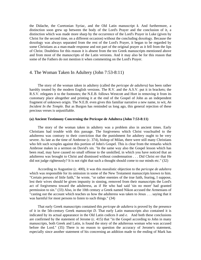the Didache, the Curetonian Syriac, and the Old Latin manuscript *k.* And furthermore, a distinction soon grew up between the body of the Lord's Prayer and the conclusion of it, a distinction which was made more sharp by the occurrence of the Lord's Prayer in Luke (given by Christ for the second time, on a different occasion) without the concluding doxology. Because the doxology was always separated from the rest of the Lord's Prayer, it began to be regarded by some Christians as a man-made response and not part of the original prayer as it fell from the lips of Christ. Doubtless for this reason it is absent from the ten Greek manuscripts mentioned above and from most of the manuscripts of the Latin versions. And it may also be for this reason that some of the Fathers do not mention it when commenting on the Lord's Prayer.

## 4. The Woman Taken In Adultery (John 7:53-8:11)

The story of the woman taken in adultery (called the *pericope de adultera)* has been rather harshly treated by the modern English versions. The R.V. and the A.S.V. put it in brackets; the R.S.V. relegates it to the footnotes; the N.E.B. follows Westcott and Hort in removing it from its customary place altogether and printing it at the end of the Gospel of John as an independent fragment of unknown origin. The N.E.B. even gives this familiar narrative a new name, to wit, *An Incident In the Temple.* But as Burgon has reminded us long ago, this general rejection of these precious verses is unjustifiable.

### **(a) Ancient Testimony Concerning the Pericope de Adultera (John 7:53-8:11)**

The story of the woman taken in adultery was a problem also in ancient times. Early Christians had trouble with this passage. The forgiveness which Christ vouchsafed to the adulteress was contrary to their conviction that the punishment for adultery ought to be very severe. As late as the time of Ambrose (c. 374), bishop of Milan, there were still many Christians who felt such scruples against this portion of John's Gospel. This is clear from the remarks which Ambrose makes in a sermon on David's sin. "In the same way also the Gospel lesson which has been read, may have caused no small offense to the unskilled, in which you have noticed that an adulteress was brought to Christ and dismissed without condemnation . . . Did Christ err that He did not judge righteously? It is not right that such a thought should come to our minds etc." (32)

According to Augustine (c. 400), it was this moralistic objection to the *pericope de adultera*  which was responsible for its omission in some of the New Testament manuscripts known to him. "Certain persons of little faith," he wrote, "or rather enemies of the true faith, fearing, I suppose, lest their wives should be given impunity in sinning, removed from their manuscripts the Lord's act of forgiveness toward the adulteress, as if He who had said 'sin no more' had granted permission to sin." (33) Also, in the 10th century a Greek named Nikon accused the Armenians of "casting out the account which teaches us how the adulteress was taken to Jesus . . . saying that it was harmful for most persons to listen to such things." (34)

That early Greek manuscripts contained this *pericope de adultera* is proved by the presence of it in the 5th-century Greek manuscript *D*. That early Latin manuscripts also contained it is indicated by its actual appearance in the Old Latin codices *b* and *e.* And both these conclusions are confirmed by the statement of Jerome (c. 415) that "in the Gospel according to John in many manuscripts, both Greek and Latin, is found the story of the adulterous woman who was accused before the Lord." (35) There is no reason to question the accuracy of Jerome's statement, especially since another statement of his concerning an addition made to the ending of Mark has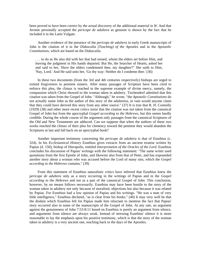been proved to have been correct by the actual discovery of the additional material in *W*. And that Jerome personally accepted the *pericope de adultera* as genuine is shown by the fact that he included it in the Latin Vulgate.

Another evidence of the presence of the *pericope de adultera* in early Greek manuscripts of John is the citation of it in the *Didascalia (Teaching) of the Apostles* and in the *Apostolic Constitutions,* which are based on the *Didascalia.* 

. . . to do as He also did with her that had sinned, whom the elders set before Him, and leaving the judgment in His hands departed. But He, the Searcher of Hearts, asked her and said to her, 'Have the elders condemned thee, my daughter?" She saith to Him, 'Nay, Lord.' And He said unto her, 'Go thy way: Neither do I condemn thee.' (36)

In these two documents (from the 3rd and 4th centuries respectively) bishops are urged to extend forgiveness to penitent sinners. After many passages of Scripture have been cited to enforce this plea, the climax is reached in the supreme example of divine mercy, namely, the compassion which Christ showed to the woman taken in adultery. Tischendorf admitted that this citation was taken from the Gospel of John. "Although," he wrote, "the *Apostolic Constitutions* do not actually name John as the author of this story of the adulteress, in vain would anyone claim that they could have derived this story from any other source." (37) It is true that R. H. Connolly (1929) (38) and other more recent critics insist that the citation was not taken from the canonical Gospel of John but from the apocryphal *Gospel according to the Hebrews,* but this seems hardly credible. During the whole course of the argument only passages from the canonical Scriptures of the Old and New Testaments are adduced. Can we suppose that when the authors of these two works reached the climax of their plea for clemency toward the penitent they would abandon the Scriptures at last and fall back on an apocryphal book?

Another important testimony concerning the *pericope de adultera* is that of Eusebius (c. 324). In his *Ecclesiastical History* Eusebius gives extracts from an ancient treatise written by Papias (d. 150), bishop of Hierapolis, entitled *Interpretation of the Oracles of the Lord.* Eusebius concludes his discussion of Papias' writings with the following statement: "The same writer used quotations from the first Epistle of John, and likewise also from that of Peter, and has expounded another story about a woman who was accused before the Lord of many sins, which the *Gospel according to the Hebrews* contains." (39)

From this statement of Eusebius naturalistic critics have inferred that Eusebius knew the *pericope de adultera* only as a story occurring in the writings of Papias and in the *Gospel according to the Hebrews* and not as a part of the canonical Gospel of John. This conclusion, however, by no means follows necessarily. Eusebius may have been hostile to the story of the woman taken in adultery not only because of moralistic objections but also because it was related by Papias. For Eusebius had a low opinion of Papias and his writings. "He was a man of very little intelligence," Eusebius declared, "as is clear from his books." (40) It may very well be that the disdain which Eusebius felt for Papias made him reluctant to mention the fact that Papias' story occurred also in some of the manuscripts of the Gospel of John. At any rate, an argument against the genuineness of John 7:53-8:11 based on Eusebius is purely an argument from silence, and arguments from silence are always weak. Instead of stressing Eusebius' silence it is more reasonable to lay the emphasis upon his positive testimony, which is that the story of the woman taken in adultery is a very ancient one, reaching back to the days of the Apostles.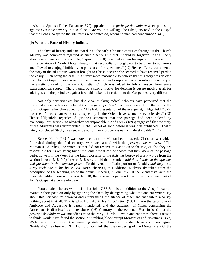Also the Spanish Father Pacian (c. 370) appealed to the *pericope de adultera* when protesting against excessive severity in discipline. "Are you not willing," he asked, "to read in the Gospel that the Lord also spared the adulteress who confessed, whom no man had condemned?" (41)

### **(b) What the Facts of History Indicate**

The facts of history indicate that during the early Christian centuries throughout the Church adultery was commonly regarded as such a serious sin that it could be forgiven, if at all, only after severe penance. For example, Cyprian (c. 250) says that certain bishops who preceded him in the province of North Africa "thought that reconciliation ought not to be given to adulterers and allowed to conjugal infidelity no place at all for repentance." (42) Hence offence was taken at the story of the adulterous woman brought to Christ, because she seemed to have received pardon too easily. Such being the case, it is surely more reasonable to believe that this story was deleted from John's Gospel by over-zealous disciplinarians than to suppose that a narrative so contrary to the ascetic outlook of the early Christian Church was added to John's Gospel from some extra-canonical source. There would be a strong motive for deleting it but no motive at all for adding it, and the prejudice against it would make its insertion into the Gospel text very difficult.

Not only conservatives but also clear thinking radical scholars have perceived that the historical evidence favors the belief that the *pericope de adultera* was deleted from the text of the fourth Gospel rather than added to it. "The bold presentation of the evangelist," Hilgenfeld (1875) observed, "must at an early date, especially in the Orient have seemed very offensive." (43) Hence Hilgenfeld regarded Augustine's statement that the passage had been deleted by overscrupulous scribes "as altogether not improbable." And Steck (1893) suggested that the story of the adulteress was incorporated in the Gospel of John before it was first published. "That it later," concluded Steck, "was set aside out of moral prudery is easily understandable." (44)

Rendel Harris (1891) was convinced that the Montanists, an ascetic Christian sect which flourished during the 2nd century, were acquainted with the *pericope de adultera.* "The Montanist Churches," he wrote, "either did not receive this addition to the text, or else they are responsible for its omission; but at the same time it can be shown that they knew of the passage perfectly well in the West; for the Latin glossator of the Acts has borrowed a few words from the section in Acts 5:18. (45) In Acts 5:18 we are told that the rulers *laid their hands on the apostles and put them in the common prison.* To this verse the Latin portion of *D* adds, *and they went away each one to his house. As* Harris observes, this addition is obviously taken from the description of the breaking up of the council meeting in John 7:53. If the Montanists were the ones who added these words to Acts 5:18, then the *pericope de adultera* must have been part of John's Gospel at a very early date.

Naturalistic scholars who insist that John 7:53-8:11 is an addition to the Gospel text can maintain their position only by ignoring the facts, by disregarding what the ancient writers say about this *pericope de adultera* and emphasizing the silence of other ancient writers who say nothing about it at all. This is what Hort did in his *Introduction* (1881). Here the testimony of Ambrose and Augustine is barely mentioned, and the statement of Nikon concerning the Armenians is dismissed as mere abuse. (46) Contrary to the evidence Hort insisted that the *pericope de adultera* was not offensive to the early Church. "Few in ancient times, there is reason to think, would have found the section a stumbling block except Montanists and Novatians." (47) With the implications of this sweeping statement, however, Rendel Harris could not agree. "Evidently," he observed, "Dr. Hort did not think that the tampering of the Montanists with the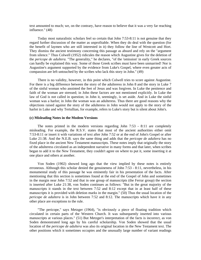text amounted to much; we, on the contrary, have reason to believe that it was a very far reaching influence." (48)

Today most naturalistic scholars feel so certain that John 7:53-8:11 is not genuine that they regard further discussion of the matter as unprofitable. When they do deal with the question (for the benefit of laymen who are still interested in it) they follow the line of Westcott and Hort. They dismiss the ancient testimony concerning this passage as absurd and rely on the "argument from silence." Thus Colwell (1952) ridicules the reason which Augustine gives for the deletion of the *pericope de adultera.* "The generality," he declares, "of the 'omission' in early Greek sources can hardly be explained this way. Some of those Greek scribes must have been unmarried! Nor is Augustine's argument supported by the evidence from Luke's Gospel, where even greater acts of compassion are left untouched by the scribes who lack this story in John." (49)

There is no validity, however, in this point which Colwell tries to score against Augustine. For there is a big difference between the story of the adulteress in John 8 and the story in Luke 7 of the sinful woman who anointed the feet of Jesus and was forgiven. In Luke the penitence and faith of the woman are stressed; in John these factors are not mentioned explicitly. In Luke the law of God is not called in question; in John it, seemingly, is set aside. And in Luke the sinful woman was a harlot; in John the woman was an adulteress. Thus there are good reasons why the objections raised against the story of the adulteress in John would not apply to the story of the harlot in Luke and why Tertullian, for example, refers to Luke's story but is silent about John's.

### **(c) Misleading Notes in the Modem Versions**

The notes printed in the modern versions regarding John 7:53 - 8:11 are completely misleading. For example, the R.S.V. states that most of the ancient authorities either omit 7:53-8:11 or insert it with variations of text after John 7:52 or at the end of John's Gospel or after Luke 21:38. And the N.E.B. says the same thing and adds that the *pericope de adultera* has no fixed place in the ancient New Testament manuscripts. These notes imply that originally the story of the adulteress circulated as an independent narrative in many forms and that later, when scribes began to add it to the New Testament, they couldn't agree on where to put it, some inserting it at one place and others at another.

Von Soden (1902) showed long ago that the view implied by these notes is entirely erroneous. Although this scholar denied the genuineness of John 7:53 - 8:11, nevertheless, in his monumental study of this passage he was eminently fair in his presentation of the facts. After mentioning that this section is sometimes found at the end of the Gospel of John and sometimes in the margin near John 7:52 and that in one group of manuscripts (the Ferrar group) the section is inserted after Luke 21:38, von Soden continues as follows: "But in the great majority of the manuscripts it stands in the text between 7:52 and 8:12 except that in at least half of these manuscripts it is provided with deletion marks in the margin." (50) Thus the usual location of the *pericope de adultera* is in John between 7:52 and 8:12. The manuscripts which have it in any other place are exceptions to the rule.

"The pericope," says Metzger (1964), "is obviously a piece of floating tradition which circulated in certain parts of the Western Church. It was subsequently inserted into various manuscripts at various places." (51) But Metzger's interpretation of the facts is incorrect, as von Soden demonstrated long ago by his careful scholarship. Von Soden showed that the usual location of the *pericope de adultera* was also its original location in the New Testament text. The other positions which it sometimes occupies and the unusually large number of variant readings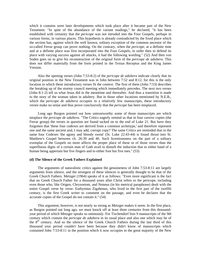which it contains were later developments which took place after it became part of the New Testament. "In spite of the abundance of the variant readings," he declared, "it has been established with certainty that the *pericope* was not intruded into the Four Gospels, perhaps in various forms, in various places. This hypothesis is already contradicted by the fixed place which the section has, against which the well known, solitary exception of the common ancestor of the so-called Ferrar group can prove nothing. On the contrary, when the *pericope,* at a definite time and at a definite place was first incorporated into the Four Gospels, in order then to defend its place with varying success against all attacks, it had the following wording." (52) And then von Soden goes on to give his reconstruction of the original form of the *pericope de adultera.* This does not differ materially from the form printed in the Textus Receptus and the King James Version.

Also the opening verses (John 7:53-8:2) of the *pericope de adultera* indicate clearly that its original position in the New Testament was in John between 7:52 and 8:12, for this is the only location in which these introductory verses fit the context. The first of them (John 7:53) describes the breaking up of the stormy council meeting which immediately precedes. The next two verses (John 8:1-2) tell us what Jesus did in the meantime and thereafter. And thus a transition is made to the story of the woman taken in adultery. But in those other locations mentioned by N.E.B., which the *pericope de adultera* occupies in a relatively few manuscripts, these introductory verses make no sense and thus prove conclusively that the *pericope* has been misplaced.

Long ago Burgon pointed out how untrustworthy some of those manuscripts are which misplace the *pericope de adultera.* "The Critics eagerly remind us that in four cursive copies (the Ferrar group) the verses in question are found tacked on to the end of Luke 21. But have they forgotten that 'these four codexes are derived from a common archetype,' and therefore represent one and the same ancient and, I may add, corrupt copy? The same Critics are reminded that in the same four Codexes 'the agony and bloody sweat' (St. Luke 22:43-44) is found thrust into St. Matthew's Gospel between ch. 26:39 and 40. Such licentiousness on the part of a solitary exemplar of the Gospels no more affects the proper place of these or of those verses than the superfluous digits of a certain man of Gath avail to disturb the induction that to either hand of a human being appertain but five fingers and to either foot but five toes." (53)

### **(d) The Silence of the Greek Fathers Explained**

The arguments of naturalistic critics against the genuineness of John 7:53-8:11 are largely arguments from silence, and the strongest of these silences is generally thought to be that of the Greek Church Fathers. Metzger (1964) speaks of it as follows: "Even more significant is the fact that no Greek Church Father for a thousand years after Christ refers to the pericope, including even those who, like Origen, Chrysostom, and Nonnus (in his metrical paraphrase) dealt with the entire Gospel verse by verse. Euthymius Zigabenus, who lived in the first part of the twelfth century, is the first Greek writer to comment on the passage, and even he declares that the accurate copies of the Gospel do not contain it." (54)

This argument, however, is not nearly so strong as Metzger makes it seem. In the first place, as Burgon pointed out long ago, we must knock off at least three centuries from this thousandyear period of which Metzger speaks so ominously. For Tischendorf lists 9 manuscripts of the 9th century which contain the *pericope de adultera* in its usual place and also one which may be of the  $8<sup>th</sup>$  century. And so the silence of the Greek Church Fathers during the last third of this thousand year period couldn't have been because they didn't know of manuscripts which contained John 7:53-8:11 in the position which it now occupies in the great majority of the New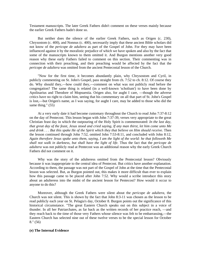Testament manuscripts. The later Greek Fathers didn't comment on these verses mainly because the earlier Greek Fathers hadn't done so.

But neither does the silence of the earlier Greek Fathers, such as Origen (c. 230), Chrysostom (c. 400), and Nonnus (c. 400), necessarily imply that these ancient Bible scholars did not know of the *pericope de adultera* as part of the Gospel of John. For they may have been influenced against it by the moralistic prejudice of which we have spoken and also by the fact that some of the manuscripts known to them omitted it. And Burgon mentions another very good reason why these early Fathers failed to comment on this section. Their commenting was in connection with their preaching, and their preaching would be affected by the fact that the *pericope de adultera* was omitted from the ancient Pentecostal lesson of the Church.

"Now for the first time, it becomes abundantly plain, why Chrysostom and Cyril, in publicly commenting on St. John's Gospel, pass straight from ch. 7:52 to ch. 8:12. Of course they do. Why should they,—how could they,—comment on what was not publicly read before the congregation? The same thing is related (in a well-known 'scholium') to have been done by Apolinarius and Theodore of Mopsuestia. Origen also, for aught I care, —though the adverse critics have no right to claim him, seeing that his commentary on all that part of St. John's Gospel is lost,—but Origen's name, as I was saying, for aught I care, may be added to those who did the same thing." (55)

At a very early date it had become customary throughout the Church to read John 7:37-8:12 on the day of Pentecost. This lesson began with John 7:37-39, verses very appropriate to the great Christian feast day in which the outpouring of the Holy Spirit is commemorated: *In the last day, that great day of the feast, Jesus stood and cried saying, If any man thirst, let him come unto Me and drink . . . But this spake He of the Spirit which they that believe on Him should receive.* Then the lesson continued through John 7:52, omitted John 7:53-8:11, and concluded with John 8:12, *Again therefore Jesus spake unto them, saying, I am the light of the world: he that followeth Me shall not walk in darkness, but shall have the light of life.* Thus the fact that the *pericope de adultera* was not publicly read at Pentecost was an additional reason why the early Greek Church Fathers did not comment on it.

Why was the story of the adulteress omitted from the Pentecostal lesson? Obviously because it was inappropriate to the central idea of Pentecost. But critics have another explanation. According to them, the passage was not part of the Gospel of John at the time that the Pentecostal lesson was selected. But, as Burgon pointed out, this makes it more difficult than ever to explain how this passage came to be placed after John 7:52. Why would a scribe introduce this story about an adulteress into the midst of the ancient lesson for Pentecost? How would it occur to anyone to do this?

Moreover, although the Greek Fathers were silent about the *pericope de adultera,* the Church was not silent. This is shown by the fact that John 8:3-11 was chosen as the lesson to be read publicly each year on St. Pelagia's day, October 8. Burgon points out the significance of this historical circumstance. "The great Eastern Church speaks out on this subject in a voice of thunder. In all her Patriarchates, as far back as the written records of her practice reach, —and they reach back to the time of those very Fathers whose silence was felt to be embarrassing,—the Eastern Church has selected nine out of these twelve verses to be the special lesson for October 8." (56)

### **(e) The Internal Evidence**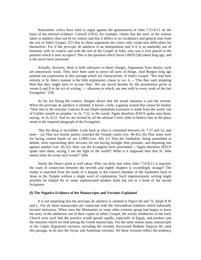Naturalistic critics have tried to argue against the genuineness of John 7:53-8:11 on the basis of the internal evidence. Colwell (1952), for example, claims that the story of the woman taken in adultery does not fit its context and that it differs in its vocabulary and general tone from the rest of John's Gospel. (57) But by these arguments the critics only create new difficulties for themselves. For if the *pericope de adultera is* an interpolation and if it is so markedly out of harmony with its context and with the rest of the Gospel of John, why was it ever placed in the position which it now occupies? This is the question which Steck (1893) (58) asked long ago, and it has never been answered.

Actually, however, there is little substance to these charges. Arguments from literary style are notoriously weak. They have been used to prove all sorts of things. And Burgon long ago pointed out expressions in this passage which are characteristic of John's Gospel. "We note how entirely in St. John's manner is the little explanatory clause in ver. 6, —'This they said, tempting Him that they might have to accuse Him.' We are struck besides by the prominence given in verses 6 and 8 to the act of writing, — allusions to which, are met with in every work of the last Evangelist." (59)

As for not fitting the context, Burgon shows that the actual situation is just the reverse. When the *pericope de adultera is* omitted, it leaves a hole, a gaping wound that cannot be healed. "Note that in the oracular Codexes *B* and *Aleph* immediate transition is made from the words 'out of Galilee ariseth no prophet,' in ch. 7:52, to the words 'Again therefore JESUS spake unto them, saying,' in ch. 8:12. And we are invited by all the adverse Critics alike to believe that so the place stood in the inspired autograph of the Evangelist.

"But the thing is incredible. Look back at what is contained between ch. 7:37 and 52, and note— (a) That two hostile parties crowded the Temple courts (ver. 40-42); (b) That some were for laying violent hands on our LORD (ver. 44); (c) That the Sanhedrin, being assembled in debate, were reproaching their servants for not having brought Him prisoner, and disputing one against another (ver. 45-52). How can the Evangelist have proceeded,—'Again therefore JESUS spake unto them, saying, I am the light of the world'? What is it supposed then that St. John meant when he wrote such words?" (60)

Surely the Dean's point is well taken. Who can deny that when John 7:53-8:11 is rejected, the want of connection between the seventh and eighth chapters is exceedingly strange? The reader is snatched from the midst of a dispute in the council chamber of the Sanhedrin back to Jesus in the Temple without a single word of explanation. Such impressionistic writing might possibly be looked for in some sophisticated modern book but not in a book of the sacred Scriptures.

### **(f) The Negative Evidence of the Manuscripts and Versions Explained**

It is not surprising that the *pericope de adultera* is omitted in Papyri 66 and 75, *Aleph B* W and L. For all these manuscripts are connected with the Alexandrian tradition which habitually favored omissions. When once the Montanists or some other extreme group had begun to leave the story of the adulteress out of their copies of John's Gospel, the ascetic tendencies of the early Church were such that the practice would spread rapidly, especially in Egypt, and produce just the situation which we find among the Greek manuscripts. For the same reason many manuscripts of the Coptic (Egyptian) versions, including the recently discovered Bodmer Papyrus III, omit this passage, as do also the Syriac and Armenian versions. All these versions reflect the tendency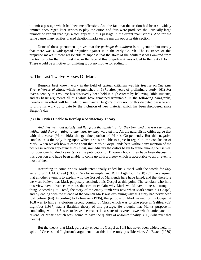to omit a passage which had become offensive. And the fact that the section had been so widely omitted encouraged later scribes to play the critic, and thus were produced the unusually large number of variant readings which appear in this passage in the extant manuscripts. And for the same cause many scribes placed deletion marks on the margin opposite this section.

None of these phenomena proves that the *pericope de adultera* is not genuine but merely that there was a widespread prejudice against it in the early Church. The existence of this prejudice makes it more reasonable to suppose that the story of the adulteress was omitted from the text of John than to insist that in the face of this prejudice it was added to the text of John. There would be a motive for omitting it but no motive for adding it.

# 5. The Last Twelve Verses Of Mark

Burgon's best known work in the field of textual criticism was his treatise on *The Last Twelve Verses of Mark,* which he published in 1871 after years of preliminary study. (61) For over a century this volume has deservedly been held in high esteem by believing Bible students, and its basic arguments all this while have remained irrefutable. In the following paragraphs*,*  therefore, an effort will be made to summarize Burgon's discussion of this disputed passage and to bring his work up to date by the inclusion of new material which has been discovered since Burgon's day.

### **(a) The Critics Unable to Develop a Satisfactory Theory**

*And they went out quickly and fled from the sepulchre; for they trembled and were amazed: neither said they any thing to any man; for they were afraid.* All the naturalistic critics agree that with this verse (Mark 16:8) the genuine portion of Mark's Gospel ends. But this negative conclusion is the only thing upon which critics are able to agree in regard to the conclusion of Mark. When we ask how it came about that Mark's Gospel ends here without any mention of the post-resurrection appearances of Christ, immediately the critics begin to argue among themselves. For over one hundred years (since the publication of Burgon's book) they have been discussing this question and have been unable to come up with a theory which is acceptable to all or even to most of them.

According to some critics, Mark intentionally ended his Gospel with the words *for they were afraid.* J. M. Creed (1930), (62) for example, and R. H. Lightfoot (1950) (63) have argued that all other attempts to explain why the Gospel of Mark ends here have failed, and that therefore we *must* believe that Mark purposely concluded his Gospel at this point. The scholars who hold this view have advanced various theories to explain why Mark would have done so strange a thing. According to Creed, the story of the empty tomb was new when Mark wrote his Gospel, and by ending with the silence of the women Mark was explaining why this story had never been told before. (64) According to Lohmeyer (1936), the purpose of Mark in ending his Gospel at 16:8 was to hint at a glorious second coming of Christ which was to take place in Galilee. (65) Lightfoot (1937) had a Barthian theory of this passage. He thought that Mark's purpose in concluding with 16:8 was to leave the reader in a state of reverent awe which anticipated an "event" or "crisis" which was "found to have the quality of absolute finality" (66) (whatever that means).

But the theory that Mark purposely ended his Gospel at 16:8 has never been widely held, in spite of Creed's and Lightfoot's arguments that this is the only possible view. As Beach (1959)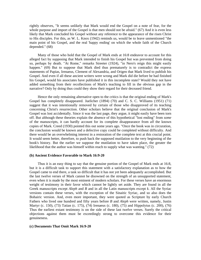rightly observes, "It seems unlikely that Mark would end the Gospel on a note of fear, for the whole purpose and import of the Gospel is that men should not be afraid." (67) And it is even less likely that Mark concluded his Gospel without any reference to the appearance of the risen Christ to His disciples. For this, as W. L. Knox (1942) reminds us, would be to leave unmentioned "the main point of his Gospel, and the real 'happy ending' on which the whole faith of the Church depended." (68)

Many of those who hold that the Gospel of Mark ends at 16:8 endeavor to account for this alleged fact by supposing that Mark intended to finish his Gospel but was prevented from doing so, perhaps by death. "At Rome," remarks Streeter (1924), "in Nero's reign this might easily happen." (69) But to suppose that Mark died thus prematurely is to contradict the express statements of Papias, Irenaeus, Clement of Alexandria, and Origen that Mark lived to publish his Gospel. And even if all these ancient writers were wrong and Mark did die before he had finished his Gospel, would his associates have published it in this incomplete state? Would they not have added something from their recollections of Mark's teaching to fill in the obvious gap in the narrative? Only by doing thus could they show their regard for their deceased friend.

Hence the only remaining alternative open to the critics is that the original ending of Mark's Gospel has completely disappeared. Juelicher (1894) (70) and C. S. C. Williams (1951) (71) suggest that it was intentionally removed by certain of those who disapproved of its teaching concerning Christ's resurrection. Other scholars believe that the original conclusion of Mark's Gospel was lost accidentally. Since it was the last page, they argue, it might easily have been torn off. But although these theories explain the absence of this hypothetical "lost ending" from *some*  of the manuscripts, it can hardly account for its complete disappearance from *all* the known copies of Mark. Creed (1930) pointed this out some years ago. "Once the book was in circuration, the conclusion would be known and a defective copy could be completed without difficulty. And there would be an overwhelming interest in a restoration of the complete text at this crucial point. It would seem better, therefore, to push back the supposed mutilation to the very beginning of the book's history. But the earlier we suppose the mutilation to have taken place, the greater the likelihood that the author was himself within reach to supply what was wanting." (72)

### **(b) Ancient Evidence Favorable to Mark 16:9-20**

Thus it is an easy thing to say that the genuine portion of the Gospel of Mark ends at 16:8, but it is a difficult task to support this statement with a satisfactory explanation as to how the Gospel came to end there, a task so difficult that it has not yet been adequately accomplished. But the last twelve verses of Mark cannot be disowned on the strength of an unsupported statement, even when it is made by the most eminent of modern scholars. For these verses have an enormous weight of testimony in their favor which cannot be lightly set aside. They are found in all the Greek manuscripts except *Aleph* and *B* and in all the Latin manuscripts except *k*. All the Syriac versions contain these verses, with the exception of the Sinaitic Syriac, and so also does the Bohairic version. And, even more important, they were quoted as Scripture by early Church Fathers who lived one hundred and fifty years before *B* and *Aleph* were written, namely, Justin Martyr (c. 150), (73) Tatian (c. 175), (74) Irenaeus (c. 180), (75) and Hippolytus (c. 200), (76) Thus the earliest extant testimony is on the side of these last twelve verses. Surely the critical objections against them must be exceedingly strong to overcome this evidence for their genuineness.

### **(c) Documents That Omit Mark 16:9-20**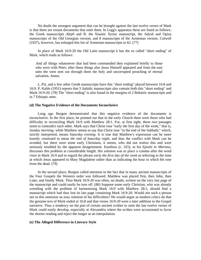No doubt the strongest argument that can be brought against the last twelve verses of Mark is that there are extant documents that omit them. In Legg's apparatus these are listed as follows: the Greek manuscripts *Aleph* and B. the Sinaitic Syriac manuscript, the Adysh and Opiza manuscripts of the Old Georgian version, and 8 manuscripts of the Armenian version. Colwell (1937), however, has enlarged this list of Armenian manuscripts to 62. (77)

In place of Mark 16:9-20 the Old Latin manuscript k has the so called "short ending" of Mark, which reads as follows:

And all things whatsoever that had been commanded they explained briefly to those who were with Peter; after these things also Jesus Himself appeared and from the east unto the west sent out through them the holy and uncorrupted preaching of eternal salvation. Amen.

*L, Psi,* and a few other Greek manuscripts have this "short ending" placed between 16:8 and 16:9. P. Kahle (1951) reports that 5 Sahidic manuscripts also contain both this "short ending" and Mark 16:9-20. (78) The "short ending" is also found in the margins of 2 Bohairic manuscripts and in 7 Ethiopic ones.

### **(d) The Negative Evidence of the Documents Inconclusive**

Long ago Burgon demonstrated that this negative evidence of the documents is inconclusive. In the first place, he pointed out that in the early Church there were those who had difficulty in reconciling Mark 16:9 with Matthew 28:1. For, at first sight, these two passages seem to contradict each other. Mark says that Christ rose "early the first day of the week," that is, *Sunday morning*; while Matthew seems to say that Christ rose "in the end of the Sabbath," which, strictly interpreted, means Satu*rday evening*. It is true that Matthew's expression can be more loosely construed to mean *the* end *of Saturday night,* and thus the conflict with Mark can be avoided, but there were some early Christians, it seems, who did not realize this and were seriously troubled by the apparent disagreement. Eusebius (c. 325), in his *Epistle to Marinus,*  discusses this problem at considerable length. His solution was to place a comma after the word *risen* in Mark 16:9 and to regard the phrase *early the first day of the week* as referring to the time at which Jesus appeared to Mary Magdalene rather than as indicating the hour in which He rose from the dead. (79)

In the second place, Burgon called attention to the fact that in many ancient manuscripts of the Four Gospels the Western order was followed. Matthew was placed first, then John, then Luke, and finally Mark. Thus Mark 16:9-20 was often, no doubt, written on the very last page of the manuscript and could easily be torn off. (80) Suppose some early Christian, who was already wrestling with the problem of harmonizing Mark 16:9 with Matthew 28:1, should find a manuscript which had thus lost its last page containing Mark 16:9-20. Would not such a person see in this omission an easy solution of his difficulties? He would argue as modern critics do that the genuine text of Mark ended at 16:8 and that verses 16:9-20 were a later addition to the Gospel narrative. Thus a tendency on the part of certain ancient scribes to omit the last twelve verses of Mark could easily develop, especially at Alexandria where the scribes were accustomed to favor the shorter reading and reject the longer as an interpolation.

### **(e) The Alleged Difference in Literary Style**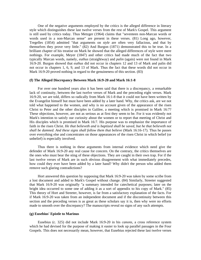One of the negative arguments employed by the critics is the alleged difference in literary style which distinguishes these last twelve verses from the rest of Mark's Gospel. This argument is still used by critics today. Thus Metzger (1964) claims that "seventeen non-Marcan words or words used in a non-Marcan sense" are present in these verses. (81) Long ago, however, Tregelles (1854) admitted "that arguments on *style* are often very fallacious, and that by themselves they prove very little." (82) And Burgon (1871) demonstrated this to be true. In a brilliant chapter of his treatise on Mark he showed that the alleged differences of style were mere nothings. For example, Meyer (1847) and other critics had made much of the fact that two typically Marcan words, namely, *euthus* (straightway) and *palin* (again) were not found in Mark 16:9-20. Burgon showed that *euthus* did not occur in chapters 12 and 13 of Mark and palin did not occur in chapters 1, 6, 9, and 13 of Mark. Thus the fact that these words did not occur in Mark 16:9-20 proved nothing in regard to the genuineness of this section. (83)

### **(f) The Alleged Discrepancy Between Mark 16:9-20 and Mark 16:1-8**

For over one hundred years also it has been said that there is a discrepancy, a remarkable lack of continuity, between the last twelve verses of Mark and the preceding eight verses. Mark 16:9-20, we are told, differs so radically from Mark 16:1-8 that it could not have been written by the Evangelist himself but must have been added by a later hand. Why, the critics ask, are we not told what happened to the women, and why is no account given of the appearance of the risen Christ to Peter and the other disciples in Galilee, a meeting which is promised in Mark 16:7? These objections, however, are not as serious as at first they seem to be. For it was evidently not Mark's intention to satisfy our curiosity about the women or to report that meeting of Christ and His disciples which is promised in Mark 16:7. His purpose was to emphasize the importance of faith in the risen Christ. *He that believeth and is baptized shall be saved, but he that believeth not shall be damned. And these signs shall follow them that believe* (Mark 16:16-17). Thus he passes over everything else and concentrates on those appearances of the risen Christ in which belief (or unbelief) is especially involved.

Thus there is nothing in these arguments from internal evidence which need give the defender of Mark 16:9-20 any real cause for concern. On the contrary, the critics themselves are the ones who must bear the sting of these objections. They are caught in their own trap. For if the last twelve verses of Mark are in such obvious disagreement with what immediately precedes, how could they ever have been added by a later hand? Why didn't the person who added them remove such glaring contradictions?

Hort answered this question by supposing that Mark 16:9-20 was taken by some scribe from a lost document and added to Mark's Gospel without change. (84) Similarly, Streeter suggested that Mark 16:9-20 was originally "a summary intended for catechetical purposes; later on the bright idea occurred to some one of adding it as a sort of appendix to his copy of Mark." (85) This theory of Hort and Streeter, however, is far from a satisfactory explanation of the facts. For if Mark 16:9-20 was taken from an independent document and if the discontinuity between this section and the preceding verses is as great as these scholars say it is, then why were no efforts made to smooth over the discrepancy? The manuscripts reveal no signs of any such attempts.

### **(g) Eusebius' Epistle to Marinus**

Eusebius (c. 325) did not include Mark 16:9-20 in his *canons,* a cross reference system which he had devised for the purpose of making it easier to look up parallel passages in the Four Gospels. This does not necessarily mean, however, that Eusebius rejected these last twelve verses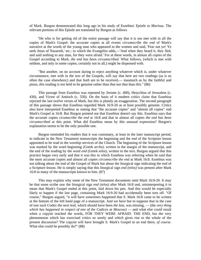of Mark. Burgon demonstrated this long ago in his study of Eusebius' *Epistle to Marinus.* The relevant portions of this Epistle are translated by Burgon as follows

"He who is for getting rid of the entire passage will say that it is not met with in all the copies of Mark's Gospel: the accurate copies at all events *circumscribe the end* of Mark's narrative at the words of the young man who appeared to the women and said, 'Fear not ye! Ye seek Jesus of Nazareth,' etc.: to which the Evangelist adds,—'And when they heard it, they fled, and said nothing to any man, for they were afraid.' For at these words, in almost all copies of the Gospel according to Mark, *the end has been circumscribed.* What follows, (which is met with seldom, and only in some copies, certainly not in all,) might be dispensed with.

"But another, on no account daring to reject anything whatever which is, under whatever circumstance, met with in the text of the Gospels, will say that here are two readings (as is so often the case elsewhere;) and that *both* are to be received,— inasmuch as by the faithful and pious, *this* reading is not held to be genuine rather than *that* nor *that* than *this."* (86)

This passage from Eusebius was repeated by Jerome (c. 400), Hesychius of Jerusalem (c. 430), and Victor of Antioch (c. 550). On the basis of it modern critics claim that Eusebius rejected the last twelve verses of Mark, but this is plainly an exaggeration. The second paragraph of this passage shows that Eusebius regarded Mark 16:9-20 as at least possibly genuine. Critics also have interpreted Eusebius as stating that "the accurate copies" and "almost all copies" end Mark's Gospel at 16:8. But Burgon pointed out that Eusebius doesn't say this. Eusebius says that the accurate copies *cicumscribe the end* at 16:8 and that in almost all copies *the end has been circumscribed* at this point. What did Eusebius mean by this unusual expression? Burgon's explanation seems to be the only possible one.

Burgon reminded his readers that it was customary, at least in the later manuscript period, to indicate in the New Testament manuscripts the beginning and the end of the Scripture lesson appointed to be read in the worship services of the Church. The beginning of the Scripture lesson was marked by the word beginning (Greek *arche),* written in the margin of the manuscript, and the end of the reading by the word *end* (Greek *telos),* written in the text. Burgon argued that this practice began very early and that it was this to which Eusebius was referring when he said that the most accurate copies and almost all copies *circumscribe the end* at Mark 16:8. Eusebius was not talking about the end of the Gospel of Mark but about the liturgical sign indicating the end of a Scripture lesson. He is simply saying that this liturgical sign *end (telos)* was present after Mark 16:8 in many of the manuscripts known to him. (87)

This may explain why some of the New Testament documents omit Mark 16:9-20. It may be that some scribe saw the liturgical sign *end (telos)* after Mark 16:8 and, misinterpreting it to mean that Mark's Gospel ended at this point, laid down his pen. And this would be especially likely to happen if the last page, containing Mark 16:9-20 had accidentally been torn off. "Of course," Burgon argued, "it will have *sometimes* happened that S. Mark 16:8 came to be written at the bottom of the left hand page of a manuscript. And we have but to suppose that in the case of one such Codex the next leaf, which should have been *the last,* was missing, — (the *very thing which has happened in respect of one of the Codices at Moscow)* — and what else *could* result when a copyist reached the words, FOR THEY WERE AFRAID. THE END, but the very phenomenon which has exercised critics so sorely and which gives rise to the whole of the present discussion? The copyist will have brought S. Mark's Gospel to an end there, *of course.*  What else could he possibly do?" (88)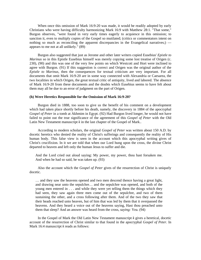When once this omission of Mark 16:9-20 was made, it would be readily adopted by early Christians who were having difficulty harmonizing Mark 16:9 with Matthew 28:1. "That some," Burgon observes, "were found in very early times eagerly to acquiesce in this omission; to sanction it, even to multiply copies of the Gospel so mutilated; (critics or commentators intent on nothing so much as reconciling the apparent discrepancies in the Evangelical narratives;) appears to me not at all unlikely." (89)

Burgon also suggested that just as Jerome and other later writers copied Eusebius' *Epistle to Marinus* so in this Epistle Eusebius himself was merely copying some lost treatise of Origen (c. 230), (90) and this was one of the very few points on which Westcott and Hort were inclined to agree with Burgon. (91) If this suggestion is correct and Origen was the original author of the *Epistle to Marinus,* then the consequences for textual criticism are very important. For all documents that omit Mark 16:9-20 are in some way connected with Alexandria or Caesarea, the two localities in which Origen, the great textual critic of antiquity, lived and labored. The absence of Mark 16:9-20 from these documents and the doubts which Eusebius seems to have felt about them may all be due to an error of judgment on the part of Origen.

### **(h) Were Heretics Responsible for the Omission of Mark 16:9-20?**

Burgon died in 1888, too soon to give us the benefit of his comment on a development which had taken place shortly before his death, namely, the discovery in 1884 of the apocryphal *Gospel of Peter* in a tomb at Akhmim in Egypt. (92) Had Burgon lived longer, he would not have failed to point out the true significance of the agreement of this *Gospel of Peter* with the Old Latin New Testament manuscript  $k$  in the last chapter of the Gospel of Mark..

According to modern scholars, the original *Gospel of Peter* was written about 150 A.D. by docetic heretics who denied the reality of Christ's sufferings and consequently the reality of His human body. This false view is seen in the account which this apocryphal writing gives of Christ's crucifixion. In it we are told that when our Lord hung upon the cross, the divine Christ departed to heaven and left only the human Jesus to suffer and die.

And the Lord cried out aloud saying: My power, my power, thou hast forsaken me. And when he had so said, he was taken up. (93)

Also the account which the *Gospel of Peter* gives of the resurrection of Christ is uniquely docetic.

… and they saw the heavens opened and two men descend thence having a great light, and drawing near unto the sepulchre… and the sepulchre was opened, and both of the young men entered in . . . and while they were yet telling them the things which they had seen, they saw again three men come out of the sepulchre, and two of them sustaining the other, and a cross following after them. And of the two they saw that their heads reached unto heaven, but of him that was led by them that it overpassed the heavens. And they heard a voice out of the heavens saying, Hast thou preached unto them that sleep? And an answer was heard from the cross, *saying:* Yea. (94)

In the Gospel of Mark the Old Latin New Testament manuscript *k* gives a heretical, docetic account of the resurrection of Christ similar to that found in the apocryphal *Gospel of Peter.* In Mark 16:4 manuscript *k* reads as follows: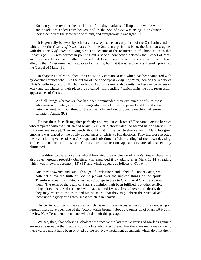Suddenly, moreover, at the third hour of the day, darkness fell upon the whole world, and angels descended from heaven, and as the Son of God was rising in brightness, they ascended at the same time with him, and straightway it was light. (95)

It is generally believed by scholars that *k* represents an early form of the Old Latin version, which, like the *Gospel of Peter,* dates from the 2nd century. If this is so, the fact that *k* agrees with the *Gospel of Peter* in giving a docetic account of the resurrection of Christ indicates that Irenaeus (c. 180) was correct in pointing out a special connection between the Gospel of Mark and docetism. This ancient Father observed that docetic heretics "who separate Jesus from Christ, alleging that Christ remained incapable of suffering, but that it was Jesus who suffered," preferred the Gospel of Mark. (96)

In chapter 16 of Mark, then, the Old Latin *k* contains a text which has been tampered with by docetic heretics who, like the author of the apocryphal *Gospel of Peter,* denied the reality of Christ's sufferings and of His human body. And this same *k* also omits the last twelve verses of Mark and substitutes in their place the so-called "short ending," which omits the post-resurrection appearances of Christ.

And all things whatsoever that had been commanded they explained briefly to those who were with Peter; after these things also Jesus Himself appeared and from the east unto the west sent out through them the holy and uncorrupted preaching of eternal salvation. Amen. (97)

Do not these facts fit together perfectly and explain each other? The same docetic heretics who tampered with the first half of Mark 16 in k also abbreviated the second half of Mark 16 in this same manuscript. They evidently thought that in the last twelve verses of Mark too great emphasis was placed on the bodily appearances of Christ to His disciples. They therefore rejected these concluding verses of Mark's Gospel and substituted a "short ending" of their own devising, a docetic conclusion in which Christ's post-resurrection appearances are almost entirely eliminated.

In addition to these docetists who abbreviated the conclusion of Mark's Gospel there were also other heretics, probably Gnostics, who expanded it by adding after Mark 16:14 a reading which was known to Jerome (415) (98) and which appears as follows in *Codex W* 

And they answered and said, 'This age of lawlessness and unbelief is under Satan, who doth not allow the truth of God to prevail over the unclean things of the spirits. Therefore reveal thy righteousness now.' So spake they to Christ. And Christ answered them, 'The term of the years of Satan's dominion hath been fulfilled, but other terrible things draw near. And for those who have sinned I was delivered over unto death, that they may return to the truth and sin no more, that they may inherit the spiritual and incorruptible glory of righteousness which is in heaven.' (99)

Hence, in addition to the causes which Dean Burgon discussed so ably, the tampering of heretics must have been one of the factors which brought about the omission of Mark 16:9-20 in the few New Testament documents which do omit this passage.

We see, then, that believing scholars who receive the last twelve verses of Mark as genuine are more reasonable than naturalistic scholars who reject them. For there are many reasons why these verses might have been omitted by the few New Testament documents which do omit them,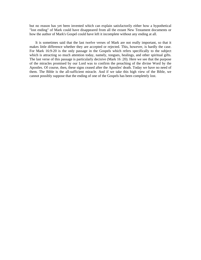but no reason has yet been invented which can explain satisfactorily either how a hypothetical "lost ending" of Mark could have disappeared from all the extant New Testament documents or how the author of Mark's Gospel could have left it incomplete without any ending at all.

It is sometimes said that the last twelve verses of Mark are not really important, so that it makes little difference whether they are accepted or rejected. This, however, is hardly the case. For Mark 16:9-20 is the only passage in the Gospels which refers specifically to the subject which is attracting so much attention today, namely, tongues, healings, and other spiritual gifts. The last verse of this passage is particularly decisive (Mark 16 :20). Here we see that the purpose of the miracles promised by our Lord was to confirm the preaching of the divine Word by the Apostles. Of course, then, these signs ceased after the Apostles' death. Today we have no need of them. The Bible is the all-sufficient miracle. And if we take this high view of the Bible, we cannot possibly suppose that the ending of one of the Gospels has been completely lost.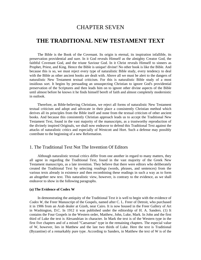# CHAPTER SEVEN

# **THE TRADITIONAL NEW TESTAMENT TEXT**

The Bible is the Book of the Covenant. Its origin is eternal, its inspiration infallible, its preservation providential and sure. In it God reveals Himself as the almighty Creator God, the faithful Covenant God, and the triune Saviour God. In it Christ reveals Himself to sinners as Prophet, Priest, and King. Hence the Bible is unique! divine! No other book is like the Bible. And because this is so, we must reject every type of naturalistic Bible study, every tendency to deal with the Bible as other ancient books are dealt with. Above all we must be alert to the dangers of naturalistic New Testament textual criticism. For this is naturalistic Bible study of a most insidious sort. It begins by persuading an unsuspecting Christian to ignore God's providential preservation of the Scriptures and then leads him on to ignore other divine aspects of the Bible until almost before he knows it he finds himself bereft of faith and almost completely modernistic in outlook.

Therefore, as Bible-believing Christians, we reject all forms of naturalistic New Testament textual criticism and adopt and advocate in their place a consistently Christian method which derives all its principles from the Bible itself and none from the textual criticism of other ancient books. And because this consistently Christian approach leads us to accept the Traditional New Testament Text, found in the vast majority of the manuscripts, as a trustworthy reproduction of the divinely inspired Originals, we shall now endeavor to defend this Traditional Text against the attacks of naturalistic critics and especially of Westcott and Hort. Such a defense may possibly contribute to the beginning of a new Reformation.

# 1. The Traditional Text Not The Invention Of Editors

Although naturalistic textual critics differ from one another in regard to many matters, they all agree in regarding the Traditional Text, found in the vast majority of the Greek New Testament manuscripts, as a late invention. They believe that there were editors who deliberately created the Traditional Text by selecting *readings* (words, phrases, and sentences) from the various texts already in existence and then recombining these readings in such a way as to form an altogether new text. This naturalistic view, however, is contrary to the evidence, as we shall endeavor to show in the following paragraphs.

### **(a) The Evidence of Codex W**

In demonstrating the antiquity of the Traditional Text it is well to begin with the evidence of *Codex W,* the Freer Manuscript of the Gospels, named after C. L. Freer of Detroit, who purchased it in 1906 from an Arab dealer at Gizeh, near Cairo. It is now housed in the Freer Gallery of Art in Washington, D.C. In 1912 it was published under the editorship of H. A. Sanders. (1) It contains the Four Gospels in the Western order, Matthew, John, Luke, Mark. In John and the first third of Luke the text is Alexandrian in character. In Mark the text is of the Western type in the first five chapters and of a mixed "Caesarean" type in the remaining chapters. The especial value of W, however, lies in Matthew and the last two thirds of Luke. Here the text is Traditional (Byzantine) of a remarkably pure type. According to Sanders, in Matthew the text of W is of the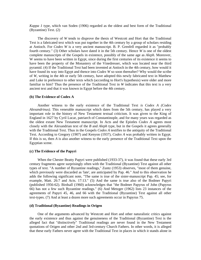*Kappa 1* type, which van Soden (1906) regarded as the oldest and best form of the Traditional (Byzantine) Text. (2)

The discovery of *W* tends to disprove the thesis of Westcott and Hort that the Traditional Text is a fabricated text which was put together in the 4th century by a group of scholars residing at Antioch. For *Codex W* is a very ancient manuscript. B. P. Grenfell regarded it as "probably fourth century." (3) Other scholars have dated it in the 5th century. Hence *W* is one of the oldest complete manuscripts of the Gospels in existence, possibly of the same age as *Aleph.* Moreover, W seems to have been written in Egypt, since during the first centuries of its existence it seems to have been the property of the Monastery of the Vinedresser, which was located near the third pyramid. (4) If the Traditional Text had been invented at Antioch in the 4th century, how would it have found its way into Egypt and thence into *Codex W* so soon thereafter? Why would the scribe of *W*, writing in the 4th or early 5th century, have adopted this newly fabricated text in Matthew and Luke in preference to other texts which (according to Hort's hypothesis) were older and more familiar to him? Thus the presence of the Traditional Text in *W* indicates that this text is a very ancient text and that it was known in Egypt before the 4th century.

### **(b) The Evidence of Codex A**

Another witness to the early existence of the Traditional Text *is Codex A (Codex Alexandrinus).* This venerable manuscript which dates from the 5th century, has played a very important role in the history of New Testament textual criticism. It was given to the King of England in 1627 by Cyril Lucar, patriarch of Constantinople, and for many years was regarded as the oldest extant New Testament manuscript. In Acts and the Epistles *Codex A* agrees most closely with the Alexandrian text of the *B* and *Aleph* type, but in the Gospels it agrees generally with the Traditional Text. Thus in the Gospels *Codex A* testifies to the antiquity of the Traditional Text. According to Gregory (1907) and Kenyon (1937), *Codex A* was probably written in Egypt. If this is so, then *A* is also another witness to the early presence of the Traditional Text upon the Egyptian scene.

### **(c) The Evidence of the Papyri**

When the Chester Beatty Papyri were published (1933-37), it was found that these early 3rd century fragments agree surprisingly often with the Traditional (Byzantine) Text against all other types of text. "A number of Byzantine readings," Zuntz (1953) observes, "most of them genuine, which previously were discarded as 'late', are anticipated by Pap. 46." And to this observation he adds the following significant note, "The same is true of the sister-manuscript Pap. 45; see, for example, Matt. 26:7 and Acts. 17:13." (5) And the same is true also of the Bodmer Papyri (published 1956-62). Birdsall (1960) acknowledges that "the Bodmer Papyrus of John (Papyrus 66) has not a few such Byzantine readings." (6) And Metzger (1962) lists 23 instances of the agreements of Papyri 45, 46, and 66 with the Traditional (Byzantine) Text against all other text-types. (7) And at least a dozen more such agreements occur in Papyrus 75.

### **(d) Traditional (Byzantine) Readings in Origen**

One of the arguments advanced by Westcott and Hort and other naturalistic critics against the early existence and thus against the genuineness of the Traditional (Byzantine) Text is the alleged fact that "distinctively" Traditional readings are never found in the New Testament quotations of Origen and other 2nd and 3rd-century Church Fathers. In other words, it is alleged that these early Fathers never agree with the Traditional Text in places in which it stands alone in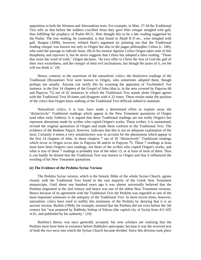opposition to both the Western and Alexandrian texts. For example, in Matt. 27:34 the Traditional Text tells us that before the soldiers crucified Jesus they gave Him *vinegar* mingled with gall, thus fulfilling the prophecy of Psalm 69:21. Hort thought this to be a late reading suggested by the Psalm. The true reading, he contended, is that found in *Aleph B D etc., wine* mingled with gall. Burgon (1896), however, refuted Hort's argument by pointing out that the Traditional reading *vinegar* was known not only to Origen but also to the pagan philosopher Celsus (c. 180), who used the passage to ridicule Jesus. (8) In his treatise *Against Celsus* Origen takes note of this blasphemy and reproves it, but he never suggests that Celsus has adopted a false reading. "Those that resist the word of truth," Origen declares, "do ever offer to Christ the Son of God the gall of their own wickedness, and the *vinegar* of their evil inclinations; but though He tastes of it, yet He will not drink it." (9)

Hence, contrary to the assertions of the naturalistic critics, the distinctive readings of the Traditional (Byzantine) Text were known to Origen, who sometimes adopted them, though perhaps not usually. Anyone can verify this by scanning the apparatus of Tischendorf. For instance, in the first 14 chapters of the Gospel of John (that is, in the area covered by Papyrus 66 and Papyrus 75) out of 62 instances in which the Traditional Text stands alone Origen agrees with the Traditional Text 20 times and disagrees with it 32 times. These results make the position of the critics that Origen knew nothing of the Traditional Text difficult indeed to maintain.

Naturalistic critics, it is true, have made a determined effort to explain away the "distinctively" Traditional readings which appear in the New Testament quotations of Origen (and other early Fathers). It is argued that these Traditional readings are not really Origen's but represent alterations made by scribes who copied Origen's works. These scribes, it is maintained, revised the original quotations of Origen and made them conform to the Traditional Text. The evidence of the Bodmer Papyri, however, indicates that this is not an adequate explanation of the facts. Certainly it seems a very unsatisfactory way to account for the phenomena which appear in the first 14 chapters of John. In these chapters 7 out of 20 "distinctively" Traditional readings which occur in Origen occur also in Papyrus 66 and/or in Papyrus 75. These 7 readings at least must have been Origen's own readings, not those of the scribes who copied Origen's works, and what is true of these 7 readings is probably true of the other 13, or at least of most of them. Thus it can hardly be denied that the Traditional Text was known to Origen and that it influenced the wording of his New Testament quotations.

#### **(e) The Evidence of the Peshitta Syriac Version**

The Peshitta Syriac version, which is the historic Bible of the whole Syrian Church, agrees closely with the Traditional Text found in the vast majority of the Greek New Testament manuscripts. Until about one hundred years ago it was almost universally believed that the Peshitta originated in the 2nd century and hence was one of the oldest New Testament versions. Hence because of its agreement with the Traditional Text the Peshitta was regarded as one of the most important witnesses to the antiquity of the Traditional Text. In more recent times, however, naturalistic critics have tried to nullify this testimony of the Peshitta by denying that it is an ancient version. Burkitt (1904), for example, insisted that the Peshitta did not exist before the 5th century but "was prepared by Rabbula, bishop of Edessa (the capital city of Syria) from 411-435 A.D., and published by his authority." (10)

Burkitts's theory was once generally accepted, but now scholars are realizing that the Peshitta must have been in existence before Rabbula's episcopate, because it was the received text of both the two sects into which the Syrian Church became divided. Since this division took place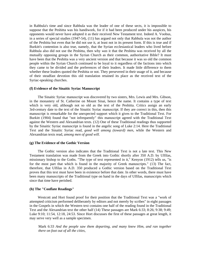in Rabbula's time and since Rabbula was the leader of one of these sects, it is impossible to suppose that the Peshitta was his handiwork, for if it had been produced under his auspices, his opponents would never have adopted it as their received New Testament text. Indeed A. Voobus, in a series of special studies (1947-54), (11) has argued not only that Rabbula was not the author of the Peshitta but even that he did not use it, at least not in its present form. If this is true and if Burkitt's contention is also true, namely, that the Syrian ecclesiastical leaders who lived before Rabbula also did not use the Peshitta, then why *was* it that the Peshitta was received by all the mutually opposing groups in the Syrian Church as their common, authoritative Bible? It must have been that the Peshitta was a very ancient version and that because it was so old the common people within the Syrian Church continued to be loyal to it regardless of the factions into which they came to be divided and the preferences of their leaders. It made little difference to them whether these leaders quoted the Peshitta or not. They persevered in their usage of it, and because of their steadfast devotion this old translation retained its place as the received text of the Syriac-speaking churches.

### **(f) Evidence of the Sinaitic Syriac Manuscript**

The Sinaitic Syriac manuscript was discovered by two sisters, Mrs. Lewis and Mrs. Gibson, in the monastery of St. Catherine on Mount Sinai, hence the name. It contains a type of text which is very old, although not so old as the text of the Peshitta. Critics assign an early 3rd-century date to the text of the Sinaitic Syriac manuscript. If they are correct in this, then this manuscript is remarkable for the unexpected support which it gives to the Traditional Text. For Burkitt (1904) found that "not infrequently" this manuscript agreed with the Traditional Text against the Western and Alexandrian texts. (12) One of these Traditional readings thus supported by the Sinaitic Syriac manuscript is found in the angelic song of Luke 2:14. Here the Traditional Text and the Sinaitic Syriac read, *good will among (toward) men,* while the Western and Alexandrian texts read, *among men of good will.* 

### **(g) The Evidence of the Gothic Version**

The Gothic version also indicates that the Traditional Text is not a late text. This New Testament translation was made from the Greek into Gothic shortly after 350 A.D. by Ulfilas, missionary bishop to the Goths. "The type of text represented in it," Kenyon (1912) tells us, "is for the most part that which is found in the majority of Greek manuscripts." (13) The fact, therefore, that Ulfilas in A.D. 350 produced a Gothic version based on the Traditional Text proves that this text must have been in existence before that date. In other words, there must have been many manuscripts of the Traditional type on hand in the days of Ulfilas, manuscripts which since that time have perished.

### **(h) The "Conflate Readings"**

Westcott and Hort found proof for their position that the Traditional Text was a "work of attempted criticism performed deliberately by editors and not merely by scribes" in eight passages in the Gospels in which the Western text contains one half of the reading found in the Traditional Text and the Alexandrian text the other half (14) These passages are Mark 6:33; 8:26; 9:38; 9:49; Luke 9:10; 11:54, 12:18, 24:53. Since Hort discusses the first of these passages at great length, it may serve very well as a sample specimen.

Mark 6:33 *And the people saw them departing, and many knew Him, and ran together there on foot out of all the cities,*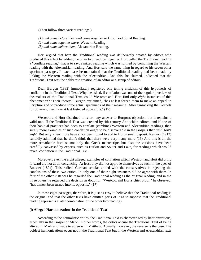(Then follow three variant readings.)

- *(1) and came before them and came together to Him.* Traditional Reading.
- *(2) and came together there.* Western Reading.
- *(3) and came before them.* Alexandrian Reading.

Hort argued that here the Traditional reading was deliberately created by editors who produced this effect by adding the other two readings together. Hort called the Traditional reading a "conflate reading," that is to say, a mixed reading which was formed by combining the Western reading with the Alexandrian reading. And Hort said the same thing in regard to his seven other specimen passages. In each case he maintained that the Traditional reading had been made by linking the Western reading with the Alexandrian. And this, he claimed, indicated that the Traditional Text was the deliberate creation of an editor or a group of editors.

Dean Burgon (1882) immediately registered one telling criticism of this hypothesis of conflation in the Traditional Text. Why, he asked, if conflation was one of the regular practices of the makers of the Traditional Text, could Westcott and Hort find only *eight* instances of this phenomenon? "Their theory," Burgon exclaimed, "has at last forced them to make an appeal to Scripture and to produce some actual specimens of their meaning. After ransacking the Gospels for 30 years, they have at last fastened upon *eight.*'' (15)

Westcott and Hort disdained to return any answer to Burgon's objection, but it remains a valid one. If the Traditional Text was created by 4th-century Antiochian editors, and if one of their habitual practices had been to conflate (combine) Western and Alexandrian readings, then surely more examples of such conflation ought to be discoverable in the Gospels than just Hort's *eight.* But only a few more have since been found to add to Hort's small deposit. Kenyon (1912) candidly admitted that he didn't think that there were very many more (16) And this is all the more remarkable because not only the Greek manuscripts but also the versions have been carefully canvassed by experts, such as Burkitt and Souter and Lake, for readings which would reveal conflation in the Traditional Text.

Moreover, even the eight alleged examples of conflation which Westcott and Hort did bring forward are not at all convincing. At least they did not approve themselves as such in the eyes of Bousset (1894). This radical German scholar united with the conservatives in rejecting the conclusions of these two critics. In only one of their eight instances did he agree with them. In four of the other instances he regarded the Traditional reading as the original reading, and in the three others he regarded the decision as doubtful. "Westcott and Hort's chief proof," he observed, "has almost been turned into its opposite." (17)

In these eight passages, therefore, it is just as easy to believe that the Traditional reading is the original and that the other texts have omitted parts of it as to suppose that the Traditional reading represents a later combination of the other two readings.

### **(i) Alleged Harmonizations in the Traditional Text**

According to the naturalistic critics, the Traditional Text is characterized by harmonizations, especially in the Gospel of Mark. In other words, the critics accuse the Traditional Text of being altered in Mark and made to agree with Matthew. Actually, however, the reverse is the case. The boldest harmonizations occur not in the Traditional Text but in the Western and Alexandrian texts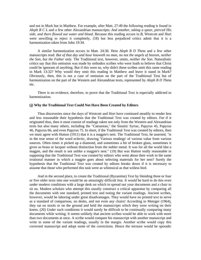and not in Mark but in Matthew. For example, after Matt. 27:49 the following reading is found in *Aleph B C L* and a few other Alexandrian manuscripts: *And another, taking a spear, pierced His side, and there flowed out water and blood.* Because this reading occurs in *B,* Westcott and Hort were unwilling to reject it completely, (18) but less prejudiced critics admit that it is a harmonization taken from John 19:34.

A similar harmonization occurs in Matt. 24:36. Here *Aleph B D Theta* and a few other manuscripts read: *But of that day and hour knoweth no man, no not the angels of heaven, neither the Son, but the Father only.* The Traditional text, however, omits, *neither the Son.* Naturalistic critics say that this omission was made by orthodox scribes who were loath to believe that Christ could be ignorant of anything. But if this were so, why didn't these scribes omit this same reading in Mark 13:32? Why would they omit this reading in Matthew and leave it stand in Mark? Obviously, then, this is not a case of omission on the part of the Traditional Text but of harmonization on the part of the Western and Alexandrian texts, represented by *Aleph B D Theta*  etc.

There is no evidence, therefore, to prove that the Traditional Text is especially addicted to harmonization.

## **(j) Why the Traditional Text Could Not Have Been Created by Editors**

Thus discoveries since the days of Westcott and Hort have continued steadily to render less and less reasonable their hypothesis that the Traditional Text was created by editors. For if it originated thus, then it must consist of readings taken not only from the Western and Alexandrian texts but also many others, including the "Caesarean," the Sinaitic Syriac, Papyrus 45, Papyrus 46, Papyrus 66, and even Papyrus 75. In short, if the Traditional Text was created by editors, then we must agree with Hutton (1911) that it is a magpie's nest. The Traditional Text, he asserted, "is in the true sense of the word eclectic, drawing 'Various readings' of various value from various sources. Often times it picked up a diamond, and sometimes a bit of broken glass, sometimes it gives us brass or lacquer without distinction from the nobler metal. It was for all the world like a magpie, and the result is not unlike a magpie's nest." (19) But was Hutton really reasonable in supposing that the Traditional Text was created by editors who went about their work in the same irrational manner in which a magpie goes about selecting materials for her nest? Surely the hypothesis that the Traditional Text was created by editors breaks down if it is necessary to assume that those who performed this task were as whimsical as that witless bird.

And in the second place, to create the Traditional (Byzantine) Text by blending three or four or five older texts into one would be an amazingly difficult feat. It would be hard to do this even under modern conditions with a large desk on which to spread out your documents and a chair to sit on. Modern scholars who attempt this usually construct a critical apparatus by comparing all the documents with one standard, printed text and noting the variant readings. Ancient scribes, however, would be laboring under great disadvantages. They would have no printed text to serve as a standard of comparison, no desks, and not even any chairs! According to Metzger (1964), they sat on stools or on the ground and held the manuscripts which they were writing on their knees. (20) Under such conditions it would surely be difficult to be continually comparing many documents while writing. It seems unlikely that ancient scribes would be able to work with more than two documents at once. A scribe would compare his manuscript with another manuscript and write in some of the variant readings, usually in the margin. Another scribe would copy this corrected manuscript and adopt some of the corrections. Hence the mixture would be sporadic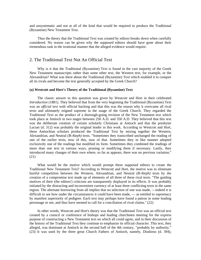and unsystematic and not at all of the kind that would be required to produce the Traditional (Byzantine) New Testament Text.

Thus the theory that the Traditional Text was created by editors breaks down when carefully considered. No reason can be given why the supposed editors should have gone about their tremendous task in the irrational manner that the alleged evidence would require.

# 2. The Traditional Text Not An Official Text

Why is it that the Traditional (Byzantine) Text is found in the vast majority of the Greek New Testament manuscripts rather than some other text, the Western text, for example, or the Alexandrian? What was there about the Traditional (Byzantine) Text which enabled it to conquer all its rivals and become the text generally accepted by the Greek Church?

### **(a) Westcott and Hort's Theory of the Traditional (Byzantine) Text**

The classic answer to this question was given by Westcott and Hort in their celebrated *Introduction* (1881). They believed that from the very beginning the Traditional (Byzantine) Text was an *official* text with official backing and that this was the reason why it overcame all rival texts and ultimately reigned supreme in the usage of the Greek Church. They regarded the Traditional Text as the product of a thorough-going revision of the New Testament text which took place at Antioch in two stages between 250 A.D. and 350 A.D. They believed that this text was the deliberate creation of certain scholarly Christians at Antioch and that the presbyter Lucian (d. 312) was probably the original leader in this work. According to Westcott and Hort, these Antiochian scholars produced the Traditional Text by mixing together the Western, Alexandrian, and Neutral *(B-Aleph)* texts. "Sometimes they transcribed unchanged the reading of one of the earlier texts, now of this, now of that. Sometimes they in like manner adopted exclusively one of the readings but modified its form. Sometimes they combined the readings of more than one text in various ways, pruning or modifying them if necessary. Lastly, they introduced many changes of their own where, so far as appears, there was no previous variation.'' (21)

What would be the motive which would prompt these supposed editors to create the Traditional New Testament Text? According to Westcott and Hort, the motive was to eliminate hurtful competition between the Western, Alexandrian, and Neutral *(B-Aleph)* texts by the creation of a compromise text made up of elements of all three of these rival texts. "The guiding motives of their (the editors') criticism are transparently displayed in its effects. It was probably initiated by the distracting and inconvenient currency of at least three conflicting texts in the same region. The alternate borrowing from all implies that no selection of one was made, —indeed it is difficult to see how under the circumstances it could have been made, — as entitled to supremacy by manifest superiority of pedigree. Each text may perhaps have found a patron in some leading personage or see, and thus have seemed to call for a conciliation of rival claims." (22)

In other words, Westcott and Hort's theory was that the Traditional Text was an official text created by a council or conference of bishops and leading churchmen meeting for the express purpose of constructing a New Testament text on which all could agree, and in their discussion of the history of the Traditional Text they continue to emphasize its official character. This text, they alleged, was dominant at Antioch in the second half of the 4th century, "probably by authority." (23) It was used by the three great Church Fathers of Antioch, namely, Diodorus (d. 394),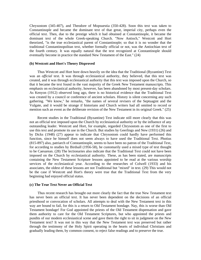Chrysostom (345-407), and Theodore of Mopsuestia (350-428). Soon this text was taken to Constantinople and became the dominant text of that great, imperial city, perhaps even the official text. Then, due to the prestige which it had obtained at Constantinople, it became the dominant text of the whole Greek-speaking Church. "Now Antioch," Westcott and Hort theorized, "is the true ecclesiastical parent of Constantinople; so that it is no wonder that the traditional Constantinopolitan text, whether formally official or not, was the Antiochian text of the fourth century. It was equally natural that the text recognized at Constantinople should eventually become in practice the standard New Testament of the East." (24)

### **(b) Westcott and Hort's Theory Disproved**

Thus Westcott and Hort bore down heavily on the idea that the Traditional (Byzantine) Text was an *official* text. It was through ecclesiastical authority, they believed, that this text was created, and it was through ecclesiastical authority that this text was imposed upon the Church, so that it became the text found in the vast majority of the Greek New Testament manuscripts. This emphasis on ecclesiastical authority, however, has been abandoned by most present-day scholars. As Kenyon (1912) observed long ago, there is no historical evidence that the Traditional Text was created by a council or conference of ancient scholars. History is silent concerning any such gathering. "We know," he remarks, "the names of several revisers of the Septuagint and the Vulgate, and it would be strange if historians and Church writers had all omitted to record or mention such an event as the deliberate revision of the New Testament in its original Greek." (25)

Recent studies in the Traditional (Byzantine) Text indicate still more clearly that this was not an official text imposed upon the Church by ecclesiastical authority or by the influence of any outstanding leader. Westcott and Hort, for example, regarded Chrysostom as one of the first to use this text and promote its use in the Church. But studies by Geerlings and New (1931) (26) and by Dicks (1948) (27) appear to indicate that Chrysostom could hardly have performed this function, since he himself does not seem always to have used the Traditional Text. Photius (815-897) also, patriarch of Constantinople, seems to have been no patron of the Traditional Text, for according to studies by Birdsall (1956-58), he customarily used a mixed type of text thought to be Caesarean. (28) The lectionaries also indicate that the Traditional Text could not have been imposed on the Church by ecclesiastical authority. These, as has been stated, are manuscripts containing the New Testament Scripture lessons appointed to be read at the various worship services of the ecclesiastical year. According to the researches of Colwell (1933) and his associates, the oldest of these lessons are not Traditional but "mixed" in text. (29) This would not be the case if Westcott and Hort's theory were true that the Traditional Text from the very beginning had enjoyed official status.

#### **(c) The True Text Never an Official Text**

Thus recent research has brought out more clearly the fact that the true New Testament text has never been an official text. It has never been dependent on the decisions of an official priesthood or convocation of scholars. All attempts to deal with the New Testament text in this way are bound to fail, for this is a return to Old Testament bondage. Nay, this is worse than Old Testament bondage! For God appointed the priests of the Old Testament dispensation and gave them authority to care for the Old Testament Scriptures, but who appointed the priests and pundits of our modern ecclesiastical scene and gave them the right to sit in judgment on the New Testament text? It was not in this way that the New Testament text was preserved but rather through the testimony of the Holy Spirit operating in the hearts of individual Christians and gradually leading them, by common consent, to reject false readings and to preserve the true.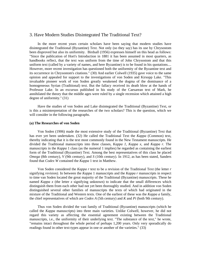# 3. Have Modern Studies Disintegrated The Traditional Text?

In the more recent years certain scholars have been saying that modern studies have disintegrated the Traditional (Byzantine) Text. Not only (so they say) has its use by Chrysostom been disproved but also its uniformity. Birdsall (1956) expresses himself on this head as follows: "Since the publication of Hort's Introduction in 1881 it has been assumed in most quarters, as handbooks reflect, that the text was uniform from the time of John Chrysostom and that this uniform text (called by a variety of names, and here Byzantine) is to be found in his quotations.... However, more recent investigation has questioned both the uniformity of the Byzantine text and its occurrence in Chrysostom's citations." (30) And earlier Colwell (1935) gave voice to the same opinion and appealed for support to the investigations of von Soden and Kirsopp Lake. "This invaluable pioneer work of von Soden greatly weakened the dogma of the dominance of a homogeneous Syrian (Traditional) text. But the fallacy received its death blow at the hands of Professor Lake. In an excursus published in his study of the Caesarean text of Mark, he annihilated the theory that the middle ages were ruled by a single recension which attained a high degree of uniformity.'' (31)

Have the studies of von Soden and Lake disintegrated the Traditional (Byzantine) Text, or is this a misinterpretation of the researches of the two scholars? This is the question, which we will consider in the following paragraphs.

### **(a) The Researches of von Soden**

Von Soden (1906) made the most extensive study of the Traditional (Byzantine) Text that has ever yet been undertaken. (32) He called the Traditional Text the *Kappa* (Common) text, thereby indicating that it is the text most commonly found in the New Testament manuscripts. He divided the Traditional manuscripts into three classes, *Kappa 1, Kappa x,* and *Kappa r.* The manuscripts in the *Kappa* 1 class (as the numeral 1 implies) he regarded as containing the earliest form of the Traditional (Byzantine) Text. Among the best representatives of this class he placed *Omega* (8th century), *V* (9th century), and *S* (10th century). In 1912, as has been stated, Sanders found that *Codex W* contained the *Kappa* 1 text in Matthew.

Von Soden considered the *Kappa r* text to be a revision of the Traditional Text (the letter *r*  signifying *revision).* In between the *Kappa* 1 manuscripts and the *Kappa r* manuscripts in respect to time van Soden located the great majority of the Traditional (Byzantine) manuscripts. These he named *Kappa x* (the letter *x* signifying unknown) to indicate that the small differences which distinguish them from each other had not yet been thoroughly studied. And in addition von Soden distinguished several other families of manuscripts the texts of which had originated in the mixture of the Traditional and Western texts. One of the earliest of these was the *Kappa a* family, the chief representatives of which are *Codex A* (5th century) and *K* and *Pi* (both 9th century).

Thus von Soden divided the vast family of Traditional (Byzantine) manuscripts (which he called the *Kappa* manuscripts) into three main varieties. Unlike Colwell, however, he did not regard this variety as affecting the essential agreement existing between the Traditional manuscripts, i.e., the uniformity of their underlying text. "The substance of the text," he wrote, "remains intact throughout the whole period of perhaps 1,200 years. Only very sporadically do readings found in other text-types appear in one or another of the varieties." (33)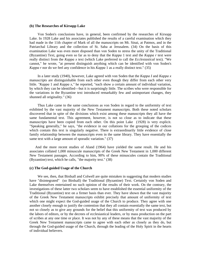### **(b) The Researches of Kirsopp Lake**

Von Soden's conclusions have, in general, been confirmed by the researches of Kirsopp Lake. In 1928 Lake and his associates published the results of a careful examination which they had made in the 11th chapter of Mark of all the manuscripts on Mt. Sinai, at Patmos, and in the Patriarchal Library and the collection of St. Saba at Jerusalem. (34) On the basis of this examination Lake was even more disposed than von Soden to stress the unity of the Traditional (Byzantine) Text, going even so far as to deny that the *Kappa* 1 text and the *Kappa r* text were really distinct from the *Kappa x* text (which Lake preferred to call the *Ecclesiastical* text). "We cannot," he wrote, "at present distinguish anything which can be identified with von Soden's *Kappa r* nor do we feel any confidence in his *Kappa* 1 as a really distinct text." (35)

In a later study (1940), however, Lake agreed with von Soden that the *Kappa I* and *Kappa x*  manuscripts are distinguishable from each other even though they differ from each other very little. *"Kappa* 1 and *Kappa x,"* he reported, "each show a certain amount of individual variation, by which they can be identified—but it is surprisingly little. The scribes who were responsible for the variations in the Byzantine text introduced remarkably few and unimportant changes, they shunned all originality." (36)

Thus Lake came to the same conclusions as von Soden in regard to the uniformity of text exhibited by the vast majority of the New Testament manuscripts. Both these noted scholars discovered that in spite of the divisions which exist among these manuscripts they all have the same fundamental text. This agreement, however, is not so close as to indicate that these manuscripts have been copied from each other. On this point Lake (1928) is very explicit. "Speaking generally," he says, "the evidence in our collations for the grouping of the codices which contain this text is singularly negative. There is extraordinarily little evidence of close family relationship between the manuscripts even in the same library. They have essentially the same text with a large amount of sporadic variation." (37)

And the more recent studies of Aland (1964) have yielded the same result. He and his associates collated 1,000 minuscule manuscripts of the Greek New Testament in 1,000 different New Testament passages. According to him, 90% of these minuscules contain the Traditional (Byzantine) text, which he calls, `'the majority text." (38)

### **(c) The God-guided Usage of the Church**

We see, then, that Birdsall and Colwell are quite mistaken in suggesting that modern studies have "disintegrated" (so Birdsall) the Traditional (Byzantine) Text. Certainly von Soden and Lake themselves entertained no such opinion of the results of their work. On the contrary, the investigations of these latter two scholars seem to have established the essential uniformity of the Traditional (Byzantine) text on a firmer basis than ever. They have shown that the vast majority of the Greek New Testament manuscripts exhibit precisely that amount of uniformity of text which one might expect the God-guided usage of the Church to produce. They agree with one another closely enough to justify the contention that they all contain essentially the same text, but not so closely as to give any grounds for the belief that this uniformity of text was produced by the labors of editors, or by the decrees of ecclesiastical leaders, or by mass production on the part of scribes at any one time or place. It was not by any of these means that the vast majority of the Greek New Testament manuscripts came to agree with each other as closely as they do, but through the God-guided usage of the Church, through the leading of the Holy Spirit in the hearts of individual believers.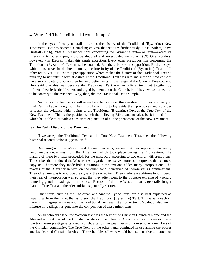# 4. Why Did The Traditional Text Triumph?

In the eyes of many naturalistic critics the history of the Traditional (Byzantine) New Testament Text has become a puzzling enigma that requires further study. "It is evident," says Birdsall (1956), "that all presuppositions concerning the Byzantine text— or texts—except its inferiority to other types, must be doubted and investigated *de novo."* (39) One wonders, however, why Birdsall makes this single exception. Every other presupposition concerning the Traditional (Byzantine) Text must be doubted. But there is one presupposition, Birdsall says, which must never be doubted, namely, the inferiority of the Traditional (Byzantine) Text to all other texts. Yet it is just this presupposition which makes the history of the Traditional Text so puzzling to naturalistic textual critics. If the Traditional Text was late and inferior, how could it have so completely displaced earlier and better texts in the usage of the Church. Westcott and Hort said that this was because the Traditional Text was an official text, put together by influential ecclesiastical leaders and urged by them upon the Church, but this view has turned out to be contrary to the evidence. Why, then, did the Traditional Text triumph?

Naturalistic textual critics will never be able to answer this question until they are ready to think "unthinkable thoughts." They must be willing to lay aside their prejudices and consider seriously the evidence which points to the Traditional (Byzantine) Text as the True Text of the New Testament. This is the position which the believing Bible student takes by faith and from which he is able to provide a consistent explanation of all the phenomena of the New Testament.

### **(a) The Early History of the True Text**

If we accept the Traditional Text as the True New Testament Text, then the following historical reconstruction suggests itself:

Beginning with the Western and Alexandrian texts, we see that they represent two nearly simultaneous departures from the True Text which took place during the 2nd century. The making of these two texts proceeded, for the most part, according to two entirely different plans. The scribes that produced the Western text regarded themselves more as interpreters than as mere copyists. Therefore they made bold alterations in the text and added many interpolations. The makers of the Alexandrian text, on the other hand, conceived of themselves as grammarians. Their chief aim was to improve the style of the sacred text. They made few additions to it. Indeed, their fear of interpolation was so great that they often went to the opposite extreme of wrongly removing genuine readings from the text. Because of this the Western text is generally longer than the True Text and the Alexandrian is generally shorter.

Other texts, such as the Caesarean and Sinaitic Syriac texts, are also best explained as departures from the True, that is to say, the Traditional (Byzantine) Text. This is why each of them in turn agrees at times with the Traditional Text against all other texts. No doubt also much mixture of readings has gone into the composition of these minor texts.

As all scholars agree, the Western text was the text of the Christian Church at Rome and the Alexandrian text that of the Christian scribes and scholars of Alexandria. For this reason these two texts were prestige-texts, much sought after by the wealthier and more scholarly members of the Christian community. The True Text, on the other hand, continued in use among the poorer and less learned Christian brethren. These humble believers would be less sensitive to matters of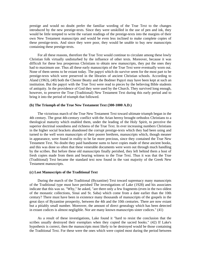prestige and would no doubt prefer the familiar wording of the True Text to the changes introduced by the new prestige-texts. Since they were unskilled in the use of pen and ink, they would be little tempted to write the variant readings of the prestige-texts into the margins of their own New Testament manuscripts and would be even less inclined to make complete copies of these prestige-texts. And since they were poor, they would be unable to buy new manuscripts containing these prestige-texts.

For all these reasons, therefore the True Text would continue to circulate among these lowly Christian folk virtually undisturbed by the influence of other texts. Moreover, because it was difficult for these less prosperous Christians to obtain new manuscripts, they put the ones they had to maximum use. Thus all these early manuscripts of the True Text were eventually worn out. None of them seems to be extant today. The papyri which do survive seem for the most part to be prestige-texts which were preserved in the libraries of ancient Christian schools. According to Aland (1963), (40) both the Chester Beatty and the Bodmer Papyri may have been kept at such an institution. But the papyri with the True Text were read to pieces by the believing Bible students of antiquity. In the providence of God they were used by the Church. They survived long enough, however, to preserve the True (Traditional) New Testament Text during this early period and to bring it into the period of triumph that followed.

#### **(b) The Triumph of the True New Testament Text (300-1000 A.D.)**

The victorious march of the True New Testament Text toward ultimate triumph began in the 4th century. The great 4th-century conflict with the Arian heresy brought orthodox Christians to a theological maturity which enabled them, under the leading of the Holy Spirit, to perceive the superior doctrinal soundness and richness of the True Text. In ever increasing numbers Christians in the higher social brackets abandoned the corrupt prestige-texts which they had been using and turned to the well worn manuscripts of their poorer brethren, manuscripts which, though meaner in appearance, were found in reality to be far more precious, since they contained the True New Testament Text. No doubt they paid handsome sums to have copies made of these ancient books, and this was done so often that these venerable documents were worn out through much handling by the scribes. But before these old manuscripts finally perished, they left behind them a host of fresh copies made from them and bearing witness to the True Text. Thus it was that the True (Traditional) Text became the standard text now found in the vast majority of the Greek New Testament manuscripts.

#### **(c) Lost Manuscripts of the Traditional Text**

During the march of the Traditional (Byzantine) Text toward supremacy many manuscripts of the Traditional type must have perished The investigations of Lake (1928) and his associates indicate that this was so. "Why," he asked, "are there only a few fragments (even in the two oldest of the monastic collections, Sinai and St. Saba) which come from a date earlier than the 10th century? There must have been in existence many thousands of manuscripts of the gospels in the great days of Byzantine prosperity, between the 4th and the 10th centuries. There are now extant but a pitiably small number. Moreover, the amount of direct genealogy which has been detected in extant codices is almost negligible. Nor are many known manuscripts sister codices." (41)

As a result of these investigations, Lake found it "hard to resist the conclusion that the scribes usually destroyed their exemplars when they copied the sacred books." (42) If Lake's hypothesis is correct, then the manuscripts most likely to be destroyed would be those containing the Traditional Text. For these were the ones which were copied most during the period between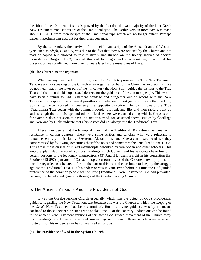the 4th and the 10th centuries, as is proved by the fact that the vast majority of the later Greek New Testament manuscripts are of the Traditional type. The Gothic version moreover, was made about 350 A.D. from manuscripts of the Traditional type which are no longer extant. Perhaps Lake's hypothesis can account for their disappearance.

By the same token, the survival of old uncial manuscripts of the Alexandrian and Western type, such as *Aleph, B.* and *D*, was due to the fact that they were rejected by the Church and not read or copied but allowed to rest relatively undisturbed on the library shelves of ancient monasteries. Burgon (1883) pointed this out long ago, and it is most significant that his observation was confirmed more than 40 years later by the researches of Lake.

#### **(d) The Church as an Organism**

When we say that the Holy Spirit guided the Church to preserve the True New Testament Text, we are not speaking of the Church as an organization but of the Church as an *organism.* We do not mean that in the latter part of the 4th century the Holy Spirit guided the bishops to the True Text and that then the bishops issued decrees for the guidance of the common people. This would have been a return to Old Testament bondage and altogether out of accord with the New Testament principle of the universal priesthood of believers. Investigations indicate that the Holy Spirit's guidance worked in precisely the opposite direction. The trend toward the True (Traditional) Text began with the common people, the rank and file, and then rapidly built up such strength that the bishops and other official leaders were carried along with it. Chrysostom, for example, does not seem to have initiated this trend, for, as stated above, studies by Geerlings and New and by Dicks indicate that Chrysostom did not always use the Traditional Text.

There is evidence that the triumphal march of the Traditional (Byzantine) Text met with resistance in certain quarters. There were some scribes and scholars who were reluctant to renounce entirely their faulty Western, Alexandrian, and Caesarean texts. And so they compromised by following sometimes their false texts and sometimes the True (Traditional) Text. Thus arose those classes of mixed manuscripts described by von Soden and other scholars. This would explain also the non-Traditional readings which Colwell and his associates have found in certain portions of the lectionary manuscripts. (43) And if Birdsall is right in his contention that Photius (815-897), patriarch of Constantinople, customarily used the Caesarean text, (44) this too must be regarded as a belated effort on the part of this learned churchman to keep up the struggle against the Traditional Text. But his endeavor was in vain. Even before his time the God-guided preference of the common people for the True (Traditional) New Testament Text had prevailed, causing it to be adopted generally throughout the Greek-speaking Church.

# 5. The Ancient Versions And The Providence of God

It was the Greek-speaking Church especially which was the object of God's providential guidance regarding the New Testament text because this was the Church to which the keeping of the *Greek* New Testament had been committed. But this divine guidance was by no means confined to those ancient Christians who spoke Greek. On the contrary, indications can be found in the ancient New Testament versions of this same God-guided movement of the Church away from readings which were false and misleading and toward those which were true and trustworthy. This evidence can be summarized as follows:

#### **(a) The Providence of God in the Syrian Church**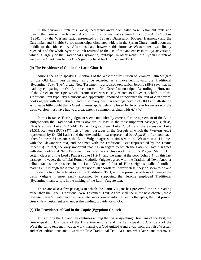In the Syrian Church this God-guided trend away from false New Testament texts and toward the True is clearly seen. According to all investigators from Burkitt (1904) to Voobus (1954), (45) the Western text, represented by Tatian's Diatessaron (Gospel Harmony) and the Curetonian and Sinaitic Syriac manuscripts circulated widely in the Syrian Church until about the middle of the 4th century. After this date, however, this intrusive Western text was finally rejected, and the whole Syrian Church returned to the use of the ancient Peshitta Syriac version, which is largely of the Traditional (Byzantine) text-type. In other words, the Syrian Church as well as the Greek was led by God's guiding hand back to the True Text.

#### **(b) The Providence of God in the Latin Church**

Among the Latin-speaking Christians of the West the substitution of Jerome's Latin Vulgate for the Old Latin version may fairly be regarded as a movement toward the Traditional (Byzantine) Text. The Vulgate New Testament is a revised text which Jerome (384) says that he made by comparing the Old Latin version with "old Greek" manuscripts. According to Hort, one of the Greek manuscripts which Jerome used was closely related to *Codex A*, which is of the Traditional text-type. "By a curious and apparently unnoticed coincidence the text of *A* in several books agrees with the Latin Vulgate in so many peculiar readings devoid of Old Latin attestation as to leave little doubt that a Greek manuscript largely employed by Jerome in his revision of the Latin version must have had to a great extent a common original with *A*." (46)

In this instance, Hort's judgment seems undoubtedly correct, for the agreement of the Latin Vulgate with the Traditional Text is obvious, at least in the most important passages, such as, Christ's agony (Luke 22:43-44), Father forgive them (Luke 23:34), and the ascension (Luke 24:51*).* Kenyon (1937) (47) lists 24 such passages in the Gospels in which the Western text ( represented by *D*, Old Latin) and the Alexandrian text (represented by *Aleph B*) differ from each other. In these 24 instances the Latin Vulgate agrees 11 times with the Western text, 11 times with the Alexandrian text, and 22 times with the Traditional Text (represented by the Textus Receptus). In fact, the only important readings in regard to which the Latin Vulgate disagrees with the Traditional New Testament Text are the conclusion of the Lord's Prayer (Matt. 6:13), certain clauses of the Lord's Prayer (Luke 11:2-4), and the angel at the pool (John 5:4). In this last passage, however, the official Roman Catholic Vulgate agrees with the Traditional Text. Another telltale fact is the presence in the Latin Vulgate of four of Hort's eight so-called "conflate readings." Although these readings are not at all "conflate", nevertheless, they do seem to be one of the distinctive characteristics of the Traditional Text, and the presence of four of them in the Latin Vulgate is most easily explained by supposing that Jerome employed Traditional (Byzantine) manuscripts in the making of the Latin Vulgate text.

There are also a few passages in which the Latin Vulgate has preserved the true reading rather than the Greek Traditional New Testament Text. As we shall see in the next chapter, these few true Latin Vulgate readings were later incorporated into the Textus Receptus, the first printed Greek New Testament text, under the guiding providence of God.

#### **(c) The Providence of God in the Coptic (Egyptian) Church**

Thus during the 4th and 5th centuries among the Syriac-speaking Christians of the East, the Greek-speaking Christians of the Byzantine empire, and the Latin-speaking Christians of the West the same tendency was at work, namely, a God-guided trend away from the false Western and Alexandrian texts and toward the True Traditional Text. At a somewhat later date, moreover,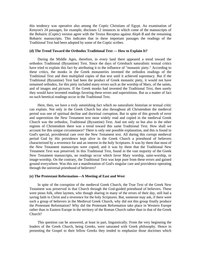this tendency was operative also among the Coptic Christians of Egypt. An examination of Kenyon's 24 passages, for example, discloses 12 instances in which come of the manuscripts of the Bohairic (Coptic) version agree with the Textus Receptus against *Aleph B* and the remaining Bohairic manuscripts. This indicates that in these important passages the readings of the Traditional Text had been adopted by some of the Coptic scribes.

#### **(d) The Trend Toward the Orthodox Traditional Text — How to Explain It?**

During the Middle Ages, therefore, in every land there appeared a trend toward the orthodox Traditional (Byzantine) Text. Since the days of Griesbach naturalistic textual critics have tried to explain this fact by attributing it to the influence of "monastic piety." According to these critics, the monks in the Greek monasteries invented the orthodox readings of the Traditional Text and then multiplied copies of that text until it achieved supremacy. But if the Traditional (Byzantine) Text had been the product of Greek monastic piety, it would not have remained orthodox, for this piety included many errors such as the worship of Mary, of the saints, and of images and pictures. If the Greek monks had invented the Traditional Text, then surely they would have invented readings favoring these errors and superstitions. But as a matter of fact no such heretical readings occur in the Traditional Text.

Here, then, we have a truly astonishing fact which no naturalistic historian or textual critic can explain. Not only in the Greek Church but also throughout all Christendom the medieval period was one of spiritual decline and doctrinal corruption. But in spite of this growth of error and superstition the New Testament text most widely read and copied in the medieval Greek Church was the orthodox, Traditional (Byzantine) Text. And not only so but also in the other regions of Christendom there was a trend toward this same Traditional Text. How shall we account for this unique circumstance? There is only one possible explanation, and this is found in God's special, providential care over the New Testament text. All during this corrupt medieval period God by His providence kept alive in the Greek Church a priesthood of believers characterized by a reverence for and an interest in the holy Scriptures. It was by them that most of the New Testament manuscripts were copied, and it was by them that the Traditional New Testament Text was preserved. In this Traditional Text, found in the vast majority of the Greek New Testament manuscripts, no readings occur which favor Mary worship, saint-worship, or image-worship. On the contrary, the Traditional Text was kept pure from these errors and gained ground everywhere. Was this not a manifestation of God's singular care and providence operating through the universal priesthood of believers?

#### **(e) The Protestant Reformation—A Meeting of East and West**

In spite of the corruption of the medieval Greek Church, the True Text of the Greek New Testament was preserved in that Church through the God-guided priesthood of believers. These were pious folk, often laymen, who though sharing in many of the errors of their day, still had a saving faith in Christ and a reverence for the holy Scriptures. But, someone may ask, if there were such a group of believers in the Medieval Greek Church, why did not this group finally produce the Protestant Reformation? Why did the Protestant Reformation take place in Western Europe rather than in Eastern Europe in the territory of the Roman Church rather than in that of the Greek Church?

This question can be answered, at least in part, linguistically. From the very beginning the leaders of the Greek Church, being Greeks, were saturated with Greek philosophy. Hence in presenting the Gospel to their fellow Greeks they tended to emphasize those doctrines which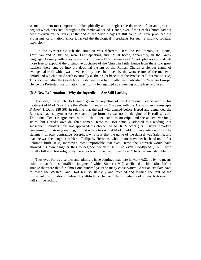seemed to them most important philosophically and to neglect the doctrines of sin and grace, a neglect which persisted throughout the medieval period. Hence, even if the Greek Church had not been overrun by the Turks at the end of the Middle Ages it still could not have produced the Protestant Reformation, since it lacked the theological ingredients for such a mighty, spiritual explosion

In the Western Church the situation was different. Here the two theological giants, Tertullian and Augustine, were Latin-speaking and not at home, apparently, in the Greek language. Consequently they were less influenced by the errors of Greek philosophy and left more free to expound the distinctive doctrines of the Christian faith. Hence from these two great teachers there entered into the doctrinal system of the Roman Church a slender flame of evangelical truth which was never entirely quenched even by the worst errors of the medieval period and which blazed forth eventually as the bright beacon of the Protestant Reformation. (48) This occurred after the Greek New Testament Text had finally been published in Western Europe. Hence the Protestant Reformation may rightly be regarded as a meeting of the East and West.

#### **(f) A New Reformation—Why the Ingredients Are Still Lacking**

The length to which Hort would go in his rejection of the Traditional Text is seen in his treatment of Mark 6:22. Here the Western manuscript *D* agrees with the Alexandrian manuscripts *B Aleph L Delta* 238 565 in relating that the girl who danced before Herod and demanded the Baptist's head as payment for her shameful performance was not the daughter of Herodias, as the Traditional Text (in agreement with all the other extant manuscripts and the ancient versions) states, but Herod's own daughter named Herodias. Hort actually adopted this reading, but subsequent scholars have not approved his choice. As M. R. Vincent (1899) truly remarked concerning this strange reading, " . . . it is safe to say that Mark could not have intended this. The statement directly contradicts Josephus, who says that the name of the damsel was Salome, and that she was the daughter of Herod Philip, by Herodias, who did not leave her husband until after Salome's birth. It is, moreover, most improbable that even Herod the Tetrarch would have allowed his own daughter thus to degrade herself." (49) And even Goodspeed (1923), who usually follows Hort religiously, here reads with the Traditional Text, "Herodias' own daughter."

Thus even Hort's disciples and admirers have admitted that here in Mark 6:22 he by no means exhibits that "almost infallible judgment" which Souter (1912) attributed to him. (50) Isn't it strange therefore that for almost one hundred years so many conservative Christian scholars have followed the Westcott and Hort text so slavishly and rejected and vilified the text of the Protestant Reformation? Unless this attitude is changed, the ingredients of a new Reformation will still be lacking.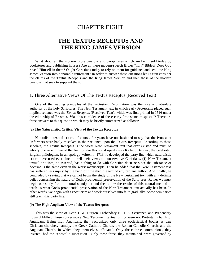# CHAPTER EIGHT

# **THE TEXTUS RECEPTUS AND THE KING JAMES VERSION**

What about all the modern Bible versions and paraphrases which are being sold today by bookstores and publishing houses? Are all these modern-speech Bibles "holy" Bibles? Does God reveal Himself in them? Ought Christians today to rely on them for guidance and send the King James Version into honorable retirement? In order to answer these questions let us first consider the claims of the Textus Receptus and the King James Version and then those of the modern versions that seek to supplant them.

# 1. Three Alternative Views Of The Textus Receptus (Received Text)

One of the leading principles of the Protestant Reformation was the sole and absolute authority of the holy Scriptures. The New Testament text in which early Protestants placed such implicit reliance was the *Textus Receptus* (Received Text), which was first printed in 1516 under the editorship of Erasmus. Was this confidence of these early Protestants misplaced? There are three answers to this question which may be briefly summarized as follows:

#### **(a) The Naturalistic, Critical View of the Textus Receptus**

Naturalistic textual critics, of course, for years have not hesitated to say that the Protestant Reformers were badly mistaken in their reliance upon the Textus Receptus. According to these scholars, the Textus Receptus is the worst New Testament text that ever existed and must be wholly discarded. One of the first to take this stand openly was Richard Bentley, the celebrated English philologian. In an apology written in 1713 he developed the party line which naturalistic critics have used ever since to sell their views to conservative Christians. (1) New Testament textual criticism, he asserted, has nothing to do with Christian doctrine since the substance of doctrine is the same even in the worst manuscripts. Then he added that the New Testament text has suffered less injury by the hand of time than the text of any profane author. And finally, he concluded by saying that we cannot begin the study of the New Testament text with any definite belief concerning the nature of God's providential preservation of the Scriptures. Rather we must begin our study from a neutral standpoint and then allow the results of this neutral method to teach us what God's providential preservation of the New Testament text actually has been. In other words, we begin with agnosticism and work ourselves into faith gradually. Some seminaries still teach this party line.

#### **(b) The High Anglican View of the Textus Receptus**

This was the view of Dean J. W. Burgon, Prebendary F. H. A. Scrivener, and Prebendary Edward Miller. These conservative New Testament textual critics were not Protestants but high Anglicans. Being high Anglicans, they recognized only three ecclesiastical bodies as true Christian churches, namely, the Greek Catholic Church, the Roman Catholic Church, and the Anglican Church, in which they themselves officiated. Only these three communions, they insisted, had the "apostolic succession." Only these three, they maintained, were governed by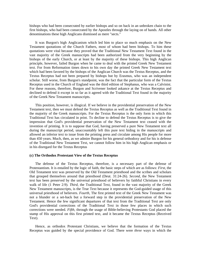bishops who had been consecrated by earlier bishops and so on back in an unbroken chain to the first bishops, who had been consecrated by the Apostles through the laying on of hands. All other denominations these high Anglicans dismissed as mere "sects."

It was Burgon's high Anglicanism which led him to place so much emphasis on the New Testament quotations of the Church Fathers, most of whom had been bishops. To him these quotations were vital because they proved that the Traditional New Testament Text found in the vast majority of the Greek manuscripts had been authorized from the very beginning by the bishops of the early Church, or at least by the majority of these bishops. This high Anglican principle, however, failed Burgon when he came to deal with the printed Greek New Testament text. For from Reformation times down to his own day the printed Greek New Testament text which had been favored by the bishops of the Anglican Church was the Textus Receptus, and the Textus Receptus had not been prepared by bishops but by Erasmus, who was an independent scholar. Still worse, from Burgon's standpoint, was the fact that the particular form of the Textus Receptus used in the Church of England was the third edition of Stephanus, who was a Calvinist. For these reasons, therefore, Burgon and Scrivener looked askance at the Textus Receptus and declined to defend it except in so far as it agreed with the Traditional Text found in the majority of the Greek New Testament manuscripts.

This position, however, is illogical. If we believe in the providential preservation of the New Testament text, then we must defend the Textus Receptus as well as the Traditional Text found in the majority of the Greek manuscripts. For the Textus Receptus is the only form in which this Traditional Text has circulated in print. To decline to defend the Textus Receptus is to give the impression that God's providential preservation of the New Testament text ceased with the invention of printing. It is to suppose that God, having preserved a pure New Testament text all during the manuscript period, unaccountably left this pure text hiding in the manuscripts and allowed an inferior text to issue from the printing press and circulate among His people for more than 450 years. Much, then, as we admire Burgon for his general orthodoxy and for his is defense of the Traditional New Testament Text, we cannot follow him in his high Anglican emphasis or in his disregard for the Textus Receptus

#### **(c) The Orthodox Protestant View of the Textus Receptus**

The defense of the Textus Receptus, therefore, is a necessary part of the defense of Protestantism. It is entailed by the logic of faith, the basic steps of which are as follows: *First,* the Old Testament text was preserved by the Old Testament priesthood and the scribes and scholars that grouped themselves around that priesthood (Deut. 31:24-26). *Second,* the New Testament text has been preserved by the universal priesthood of believers by faithful Christians in every walk of life (1 Peter 2:9). *Third,* the Traditional Text, found in the vast majority of the Greek New Testament manuscripts, is the True Text because it represents the God-guided usage of this universal priesthood of believers. *Fourth,* The first printed text of the Greek New Testament was not a blunder or a set-back but a forward step in the providential preservation of the New Testament. Hence the few significant departures of that text from the Traditional Text are only God's providential corrections of the Traditional Text in those few places in which such corrections were needed. *Fifth,* through the usage of Bible-believing Protestants God placed the stamp of His approval on this first printed text, and it became the Textus Receptus (Received Text).

Hence, as orthodox Protestant Christians, we believe that the formation of the Textus Receptus was guided by the special providence of God. There were *three* ways in which the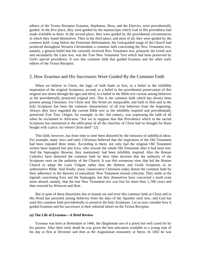editors of the Textus Receptus Erasmus, Stephanus, Beza, and the Elzevirs, were providentially guided. In the *first* place, they were guided by the manuscripts which God in His providence had made available to them. In the *second* place, they were guided by the providential circumstances in which they found themselves. Then in the *third* place, and most of all, they were guided by the *common faith.* Long before the Protestant Reformation, the God-guided usage of the Church had produced throughout Western Christendom a common faith concerning the New Testament text, namely, a general belief that the currently received New Testament text, primarily the Greek text and secondarily the Latin text, was the True New Testament Text which had been preserved by God's special providence. It was this common faith that guided Erasmus and the other early editors of the Textus Receptus.

# 2. How Erasmus and His Successors Were Guided By the Common Faith

When we believe in Christ, the logic of faith leads us first, to a belief in the infallible inspiration of the original Scriptures, *second,* to a belief in the providential preservation of this original text down through the ages and *third, to* a belief in the Bible text current among believers as the providentially preserved original text. This is the common faith which has always been present among Christians. For Christ and His Word are inseparable, and faith in Him and in the holy Scriptures has been the common characteristic of all true believers from the beginning. Always they have regarded the current Bible text as the infallibly inspired and providentially preserved True Text. Origen, for example, in the :3rd century, was expressing the faith of all when he exclaimed to Africanus "Are we to suppose that that Providence which in the sacred Scriptures has ministered to the edification of all the churches of Christ had no thought for those bought with a price, for whom Christ died!" (2)

This faith, however, has from time to time been distorted by the intrusion of unbiblical ideas. For example, many Jews and early Christians believed that the inspiration of the Old Testament had been repeated three times. According to them, not only had the original Old Testament writers been inspired but also Ezra, who rewrote the whole Old Testament after it had been lost. And the Septuagint likewise, they maintained, had been infallibly inspired. Also the Roman Catholics have distorted the common faith by their false doctrine that the authority of the Scriptures rests on the authority of the Church. It was this erroneous view that led the Roman Church to adopt the Latin Vulgate rather than the Hebrew and Greek Scriptures as its authoritative Bible. And finally, many conservative Christians today distort the common faith by their adherence to the theories of naturalistic New Testament textual criticism. They smile at the legends concerning Ezra and the Septuagint, but they themselves have concocted a myth even more absurd, namely, that the true New Testament text was lost for more than 1,.500 years and then restored by Westcott and Hort.

But in spite of these distortions due to human sin and error this common faith in Christ and in His Word has persisted among believers from the days of the Apostles until now, and God has used this common faith providentially to preserve the holy Scriptures. Let us now consider how it guided Erasmus and his successors in their editorial labors on the Textus Receptus.

### **(a) The Life of Erasmus—A Brief Review**

Erasmus was born at Rotterdam in 1466, the illegitimate son of a priest but well cared for by his parents. After their early death he was given the best education available to a young man of his day at first at Deventer and then at the Augustinian monastery at Steyn. In 1492 he was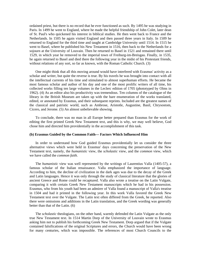ordained priest, but there is no record that he ever functioned as such. By 1495 he was studying in Paris. In 1499 he went to England, where he made the helpful friendship of John Colet, later dean of St. Paul's who quickened his interest in biblical studies. He then went back to France and the Netherlands. In 1505 he again visited England and then passed three years in Italy. In 1509 he returned to England for the third time and taught at Cambridge University until 1514. In 1515 he went to Basel, where he published his New Testament in 1516, then back to the Netherlands for a sojourn at the University of Louvain. Then he returned to Basel in 1521 and remained there until 1529, in which year he removed to the imperial town of Freiburg-im-Breisgau. Finally, in 1535, he again returned to Basel and died there the following year in the midst of his Protestant friends, without relations of any sort, so far as known, with the Roman Catholic Church. (3)

One might think that all this moving around would have interfered with Erasmus' activity as a scholar and writer, but quite the reverse is true. By his travels he was brought into contact with all the intellectual currents of his time and stimulated to almost superhuman efforts. He became the most famous scholar and author of his day and one of the most prolific writers of all time, his collected works filling ten large volumes in the Leclerc edition of 1705 (phototyped by Olms in 1962). (4) As an editor also his productivity was tremendous. Ten columns of the catalogue of the library in the British Museum are taken up with the bare enumeration of the works translated, edited, or annotated by Erasmus, and their subsequent reprints. Included are the greatest names of the classical and patristic world, such as Ambrose, Aristotle, Augustine, Basil, Chrysostom, Cicero, and Jerome. (5) An almost unbelievable showing.

To conclude, there was no man in all Europe better prepared than Erasmus for the work of editing the first printed Greek New Testament text, and this is why, we may well believe, God chose him and directed him providentially in the accomplishment of this task.

#### **(b) Erasmus Guided by the Common Faith— Factors Which Influenced Him**

In order to understand how God guided Erasmus providentially let us consider the three alternative views which were held in Erasmus' days concerning the preservation of the New Testament text, namely, the *humanistic* view, the *scholastic* view, and the *common* view, which we have called the *common faith.* 

The *humanistic* view was well represented by the writings of Laurentius Valla (1405-57), a famous scholar of the Italian renaissance. Valla emphasized the importance of language. According to him, the decline of civilization in the dark ages was due to the decay of the Greek and Latin languages. Hence it was only through the study of classical literature that the glories of ancient Greece and Rome could be recaptured. Valla also wrote a treatise on the Latin Vulgate, comparing it with certain Greek New Testament manuscripts which he had in his possession. Erasmus, who from his youth had been an admirer of Valla found a manuscript of Valla's treatise in 1504 and had it printed in the following year. In this work Valla favored the Greek New Testament text over the Vulgate. The Latin text often differed from the Greek, he reported. Also there were omissions and additions in the Latin translation, and the Greek wording was generally better than that of the Latin. (6)

The *scholastic* theologians, on the other hand, warmly defended the Latin Vulgate as the only true New Testament text. In 1514 Martin Dorp of the University of Louvain wrote to Erasmus asking him not to publish his forthcoming Greek New Testament. Dorp argued that if the Vulgate contained falsifications of the original Scriptures and errors, the Church would have been wrong for many centuries, which was impossible. The references of most Church Councils to the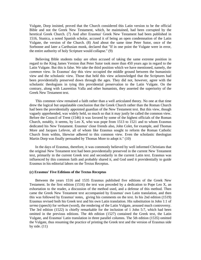Vulgate, Dorp insisted, proved that the Church considered this Latin version to be the official Bible and not the Greek New Testament, which, he maintained, had been corrupted by the heretical Greek Church. (7) And after Erasmus' Greek New Testament had been published in 1516, Stunica, a noted Spanish scholar, accused it of being an open condemnation of the Latin Vulgate, the version of the Church. (8) And about the same time Peter Sutor, once of the Sorbonne and later a Carthusian monk, declared that "If in one point the Vulgate were in error, the entire authority of holy Scripture would collapse." (9)

Believing Bible students today are often accused of taking the same extreme position in regard to the King James Version that Peter Sutor took more than 450 years ago in regard to the Latin Vulgate. But this is false. We take the third position which we have mentioned, namely, the *common* view. In Erasmus' day this view occupied the middle ground between the humanistic view and the scholastic view. Those that held this view acknowledged that the Scriptures had been providentially preserved down through the ages. They did not, however, agree with the scholastic theologians in tying this providential preservation to the Latin Vulgate. On the contrary, along with Laurentius Valla and other humanists, they asserted the superiority of the Greek New Testament text.

This common view remained a faith rather than a well articulated theory. No one at that time drew the logical but unpalatable conclusion that the Greek Church rather than the Roman Church had been the providentially appointed guardian of the New Testament text. But this view, though vaguely apprehended, was widely held, so much so that it may justly be called the common view. Before the Council of Trent (1546) it was favored by some of the highest officials of the Roman Church, notably, it seems, by Leo X, who was pope from 1513 to 1521 and to whom Erasmus dedicated his New Testament. Erasmus' close friends also, John Colet, for example, and Thomas More and Jacques Lefevre, all of whom like Erasmus sought to reform the Roman Catholic Church from within, likewise adhered to this common view. Even the scholastic theologian Martin Dorp was finally persuaded by Thomas More to adopt it." (10)

In the days of Erasmus, therefore, it was commonly believed by well informed Christians that the original New Testament text had been providentially preserved in the current New Testament text, primarily in the current Greek text and secondarily in the current Latin text. Erasmus was influenced by this common faith and probably shared it, and God used it providentially to guide Erasmus in his editorial labors on the Textus Receptus.

#### **(c) Erasmus' Five Editions of the Textus Receptus**

Between the years 1516 and 1535 Erasmus published five editions of the Greek New Testament. In the first edition (1516) the text was preceded by a dedication to Pope Leo X, an exhortation to the reader, a discussion of the method used, and a defense of this method. Then came the Greek New Testament text accompanied by Erasmus' own Latin translation, and then this was followed by Erasmus' notes, giving his comments on the text. In his 2nd edition (1519) Erasmus revised both his Greek text and his own Latin translation. His substitution in John 1:1 of *sermo* (speech) for *verbum* (word), the rendering of the Latin Vulgate, aroused much controversy. The 3rd edition (1522) is chiefly remarkable for the inclusion of 1 John 5:7, which had been omitted in the previous editions. The 4th edition (1527) contained the Greek text, the Latin Vulgate, and Erasmus' Latin translation in three parallel columns. The 5th edition (1535) omitted the Vulgate, thus resuming the practice of printing the Greek text and the version of Erasmus side by side.  $(11)$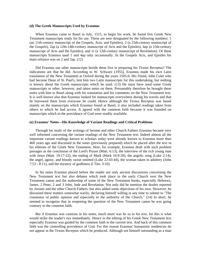#### **(d) The Greek Manuscripts Used by Erasmus**

When Erasmus came to Basel in July, 1515, to begin his work, he found five Greek New Testament manuscripts ready for his use. These are now designated by the following numbers: 1 (an 11th-century manuscript of the Gospels, Acts, and Epistles), 2 (a 15th-century manuscript of the Gospels), 2ap (a 12th-14th-century manuscript of Acts and the Epistles), 4ap (a 15th-century manuscript of Acts and the Epistles), and 1r (a 12th-century manuscript of Revelation). Of these manuscripts Erasmus used 1 and 4ap only occasionally. In the Gospels Acts, and Epistles his main reliance was on 2 and 2ap. (12)

Did Erasmus use other manuscripts beside these five in preparing his Textus Receptus? The indications are that he did. According to W. Schwarz (1955), Erasmus made his own Latin translation of the New Testament at Oxford during the years 1505-6. His friend, John Colet who had become Dean of St. Paul's, lent him two Latin manuscripts for this undertaking, but nothing is known about the Greek manuscripts which he used. (13) He must have used some Greek manuscripts or other, however, and taken notes on them. Presumably therefore he brought these notes with him to Basel along with his translation and his comments on the New Testament text. It is well known also that Erasmus looked for manuscripts everywhere during his travels and that he borrowed them from everyone he could. Hence although the Textus Receptus was based mainly on the manuscripts which Erasmus found at Basel, it also included readings taken from others to which he had access. It agreed with the common faith because it was founded on manuscripts which in the providence of God were readily available.

#### **(e) Erasmus' Notes—His Knowledge of Variant Readings and Critical Problems**

Through his study of the writings of Jerome and other Church Fathers Erasmus became very well informed concerning the variant readings of the New Testament text. Indeed almost all the important variant readings known to scholars today were already known to Erasmus more than 460 years ago and discussed in the notes (previously prepared) which he placed after the text in his editions of the Greek New Testament. Here, for example, Erasmus dealt with such problem passages as the conclusion of the Lord's Prayer (Matt. 6:13), the interview of the rich young man with Jesus (Matt. 19:17-22), the ending of Mark (Mark 16:9-20), the angelic song (Luke 2:14), the angel, agony, and bloody sweat omitted (Luke 22:43-44), the woman taken in adultery (John 7:53 - 8:11), and the mystery of godliness (l Tim. 3:16).

In his notes Erasmus placed before the reader not only ancient discussions concerning the New Testament text but also debates which took place in the early Church over the New Testament canon and the authorship of some of the New Testament books, especially Hebrews, James, 2 Peter, 2 and 3 John, Jude and Revelation. Not only did he mention the doubts reported by Jerome and the other Church Fathers, but also added some objections of his own. However, he discussed these matters somewhat warily, declaring himself willing at any time to submit to "The consensus of public opinion and especially to the authority of the Church." (14) In short, he seemed to recognize that in reopening the question of the New Testament canon he was going contrary to the common faith.

But if Erasmus was cautious in his notes, much more was he so in his text, for this is what would strike the reader's eye immediately. Hence in the editing of his Greek New Testament text especially Erasmus was guided by the common faith in the current text. And back of this common faith was the controlling providence of God. For this reason Erasmus' humanistic tendencies do not appear in the Textus Receptus which he produced. Although not himself outstanding as a man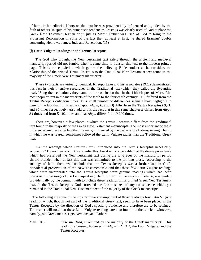of faith, in his editorial labors on this text he was providentially influenced and guided by the faith of others. In spite of his humanistic tendencies Erasmus was clearly used of God to place the Greek New Testament text in print, just as Martin Luther was used of God to bring in the Protestant Reformation in spite of the fact that, at least at first, he shared Erasmus' doubts concerning Hebrews, James, Jude and Revelation. (15)

#### **(f) Latin Vulgate Readings in the Textus Receptus**

The God who brought the New Testament text safely through the ancient and medieval manuscript period did not fumble when it came time to transfer this text to the modern printed page. This is the conviction which guides the believing Bible student as he considers the relationship of the printed Textus Receptus to the Traditional New Testament text found in the majority of the Greek New Testament manuscripts.

These two texts are virtually identical. Kirsopp Lake and his associates (1928) demonstrated this fact in their intensive researches in the Traditional text (which they called the Byzantine text). Using their collations, they came to the conclusion that in the 11th chapter of Mark, "the most popular text in the manuscripts of the tenth to the fourteenth century" (16) differed from the Textus Receptus only four times. This small number of differences seems almost negligible in view of the fact that in this same chapter *Aleph, B.* and *D*) differ from the Textus Receptus 69,71, and 95 times respectively. Also add to this the fact that in this same chapter *B* differs from *Aleph 34* times and from *D* 102 times and that *Aleph* differs from *D* 100 times.

There are, however, a few places in which the Textus Receptus differs from the Traditional text found in the majority of the Greek New Testament manuscripts. The most important of these differences are due to the fact that Erasmus, influenced by the usage of the Latin-speaking Church in which he was reared, sometimes followed the Latin Vulgate rather than the Traditional Greek text.

Are the readings which Erasmus thus introduced into the Textus Receptus necessarily erroneous'? By no means ought we to infer this. For it is inconceivable that the divine providence which had preserved the New Testament text during the long ages of the manuscript period should blunder when at last this text was committed to the printing press. According to the analogy of faith, then, we conclude that the Textus Receptus was a further step in God's providential preservation of the New Testament text and that these few Latin Vulgate readings which were incorporated into the Textus Receptus were genuine readings which had been preserved in the usage of the Latin-speaking Church. Erasmus, we may well believe, was guided providentially by the common faith to include these readings in his printed Greek New Testament text. In the Textus Receptus God corrected the few mistakes of any consequence which yet remained in the Traditional New Testament text of the majority of the Greek manuscripts.

The following are some of the most familiar and important of those relatively few Latin Vulgate readings which, though not part of the Traditional Greek text, seem to have been placed in the Textus Receptus by the direction of God's special providence and therefore are to be retained. The reader will note that these Latin Vulgate readings are also found in other ancient witnesses, namely, old Greek manuscripts, versions, and Fathers.

Matt. 10:8 *raise the dead, is* omitted by the majority of the Greek manuscripts. This reading is present, however, in *Aleph B C D 1,* the Latin Vulgate, and the Textus Receptus.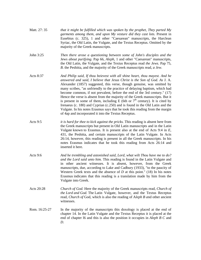- Matt. 27: 35 *that it might be fulfilled which was spoken by the prophet, They parted My garments among them, and upon My vesture did they cast lots.* Present in Eusebius (c. 325), 1 and other "Caesarean" manuscripts, the Harclean Syriac, the Old Latin, the Vulgate, and the Textus Receptus. Omitted by the majority of the Greek manuscripts.
- John 3:25 *Then there arose a questioning between some of John's disciples and the*  Jews *about purifying.* Pap 66, *Aleph,* 1 and other "Caesarean" manuscripts, the Old Latin, the Vulgate, and the Textus Receptus read *the Jews.* Pap 75, *B*. the Peshitta, and the majority of the Greek manuscripts read, *a Jew.*
- Acts 8:37 *And Philip said, If thou beievest with all shine heart, thou mayest. And he answered and said, I believe that Jesus Christ is the Son of God. As* J. A. Alexander (1857) suggested, this verse, though genuine, was omitted by many scribes, "as unfriendly to the practice of delaying baptism, which had become common, if not prevalent, before the end of the 3rd century." (17) Hence the verse is absent from the majority of the Greek manuscripts. But it is present in some of them, including E (6th or  $7<sup>th</sup>$  century). It is cited by Irenaeus (c. 180) and Cyprian (c.250) and is found in the Old Latin and the Vulgate. In his notes Erasmus says that he took this reading from the margin of 4ap and incorporated it into the Textus Receptus.
- Acts 9:5 *it is hard for thee to kick against the pricks.* This reading is absent here from the Greek manuscripts but present in Old Latin manuscripts and in the Latin Vulgate known to Erasmus. It is present also at the end of Acts 9:4 in *E*, 431, the Peshitta, and certain manuscripts of the Latin Vulgate. In Acts 26:14, however, this reading is present in all the Greek manuscripts. In his notes Erasmus indicates that he took this reading from Acts 26:14 and inserted it here.
- Acts 9:6 *And he trembling and astonished said, Lord, what wilt Thou have me to do? and the Lord said unto him.* This reading is found in the Latin Vulgate and in other ancient witnesses. It is absent, however, from the Greek manuscripts, due, according to Lake and Cadbury (1933), "to the paucity of Western Greek texts and the absence of *D* at this point." (18) In his notes Erasmus indicates that this reading is a translation made by him from the Vulgate into Greek.
- Acts 20:28 *Church of God.* Here the majority of the Greek manuscripts read, *Church of the Lord and God.* The Latin Vulgate, however, and the Textus Receptus read, *Church of* God, which is also the reading of A*leph B a*nd other ancient witnesses.
- Rom. 16:25-27 In the majority of the manuscripts this doxology is placed at the end of chapter 14. In the Latin Vulgate and the Textus Receptus it is placed at the end of chapter l6 and this is also the position it occupies in *Aleph B C* and *D*.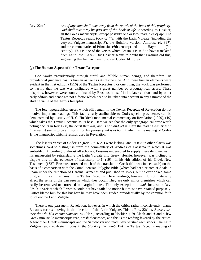Rev. 22:19 *And if any man shall take away from the words of the book of this prophecy, God shall take away his part out of the book of life.* According to Hoskier, all the Greek manuscripts, except possibly one or two, read, *tree of life.* The Textus Receptus reads, *book of life,* with the Latin Vulgate (including the very old Vulgate manuscript *F*), the Bohairic version, Ambrose (d. 397), and the commentaries of Primasius (6th century) and Haymo (9th century). This is one of the verses which Erasmus is said to have translated from Latin into Greek. But Hoskier seems to doubt that Erasmus did this, suggesting that he may have followed Codex 141. (19)

#### **(g) The Human Aspect of the Textus Receptus**

God works providentially through sinful and fallible human beings, and therefore His providential guidance has its human as well as its divine side. And these human elements were evident in the first edition (1516) of the Textus Receptus. For one thing, the work was performed so hastily that the text was disfigured with a great number of typographical errors. These misprints, however, were soon eliminated by Erasmus himself in his later editions and by other early editors and hence are not a factor which need to be taken into account in any estimate of the abiding value of the Textus Receptus.

The few typographical errors which still remain in the Textus Receptus of Revelation do not involve important readings. This fact, clearly attributable to God's special providence, can be demonstrated by a study of H. C. Hoskier's monumental commentary on Revelation (1929), (19) which takes the Textus Receptus as its base. Here we see that the only typographical error worth noting occurs in Rev.17:8, *the beast that was, and is not, and yet is.* Here the reading *kaiper estin (and yet is)* seems to be a misprint for *kai paresti (and is at hand),* which is the reading of Codex 1r the manuscript which Erasmus used in Revelation.

The last six verses of Codex 1r (Rev. 22:16-21) were lacking, and its text in other places was sometimes hard to distinguish from the commentary of Andreas of Caesarea in which it was embedded. According to almost all scholars, Erasmus endeavored to supply these deficiencies in his manuscript by retranslating the Latin Vulgate into Greek. Hoskier however, was inclined to dispute this on the evidence of manuscript 141. (19) In his 4th edition of his Greek New Testament (1527) Erasmus corrected much of this translation Greek (if it was indeed such) on the basis of a comparison with the Complutensian Polyglot Bible (which had been printed at Acala in Spain under the direction of Cardinal Ximenes and published in 1522), but he overlooked some of it, and this still remains in the Textus Receptus. These readings, however, do not materially affect the sense of the passages in which they occur. They are only minor blemishes which can easily be removed or corrected in marginal notes. The only exception is *book* for *tree* in Rev. 22:19, a variant which Erasmus could not have failed to notice but must have retained purposely. Critics blame him for this but here he may have been guided providentially by the common faith to follow the Latin Vulgate.

There is one passage in Revelation, however, in which the critics rather inconsistently, blame Erasmus for *not* moving in the direction of the Latin Vulgate. This is Rev. 22:14a, *Blessed are they that do His commandments, etc.* Here, according to Hoskier, (19) Aleph and *A* and a few Greek minuscule manuscripts read, *wash their robes,* and this is the reading favored by the critics. A few other Greek manuscripts and the Sahidic version read, *have washed their robes.* The Latin Vulgate reads *wash their robes in the blood of the Lamb.* But the Textus Receptus reading of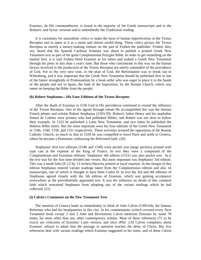Erasmus, *do His commandments, is* found in the majority of the Greek manuscripts and in the Bohairic and Syriac versions and is undoubtedly the Traditional reading.

It is customary for naturalistic critics to make the most of human imperfections in the Textus Receptus and to sneer at it as a mean and almost sordid thing. These critics picture the Textus Receptus as merely a money-making venture on the part of Froben the publisher. Froben, they say, heard that the Spanish Cardinal Ximenes was about to publish a printed Greek New Testament text as part of his great Complutensian Polyglot Bible. In order to get something on the market first, it is said Froben hired Erasmus as his editor and rushed a Greek New Testament through his press in less than a year's time. But those who concentrate in this way on the human factors involved in the production of the Textus Receptus are utterly unmindful of the providence of God. For in the very next year, in the plan of God, the Reformation was to break out in Wittenberg, and it was important that the Greek New Testament should be published first in one of the future strongholds of Protestantism by a book seller who was eager to place it in the hands of the people and not in Spain, the land of the Inquisition, by the Roman Church, which was intent on keeping the Bible from the people.

#### **(h) Robert Stephanus—His Four Editions of the Textus Receptus**

After the death of Erasmus in 1536 God in His providence continued to extend the influence of the Textus Receptus. One of the agents through whom He accomplished this was the famous French printer and scholar Robert Stephanus (1503-59). Robert's father Henry and his stepfather Simon de Colines were printers who had published Bibles, and Robert was not slow to follow their example. In 1523 he published a Latin New Testament, and two times he published the Hebrew Bible entire. But the most important were his four editions of the Greek New Testament in 1546, 1549, 1550, and 1551 respectively. These activities aroused the opposition of the Roman Catholic Church, so much so that in 1550 he was compelled to leave Paris and settle in Geneva, where he became a Protestant, embracing the Reformed faith. (20)

Stephanus' first two editions (1546 and 1549) were pocket size (large pockets) printed with type cast at the expense of the King of France. In text they were a compound of the Complutensian and Erasmian editions. Stephanus' 4th edition (1551) was also pocket size. In it the text was for the first time divided into verses. But most important was Stephanus' 3rd edition. This was a small folio (8 1/2 by 13 inches) likewise printed at royal expense. In the margin of this edition Stephanus entered variant readings taken from the Complutensian edition and also 14 manuscripts, one of which is thought to have been *Codex D.* In text the 3rd and 4th editions of Stephanus agreed closely with the 5th edition of Erasmus, which was gaining acceptance everywhere as the providentially appointed text. It was the influence no doubt of this common faith which restrained Stephanus from adopting any of the variant readings which he had collected. (21)

#### **(i) Calvin's Comments on the New Testament Text**

The mention of Geneva leads us immediately to think of John Calvin (1509-64), the famous Reformer who had his headquarters in this city. In his commentaries (which covered every New Testament book except 2 and 3 John and Revelation) Calvin mentions Erasmus by name 78 times, far more often than any other contemporary scholar. Most of these references (72 to be exact) are criticisms of Erasmus' Latin version, and once (Phil. 2:6) Calvin complains about Erasmus' refusal to admit that the passage in question teaches the deity of Christ. But five references deal with variant readings which Erasmus suggested in his notes, and of these Calvin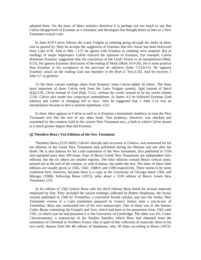adopted three. On the basis of these statistics therefore it is perhaps not too much to say that Calvin disapproved of Erasmus as a translator and theologian but thought better of him as a New Testament textual critic.

In John 8:59 Calvin follows the Latin Vulgate in omitting *going through the midst of them, and so passed by.* Here he accepts the suggestion of Erasmus that this clause has been borrowed from Luke 4:30. And in Heb. l l:37 he agrees with Erasmus in omitting *were tempted.* But in readings of major importance Calvin rejected the opinions of Erasmus. For example, Calvin dismisses Erasmus' suggestion that the conclusion of the Lord's Prayer is an interpolation (Matt. 6:13). He ignores Erasmus' discussion of the ending of Mark (Mark 16:9-20). He is more positive than Erasmus in his acceptance of the *pericope de adultera* (John 7:53-8:11). He opposes Erasmus' attack on the reading *God was manifest in the flesh* (1 Tim.3:16). And he receives 1 John 5:7 as genuine.

To the three variant readings taken from Erasmus' notes Calvin added 18 others. The three most important of these Calvin took from the Latin Vulgate namely, *light* instead of *Spirit* (Eph.5:9), *Christ* instead of *God* (Eph. 5:21), *without thy works* instead of *by thy works* (James 2:18). Calvin also made two conjectural emendations. In James 4:2 he followed Erasmus (2nd edition) and Luther in changing *kill* to *envy.* Also he suggested that 1 John 2:14 was an interpolation because to him it seemed repetitious. (22)

In short, there appears in Calvin as well as in Erasmus a humanistic tendency to treat the New Testament text like the text of any other book. This tendency, however, was checked and restrained by the common faith in the current New Testament text, a faith in which Calvin shared to a much greater degree than did Erasmus.

#### **(j) Theodore Beza's Ten Editions of the New Testament**

Theodore Beza (1519-1605), Calvin's disciple and successor at Geneva, was renowned for his ten editions of the Greek New Testament nine published during his lifetime and one after his death. He is also famous for his Latin translation of the New Testament, first published in 1556 and reprinted more than 100 times. Four of Beza's Greek New Testaments are independent folio editions, but the six others are smaller reprints. The folio editions contain Beza's critical notes, printed not at the end of the volume, as with Erasmus, but under the text. The dates of these folio editions are usually given as 1565, 1582, 1588-9, and 1598 respectively. There seems to be some confusion here, however, because there is a copy at the University of Chicago dated 1560, and Metzger (1968), following Reuss (1872), talks about a 1559 edition of Beza's Greek New Testament. (23)

In his edition of 1582 (which Beza calls his *third* edition) Beza listed the textual materials employed by him. They included the variant readings collected by Robert Stephanus, the Syriac version published in 1569 by Tremellius, a converted Jewish scholar, and also the Arabic New Testament version in a Latin translation prepared by Francis Junius, later a son-in-law of Tremellius. Beza also mentioned two of his own manuscripts. One of these was *D*, the famous *Codex Bezae* containing the Gospels and Acts, which had been in his possession from 1562 until 1581, in which year he had presented it to the University of Cambridge. The other was *D2*, *Codex Claromontanus,* a manuscript of the Pauline Epistles, which Beza had obtained from the monastery of Clermont in Northern France. But in spite of this collection of materials, Beza in his text rarely departs from the 4th edition of Stephanus, only 38 times according to Reuss (1872).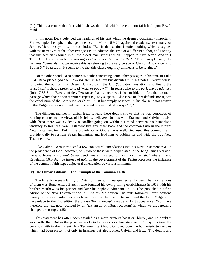(24) This is a remarkable fact which shows the hold which the common faith had upon Beza's mind.

In his notes Beza defended the readings of his text which he deemed doctrinally important. For example, he upheld the genuineness of Mark 16:9-20 against the adverse testimony of Jerome. "Jerome says this," he concludes. "But in this section I notice nothing which disagrees with the narratives of the other Evangelists or indicates the style of a different author, and I testify that this section is found in all the oldest manuscripts which I happen to have seen." And in 1 Tim. 3:16 Beza defends the reading *God was manifest in the flesh.* "The concept itself," he declares, "demands that we receive this as referring to the very person of Christ." And concerning 1 John 5:7 Beza says, "It seems to me that this clause ought by all means to be retained."

On the other hand, Beza confesses doubt concerning some other passages in his text. In Luke 2:14 Beza places *good will toward men* in his text but disputes it in his notes. "Nevertheless, following the authority of Origen, Chrysostom, the Old (Vulgate) translation, and finally the sense itself, I should prefer to read *(men) of good will."* In regard also to the *pericope de adultera*  (John 7:53-8:11) Beza confides, "As far as I am concerned, I do not hide the fact that to me a passage which those ancient writers reject is justly suspect." Also Beza neither defends nor rejects the conclusion of the Lord's Prayer (Matt. 6:13) but simply observes, "This clause is not written in the Vulgate edition nor had been included in a second old copy (*D?*)."

The diffident manner in which Beza reveals these doubts shows that he was conscious of running counter to the views of his fellow believers. Just as with Erasmus and Calvin, so also with Beza there was evidently a conflict going on within his mind between his humanistic tendency to treat the New Testament like any other book and the common faith in the current New Testament text. But in the providence of God all was well. God used this common faith providentially to restrain Beza's humanism and lead him to publish far and wide the true New Testament text.

Like Calvin, Beza introduced a few conjectural emendations into his New Testament text. In the providence of God, however, only two of these were perpetuated in the King James Version, namely, Romans 7:6 *that being dead wherein* instead of *being dead to that wherein,* and Revelation 16:5 *shalt be* instead of *holy.* In the development of the Textus Receptus the influence of the common faith kept conjectural emendation down to a minimum.

#### **(k) The Elzevir Editions—The Triumph of the Common Faith**

The Elzevirs were a family of Dutch printers with headquarters at Leiden. The most famous of them was Bonaventure Elzevir, who founded his own printing establishment in 1608 with his brother Matthew as his partner and later his nephew Abraham. In 1624 he published his first edition of the New Testament and in 1633 his 2nd edition. His texts followed Beza's editions mainly but also included readings from Erasmus, the Complutensian, and the Latin Vulgate. In the preface to the 2nd edition the phrase *Textus Receptus* made its first appearance. "You have therefore the text now received by all (textum ab omnibus receptum) in which we give nothing changed or corrupt." (25)

This statement has often been assailed as a mere printer's boast or "blurb", and no doubt it was partly that. But in the providence of God it was also a true statement. For by this time the common faith in the current New Testament text had triumphed over the humanistic tendencies which had been present not only in Erasmus but also Luther, Calvin, and Beza. The doubts and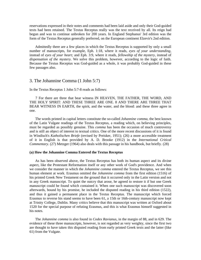reservations expressed in their notes and comments had been laid aside and only their God-guided texts had been retained. The Textus Receptus really was the text received by all. Its reign had begun and was to continue unbroken for 200 years. In England Stephanus' 3rd edition was the form of the Textus Receptus generally preferred, on the European continent Elzevir's 2nd edition.

Admittedly there are a few places in which the Textus Receptus is supported by only a small number of manuscripts, for example, Eph. 1:18, where it reads, *eyes of your understanding,*  instead of *eyes of your heart;* and Eph. 3:9, where it reads, *fellowship of the mystery,* instead of *dispensation of the mystery.* We solve this problem, however, according to the logic of faith. Because the Textus Receptus was God-guided as a whole, it was probably God-guided in these few passages also.

# 3. The Johannine Comma (1 John 5:7)

In the Textus Receptus 1 John 5:7-8 reads as follows:

7 For there are three that bear witness IN HEAVEN, THE FATHER, THE WORD, AND THE HOLY SPIRIT: AND THESE THREE ARE ONE. 8 AND THERE ARE THREE THAT BEAR WITNESS IN EARTH, the spirit, and the water, and the blood: and these three agree in one.

The words printed in capital letters constitute the so-called *Johannine comma,* the best known of the Latin Vulgate readings of the Textus Receptus, a reading which, on believing principles, must be regarded as possibly genuine. This *comma* has been the occasion of much controversy and is still an object of interest to textual critics. One of the more recent discussions of it is found in Windisch's *Katholischen Briefe* (revised by Preisker, 1951); (26) a more accessible treatment of it in English is that provided by A. D. Brooke (1912) in the *International Critical Commentary.* (27) Metzger (1964) also deals with this passage in his handbook, but briefly. (28)

#### **(a) How the Johannine Comma Entered the Textus Receptus**

As has been observed above, the Textus Receptus has both its human aspect and its divine aspect, like the Protestant Reformation itself or any other work of God's providence. And when we consider the manner in which the *Johannine comma* entered the Textus Receptus, we see this human element at work. Erasmus omitted the *Johannine comma* from the first edition (1516) of his printed Greek New Testament on the ground that it occurred only in the Latin version and not in any Greek manuscript. To quiet the outcry that arose, he agreed to restore it if but one Greek manuscript could be found which contained it. When one such manuscript was discovered soon afterwards, bound by his promise, he included the disputed reading in his third edition (1522), and thus it gained a permanent place in the Textus Receptus. The manuscript which forced Erasmus to reverse his stand seems to have been 61, a 15th or 16th-century manuscript now kept at Trinity College, Dublin. Many critics believe that this manuscript was written at Oxford about 1520 for the special purpose of refuting Erasmus, and this is what Erasmus himself suggested in his notes.

The *Johannine comma* is also found in *Codex Ravianus,* in the margin of 88, and in 629. The evidence of these three manuscripts, however, is not regarded as very weighty, since the first two are thought to have taken this disputed reading from early printed Greek texts and the latter (like 61) from the Vulgate.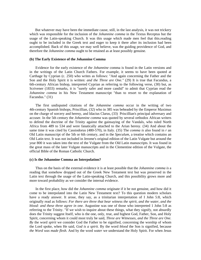But whatever may have been the immediate cause, still, in the last analysis, it was not trickery which was responsible for the inclusion of the *Johannine comma* in the Textus Receptus but the usage of the Latin-speaking Church. It was this usage which made men feel that this.reading ought to be included in the Greek text and eager to keep it there after its inclusion had been accomplished. Back of this usage, we may well believe, was the guiding providence of God, and therefore the *Johannine comma* ought to be retained as at least possibly genuine.

#### **(b) The Early Existence of the Johannine Comma**

Evidence for the early existence of *the Johannine* comma is found in the Latin versions and in the writings of the Latin Church Fathers. For example, it seems to have been quoted at Carthage by Cyprian (c. 250) who writes as follows: "And again concerning the Father and the Son and the Holy Spirit it is written: *and the Three are One."* (29) It is true that Facundus, a 6th-century African bishop, interpreted Cyprian as referring to the following verse, (30) but, as Scrivener (1833) remarks, it is "surely safer and more candid" to admit that Cyprian read the *Johannine comma* in his New Testament manuscript "than to resort to the explanation of Facundus." (31)

The first undisputed citations of the *Johannine comma* occur in the writing of two 4th-century Spanish bishops, Priscillian, (32) who in 385 was beheaded by the Emperor Maximus on the charge of sorcery and heresy, and Idacius Clarus, (33) Priscillian's principal adversary and accuser. In the 5th century the *Johannine comma* was quoted by several orthodox African writers to defend the doctrine of the Trinity against the gainsaying of the Vandals, who ruled North Africa from 489 to 534 and were fanatically attached to the Arian heresy. (34) And about the same time it was cited by Cassiodorus (480-570), in Italy. (35) The *comma is* also found in *r* an Old Latin manuscript of the 5th or 6th century, and in the *Speculum,* a treatise which contains an Old Latin text. It was not included in Jerome's original edition of the Latin Vulgate but around the year 800 it was taken into the text of the Vulgate from the Old Latin manuscripts. It was found in the great mass of the later Vulgate manuscripts and in the Clementine edition of the Vulgate, the official Bible of the Roman Catholic Church.

#### **(c) Is the Johannine Comma an Interpolation?**

Thus on the basis of the external evidence it is at least possible that the *Johannine comma is* a reading that somehow dropped out of the Greek New Testament text but was preserved in the Latin text through the usage of the Latin-speaking Church, and this possibility grows more and more toward probability as we consider the internal evidence.

In the first place, how did the *Johannine comma* originate if it be not genuine, and how did it come to be interpolated into the Latin New Testament text? To this question modern scholars have a ready answer. It arose, they say, as a trinitarian interpretation of I John 5:8, which originally read as follows: *For there are three that bear witness the spirit, and the water, and the blood: and these three agree in one.* Augustine was one of those who interpreted 1 John 5:8 as referring to the Trinity. "If we wish to inquire about these things, what they signify, not absurdly does the Trinity suggest Itself, who is the one, only, true, and highest God, Father, Son, and Holy Spirit, concerning whom it could most truly be said, *Three are Witnesses, and the Three are One. By* the word *spirit* we consider God the Father to be signified, concerning the worship of whom the Lord spoke, when He said, *God is a spirit.* By the word *blood* the Son is signified, because *the Word was made flesh.* And by the word *water* we understand the Holy Spirit. For when Jesus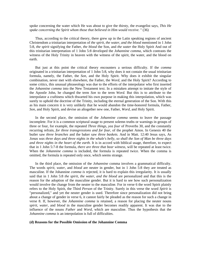spoke concerning the water which He was about to give the thirsty, the evangelist says, *This He spake concerning the Spirit whom those that believed in Him would receive.* " (36)

Thus, according to the critical theory, there grew up in the Latin speaking regions of ancient Christendom a trinitarian interpretation of *the spirit, the water, and the blood* mentioned in 1 John 5:8, *the spirit* signifying the Father, *the blood* the Son, and *the water* the Holy Spirit And out of this trinitarian interpretation of 1 John 5:8 developed the *Johannine comma,* which contrasts the witness of the Holy Trinity in heaven with the witness of the spirit, the water, and the blood on earth.

But just at this point the critical theory encounters a serious difficulty. If the *comma*  originated in a trinitarian interpretation of 1 John 5:8, why does it not contain the usual trinitarian formula, namely, the Father, the *Son,* and the Holy Spirit. Why does it exhibit the singular combination, never met with elsewhere, the Father, the *Word,* and the Holy Spirit? According to some critics, this unusual phraseology was due to the efforts of the interpolator who first inserted the *Johannine comma* into the New Testament text. In a mistaken attempt to imitate the style of the Apostle John, he changed the term *Son* to the term *Word.* But this is to attribute to the interpolator a craftiness which thwarted his own purpose in making this interpolation, which was surely to uphold the doctrine of the Trinity, including the eternal generation of the Son. With this as his main concern it is very unlikely that he would abandon the time-honored formula, Father, *Son,* and Holy Spirit, and devise an altogether new one, Father, *Word,* and Holy Spirit.

In the second place, the omission of the *Johannine comma* seems to leave the passage incomplete. For it is a common scriptural usage to present solemn truths or warnings in groups of three or four, for example, the repeated *Three things, yea four* of Proverbs 30, and the constantly recurring refrain, *for three transgressions and for four,* of the prophet Amos. In Genesis 40 the butler saw *three branches* and the baker saw *three baskets.* And in Matt. 12:40 Jesus says, As *Jonas was three days and three nights in the whale's belly, so shall the Son of Man be three days and three nights in the heart of the earth.* It is in accord with biblical usage, therefore, to expect that in 1 John 5:7-8 the formula, *there are three that bear witness,* will be repeated at least twice. When the *Johannine comma* is included, the formula is repeated twice. When the comma is omitted, the formula is repeated only once, which seems strange.

In the third place, the omission of the *Johannine* comma involves a grammatical difficulty. The words *spirit, water,* and *blood* are neuter in gender, but in 1 John 5:8 they are treated as masculine. If the Johannine *comma is* rejected, it is hard to explain this irregularity. It is usually said that in 1 John 5:8 *the spirit, the water, and the blood* are personalized and that this is the reason for the adoption of the masculine gender. But it is hard to see how such personalization would involve the change from the neuter to the masculine. For in verse 6 the word Spirit plainly refers to the Holy Spirit, the Third *Person* of the Trinity. Surely in this verse the word *Spirit* is "personalized," and yet the neuter gender is used. Therefore since personalization did not bring about a change of gender in verse 6, it cannot fairly be pleaded as the reason for such a change in verse 8. If, however, the *Johannine comma* is retained, a reason for placing the neuter nouns *spirit, water,* and *blood* in the masculine gender becomes readily apparent. It was due to the influence of the nouns *Father* and *Word,* which are masculine. Thus the hypothesis that the *Johannine comma is* an interpolation is full of difficulties.

#### **(d) Reasons for the Possible Omission of the Johannine Comma**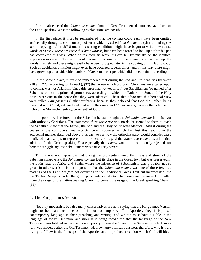For the absence of the *Johannine comma* from all New Testament documents save those of the Latin-speaking West the following explanations are possible.

In the first place, it must be remembered that the *comma* could easily have been omitted accidentally through a common type of error which is called *homoioteleuton* (similar ending). A scribe copying 1 John 5:7-8 under distracting conditions might have begun to write down these words of verse 7, *there are three that bear witness,* but have been forced to look up before his pen had completed this task. When he resumed his work, his eye fell by mistake on the identical expression in verse 8. This error would cause him to omit all of the *Johannine comma* except the words *in earth,* and these might easily have been dropped later in the copying of this faulty copy. Such an accidental omission might even have occurred several times, and in this way there might have grown up a considerable number of Greek manuscripts which did not contain this reading.

In the second place, it must be remembered that during the 2nd and 3rd centuries (between 220 and 270, according to Harnack); (37) the heresy which orthodox Christians were called upon to combat was not Arianism (since this error had not yet arisen) but Sabellianism (so named after Sabellius, one of its principal promoters), according to which the Father, the Son, and the Holy Spirit were one in the sense that they were identical. Those that advocated this heretical view were called *Patripassians* (Father-sufferers), because they believed that God the Father, being identical with Christ, suffered and died upon the cross, and *Monarchians,* because they claimed to uphold the Monarchy (sole-government) of God.

It is possible, therefore, that the Sabellian heresy brought the *Johannine comma* into disfavor with orthodox Christians. The statement, *these three are one,* no doubt seemed to them to teach the Sabellian view that the Father, the Son and the Holy Spirit were identical. And if during the course of the controversy manuscripts were discovered which had lost this reading in the accidental manner described above, it is easy to see how the orthodox party would consider these mutilated manuscripts to represent the true text and regard the *Johannine comma* as a heretical addition. In the Greek-speaking East especially the *comma* would be unanimously rejected, for here the struggle against Sabellianism was particularly severe.

Thus it was not impossible that during the 3rd century amid the stress and strain of the Sabellian controversy, the *Johannine comma* lost its place in the Greek text, but was preserved in the Latin texts of Africa and Spain, where the influence of Sabellianism was probably not so great. In other words, it is not impossible that the *Johannine comma* was one of those few true readings of the Latin Vulgate not occurring in the Traditional Greek Text but incorporated into the Textus Receptus under the guiding providence of God. In these rare instances God called upon the usage of the Latin-speaking Church to correct the usage of the Greek speaking Church. (38)

# 4. The King James Version

Not only modernists but also many conservatives are now saying that the King James Version ought to be abandoned because it is not contemporary. The Apostles, they insist, used contemporary language in their preaching and writing, and we too must have a Bible in the language of today. But more and more it is being recognized that the language of the New Testament was biblical rather than contemporary. It was the Greek of the Septuagint, which in its turn was modeled after the Old Testament Hebrew. Any biblical translator, therefore, who is truly trying to follow in the footsteps of the Apostles and to produce a version which God will bless,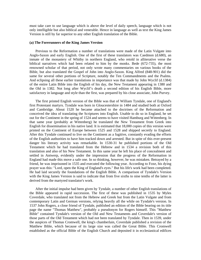must take care to use language which is above the level of daily speech, language which is not only intelligible but also biblical and venerable. Hence in language as well as text the King James Version is still by far superior to any other English translation of the Bible.

#### **(a) The Forerunners of the King James Version**

Previous to the Reformation a number of translations were made of the Latin Vulgate into Anglo-Saxon and early English. One of the first of these translators was Caedmon (d.680), an inmate of the monastery of Whitby in northern England, who retold in alliterative verse the biblical narratives which had been related to him by the monks. Bede (672-735), the most renowned scholar of that period, not only wrote many commentaries on various books of the Bible, but also translated the Gospel of John into Anglo-Saxon. King Alfred (848-901) did the same for several other portions of Scripture, notably the Ten Commandments and the Psalms. And eclipsing all these earlier translations in importance was that made by John Wyclif (d.1384) of the entire Latin Bible into the English of his day, the New Testament appearing in 1380 and the Old in 1382. Not long after Wyclif's death a second edition of his English Bible, more satisfactory in language and style than the first, was prepared by his close associate, John Purvey.

The first printed English version of the Bible was that of William Tyndale, one of England's first Protestant martyrs. Tyndale was born in Gloucestershire in 1484 and studied both at Oxford and Cambridge. About 1520 he became attached to the doctrines of the Reformation and conceived the idea of translating the Scriptures into English. Unable to do so in England, he set out for the Continent in the spring of 1524 and seems to have visited Hamburg and Wittenberg. In that same year (probably at Wittenberg) he translated the New Testament from Greek into English for dissemination in his native land. It is estimated that 18,000 copies of this version were printed on the Continent of Europe between 1525 and 1528 and shipped secretly to England. After this Tyndale continued to live on the Continent as a fugitive, constantly evading the efforts of the English authorities to have him tracked down and arrested. But in spite of this ever-present danger his literary activity was remarkable. In 1530-31 he published portions of the Old Testament which he had translated from the Hebrew and in 1534 a revision both of this translation and also of his New Testament. In this same year he left his place of concealment and settled in Antwerp, evidently under the impression that the progress of the Reformation in England had made this move a safe one. In so thinking, however, he was mistaken. Betrayed by a friend, he was imprisoned in 1535 and executed the following year. According to Foxe, his dying prayer was this: "Lord, open the King of England's eyes." But his life's work had been completed. He had laid securely the foundations of the English Bible. A comparison of Tyndale's Version with the King James Version is said to indicate that from five sixths to nine tenths of the latter is derived from the martyred translator's work.

After the initial impulse had been given by Tyndale, a number of other English translations of the Bible appeared in rapid succession. The first of these was published in 1535 by Myles Coverdale, who translated not from the Hebrew and Greek but from the Latin Vulgate and from contemporary Latin and German versions, relying heavily all the while on Tyndale's version. In 1537 John Rogers, a close friend of Tyndale, published an edition of the Bible bearing on its title page the name "Thomas Matthew", probably a pseudonym for Rogers himself. This "Matthew Bible" contained Tyndale's version of the Old and New Testaments and Coverdale's version of those parts of the Old Testament which had not been translated by Tyndale. Then in 1539, under the auspices of Thomas Cromwell, the king's chamberlain, Coverdale published a revision of the Matthew Bible, which because of its large size was called the Great Bible. This Cromwell established as the official Bible of the English Church and deposited it in ecclesiastical edifices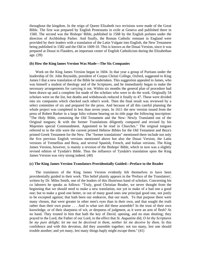throughout the kingdom. In the reign of Queen Elizabeth two revisions were made of the Great Bible. The first was prepared by English Protestants in exile at Geneva and published there in 1560. The second was the Bishops' Bible, published in 1568 by the English prelates under the direction of Archbishop Parker. And finally, the Roman Catholic remnant in England were provided by their leaders with a translation of the Latin Vulgate into English, the New Testament being published in 1582 and the Old in 1609-10. This is known as the Douai Version, since it was prepared at Douai in Flanders, an important center of English Catholicism during the Elizabethan age. (39)

#### **(b) How the King lames Version Was Made—The Six Companies**

Work on the King James Version began in 1604. In that year a group of Puritans under the leadership of Dr. John Reynolds, president of Corpus Christi College, Oxford, suggested to King James I that a new translation of the Bible be undertaken. This suggestion appealed to James, who was himself a student of theology and of the Scriptures, and he immediately began to make the necessary arrangements for carrying it out. Within six months the general plan of procedure had been drawn up and a complete list made of the scholars who were to do the work. Originally 54 scholars were on the list, but deaths and withdrawals reduced it finally to 47. These were divided into six companies which checked each other's work. Then the final result was reviewed by a select committee of six and prepared for the press. And because of all this careful planning the whole project was completed in less than seven years. In 1611 the new version issued from the press of Robert Barker in a large folio volume bearing on its title page the following inscription: "The Holy Bible, containing the Old Testament and the New: Newly Translated out of the Original tongues; & with the former Translations diligently compared and revised by his Majesties special Commandment. Appointed to be read in Churches." The original tongues referred to in the title were the current printed Hebrew Bibles for the Old Testament and Beza's printed Greek Testament for the New. The "former translations" mentioned there include not only the five previous English versions mentioned above hut also the Douai Version, the Latin versions of Tremellius and Beza, and several Spanish, French, and Italian versions. The King James Version, however, is mainly a revision of the Bishops' Bible, which in turn was a slightly revised edition of Tyndale's Bible. Thus the influence of Tyndale's translation upon the King James Version was very strong indeed. (40)

#### **(c) The King James Version Translators Providentially Guided—Preface to the Reader**

The translators of the King James Version evidently felt themselves to have been providentially guided in their work. This belief plainly appears in the 'Preface of the Translators', written by Dr. Miles Smith, one of the leaders of this illustrious band of scholars. Concerning his co laborers he speaks as follows: "Truly, good Christian Reader, we never thought from the beginning that we should need to make a new translation, nor yet to make of a bad one a good one; but to make a good one better, or out of many good ones one principal good one, not justly to be excepted against; that hath been our endeavor, that our mark. To that purpose there were many chosen, that were greater in other men's eyes than in their own, and that sought the truth rather than their own praise . . . And in what sort did these assemble? In the trust of their own knowledge, or of their sharpness of wit, or deepness of judgment, as it were an arm of flesh? At no hand. They trusted in him that hath the key of *David,* opening, and no man shutting; they prayed to the Lord, the Father of our Lord, to the effect that *St. Augustine* did, *O let thy Scriptures be my pure delight; let me not be deceived in them, neither let me deceive by them.* In this confidence and with this devotion, did they assemble together; not too many, lest one should trouble another; and yet many, lest many things haply might escape them.'' (41)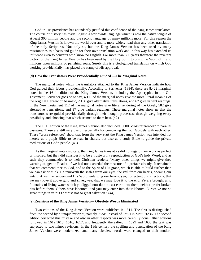God in His providence has abundantly justified this confidence of the King James translators. The course of history has made English a worldwide language which is now the native tongue of at least 300 million people and the second language of many millions more. For this reason the King James Version is known the world over and is more widely read than any other translation of the holy Scriptures. Not only so, but the King James Version has been used by many missionaries as a basis and guide for their own translation work and in this way has extended its influence even to converts who know no English. For more than 350 years therefore the reverent diction of the King James Version has been used by the Holy Spirit to bring the Word of life to millions upon millions of perishing souls. Surely this is a God-guided translation on which God working providentially, has placed the stamp of His approval.

#### **(d) How the Translators Were Providentially Guided —The Marginal Notes**

The marginal notes which the translators attached to the King James Version indicate how God guided their labors providentially. According to Scrivener (1884), there are 8,422 marginal notes in the 1611 edition of the King James Version, including the Apocrypha. In the Old Testament, Scrivener goes on to say, 4,111 of the marginal notes give the more literal meaning of the original Hebrew or Aramaic, 2,156 give alternative translations, and 67 give variant readings. In the New Testament 112 of the marginal notes give literal rendering of the Greek, 582 give alternative translations, and 37 give variant readings. These marginal notes show us that the translators were guided providentially through their thought processes, through weighing every possibility and choosing that which seemed to them best. (42)

The 1611 edition of the King James Version also included 9,000 "cross references" to parallel passages. These are still very useful, especially for comparing the four Gospels with each other. These "cross references" show that from the very start the King James Version was intended not merely as a pulpit Bible to be read in church, but also as a study Bible to guide the private meditations of God's people. (43)

As the marginal notes indicate, the King James translators did not regard their work as perfect or inspired, but they did consider it to be a trustworthy reproduction of God's holy Word, and as such they commended it to their Christian readers: "Many other things we might give thee warning of, gentle Reader, if we had not exceeded the measure of a preface already. It remaineth that we commend thee to God, and to the Spirit of His grace, which is able to build further than we can ask or think. He removeth the scales from our eyes, the veil from our hearts, opening our wits that we may understand His Word, enlarging our hearts, yea, correcting our affections, that we may love it above gold and silver, yea, that we may love it to the end. Ye are brought unto fountains of living water which ye digged not; do not cast earth into them, neither prefer broken pits before them. Others have laboured, and you may enter into their labours. O receive not so great things in vain: O despise not so great salvation." (44)

#### **(e) Revisions of the King James Version— Obsolete Words Eliminated**

Two editions of the King James Version were published in 1611. The first is distinguished from the second by a unique misprint, namely *Judas* instead of *Jesus* in Matt. 26:36. The second edition corrected this mistake and also in other respects was more carefully done. Other editions followed in 1612,1613, 1616, 1617, and frequently thereafter. In 1629 and 1638 the text was subjected to two minor revisions. In the 18th century the spelling and punctuation of the King James Version were modernized, and many obsolete words were changed to their modern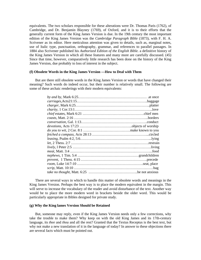equivalents. The two scholars responsible for these alterations were Dr. Thomas Paris (1762), of Cambridge, and Dr. Benjamin Blayney (1769), of Oxford, and it is to their efforts that the generally current form of the King James Version is due. In the 19th century the most important edition of the King James Version was the *Cambridge Paragraph Bible* (1873), with F. H. A. Scrivener as its editor. Here meticulous attention was given to details, such as, marginal notes, use of Italic type, punctuation, orthography, grammar, and references to parallel passages. In 1884 also Scrivener published his *Authorized Edition of the English Bible.* a definitive history of the King James Version in which all these features and many more are carefully discussed. (45) Since that time, however, comparatively little research has been done on the history of the King James Version, due probably to loss of interest in the subject.

#### **(f) Obsolete Words in the King James Version —How to Deal with Them**

But are there still obsolete words in the King James Version or words that have changed their meaning? Such words do indeed occur, but their number is relatively small. The following are some of these archaic renderings with their modern equivalents:

There are several ways in which to handle this matter of obsolete words and meanings in the King James Version. Perhaps the best way is to place the modern equivalent in the margin. This will serve to increase the vocabulary of the reader and avoid disturbance of the text. Another way would be to place the more modern word in brackets beside the older word. This would be particularly appropriate in Bibles designed for private study.

#### **(g) Why the King lames Version Should be Retained**

But, someone may reply, even if the King James Version needs only a few corrections, why take the trouble to make them? Why keep on with the old King James and its 17th-century language, its *thee* and *thou* and all the rest? Granted that the Textus Receptus is the best text, but why not make a new translation of it in the language of today? In answer to these objections there are several facts which must be pointed out.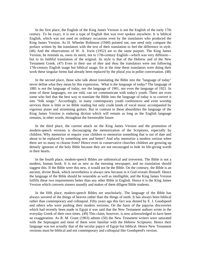In the first place, the English of the King James Version is not the English of the early 17th century. To be exact, it is not a type of English that was ever spoken anywhere. It is biblical English, which was not used on ordinary occasions even by the translators who produced the King James Version. As H. Wheeler Robinson (1940) pointed out, one need only compare the preface written by the translators with the text of their translation to feel the difference in style. (46) And the observations of W. A. Irwin (1952) are to the same purport. The King James Version, he reminds us, owes its merit, not to 17th-century English—which was very different but to its faithful translation of the original. Its style is that of the Hebrew and of the New Testament Greek. (47) Even in their use of *thee* and *thou* the translators were not following 17th-century English usage but biblical usage, for at the time these translators were doing their work these singular forms had already been replaced by the plural *you* in polite conversation. (48)

In the second place, those who talk about translating the Bible into the "language of today" never define what they mean by this expression. What is the *language* of *today?* The language of 1881 is not the language of today, nor the language of 1901, nor even the language of 1921. In none of these languages, we are told, can we communicate with today's youth. There are even some who feel that the best way to translate the Bible into the language of today is to convert it into "folk songs." Accordingly, in many contemporary youth conferences and even worship services there is little or no Bible reading but only crude kinds of vocal music accompanied by vigorous piano and strumming guitars. But in contrast to these absurdities the language of the King James Version is enduring diction which will remain as long as the English language remains, in other words, throughout the foreseeable future.

In the third place, the current attack on the King James Version and the promotion of modern-speech versions is discouraging the memorization of the Scriptures, especially by children. Why memorize or require your children to memorize something that is out of date and about to be replaced by something new and better? And why memorize a modern version when there are so many to choose from? Hence even in conservative churches children are growing up densely ignorant of the holy Bible because they are not encouraged to hide its life-giving words in their hearts.

In the fourth place, modem-speech Bibles are unhistorical and irreverent. The Bible is not a modern, human book. It is not as new as the morning newspaper, and no translation should suggest this. If the Bible were this new, it would not be the Bible. On the contrary, the Bible is an ancient, divine Book, which nevertheless is always new because in it God reveals Himself. Hence the language of the Bible should be venerable as well as intelligible, and the King James Version fulfills these two requirements better than any other Bible in English. Hence it is the King James Version which converts sinners soundly and makes of them diligent Bible students.

In the fifth place, modern-speech Bibles are unscholarly. The language of the Bible has always savored of the things of heaven rather than the things of earth. It has always been biblical rather than contemporary and colloquial. Fifty years ago this fact was denied by E. J. Goodspeed and others who were pushing their modern versions. On the basis of the papyrus discoveries which had recently been made in Egypt it was said that the New Testament authors wrote in the everyday Greek of their own times. (49) This claim, however, is now acknowledged to have been an exaggeration. As R. M. Grant (1963) admits (50) the New Testament writers were saturated with the Septuagint and most of them were familiar with the Hebrew Scriptures. Hence their language was not actually that of the secular papyri of Egypt but biblical. Hence New Testament versions must be biblical and not contemporary and colloquial like Goodspeed's version.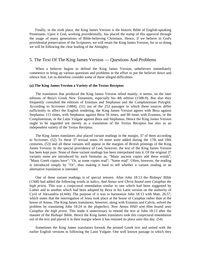Finally, in the sixth place, the King James Version is the historic Bible of English-speaking Protestants. Upon it God, working providentially, has placed the stamp of His approval through the usage of many generations of Bible-believing Christians. Hence, if we believe in God's providential preservation of the Scriptures, we will retain the King James Version, for in so doing we will be following the clear leading of the Almighty.

# 5. The Text Of The King James Version — Questions And Problems

When a believer begins to defend the King James Version, unbelievers immediately commence to bring up various questions and problems in the effort to put the believer down and silence him. Let us therefore consider some of these alleged difficulties.

#### **(a) The King James Version a Variety of the Textus Receptus**

The translators that produced the King James Version relied mainly, it seems, on the later editions of Beza's Greek New Testament, especially his 4th edition (1588-9). But also they frequently consulted the editions of Erasmus and Stephanus and the Complutensian Polyglot. According to Scrivener (1884), (51) out of the 252 passages in which these sources differ sufficiently to affect the English rendering, the King James Version agrees with Beza against Stephanus 113 times, with Stephanus against Beza 59 times, and 80 times with Erasmus, or the Complutensian, or the Latin Vulgate against Beza and Stephanus. Hence the King James Version ought to be regarded not merely as a translation of the Textus Receptus but also as an independent variety of the Textus Receptus.

The King James translators also placed variant readings in the margin, 37 of them according to Scrivener. (52) To these 37 textual notes 16 more were added during the 17th and 18th centuries, (53) and all these variants still appear in the margins of British printings of the King James Version. In the special providence of God, however, the text of the King James Version has been kept pure. None of these variant readings has been interpolated into it. Of the original 37 variants some are introduced by such formulas as, "Many ancient copies add these words"; "Many Greek copies have"; "Or, as some copies read"; "Some read". Often, however, the reading is introduced simply by "Or", thus making it hard to tell whether a variant reading or an alternative translation is intended.

One of these variant readings is of special interest. After John 18:13 the Bishops' Bible (1568) had added the following words in italics, *And Annas sent Christ bound unto Caiaphas the high priest.* This was a conjectural emendation similar to one which had been suggested by Luther and to another which had been adopted by Beza in his Latin version on the authority of Cyril of Alexandria (d.444). The purpose of it was to harmonize John 18:13 with Matt. 26:57, which states that the interrogation of Jesus took place at the house of Caiaphas rather than at the house of Annas. The King James translators, however, along with Erasmus and Calvin, solved the problem by translating John 18:24 in the pluperfect, *Now Annas HAD sent Him bound unto Caiaphas the high priest.* This made it unnecessary to emend the text at John 18:13 after the manner of the Bishops' Bible. Hence the King James translators took this conjectural emendation out of the text and placed it in their margin where it has retained its place unto this day. (54)

Sometimes the King James translators forsook the printed Greek text and united with the earlier English versions in following the Latin Vulgate. One well known passage in which they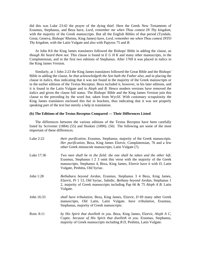did this was Luke 23:42 the prayer of the dying thief. Here the Greek New Testaments of Erasmus, Stephanus, and Beza have, *Lord, remember me when Thou comest IN Thy kingdom,*  with the majority of the Greek manuscripts. But all the English Bibles of that period (Tyndale, Great, Geneva, Bishops' Rheims, King James) have, *Lord, remember me when Thou comest INTO Thy kingdom,* with the Latin Vulgate and also with Papyrus 75 and *B.* 

At John 8:6 the King James translators followed the Bishops' Bible in adding the clause, *as though He heard them not.* This clause is found in *E G H K* and many other manuscripts, in the Complutensian, and in the first two editions of Stephanus. After 1769 it was placed in italics in the King James Version.

Similarly, at 1 John 2:23 the King James translators followed the Great Bible and the Bishops' Bible in adding the clause, *he that acknowledgeth the Son hath the Father also,* and in placing the clause in italics, thus indicating that it was not found in the majority of the Greek manuscripts or in the earlier editions of the Textus Receptus. Beza included it, however, in his later editions, and it is found in the Latin Vulgate and in *Aleph* and *B.* Hence modern versions have removed the italics and given the clause full status. The Bishops' Bible and the King James Version join this clause to the preceding by the word *but,* taken from Wyclif. With customary scrupulosity the King James translators enclosed this *but* in brackets, thus indicating that it was not properly speaking part of the text but merely a help in translation.

#### **(b) The Editions of the Textus Receptus Compared — Their Differences Listed**

The differences between the various editions of the Textus Receptus have been carefully listed by Scrivener (1884) (55) and Hoskier (1890). (56) The following are some of the most important of these differences.

| Luke 2:22   | <i>their purification</i> , Erasmus, Stephanus, majority of the Greek manuscripts.<br>Her purification, Beza, King James Elzevir, Complutensian, 76 and a few<br>other Greek minuscule manuscripts, Latin Vulgate (?).                                              |
|-------------|---------------------------------------------------------------------------------------------------------------------------------------------------------------------------------------------------------------------------------------------------------------------|
| Luke 17:36  | Two men shall be in the field: the one shall be taken and the other left.<br>Erasmus, Stephanus 1 2 3 omit this verse with the majority of the Greek<br>manuscripts. Stephanus 4, Beza, King James, Elzevir have it with D, Latin<br>Vulgate, Peshitta, Old Syriac. |
| John $1:28$ | Bethabara beyond Jordan, Erasmus, Stephanus 3 4 Beza, King James,<br>Elzevir, Pi 1 13, Old Syriac, Sahidic. Bethany beyond Jordan, Stephanus 1<br>2, majority of Greek manuscripts including Pap 66 & 75 Aleph A B. Latin<br>Vulgate.                               |
| John 16:33  | <i>shall have tribulation</i> , Beza, King James, Elzevir, D 69 many other Greek<br>manuscripts, Old Latin, Latin Vulgate. have tribulation, Erasmus,<br>Stephanus, majority of Greek manuscripts.                                                                  |
| Rom. 8:11   | by His Spirit that dwelleth in you. Beza, King James, Elzevir, Aleph A C,<br>Coptic. because of His Spirit that dwelleth in you. Erasmus, Stephanus,<br>majority of Greek manuscripts including B D, Peshitta, Latin Vulgate.                                       |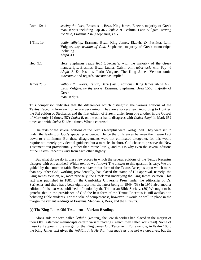- Rom. 12:11 *sewing the Lord,* Erasmus 1, Beza, King James, Elzevir, majority of Greek manuscripts including Pap 46 *Aleph A B.* Peshitta, Latin Vulgate. *serving the time,* Erasmus 2345,Stephanus, *D G*.
- 1 Tim. 1:4 *godly edifying,* Erasmus, Beza, King James, Elzevir, *D*, Peshitta, Latin Vulgate. *dispensation of God,* Stephanus, majority of Greek manuscripts including *Aleph A G.*
- Heb. 9:1 Here Stephanus reads *first tabernacle,* with the majority of the Greek manuscripts. Erasmus, Beza, Luther, Calvin omit *tabernacle* with Pap 46 *Aleph B D,* Peshitta, Latin Vulgate. The King James Version omits *tabernacle* and regards *covenant* as implied.
- James 2:13 *without thy works,* Calvin, Beza (last 3 editions), King James *Aleph A B,*  Latin Vulgate. *by thy works,* Erasmus, Stephanus, Beza 1565, majority of Greek manuscripts.

This comparison indicates that the differences which distinguish the various editions of the Textus Receptus from each other are very minor. They are also very few. According to Hoskier, the 3rd edition of Stephanus and the first edition of Elzevir differ from one another in the Gospel of Mark only 19 times. (57) *Codex B.* on the other hand, disagrees with *Codex Aleph* in Mark 652 times and with *Codex D* 1,944 times. What a contrast!

The texts of the several editions of the Textus Receptus were God-guided. They were set up under the leading of God's special providence. Hence the differences between them were kept down to a minimum. But these disagreements were not eliminated altogether, for this would require not merely providential guidance but a miracle. In short, God chose to preserve the New Testament text providentially rather than miraculously, and this is why even the several editions of the Textus Receptus vary from each other slightly.

But what do we do in these few places in which the several editions of the Textus Receptus disagree with one another? Which text do we follow? The answer to this question is easy. We are guided by the common faith. Hence we favor that form of the Textus Receptus upon which more than any other God, working providentially, has placed the stamp of His approval, namely, the King James Version, or, more precisely, the Greek text underlying the King James Version. This text was published in 1881 by the Cambridge University Press under the editorship of Dr. Scrivener and there have been eight reprints, the latest being in 1949. (58) In 1976 also another edition of this text was published in London by the Trinitarian Bible Society. (59) We ought to be grateful that in the providence of God the best form of the Textus Receptus is still available to believing Bible students. For the sake of completeness, however, it would be well to place in the margin the variant readings of Erasmus, Stephanus, Beza, and the Elzevirs.

#### **(c) The King James Old Testament—Variant Readings**

Along side the text, called *kethibh* (written), the Jewish scribes had placed in the margin of their Old Testament manuscripts certain variant readings, which they called *keri* (read). Some of these *keri* appear in the margin of the King James Old Testament. For example, in Psalm 100:3 the King James text gives the *kethibh, It is He that hath made us and not we ourselves,* but the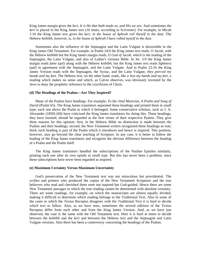King James margin gives the *keri, It is He that hath made us, and His we are.* And sometimes the *keri* is placed in the King James text (16 times, according to Scrivener). For example, in Micah 1:10 the King James text gives the *keri, in the house of Aphrah roll thyself in the dust.* The Hebrew *kethibh,* however, is, *in the house of Aphrah I have rolled myself in the dust.* 

Sometimes also the influence of the Septuagint and the Latin Vulgate is discernible in the King James Old Testament. For example, in Psalm 24:6 the King James text reads, *O Jacob,* with the Hebrew *kethibh* but the King James margin reads, O *God of Jacob,* which is the reading of the Septuagint, the Latin Vulgate, and also of Luther's German Bible. In Jer. 3:9 the King James margin reads *fame (qol)* along with the Hebrew *kethibh,* but the King James text reads *lightness (qal)* in agreement with the Septuagint, and the Latin Vulgate. And in Psalm 22:16 the King James Version reads with the Septuagint, the Syriac, and the Latin Vulgate, *they pierced my hands and my feet.* The Hebrew text, on the other hand, reads, *like a lion my hands and my feet,* a reading which makes no sense and which, as Calvin observes, was obviously invented by the Jews to deny the prophetic reference to the crucifixion of Christ.

#### **(d) The Headings of the Psalms—Are They Inspired?**

Many of the Psalms have headings. For example, *To the chief Musician, A Psalm and Song of David* (Psalm 65). The King James translators separated these headings and printed them in small type, each one above the Psalm to which it belonged. Some conservative scholars, such as J. A. Alexander (1850) (60) have criticized the King James translators for doing this. These headings, they have insisted, should be regarded as the first verses of their respective Psalms. They give three reasons for this opinion: first, in the Hebrew Bible no distinction is made between the Psalms and their headings; second, the New Testament writers recognized these headings as true; third, each heading is part of the Psalm which it introduces and hence is inspired. This position, however, may go beyond the clear teaching of Scripture. In any case, it is better to follow the leading of the King James translators and recognize the obvious difference between the heading of a Psalm and the Psalm itself.

The King James translators handled the subscriptions of the Pauline Epistles similarly, printing each one after its own epistle in small type. But this has never been a problem, since these subscriptions have never been regarded as inspired.

#### **(e) Maximum Certainty Versus Maximum Uncertainty**

God's preservation of the New Testament text was not miraculous but providential. The scribes and printers who produced the copies of the New Testament Scriptures and the true believers who read and cherished them were not inspired but God-guided. Hence there are some New Testament passages in which the true reading cannot be determined with absolute certainty. There are some readings, for example, on which the manuscripts are almost equally divided, making it difficult to determine which reading belongs to the Traditional Text. Also in some of the cases in which the Textus Receptus disagrees with the Traditional Text it is hard to decide which text to follow. Also, as we have seen, sometimes the several editions of the Textus Receptus differ from each other and from the King James Version. And, as we have just observed, the case is the same with the Old Testament text. Here it is hard at times to decide between the *kethibh* and the *keri* and between the Hebrew text and the Septuagint and Latin Vulgate versions. Also there has been a controversy concerning the headings of the Psalms.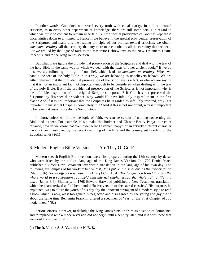In other words, God does not reveal every truth with equal clarity. In biblical textual criticism, as in every other department of knowledge, there are still some details in regard to which we must be content to remain uncertain. But the special providence of God has kept these uncertainties down to a *minimum.* Hence if we believe in the special providential preservation of the Scriptures and make this the leading principle of our biblical textual criticism, we obtain *maximum certainty,* all the certainty that any mere man can obtain, all the certainty that we need. For we are led by the logic of faith to the Masoretic Hebrew text, to the New Testament Textus Receptus, and to the King James Version.

But what if we ignore the providential preservation of the Scriptures and deal with the text of the holy Bible in the same way in which we deal with the texts of other ancient books? If we do this, we are following the logic of unbelief, which leads to *maximum uncertainty.* When we handle the text of the holy Bible in this way, we are behaving as unbelievers behave. We are either denying that the providential preservation of the Scriptures is a fact, or else we are saying that it is not an important fact not important enough to be considered when dealing with the text of the holy Bible. But if the providential preservation of the Scriptures is not important, why is the infallible inspiration of the original Scriptures important? If God has not preserved the Scriptures by His special providence, why would He have infallibly inspired them in the first place? And if it is not important that the Scriptures be regarded as infallibly inspired, why is it important to insist that Gospel is completely true? And if this is not important, why is it important to believe that Jesus is the divine Son of God?

In short, unless we follow the logic of faith, we can be certain of nothing concerning the Bible and its text. For example, if we make the Bodmer and Chester Beatty Papyri our chief reliance, how do we know that even older New Testament papyri of an entirely different character have not been destroyed by the recent damming of the Nile and the consequent flooding of the Egyptian sands? (61)

# 6. Modern English Bible Versions — Are They Of God?

Modern-speech English Bible versions were first prepared during the 18th century by deists who were irked by the biblical language of the King James Version. In 1729 Daniel Mace published a Greek New Testament text with a translation in the language of his own day. The following are samples of his work: *When ye fast, don't put on a dismal air, as the hypocrites do*  (Matt. 6:16). *Social affection is patient, is kind (1* Cor. 13:4). *The tongue is a brand that sets the whole world in a combustion . . . tipp'd with infernal sulphur it sets the whole train of life in a blaze* (James 3:6). Similarly, in 1768 Edward Harwood published a New Testament translation which he characterized as "a liberal and diffusive version of the sacred classics." His purpose, he explained, was to allure the youth of his day "by the innocent stratagem of a modern style to read a book which is now, alas! too generally neglected and disregarded by the young and gay." And about the same time Benjamin Franklin offered a specimen of "Part of the First Chapter of Job modernized." (62)

Serious efforts, however, to dislodge the King James Version from its position of dominance and to replace it with a modern version did not begin until a century later, and it is with these that we would now deal briefly.

**(a) The R. V., the A. S. V., and the N. E. B.**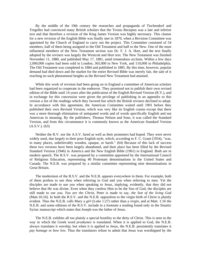By the middle of the 19th century the researches and propaganda of Tischendorf and Tregelles had convinced many British scholars that the Textus Receptus was a late and inferior text and that therefore a revision of the King James Version was highly necessary. This clamor for a new revision of the English Bible was finally met in 1870, when a Revision Committee was appointed by the Church of England to carry out the project. This Committee consisted of 54 members, half of them being assigned to the Old Testament and half to the New. One of the most influential members of the New Testament section was Dr. F. J. A. Hort, and the text finally adopted by the revisers was largely the Westcott and Hort text. The New Testament was finished November 11, 1880, and published May 17, 1881, amid tremendous acclaim. Within a few days 2,000,000 copies had been sold in London, 365,000 in New York, and 110,000 in Philadelphia. The Old Testament was completed in 1884 and published in 1885. By this time, however, popular demand had died down and the market for the entire Revised Bible was merely fair, the sale of it reaching no such phenomenal heights as the Revised New Testament had attained.

While this work of revision had been going on in England a committee of American scholars had been organized to cooperate in the endeavor. They promised not to publish their own revised edition of the Bible until 14 years after the publication of the English Revised Version (R.V.), and in exchange for this concession were given the privilege of publishing in an appendix to this version a list of the readings which they favored but which the British revisers declined to adopt. In accordance with this agreement, the American Committee waited until 1901 before they published their own Revised Version, which was very like its English cousin except that there was a more thorough elimination of antiquated words and of words specifically English and not American in meaning. By the publishers, Thomas Nelson and Sons, it was called the Standard Version, and from this circumstance it is commonly known as the American Standard Version (A.S.V.). (63)

Neither the R.V. nor the A.S.V. fared as well as their promoters had hoped. They were never widely used, due largely to their poor English style, which, according to F. C. Grant (1954), "was, in many places, unbelievably wooden, opaque, or harsh." (64) Because of this lack of success these two versions have been largely abandoned, and their place has been filled by the Revised Standard Version (1946) in America and the New English Bible (1961) in England. Both are in modern speech. The R.S.V. was prepared by a committee appointed by the International Council of Religious Education, representing 40 Protestant denominations in the United States and Canada. The N.E.B. was prepared by a similar committee representing nine denominations in Great Britain.

The modernism of the R.S.V. and the N.E.B. appears everywhere in them. For example, both of them profess to use *thou* when referring to God and you when referring to men. Yet the disciples are made to use *you* when speaking to Jesus, implying, evidently, that they did not believe that He was divine. Even when they confess Him to be the Son of God, the disciples are still made to use *you*. *You are the Christ,* Peter is made to say, *the Son of the living God*  (Matt.16:16). In both the R.S.V. and the N.E.B. opposition to the virgin birth of Christ is plainly evident. Thus the N.E.B. calls Mary a *girl* (Luke 1:27) rather than a *virgin,* and at Matt. 1:16 the N.E.B. and some editions of the R.S.V. include in a footnote a reading found only in the Sinaitic Syriac manuscript which states that Joseph was the father of Jesus.

The N.E.B. exhibits all too plainly a special hostility to the deity of Christ. This is seen in the way in which the Greek word *proskyneo is* translated. When it is applied to God, the N.E.B. always translates it *worship,* but when it is applied to Jesus, the N.E.B. persistently translates it *pay homage* or *bow low.* Thus the translators refuse to admit that Jesus was worshipped by the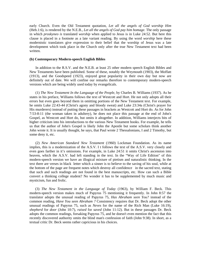early Church. Even the Old Testament quotation, *Let all the angels of God worship Him*  (Heb.1:6), is rendered by the N.E.B., *Let all the angels of God pay him homage.* The only passage in which *proskyneo is* translated *worship* when applied to Jesus is in Luke 24:52. But here this clause is placed in a footnote as a late variant reading. By using the word *worship* here these modernistic translators give expression to their belief that the worship of Jesus was a late development which took place in the Church only after the true New Testament text had been written.

#### **(b) Contemporary Modern-speech English Bibles**

In addition to the R.S.V. and the N.E.B. at least 25 other modern speech English Bibles and New Testaments have been published. Some of these, notably the Weymouth (1903), the Moffatt (1913), and the Goodspeed (1923), enjoyed great popularity in their own day but now are definitely out of date. We will confine our remarks therefore to contemporary modern-speech versions which are being widely used today by evangelicals.

(1) *The New Testament In the Language of the People,* by Charles B. Williams (1937). As he states in his preface, Williams follows the text of Westcott and Hort. He not only adopts all their errors but even goes beyond them in omitting portions of the New Testament text. For example, he omits Luke 22:43-44 (Christ's agony and bloody sweat) and Luke 23:34a (Christ's prayer for His murderers) instead of putting these passages in brackets as Westcott and Hort do. As for John 7:53-8:11 (the woman taken in adultery), he does not place this passage at the end of John's Gospel, as Westcott and Hort do, but omits it altogether. In addition, Williams interjects bits of higher criticism into his introductions to the various New Testament books. For example, he tells us that the author of John's Gospel is likely John the Apostle but some scholars think another John wrote it. It is usually thought, he says, that Paul wrote 2 Thessalonians, I and 2 Timothy, but some deny it, etc.

(2) *New American Standard New Testament* (1960) Lockman Foundation. As its name implies, this is a modernization of the A.S.V. I t follows the text of the A.S.V. very closely and even goes farther in it's omissions. For example, in Luke 24:51 it omits Christ's ascension into heaven, which the A.S.V. had left standing in the text. In the "Way of Life Edition" of this modern-speech version we have an illogical mixture of pietism and naturalistic thinking. In the text there are verses in black letter which a sinner is to believe to the saving of his soul, while at the bottom of the page are frequent notes which destroy all confidence in the sacred text, stating that such and such readings are not found in the best manuscripts, etc. How can such a Bible convert a thinking college student? No wonder it has to be supplemented by much music and mysticism, fun and frolic.

(3) *The New Testament in the Language of Today* (1963), by William F. Beck. This modern-speech version makes much of Papyrus 75 mentioning it frequently. In John 8:57 the translator adopts the unusual reading of Papyrus 75, *Has Abraham seen You?* instead of the common reading, *Have You seen Abraham ?* Consistency requires that Dr. Beck adopt the other unusual readings of Papyrus 75, such as *Neves* for the name of the Rich Man (Luke 16:19), *shepherd* for *door* (John 10:7), *raised* for *saved* (John 11:12). But in these passages Dr. Beck adopts the common readings, forsaking Papyrus 75, and he doesn't even mention the fact that this recently discovered authority omits the blind man's confession of faith (John 9:38). In short, as a textual critic Dr. Beck seems rather capricious in his choices.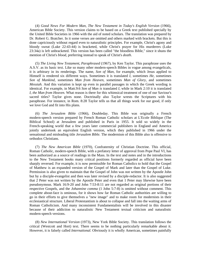(4) *Good News For Modern Man, The New Testament in Today's English Version* (1966), American Bible Society. This version claims to be based on a Greek text published specially by the United Bible Societies in 1966 with the aid of noted scholars. The translation was prepared by Dr. Robert G. Bratcher. In it some verses are omitted and others marked with brackets. But this is done capriciously without regard even to naturalistic principles. For example, Christ's agony and bloody sweat (Luke 22:43-44) is bracketed, while Christ's prayer for His murderers (Luke 23:34a) is left unbracketed. This version has been called "the bloodless Bible," since it shuns the mention of Christ's *blood,* preferring instead to speak of Christ's *death.* 

(5) *The Living New Testament, Paraphrased* (1967), by Ken Taylor. This paraphrase uses the A.S.V. as its basic text. Like so many other modern-speech Bibles in vogue among evangelicals, it is arbitrary in its renderings. The name, *Son of Man,* for example, which Jesus applied to Himself is rendered six different ways. Sometimes it is translated *I*, sometimes *He,* sometimes *Son of Mankind,* sometimes *Man from Heaven,* sometimes *Man of Glory,* and sometimes *Messiah.* And this variation is kept up even in parallel passages in which the Greek wording is identical. For example, in Matt.9:6 *Son of Man is* translated *I*, while in Mark 2:10 it is translated *I*, *the Man from Heaven.* What reason is there for this whimsical treatment of one of our Saviour's sacred titles? Taylor gives none. Doctrinally also Taylor wrests the Scriptures with his paraphrase. For instance, in Rom. 8:28 Taylor tells us that all things work for our good, if only we love God and fit into His plans.

(6) *The Jerusalem Bible* (1966), Doubleday. This Bible was originally a French modern-speech version prepared by French Roman Catholic scholars at L'Ecole Biblique (The Biblical School) at Jerusalem and published in Paris in 1955. It sold so widely in the French-speaking world that a few years later commercial publishers in England and America jointly undertook an equivalent English version, which they published in 1966 under the sensational and misleading title *Jerusalem Bible.* The modernism of this Bible also is offensive to orthodox Christians.

(7) *The New American Bible* (1970), Confraternity of Christian Doctrine. This official, Roman Catholic, modern-speech Bible, with a prefatory letter of approval from Pope Paul VI, has been authorized as a source of readings in the Mass. In the text and notes and in the introductions to the New Testament books many critical positions formerly regarded as official have been sharply reversed. For example, it is now permissible for Roman Catholics to hold that the Gospel of Matthew is an expanded version of the Gospel of Mark and later than the Gospel of Luke. Permission is also given to maintain that the Gospel of John was not written by the Apostle John but by a disciple-evangelist and then was later revised by a disciple-redactor. It is also suggested that 2 Peter was not written by the Apostle Peter and even that 1 Peter may likewise have been pseudonymous. Mark 16:9-20 and John 7:53-8:11 are not regarded as original portions of their respective Gospels, and the *Johannine comma* (1 John 5:7-8) is omitted without comment. This complete about-face is ominous, for it shows how far Roman Catholic authorities are willing to go in their efforts to give themselves a "new image" and to make room for modernists in their ecclesiastical structure. Liberal Protestantism is about to collapse and fall into the waiting arms of Roman Catholicism. And many inconsistent Fundamentalists will be involved in this disaster because of their addiction to naturalistic New Testament textual criticism and naturalistic modern-speech versions.

(8) *New International Version* (1973), New York Bible Society. This translation follows the critical (Westcott and Hort) text. There seems to be nothing particularly remarkable about it. However, it is falsely called *International.* Obviously it is wholly American, sometimes painfully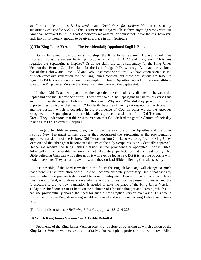so. For example, it joins *Beck's version* and *Good News for Modern Man* in consistently substituting *rooster* for *cock.* But this is American barnyard talk. Is there anything wrong with our American barnyard talk? As good Americans we answer, of course not. Nevertheless, however, such talk is not literary enough to be given a place in holy Scripture.

#### **(c) The King James Version — The Providentially Appointed English Bible**

Do we believing Bible Students "worship" the King James Version? Do we regard it as inspired, just as the ancient Jewish philosopher Philo (d. 42 A.D.) and many early Christians regarded the Septuagint as inspired? Or do we claim the same supremacy for the King James Version that Roman Catholics claim for the Latin Vulgate? Do we magnify its authority above that of the Hebrew and Greek Old and New Testament Scriptures? We have often been accused of such excessive veneration for the King James Version, but these accusations are false. In regard to Bible versions we follow the example of Christ's Apostles. We adopt the same attitude toward the King James Version that they maintained toward the Septuagint.

In their Old Testament quotations the Apostles never made any distinction between the Septuagint and the Hebrew Scriptures. They never said, "The Septuagint translates this verse thus and so, but in the original Hebrew it is this way." Why not? Why did they pass up all these opportunities to display their learning? Evidently because of their great respect for the Septuagint and the position which it occupied in the providence of God. In other words, the Apostles recognized the Septuagint as the providentially approved translation of the Old Testament into Greek. They understood that this was the version that God desired the gentile Church of their day to use as its Old Testament Scripture.

In regard to Bible versions, then, we follow the example of the Apostles and the other inspired New Testament writers. Just as they recognized the Septuagint as the providentially appointed translation of the Hebrew Old Testament into Greek, so we recognize the King James Version and the other great historic translations of the holy Scriptures as providentially approved. Hence we receive the King James Version as the providentially appointed English Bible. Admittedly this venerable version is not absolutely perfect, but it is trustworthy. No Bible-believing Christian who relies upon it will ever be led astray. But it is just the opposite with modern versions. They are untrustworthy, and they do lead Bible-believing Christians astray.

It is possible, if the Lord tarry that in the future the English language will change so much that a new English translation of the Bible will become absolutely necessary. But in that case any version which we prepare today would be equally antiquated. Hence this is a matter which we must leave to God, who alone knows what is in store for us. For the present, however, and the foreseeable future no new translation is needed to take the place of the King James Version. Today our chief concern must be to create a climate of Christian thought and learning which God can use providentially should the need for such a new English version ever arise. This would insure that only the English wording would be revised and not the underlying Hebrew and Greek text.

(For further discussion see *Believing Bible Study,* pp. 81-88, 214-228).

#### **(d) Which King James Version?** — **A Feeble Rebuttal**

Opponents of the King James Version often try to refute us by asking us which edition of the King James Version we receive as authoritative. For example, a professor in a well known Bible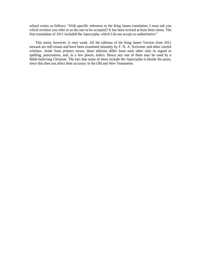school writes as follows: "With specific reference to the King James translation, I must ask you which revision you refer to as the one to be accepted? It has been revised at least three times. The first translation of 1611 included the Apocrypha, which I do not accept as authoritative."

This retort, however, is very weak. All the editions of the King James Version from 1611 onward are still extant and have been examined minutely by F. H. A. Scrivener and other careful scholars. Aside from printers errors, these editions differ from each other only in regard to spelling, punctuation, and, in a few places, italics. Hence any one of them may be used by a Bible-believing Christian. The fact that some of them include the Apocrypha is beside the point, since this does not affect their accuracy in the Old and New Testaments.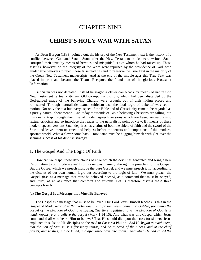## CHAPTER NINE

## **CHRIST'S HOLY WAR WITH SATAN**

As Dean Burgon (1883) pointed out, the history of the New Testament text is the history of a conflict between God and Satan. Soon after the New Testament books were written Satan corrupted their texts by means of heretics and misguided critics whom he had raised up. These assaults, however, on the integrity of the Word were repulsed by the providence of God, who guided true believers to reject these false readings and to preserve the True Text in the majority of the Greek New Testament manuscripts. And at the end of the middle ages this True Text was placed in print and became the Textus Receptus, the foundation of the glorious Protestant Reformation.

But Satan was not defeated. Instead he staged a clever come-back by means of naturalistic New Testament textual criticism. Old corrupt manuscripts, which had been discarded by the God-guided usage of the believing Church, were brought out of their hiding places and re-instated. Through naturalistic textual criticism also the fatal logic of unbelief was set in motion. Not only the text but every aspect of the Bible and of Christianity came to be regarded as a purely natural phenomenon. And today thousands of Bible-believing Christians are falling into this devil's trap through their use of modern-speech versions which are based on naturalistic textual criticism and so introduce the reader to the naturalistic point of view. By means of these modern-speech versions Satan deprives his victims of both the shield of faith and the sword of the Spirit and leaves them unarmed and helpless before the terrors and temptations of this modern, apostate world. What a clever come-back! How Satan must be hugging himself with glee over the seeming success of his devilish strategy.

### 1. The Gospel And The Logic Of Faith

How can we dispel these dark clouds of error which the devil has generated and bring a new Reformation to our modern age? In only one way, namely, through the preaching of the Gospel. But the Gospel which we preach must be the pure Gospel, and we must preach it not according to the dictates of our own human logic but according to the logic of faith. We must preach the Gospel, *first,* as a message that must be believed, *second,* as a command that must be obeyed, and, *third,* as an assurance that comforts and sustains. Let us therefore discuss these three concepts briefly.

### **(a) The Gospel Is a Message that Must Be Believed**

The Gospel is a message that must be believed. Our Lord Jesus Himself teaches us this in the Gospel of Mark. *Now after that John was put in prison, Jesus came into Galilee, preaching the gospel of the kingdom of God, and saying, The time is fulfilled, and the kingdom of God is at hand, repent ye and believe the gospel* (Mark 1:14-15). And what was this Gospel which Jesus commanded all who heard Him to believe? That He should die upon the cross for sinners. Jesus explained this also to His disciples on the road to Caesarea Philippi. *And He began to teach them, that the Son of Man must suffer many things, and be rejected of the elders, and of the chief priests, and scribes, and be killed, and after three days rise again....And when He had called the*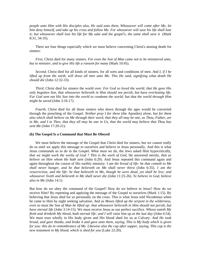*people unto Him with His disciples also, He said unto them, Whosoever will come after Me, let him deny himself, and take up his cross and follow Me. For whosoever will save his life shall lose it; but whosoever shall lose his life for My sake and the gospel's, the same shall save it* (Mark 8:31, 34-35).

There are four things especially which we must believe concerning Christ's atoning death for sinners:

*First,* Christ died for many sinners. *For even the Son of Man came not to be ministered unto, but to minister, and to give His life a ransom for many* (Mark 10:45).

*Second,* Christ died for all kinds of sinners, for all sorts and conditions of men. *And I, if I be lifted up from the earth, will draw all men unto Me. This He said, signifying what death He should die* (John 12:32-33).

*Third,* Christ died for sinners the world over. *For God so loved the world, that He gave His only begotten Son, that whosoever believeth in Him should not perish, but have everlasting life. For God sent not His Son into the world to condemn the world; but that the world through Him might be saved* (John 3:16-17).

*Fourth,* Christ died for all those sinners who down through the ages would be converted through the preaching of the Gospel. *Neither pray I for these* (the Apostles) *alone, but for them also which shall believe on Me through their word, that they all may be one, as Thou, Father, art in Me, and I in Thee, that they all may be one in Us, that the world may believe that Thou has sent Me* (John 17:20-21).

#### **(b) The Gospel Is a Command that Must Be Obeyed**

We must believe the message of the Gospel that Christ died for sinners, but we cannot really do so until we apply this message to ourselves and believe in Jesus personally. And this is what Jesus commands us to do in the Gospel. *What must we do,* the Jews asked Him hypocritically, *that we might work the works of God ? This is the work of God, He answered sternly, that ye believe on Him whom He hath sent* (John 6:29). And Jesus repeated this command again and again throughout the course of His earthly ministry. I *am the bread of life: he that cometh to Me shall never hunger, and he that believeth on Me shall never thirst* (John 6:35). *1 am the resurrection, and the life: he that believeth in Me, though he were dead, yet shall he live; and whosoever liveth and believeth in Me shall never die* (John 11:25-26). *Ye believe in God, believe also in Me* (John 14:1).

But how do we obey the command of the Gospel? How do we believe in Jesus? How do we receive Him? By repenting and applying the message of the Gospel to ourselves (Mark 1:15). By believing that Jesus died for us personally on the cross. This is what Jesus told Nicodemus when he came to Him by night seeking salvation. *And as Moses lifted up the serpent in the wilderness, even so must the Son of Man be lifted up: that whosoever believeth in Him should not perish, but have eternal life* (John 3:14-15). We must receive Jesus as our perfect sacrifice. *Whoso eateth My flesh and drinketh My blood, hath eternal life: and I will raise him up at the last day (John 6:54).* We must trust wholly in His body given and His blood shed for us at Calvary. *And He took bread, and gave thanks, and brake it and gave unto them, saying, This is My body which is given for you: this do in remembrance of Me. Likewise also the cup after supper, saying, This cup is the new testament in My blood, which is shed for you* (Luke 22:20).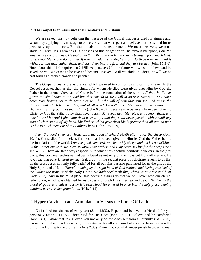#### **(c) The Gospel Is an Assurance that Comforts and Sustains**

We are saved, first, by believing the message of the Gospel that Jesus died for sinners and, second, by applying this message to ourselves so that we repent and believe that Jesus died for us personally upon the cross. But there is also a third requirement. We must persevere, we must abide in Christ. Jesus reminds His Apostles of this obligation in His famous metaphor, *I am the vine, ye are the branches: He that abideth in Me, and I in him the same bringeth forth much fruit: for without Me ye can do nothing. If a man abide not in Me, he is cast forth as a branch, and is*  withered; and men gather them, and cast them into the fire, and they are burned (John 15:5-6). How about this third requirement? Will we persevere? In the future will we still believe and be saved, or will we cease to believe and become unsaved? Will we abide in Christ, or will we be cast forth as a broken branch and perish?

The Gospel gives us the assurance which we need to comfort us and calm our fears. In the Gospel Jesus teaches us that the sinners for whom He died were given unto Him by God the Father in the eternal Covenant of Grace before the foundation of the world. *All that the Father giveth Me shall come to Me, and him that cometh to Me I will in no wise cast out. For I came*  down from heaven not to do Mine own will, but the will of Him that sent Me. And this is the *Father's will which hath sent Me, that of all which He hath given Me I should lose nothing, but should raise it up again at the last day* (John 6:37-39). Because true believers have been given to Christ by God the Father, they shall never perish. *My sheep hear My voice, and I know them, and they follow Me: And I give unto them eternal life; and they shall never perish, neither shall any man pluck them out of My hand. My Father, which gave them Me is greater than all and no man is able to pluck them out of My Father's hand* (John 10:27-29).

*I am the good shepherd,* Jesus says, *the good shepherd giveth His life for the sheep* (John 10:11). Christ died for the elect, for those that had been given to Him by God the Father before the foundation of the world. *I am the good shepherd, and know My sheep, and am known of Mine. As the Father knoweth Me, even so know I the Father: and I lay down My life for the sheep* (John 10:14-15). There are three ways especially in which this doctrine comforts believers. In the *first*  place, this doctrine teaches us that Jesus loved us not only on the cross but from all eternity. He *loved me and gave Himself for me* (Gal. 2:20). In the *second* place this doctrine reveals to us that on the cross Jesus not only fully satisfied for all our sins but also purchased for us the gift of the Holy Spirit and of faith. *Therefore being by the right hand of God exalted, and having received of the Father the promise of the Holy Ghost, He hath shed forth this, which ye now see and hear*  (Acts 2:33). And in the *third* place, this doctrine assures us that we will never lose our eternal redemption, which was obtained for us by Jesus through His sufferings and death. *Neither by the blood of goats and calves, but by His own blood He entered in once into the holy place, having obtained eternal redemption for us* (Heb. 9:12).

### 2. Hyper-Calvinism and Arminianism Versus the Logic Of Faith

Christ died for sinners of every sort (John 12:32). Repent and believe that He died for you personally (John 3:14-15). Christ died for His elect (John 10: 11). Believe and be comforted (John 14:1). Know that Jesus loved you not only on the cross but from all eternity (Gal. 2:20). Know that on the cross He not only fully satisfied for all your sins but also purchased for you the gift of the Holy Spirit and of faith (Acts 2:33). Know that you shall never perish because no man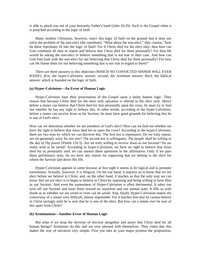is able to pluck you out of your heavenly Father's hand (John 10:29). Such is the Gospel when it is preached according to the logic of faith.

Many modern Christians, however, reject this logic of faith on the ground that it does not solve the problem of the non-elect (the reprobate). "What about the non-elect," they clamor, "how do these reprobates fit into the logic of faith? For if Christ died for the elect only, then how can God command all men to repent and believe that Christ died for them personally? For then He would be asking the non-elect to believe something that is not true in their case. And how can God find fault with the non-elect for not believing that Christ died for them personally? For how can He blame them for not believing something that is not true in regard to them?"

There are three answers to this objection (WHICH NO CONVICTED SINNER WILL EVER RAISE): *first,* the hyper-Calvinistic answer; *second,* the Arminian answer; *third,* the biblical answer, which is founded on the logic of faith.

#### **(a) Hyper-Calvinism—An Error of Human Logic**

Hyper-Calvinists base their presentation of the Gospel upon a faulty human logic. They reason that because Christ died for the elect only salvation is offered to the elect only. Hence before a sinner can believe that Christ died for him personally upon the cross, he must try to find out whether he has any right to believe this. In other words, according to the hyper-Calvinists, before a sinner can receive Jesus as his Saviour, he must have good grounds for believing that he is one of God's elect.

How can we determine whether we are members of God's elect? How can we find out whether we have the right to believe that Jesus died for us upon the cross? According to the hyper-Calvinists, there are two tests by which we can discover this. The first test is repentance. Do we truly repent, are we genuinely sorry for our sins? The second test is willingness. *Thy people shall be willing in the day of Thy power (Psalm* 110:3). Are we truly willing to receive Jesus as our Saviour? Do we really wish to be saved? According to hyper-Calvinism, we have no right to believe that Jesus died for us personally until we can answer these questions in the affirmative. Only if we pass these preliminary tests, do we have any reason for supposing that we belong to the elect for whom the Saviour laid down His life.

Hyper-Calvinism appeals to some because at first sight it seems to be logical and to promote earnestness. Actually, however, it is illogical. On the one hand, it requires us to know that we are elect before we believe in Christ, and, on the other hand, it teaches us that the only way we can know that we are elect is to begin to believe in Christ by repenting and being willing to have Him as our Saviour. And even the earnestness of Hyper-Calvinism is often detrimental. It takes our eyes off our Saviour and turns them inward on ourselves and our mental state. It fills us with doubt as to whether we are saved or even can be saved. And, finally Hyper-Calvinism makes the conversion of a sinner very difficult, almost impossible. For it teaches him that he cannot believe in Christ savingly until he is sure that he is one of the elect. But how can a sinner ever be sure of this apart from Christ?

#### **(b) Arminianism—Another Error of Human Logic**

But what if we drop the doctrine of election altogether and assert that Christ died for all human beings? Arminians do this and are very pleased with themselves. They claim that this makes the way of salvation very simple. First you take as your major premise the proposition,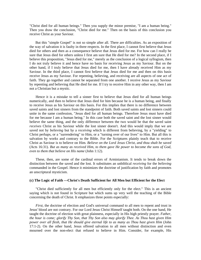"Christ died for all human beings." Then you supply the minor premise, "I am a human being." Then you draw the conclusion, "Christ died for me." Then on the basis of this conclusion you receive Christ as your Saviour.

But this "simple Gospel" is not so simple after all. There are difficulties. As an exposition of the way of salvation it is faulty in three respects. In the first place, I cannot first believe that Jesus died for others and then as a consequence believe that Jesus died for me. For how can I really be sure that Jesus died for others unless I first am sure that He died for me? In the second place, if I believe this proposition, "Jesus died for me," merely as the conclusion of a logical syllogism, then I do not truly believe it and hence have no basis for receiving Jesus as my Saviour. But on the other hand, if I truly believe that Jesus died for me, then I have already received Him as my Saviour. In the third place, I cannot first believe that Jesus died for me and then on this basis receive Jesus as my Saviour. For repenting, believing, and receiving are all aspects of one act of faith. They go together and cannot be separated from one another. I receive Jesus as my Saviour by repenting and believing that He died for me. If I try to receive Him in any other way, then I am not a Christian but a mystic.

Hence it is a mistake to tell a sinner first to believe that Jesus died for all human beings numerically, and then to believe that Jesus died for him because he is a human being, and finally to receive Jesus as his Saviour on this basis. For this implies that there is no difference between saved saints and lost sinners from the standpoint of faith. Both saved saints and lost sinners could unite in the same confession, "Jesus died for all human beings. Therefore Jesus must have died for me because I am a human being." In this case both the saved saint and the lost sinner would believe the same thing, and the only difference between the two would be that the saved saint *receives* Christ as his Saviour while the lost sinner doesn't. And this would imply that we are saved not by *believing* but b*y* a *receiving* which is different from believing, by a "yielding" to Christ perhaps, or a "surrendering" to Him, or a "turning over of our lives" to Him. But all this is salvation by works and contrary to the Bible. For the Scriptures plainly teach that to receive Christ as Saviour is to believe on Him. *Believe on the Lord Jesus Christ, and thou shalt be saved*  (Acts 16:31). *But as many as received Him, to them gave He power to become the sons of God, even to them that believe on His name* (John 1:12).

These, then, are some of the cardinal errors of Arminianism. It tends to break down the distinction between the saved and the lost. It substitutes an unbiblical *receiving* for the *believing*  commanded in the Gospel. Hence it minimizes the doctrine of justification by faith and promotes an unscriptural mysticism.

#### **(c) The Logic of Faith —Christ's Death Sufficient for All Men but Efficient for the Elect**

"Christ died sufficiently for all men but efficiently only for the elect." This is an ancient saying which is not found in Scripture but which sums up very well the teaching of the Bible concerning the death of Christ. It emphasizes three points especially:

*First*, the doctrine of election and God's universal command to all men to repent and trust in Jesus' blood are not contrary. For our Lord Jesus Christ Himself taught both. On the one hand, He taught the doctrine of election with great plainness, especially in His high priestly prayer. *Father, the hour is come; glorify Thy Son, that Thy Son also may glorify Thee. As Thou hast given Him power over all flesh, that He should give eternal life to as many as Thou hast given Him* (John 17:1-2). On the other hand, Jesus offered salvation to all men without distinction and even mourned over the non-elect that refused to believe in Him. Consider, for example, His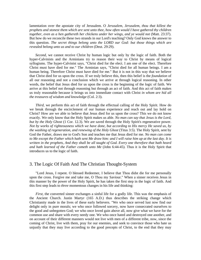lamentation over the apostate city of Jerusalem. O *Jerusalem, Jerusalem, thou that killest the prophets and stonest them which are sent unto thee, how often would I have gathered thy children together, even as a hen gathereth her chickens under her wings, and ye would not* (Matt. 23:37). But how do we reconcile these two strands in our Lord's teaching? Only God knows the answer to this question. *The secret things belong unto the LORD our God: but those things which are revealed belong unto us and to our children* (Deut. 29:29).

*Second,* we cannot receive Christ by human logic but only by the logic of faith. Both the hyper-Calvinists and the Arminians try to reason their way to Christ by means of logical syllogisms. The hyper-Calvinist says, "Christ died for the elect. I am one of the elect. Therefore Christ must have died for me." The Arminian says, "Christ died for all human beings. I am a human being. Therefore Christ must have died for me." But it is not in this way that we believe that Christ died for us upon the cross. If we truly believe this, then this belief is the *foundation* of all our reasoning and not a conclusion which we arrive at through logical reasoning. In other words, the belief that Jesus died for us upon the cross is the beginning of the logic of faith. We arrive at this belief not through reasoning but through an act of faith. And this act of faith makes us truly reasonable because it brings us into immediate contact with Christ *in whom are hid all the treasures of wisdom and knowledge* (Col. 2:3).

*Third,* we perform this act of faith through the effectual calling of the Holy Spirit. How do we break through the encirclement of our human experience and reach out and lay hold on Christ? How are we able to believe that Jesus died for us upon the cross? This we do not know exactly. We only know that the Holy Spirit makes us able. *No man can say that Jesus is the Lord, but by the Holy Ghost* (1 Cor. 12.3). We are saved through the Holy Spirit's regenerative power. *Not by works of righteousness which we have done, but according to His mercy He saved us, by the washing of regeneration, and renewing of the Holy Ghost* (Titus 3:5). The Holy Spirit, sent by God the Father, draws me to God's Son and teaches me that Jesus died for me. *No man can come to Me except the Father which hath sent Me draw him: and I will raise him up at the last day. It is written in the prophets, And they shall be all taught of God. Every one therefore that hath heard and hath learned of the Father cometh unto Me* (John 6:44-45). Thus it is the Holy Spirit that introduces us to the logic of faith.

### 3. The Logic Of Faith And The Christian Thought-System

"Lord Jesus, I repent. O blessed Redeemer, I believe that Thou didst die for me personally upon the cross. Forgive me and take me, O Thou my Saviour." When a sinner receives Jesus in this manner by the power of the Holy Spirit, he has taken the first step in the logic of faith. And this first step leads to *three* momentous changes in his life and thinking:

*First,* the converted sinner exchanges a sinful life for a godly life. This was the emphasis of the Ancient Church. Justin Martyr (165 A.D.) thus describes the striking change which Christianity made in the lives of these early believers. "We who once served lust now find our delight only in pure morals; we who once followed sorcery, now have consecrated ourselves to the good and unbegotten God; we who once loved gain above all, now give what we have for the common use and share with every needy one. We who once hated and destroyed one another, and on account of their different manners would not live with men of a different tribe, now, since the coming of Christ, live with them, pray for our enemies, and seek to convince those who hate us unjustly that they may live according to the good precepts of Christ, to the end that they may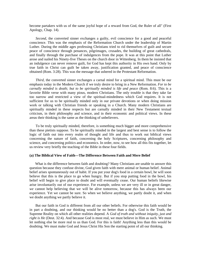become partakers with us of the same joyful hope of a reward from God, the Ruler of all" (First Apology, Chap. 14).

*Second,* the converted sinner exchanges a guilty, evil conscience for a good and peaceful conscience. This was the emphasis of the Reformation Church under the leadership of Martin Luther. During the middle ages professing Christians tried to rid themselves of guilt and secure peace of conscience through penances, pilgrimages, crusades, the building of great cathedrals, and finally through the purchase of indulgences from the pope. It was at this point that Luther arose and nailed his Ninety-five Theses on the church door in Wittenberg. In them he insisted that an indulgence can never remove guilt, for God has kept this authority in His own hand. Only by true faith in Christ can guilt be taken away, justification granted, and peace of conscience obtained (Rom. 3:28). This was the message that ushered in the Protestant Reformation.

*Third,* the converted sinner exchanges a carnal mind for a spiritual mind. This must be our emphasis today in the Modern Church if we truly desire to bring in a New Reformation. *For to be carnally minded is death; but to be spiritually minded is life and peace* (Rom. 8:6). This is a favorite Bible verse with many pious, modern Christians. The only trouble is that they take far too narrow and restricted a view of the spiritual-mindedness which God requires. It is not sufficient for us to be spiritually minded only in our private devotions or when doing mission work or talking with Christian friends or speaking in a Church. Many modern Christians are spiritually minded in these respects but are carnally minded in their New Testament textual criticism, in their philosophy and science, and in their economic and political views. In these areas their thinking is the same as the thinking of unbelievers.

To be truly spiritually minded, therefore, is something much bigger and more comprehensive than these pietists suppose. To be spiritually minded in the largest and best sense is to follow the logic of faith out into every realm of thought and life and thus to work out biblical views concerning the nature of faith, concerning the holy Scriptures, concerning philosophy and science, and concerning politics and economics. In order, now, to see how all this fits together, let us review very briefly the teaching of the Bible in these four fields.

### **(a) The Biblical View of Faith—The Difference Between Faith and Mere Belief**

What is the difference between faith and doubting? Many Christians are unable to answer this question because they confuse divine, God given faith with mere animal or human belief. Animal belief arises spontaneously out of habit. If you put your dog's food in a certain bowl, he will soon believe that this is the place to go when hungry. But if you stop putting food in the bowl, his belief will begin to give place to doubt and will eventually cease. Our human beliefs likewise arise involuntarily out of our experience. For example, unless we are very ill or in great danger, *we* cannot help believing that we will be alive tomorrow, because this has always been our experience. Yet we cannot be sure. So when we believe anything, we partly doubt it, and when we doubt anything we partly believe it.

But our faith in God is different from all our other beliefs. For otherwise this faith would be in part a doubting, and our thinking would be no better than a dog's. God is the Truth, the Supreme Reality on which all other realities depend. A *God of truth and without iniquity, just and right is He* (Deut. 32:4). And because God is most real, we must believe in Him as such. We must let nothing else be more real to us than God. For this is faith! Anything less than this would be doubting. We must make God and Jesus Christ His Son the starting point of all our thinking.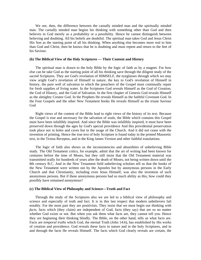We see, then, the difference between the carnally minded man and the spiritually minded man. The carnally minded man begins his thinking with something other than God and then believes in God merely as a probability or a possibility. Hence he cannot distinguish between believing and doubting. All his beliefs are doubtful. The spiritual man takes God and Jesus Christ His Son as the starting point of all his thinking. When anything else becomes more real to him than God and Christ, then he knows that he is doubting and must repent and return to the feet of his Saviour.

### **(b) The Biblical View of the Holy Scriptures — Their Content and History**

The spiritual man is drawn to the holy Bible by the logic of faith as by a magnet. For how else can he take God as the starting point of all his thinking save through the diligent study of the sacred Scriptures. They are God's revelation of HIMSELF, the eyeglasses through which we may view aright God's revelation of Himself in nature, the key to God's revelation of Himself in history, the pure well of salvation to which the preachers of the Gospel must continually repair for fresh supplies of living water. In the Scriptures God reveals Himself as the God of Creation, the God of History, and the God of Salvation. In the first chapter of Genesis God reveals Himself as the almighty Creator God. In the Prophets He reveals Himself as the faithful Covenant God. In the Four Gospels and the other New Testament books He reveals Himself as the triune Saviour God

Right views of the content of the Bible lead to right views of the history of its text. Because the Gospel is true and necessary for the salvation of souls, the Bible which contains this Gospel must have been infallibly inspired. And since the Bible was infallibly inspired, it must have been preserved down through the ages by God's special providence And this providential preservation took place not in holes and caves but in the usage of the Church. And it did not cease with the invention of printing. Hence the true text of holy Scripture is found today in the printed Masoretic text, in the Textus Receptus, and in the King James Version and other faithful translations.

The logic of faith also shows us the inconsistencies and absurdities of unbelieving Bible study. The Old Testament critics, for example, admit that the art of writing had been known for centuries before the time of Moses, but they still insist that the Old Testament material was transmitted orally for hundreds of years after the death of Moses, not being written down until the 8th century B.C. And in the New Testament field unbelieving scholars tell us that the books of the New Testament were written not by the Apostles but by anonymous persons in the Early Church and that Christianity, including even Jesus Himself, was also the invention of such anonymous persons. But if these anonymous persons had so much ability as this, how could they possibly have remained anonymous?

#### **(c) The Biblical View of Philosophy and Science—Truth and Fact**

Through the study of the Scriptures also we are led to a biblical view of philosophy and science and especially of truth and fact. It is in this last respect that modern unbelievers fail notably. For the most part they are positivists. They insist that we must begin our thinking with *facts*, facts which (they claim) are independent of God, facts (they say) that are so no matter whether God exists or not. But when you ask them what facts are, they cannot tell you. Hence they are beginning their thinking blindly. The Bible, on the other hand, tells us what facts are. Facts are *temporal truths* which God, the eternal Truth (John 14:6), has established by His works of creation and providence. God reveals these facts in nature and in the holy Scriptures, and in and through the facts He reveals Himself. The facts which God clearly reveals are certain, the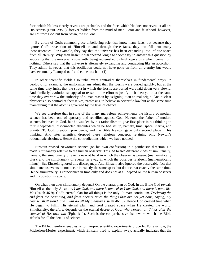facts which He less clearly reveals are probable, and the facts which He does not reveal at all are His secrets (Deut. 29:29), forever hidden from the mind of man. Error and falsehood, however, are not from God but from Satan, the evil one.

By virtue of God's common grace unbelieving scientists know many facts, but because they ignore God's revelation of Himself in and through these facts, they too fall into many inconsistencies. For example, they say that the universe has been expanding into infinite space from all eternity. Why then hasn't it disappeared long ago? Some try to answer this question by supposing that the universe is constantly being replenished by hydrogen atoms which come from nothing. Others say that the universe is alternately expanding and contracting like an accordion. They admit, however, that this oscillation could not have gone on from all eternity but would have eventually "damped out" and come to a halt. (1)

In other scientific fields also unbelievers contradict themselves in fundamental ways. In geology, for example, the uniformitarians admit that the fossils were buried quickly, but at the same time they insist that the strata in which the fossils are buried were laid down very slowly. And similarly, evolutionists appeal to reason in the effort to justify their theory, but at the same time they overthrow the authority of human reason by assigning it an animal origin. And nuclear physicists also contradict themselves, professing to believe in scientific law but at the same time maintaining that the atom is governed by the laws of chance.

We see therefore that in spite of the many marvelous achievements the history of modern science has been one of apostasy and rebellion against God. Newton, the father of modern science, believed in God, but he was led by his rationalism to give first place in his thinking to four independent, disconnected absolutes which he had set up, namely, time, space, inertia, and gravity. To God, creation, providence, and the Bible Newton gave only second place in his thinking. And later scientists dropped these religious concepts, retaining only Newton's rationalistic absolutes. Hence the contradictions which we have noticed.

Einstein revised Newtonian science (on his own confession) in a pantheistic direction. He made simultaneity relative to the human observer. This led to two different kinds of simultaneity, namely, the simultaneity of events near at hand in which the observer is present (mathematically plus), and the simultaneity of events far away in which the observer is absent (mathematically minus). But Einstein ignored this discrepancy. And Einstein also ignored the observable fact that simultaneous events do not occur in exactly the same space but do occur at exactly the same time. Hence simultaneity is coincidence in time only and does not at all depend on the human observer and his position in space.

On what then does simultaneity depend? On the eternal plan of God. In the Bible God reveals Himself as the only Absolute. *I am God, and there is none else; I am God, and there is none like Me* (Isaiah 46 9). God's eternal plan for all things is the only ultimate continuum. *Declaring the end from the beginning, and from ancient times the things that are not yet done, saying, My counsel shall stand, and I will do all My pleasure* (Isaiah 46:10). Hence God created time when He began to fulfill His eternal plan, and God created space when He created the world. Simultaneity, therefore, depends on the eternal decree of God, *who worketh all things after the counsel of His own will* (Eph. 1:11). Such is the comprehensive framework which the Bible affords for all the details of science.

The Bible, therefore, enables us to interpret scientific experiments properly. For example, the Michelson-Morley experiment, which Einstein tried to explain away, actually indicates that the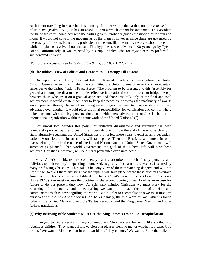earth is not travelling in space but is stationary. In other words, the earth cannot be *removed* out of its place (Psalm 104:5). It has an absolute inertia which cannot be overcome. This absolute inertia of the earth, combined with the earth's gravity, probably guides the motion of the sun and moon. It would not control the movements of the planets, however, since these are governed by the gravity of the sun. Hence it is probable that the sun, like the moon, revolves about the earth, while the planets revolve about the sun. This hypothesis was advanced 400 years ago by Tycho Brahe. Unfortunately, it was rejected by his pupil Kepler, who for mystic reasons preferred a sun-centered universe.

(For further discussion see *Believing Bible Study,* pp. 165-71, 223-24.)

#### **(d) The Biblical View of Politics and Economics — Occupy Till I Come**

On September 25, 1961, President John F. Kennedy made an address before the United Nations General Assembly in which he committed the United States of America to an eventual surrender to the United Nations Peace Force. "The program to be presented to this Assembly for general and complete disarmament under effective international control moves to bridge the gap between those who insist on a gradual approach and those who talk only of the final and total achievement. It would create machinery to keep the peace as it destroys the machinery of war. It would proceed through balanced and safeguarded stages designed to give no state a military advantage over another. It would place the final responsibility for verification and control where it belongs not with the big powers alone, not with one's adversary or one's self, but in an international organization within the framework of the United Nations." (2)

For almost two decades this policy of unilateral disarmament and surrender has been relentlessly pursued by the forces of the Liberal-left, until now the end of the road is clearly in sight. Humanly speaking, the United States has only a few more years to exist as an independent nation. Soon riots and insurrections will take place. Then the Russians will move in with overwhelming force in the name of the United Nations, and the United States Government will surrender as planned. Then world government, the goal of the Liberal-left, will have been achieved. Christians, however, will be bitterly persecuted even unto death.

Most American citizens are completely carnal, absorbed in their fleshly pursuits and oblivious to their country's impending doom. And, tragically, this carnal carelessness is shared by many professing Christians. They take a balcony view of these threatening dangers and will not lift a finger to avert them, insisting that the rapture will take place before these disasters overtake America. But this is a misuse of biblical prophecy. Christ's word to us is, *Occupy till I come*  (Luke 19:13). We must not use the doctrine of the second coming of our Lord as an excuse for failure to do our present duty now. As spiritually minded Christians we must work for the re-arming of our country and do everything we can to roll back the tide of atheism and communism which is now engulfing the world. But in order to accomplish this we must first arm ourselves with *the sword of the Spirit* (Eph. 6:17), namely, the true Word of God, which is found today in the printed Masoretic text, the Textus Receptus, and the King James Version and other faithful translations.

#### **(e) Why Believing Bible Students Must Use the King James Version—A Recapitulation**

In regard to Bible versions many contemporary Christians are behaving like spoiled and rebellious children. They want a Bible version that pleases them no matter whether it pleases God or not. "We want a Bible version in our own idiom," they clamor. "We want a Bible that talks to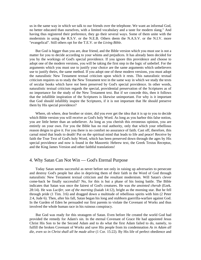us in the same way in which we talk to our friends over the telephone. We want an informal God, no better educated than ourselves, with a limited vocabulary and a taste for modern slang." And having thus registered their preference, they go their several ways. Some of them unite with the modernists in using the R.S.V. or the N.E.B. Others deem the N.A.S.V. or the N.I.V. more "evangelical". Still others opt for the T.E.V. or the *Living Bible.* 

But God is bigger than you are, dear friend, and the Bible version which you must use is not a matter for you to decide according to your whims and prejudices. It has already been decided for you by the workings of God's special providence. If you ignore this providence and choose to adopt one of the modern versions, you will be taking the first step in the logic of unbelief. For the arguments which you must use to justify your choice are the same arguments which unbelievers use to justify theirs, the same method. If you adopt one of these modern versions, you must adopt the naturalistic New Testament textual criticism upon which it rests. This naturalistic textual criticism requires us to study the New Testament text in the same way in which we study the texts of secular books which have *not* been preserved by God's special providence. In other words, naturalistic textual criticism regards the special, providential preservation of the Scriptures as of no importance for the study of the New Testament text. But if we concede this, then it follows that the infallible inspiration of the Scriptures is likewise unimportant. For why is it important that God should infallibly inspire the Scriptures, if it is not important that He should preserve them by His special providence?

Where, oh where, dear brother or sister, did you ever get the idea that it is up to you to decide which Bible version you will receive as God's holy Word. As long as you harbor this false notion, you are little better than an unbeliever. As long as you cherish this erroneous opinion, you are entirely on your own. For you the Bible has no real authority, only that which your rebellious reason deigns to give it. For you there is no comfort no assurance of faith. Cast off, therefore, this carnal mind that leads to death! Put on the spiritual mind that leads to life and peace! Receive by faith the True Text of God's holy Word, which has been preserved down through the ages by His special providence and now is found in the Masoretic Hebrew text, the Greek Textus Receptus, and the King James Version and other faithful translations!

### 4. Why Satan Can Not Win — God's Eternal Purpose

Today Satan seems successful as never before not only in raising up adversaries to persecute and destroy God's people but also in depriving them of their faith in the Word of God through naturalistic New Testament textual criticism and the resultant modernism. Will Satan's clever come-back be finally successful? No, for this is but a phase of his losing battle. The Bible indicates that Satan was once the fairest of God's creatures. He was *the anointed cherub* (Ezek. 28:14). He was *Lucifer, son of the morning* (Isaiah 14:12), bright as the morning star. But he fell through pride (1 Tim. 3:6) and dragged down a multitude of rebellious spirits with him (2 Peter 2:4, Jude 6). Then, after his fall, Satan began his long and stubborn guerrilla-warfare against God. In the Garden of Eden he persuaded our first parents to violate the Covenant of Works and thus involved the whole human race in his ruinous conspiracy.

But God was ready for this stratagem of Satan. Even before He created the world God had provided the remedy for Adam's sin. In the eternal Covenant of Grace He had appointed Jesus Christ His Son to be the Second Adam and to do what the first Adam failed to do, namely, to fulfill the broken Covenant of Works and save His people from its condemnation *As in Adam all die, even so in Christ shall all be made alive* (1 Cor. 15:22). By His life of perfect obedience and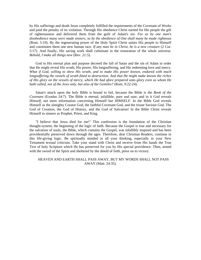by His sufferings and death Jesus completely fulfilled the requirements of the Covenant of Works and paid the penalty of its violation. Through His obedience Christ earned for His people the gift of righteousness and delivered them from the guilt of Adam's sin. *For as by one man's disobedience many were made sinners, so by the obedience of One shall many be made righteous*  (Rom. 5:19). By the regenerating power of the Holy Spirit Christ unites His people to Himself and constitutes them one new human race. *If any man be in Christ, he is a new creature* (2 Cor. 5:17). And finally, His saving work shall culminate in the restoration of the whole universe. *Behold, I make all things new* (Rev*. 21:5).* 

God in His eternal plan and purpose decreed the fall of Satan and the sin of Adam in order that He might reveal His wrath, His power, His longsuffering, and His redeeming love and mercy. *What if God, willing to shew His wrath, and to make His power known, endured with much longsuffering the vessels of wrath fitted to destruction: And that He might make known the riches of His glory on the vessels of mercy, which He had afore prepared unto glory even us whom He hath called, not of the Jews only, but also of the Gentiles?* (Rom. 9:22-24).

Satan's attack upon the holy Bible is bound to fail, because the Bible is the *Book of the Covenant* (Exodus 24:7). The Bible is eternal, infallible, pure and sure, and in it God reveals *Himself,* not mere information concerning Himself but HIMSELF. In the Bible God reveals Himself as the almighty Creator God, the faithful Covenant God, and the triune Saviour God. The God of Creation, the God of History, and the God of Salvation! In the Bible Christ reveals Himself to sinners as Prophet, Priest, and King.

"I believe that Jesus died for me!" This confession is the foundation of the Christian thought-system, the beginning of the logic of faith. Because the Gospel is true and necessary for the salvation of souls, the Bible, which contains the Gospel, was infallibly inspired and has been providentially preserved down through the ages. Therefore, dear Christian Readers, continue in this life-giving logic. Be spiritually minded in all your thinking, especially in your New Testament textual criticism. Take your stand with Christ and receive from His hands the True Text of holy Scripture which He has preserved for you by His special providence. Then, armed with the sword of the Spirit and sheltered by the shield of faith, press on to victory.

### HEAVEN AND EARTH SHALL PASS AWAY, BUT MY WORDS SHALL NOT PASS AWAY (Matt. 24:35).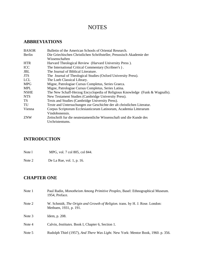# **NOTES**

### **ABBREVIATIONS**

| <b>BASOR</b> | Bulletin of the American Schools of Oriental Research.                       |
|--------------|------------------------------------------------------------------------------|
| Berlin       | Die Griechischen Christlichen Schriftsteller, Preussisch Akademie der        |
|              | Wissenschaften                                                               |
| <b>HTR</b>   | Harvard Theological Review (Harvard University Press).                       |
| <b>ICC</b>   | The International Critical Commentary (Scribner's).                          |
| <b>JBL</b>   | The Journal of Biblical Literature.                                          |
| <b>JTS</b>   | The Journal of Theological Studies (Oxford University Press).                |
| <b>LCL</b>   | The Loeb Classical Library.                                                  |
| <b>MPG</b>   | Migne, Patrologiae Cursus Completus, Series Graeca.                          |
| <b>MPL</b>   | Migne, Patrologiae Cursus Completus, Series Latina.                          |
| <b>NSHE</b>  | The New Schaff-Herzog Encyclopedia of Religious Knowledge (Funk & Wagnalls). |
| <b>NTS</b>   | New Testament Studies (Cambridge University Press).                          |
| TS           | Texts and Studies (Cambridge University Press).                              |
| TU           | Texte and Untersuchungen zur Geschichte der alt christlichen Literatur.      |
| Vienna       | Corpus Scriptorum Ecclesiasticorum Latinorum, Academia Litterarum            |
|              | Vindobonensis.                                                               |
| <b>ZNW</b>   | Zeitschrift fur die neutestamentliche Wissenschaft und die Kunde des         |
|              | Urchristentums.                                                              |

## **INTRODUCTION**

Note 1 MPG, vol. 7 col 805, col 844.

Note 2 De La Rue, vol. 1, p. 16.

## **CHAPTER ONE**

| Note 1 | Paul Radin, Monotheism Among Primitive Peoples, Basel: Ethnographical Museum.<br>1954, Preface.                |
|--------|----------------------------------------------------------------------------------------------------------------|
| Note 2 | W. Schmidt, <i>The Origin and Growth of Religion</i> . trans. by H. J. Rose. London:<br>Methuen, 1931, p. 191. |
| Note 3 | Idem, p. 208.                                                                                                  |
| Note 4 | Calvin, <i>Institutes</i> . Book I, Chapter 6, Section 1.                                                      |
| Note 5 | Rudolph Thiel (1957), And There Was Light. New York: Mentor Book, 1960. p. 356.                                |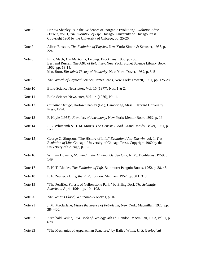| Note 6   | Harlow Shapley, "On the Evidences of Inorganic Evolution," Evolution After<br>Darwin, vol. 1, The Evolution of Life Chicago: University of Chicago Press<br>Copyright 1960 by the University of Chicago, pp. 25-26.                            |
|----------|------------------------------------------------------------------------------------------------------------------------------------------------------------------------------------------------------------------------------------------------|
| Note 7   | Albert Einstein, The Evolution of Physics, New York: Simon & Schuster, 1938, p.<br>224.                                                                                                                                                        |
| Note 8   | Ernst Mach, Die Mechanik, Leipzig: Brockhaus, 1908, p. 238.<br>Bertrand Russell, The ABC of Relativity, New York: Signet Science Library Book,<br>1962, pp. 13-14.<br>Max Born, Einstein's Theory of Relativity, New York: Dover, 1962, p. 345 |
| Note 9   | The Growth of Physical Science, James Jeans, New York: Fawcett, 1961, pp. 125-28.                                                                                                                                                              |
| Note 10  | Bible-Science Newsletter, Vol. 15 (1977), Nos. 1 & 2.                                                                                                                                                                                          |
| Note 11  | Bible-Science Newsletter, Vol. 14 (1976), No. 1.                                                                                                                                                                                               |
| Note 12. | Climatic Change, Harlow Shapley (Ed.), Cambridge, Mass.: Harvard University<br>Press, 1954.                                                                                                                                                    |
| Note 13  | F. Hoyle (1955), <i>Frontiers of Astronomy</i> , New York: Mentor Book, 1962, p. 19.                                                                                                                                                           |
| Note 14  | J. C. Whitcomb & H. M. Morris, <i>The Genesis Flood</i> , Grand Rapids: Baker, 1961, p.<br>127.                                                                                                                                                |
| Note 15  | George G. Simpson, "The History of Life," Evolution After Darwin, vol. 1, The<br>Evolution of Life, Chicago: University of Chicago Press, Copyright 1960 by the<br>University of Chicago, p. 125.                                              |
| Note 16  | William Howells, <i>Mankind in the Making</i> , Garden City, N. Y.: Doubleday, 1959, p.<br>149.                                                                                                                                                |
| Note 17  | F. H. T. Rhodes, <i>The Evolution of Life</i> , Baltimore: Penguin Books, 1962, p. 38, 43.                                                                                                                                                     |
| Note 18  | F. E. Zeuner, Dating the Past, London: Methuen, 1952, pp. 311. 313.                                                                                                                                                                            |
| Note 19  | "The Petrified Forests of Yellowstone Park," by Erling Dorf, The Scientific<br>American, April, 1964, pp. 104-108.                                                                                                                             |
| Note 20  | The Genesis Flood, Whitcomb & Morris, p. 161                                                                                                                                                                                                   |
| Note 21  | J. M. Macfarlane, <i>Fishes the Source of Petroleum</i> , New York: Macmillan, 1923, pp.<br>384-400.                                                                                                                                           |
| Note 22  | Archibald Geikie, Text-Book of Geology, 4th ed. London: Macmillan, 1903, vol. 1, p.<br>678.                                                                                                                                                    |
| Note 23  | "The Mechanics of Appalachian Structure," by Bailey Willis, U. S. Geological                                                                                                                                                                   |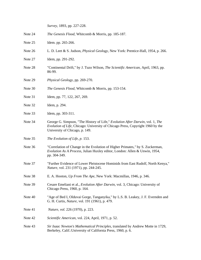*Survey,* 1893, pp. 227-228.

- Note 24 *The Genesis Flood,* Whitcomb & Morris, pp. 185-187.
- Note 25 Idem. pp. 265-266.
- Note 26 L. D. Leet & S. Judson, *Physical Geology,* New York: Prentice-Hall, 1954, p. 266.
- Note 27 Idem, pp. 291-292.
- Note 28 "Continental Drift," by J. Tuzo Wilson, *The Scientific American,* April, 1963, pp. 86-99.
- Note 29 *Physical Geology,* pp. 269-270.
- Note 30 *The Genesis Flood,* Whitcomb & Morris, pp. 153-154.
- Note 31 Idem, pp. 77, 122, 267, 269.
- Note 32 Idem, p. 294.
- Note 33 Idem, pp. 303-311.
- Note 34 George G. Simpson, "The History of Life," *Evolution After Darwin,* vol. 1, *The Evolution of Life,* Chicago: University of Chicago Press, Copyright 1960 by the University of Chicago, p. 149.
- Note 35 *The Evolution of Life, p.* 153.
- Note 36 "Correlation of Change in the Evolution of Higher Primates*,"* by S. Zuckerman, *Evolution As A Process,* Julian Huxley editor, London: Allen & Unwin, 1954, pp. 304-349.
- Note 37 "Further Evidence of Lower Pleistocene Hominids from East Rudolf, North Kenya," *Nature,* vol. 231 (1971), pp. 244-245.
- Note 38 E. A. Hooton, *Up From The Ape,* New York: Macmillan, 1946, p. 346.
- Note 39 Cesare Emeliani et al., *Evolution After Darwin,* vol. 3, Chicago: University of Chicago Press, 1960, p. 164.
- Note 40 "Age of Bed I, Olduvai Gorge, Tanganyika," by L.S. B. Leakey, J. F. Evernden and G. H. Curtis, *Nature,* vol. 191 (1961), p. 479.
- Note 41 *Nature, vol.* 226 (1970), p. 223.
- Note 42 *Scientific American,* vol*.* 224, April, 1971, p. 52.
- Note 43 *Sir Isaac Newton's Mathematical Principles,* translated by Andrew Motte in 1729, Berkeley, Calif.:University of California Press, 1960, p. 6.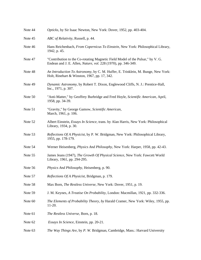| Note 44 | Opticks, by Sir Isaac Newton, New York: Dover, 1952, pp. 403-404.                                                                                              |
|---------|----------------------------------------------------------------------------------------------------------------------------------------------------------------|
| Note 45 | ABC of Relativity, Russell, p. 44.                                                                                                                             |
| Note 46 | Hans Reichenbach, From Copernicus To Einstein, New York: Philosophical Library,<br>1942, p. 45.                                                                |
| Note 47 | "Contribution to the Co-rotating Magnetic Field Model of the Pulsar," by V. G.<br>Endean and J. E. Allen, <i>Nature</i> , <i>vol.</i> 228 (1970), pp. 346-349. |
| Note 48 | An Introduction To Astronomy, by C. M. Huffer, E. Trinklein, M. Bunge, New York:<br>Holt, Rinehart & Winston, 1967, pp. 17, 342.                               |
| Note 49 | Dynamic Astronomy, by Robert T. Dixon, Englewood Cliffs, N. J.: Prentice-Hall,<br>Inc., 1971, p. 307.                                                          |
| Note 50 | "Anti-Matter," by Geoffrey Burbridge and Fred Hoyle, Scientific American, April,<br>1958, pp. 34-39.                                                           |
| Note 51 | "Gravity," by George Gamow, Scientific American,<br>March, 1961, p. 106.                                                                                       |
| Note 52 | Albert Einstein, <i>Essays In Science</i> , trans. by Alan Harris, New York: Philosophical<br>Library, 1934, p. 30.                                            |
| Note 53 | Reflections Of A Physicist, by P. W. Bridgman, New York: Philosophical Library,<br>1955, pp. 178-179.                                                          |
| Note 54 | Werner Heisenberg, <i>Physics And Philosophy</i> , New York: Harper, 1958, pp. 42-43.                                                                          |
| Note 55 | James Jeans (1947), The Growth Of Physical Science, New York: Fawcett World<br>Library, 1961, pp. 294-295.                                                     |
| Note 56 | Physics And Philosophy, Heisenberg, p. 90.                                                                                                                     |
| Note 57 | Reflections Of A Physicist, Bridgman, p. 179.                                                                                                                  |
| Note 58 | Max Born, <i>The Restless Universe</i> , New York: Dover, 1951, p. 19.                                                                                         |
| Note 59 | J. M. Keynes, A Treatise On Probability, London: Macmillan, 1921, pp. 332-336.                                                                                 |
| Note 60 | The Elements of Probability Theory, by Harald Cramer, New York: Wiley, 1955, pp.<br>$11-20.$                                                                   |
| Note 61 | The Restless Universe, Born, p. 18.                                                                                                                            |
| Note 62 | Essays In Science, Einstein, pp. 20-21.                                                                                                                        |
| Note 63 | The Way Things Are, by P. W. Bridgman, Cambridge, Mass.: Harvard University                                                                                    |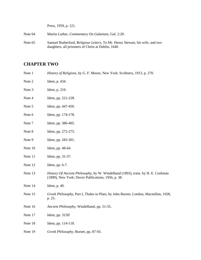Press, 1959, p. 121.

Note 64 Martin Luther, *Commentary On Galatians,* Gal*.* 2:20.

Note 65 Samuel Rutherford, *Religious Letters*, To Mr. Henry Stewart, his wife, and two daughters, all prisoners of Christ at Dublin, 1640.

## **CHAPTER TWO**

| <i>History of Religions, by G. F. Moore, New York: Scribners, 1913, p. 270.</i>                                                              |
|----------------------------------------------------------------------------------------------------------------------------------------------|
| Idem, p. 434.                                                                                                                                |
| Idem, p. 210.                                                                                                                                |
| Idem, pp. 221-228.                                                                                                                           |
| Idem, pp. 447-450.                                                                                                                           |
| Idem, pp. 174-178.                                                                                                                           |
| Idem, pp. 380-405.                                                                                                                           |
| Idem, pp. 272-275.                                                                                                                           |
| Idem, pp. 283-301.                                                                                                                           |
| Idem, pp. 48-64.                                                                                                                             |
| Idem, pp. 31-37.                                                                                                                             |
| Idem, pp. 6-7.                                                                                                                               |
| <i>History Of Ancient Philosophy, by W. Windelband (1893), trans. by H. E. Cushman</i><br>(1899), New York: Dover Publications, 1956, p. 38. |
| Idem, p. 40.                                                                                                                                 |
| Greek Philosophy, Part I, Thales to Plato, by John Burnet, London, Macmillan, 1928,<br>p. 25.                                                |
| Ancient Philosophy, Windelband, pp. 51-55.                                                                                                   |
| Idem, pp. 315ff                                                                                                                              |
| Idem, pp. 114-118.                                                                                                                           |
| Greek Philosophy, Burnet, pp. 87-93.                                                                                                         |
|                                                                                                                                              |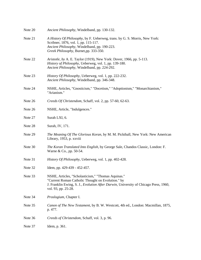| Note 20 | Ancient Philosophy, Windelband, pp. 130-132.                                                                                                                                                                           |
|---------|------------------------------------------------------------------------------------------------------------------------------------------------------------------------------------------------------------------------|
| Note 21 | A History Of Philosophy, by F. Ueberweg, trans. by G. S. Morris, New York:<br>Scribner, 1876, vol. 1, pp. 115-117.<br>Ancient Philosophy, Windelband, pp. 190-223.<br>Greek Philosophy, Burnet, pp. 333-350.           |
| Note 22 | Aristotle, by A. E. Taylor (1919), New York: Dover, 1966, pp. 5-113.<br>History of Philosophy, Ueberweg, vol. 1, pp. 139-180.<br>Ancient Philosophy, Windelband, pp. 224-292.                                          |
| Note 23 | History Of Philosophy, Ueberweg, vol. 1, pp. 222-232.<br>Ancient Philosophy, Windelband, pp. 346-348.                                                                                                                  |
| Note 24 | NSHE, Articles, "Gnosticism," "Docetism," "Adoptionism," "Monarchianism,"<br>"Arianism."                                                                                                                               |
| Note 26 | Creeds Of Christendom, Schaff, vol. 2, pp. 57-60, 62-63.                                                                                                                                                               |
| Note 26 | NSHE, Article, "Indulgences."                                                                                                                                                                                          |
| Note 27 | Surah LXI, 6.                                                                                                                                                                                                          |
| Note 28 | Surah, IV, 171.                                                                                                                                                                                                        |
| Note 29 | The Meaning Of The Glorious Koran, by M. M. Pickthall, New York: New American<br>Library, 1953, p. xxviii                                                                                                              |
| Note 30 | The Koran Translated Into English, by George Sale, Chandos Classic, London: F.<br>Warne & Co., pp. 50-54.                                                                                                              |
| Note 31 | History Of Philosophy, Ueberweg, vol. 1, pp. 402-428.                                                                                                                                                                  |
| Note 32 | Idem, pp. 429-439 - 452-457.                                                                                                                                                                                           |
| Note 33 | NSHE, Articles, "Scholasticism," "Thomas Aquinas."<br>"Current Roman Catholic Thought on Evolution." by<br>J. Franklin Ewing, S. J., Evolution After Darwin, University of Chicago Press, 1960,<br>vol. 93, pp. 25-28. |
| Note 34 | Proslogium, Chapter I.                                                                                                                                                                                                 |
| Note 35 | Canon of The New Testament, by B. W. Westcott, 4th ed., London: Macmillan, 1875,<br>p. 477.                                                                                                                            |
| Note 36 | Creeds of Christendom, Schaff, vol. 3, p. 96.                                                                                                                                                                          |
| Note 37 | Idem, p. 361.                                                                                                                                                                                                          |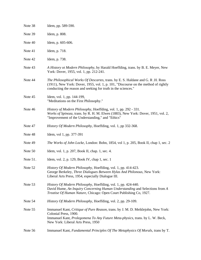| Note 38  | Idem, pp. 589-590.                                                                                                                                                                                                                     |
|----------|----------------------------------------------------------------------------------------------------------------------------------------------------------------------------------------------------------------------------------------|
| Note 39  | Idem, p. 808.                                                                                                                                                                                                                          |
| Note 40  | Idem, p. 605-606.                                                                                                                                                                                                                      |
| Note 41  | Idem, p. 718.                                                                                                                                                                                                                          |
| Note 42  | Idem, p. 738.                                                                                                                                                                                                                          |
| Note 43  | A History ot Modern Philosophy, by Harald Hoeffding, trans. by B. E. Meyer, New<br>York: Dover, 1955, vol. 1, pp. 212-241.                                                                                                             |
| Note 44  | The Philosophical Works Of Descartes, trans. by E. S. Haldane and G. R. H. Ross<br>(1911), New York: Dover, 1955, vol. 1, p. 101, "Discourse on the method of rightly<br>conducting the reason and seeking for truth in the sciences." |
| Note 45  | Idem, vol. 1, pp. 144-199,<br>"Meditations on the First Philosophy."                                                                                                                                                                   |
| Note 46  | History of Modern Philosophy, Hoeffding, vol. 1, pp. 292 - 331.<br>Works of Spinoza, trans. by R. H. M. Elwes (1883), New York: Dover, 1951, vol. 2,<br>"Improvement of the Understanding," and "Ethics"                               |
| Note 47  | History Of Modern Philosophy, Hoeffding, vol. 1, pp 332-368.                                                                                                                                                                           |
| Note 48  | Idem, vol 1, pp. 377-391                                                                                                                                                                                                               |
| Note 49  | <i>The Works of John Locke, London: Bohn, 1854, vol 1, p. 205, Book II, chap 1, sec. 2</i>                                                                                                                                             |
| Note 50  | Idem, vol. 1, p. 207, Book II, chap. 1, sec. 4.                                                                                                                                                                                        |
| Note 51. | Idem, vol. 2, p. 129, Book IV, chap 1, sec. 1                                                                                                                                                                                          |
| Note 52  | History Of Modern Philosophy, Hoeffding, vol. 1, pp. 414-423.<br>George Berkeley, Three Dialogues Between Hylas And Philonous, New York:<br>Liberal Arts Press, 1954, especially Dialogue III.                                         |
| Note 53  | History Of Modern Philosophy, Hoeffding, vol. 1, pp. 424-440.<br>David Hume, An Inquiry Concerning Human Understanding and Selections from A<br>Treatise Of Human Nature, Chicago: Open Court Publishing Co, 1927.                     |
| Note 54  | History Of Modern Philosophy, Hoeffding, vol. 2, pp. 29-109.                                                                                                                                                                           |
| Note 55  | Immanuel Kant, Critique of Pure Reason, trans. by J. M. D. Meiklejohn, New York:<br>Colonial Press, 1900.<br>Immanuel Kant, Prolegomena To Any Future Meta-physics, trans. by L. W. Beck,<br>New York: Liberal Arts Press, 1950        |
| Note 56  | Immanuel Kant, Fundamental Principles Of The Metaphysics Of Morals, trans by T.                                                                                                                                                        |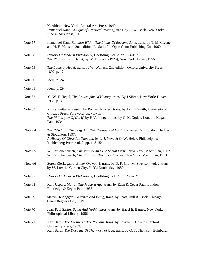|         | K. Abbott, New York: Liberal Arts Press, 1949.<br>Immanuel Kant, Critique of Practical Reason,, trans. by L. W. Beck, New York:<br>Liberal Arts Press, 1956.                                                                  |
|---------|-------------------------------------------------------------------------------------------------------------------------------------------------------------------------------------------------------------------------------|
| Note 57 | Immanuel Kant, Religion Within The Limits Of Reason Alone, trans. by T. M. Greene<br>and H. H. Hudson, 2nd edition, La Salle, Ill: Open Court Publishing Co., 1960.                                                           |
| Note 58 | History Of Modern Philosophy, Hoeffding, vol. 2, pp. 174-192<br>The Philosophy of Hegel, by W. T. Stace, (1923), New York: Dover, 1955                                                                                        |
| Note 59 | The Logic of Hegel, trans. by W. Wallace, 2nd edition, Oxford University Press,<br>1892, p. 17                                                                                                                                |
| Note 60 | Idem, p. 24.                                                                                                                                                                                                                  |
| Note 61 | Idem, p. 29.                                                                                                                                                                                                                  |
| Note 62 | G. W. F. Hegel, <i>The Philosophy Of History</i> , trans. By J Sibree, New York: Dover,<br>1956, p. 39.                                                                                                                       |
| Note 63 | Kant's Weltanschauung, by Richard Kroner, trans. by John E Smith, University of<br>Chicago Press, Foreword, pp. vii-viii.<br>The Philosophy Of (As If) by H Vaihinger, trans. by C. K. Ogden, London: Kegan<br>Paul, 1934.    |
| Note 64 | The Ritschlian Theology And The Evangelical Faith, by James Orr, London: Hodder<br>& Stoughton, 1897.<br>A History Of Christian Thought, by L. J. Neve & O. W. Heick, Philadelphia:<br>Muhlenberg Press, vol. 2, pp. 148-154. |
| Note 65 | W. Rauschenbusch, Christianity And The Social Crisis, New York: Macmillan, 1907.<br>W. Rauschenbusch, Christianizing The Social Order, New York: Macmillan, 1913.                                                             |
| Note 66 | Soren Kierkegaard, Either/Or, vol. 1, trans. by D. F. & L. M. Swenson, vol. 2, trans.<br>by W. Lowrie, Garden City, N. Y.: Doubleday, 1959.                                                                                   |
| Note 67 | History Of Modern Philosophy, Hoeffding, vol. 2, pp. 285-289.                                                                                                                                                                 |
| Note 68 | Karl Jaspers, Man In The Modern Age, trans. by Eden & Cedar Paul, London:<br>Routledge & Kegan Paul, 1933.                                                                                                                    |
| Note 69 | Martin Heidegger, <i>Existence And Being</i> , trans. by Scott, Hull & Crick, Chicago:<br>Henry Regnery Co., 1949.                                                                                                            |
| Note 70 | Jean-Paul Sartre, Being And Nothingness, trans. by Hazel E. Barnes, New York:<br>Philosophical Library, 1956.                                                                                                                 |
| Note 71 | Karl Barth, <i>The Epistle To The Romans</i> , trans. by Edwyn C. Hoskins, Oxford<br>University Press, 1933.<br>Karl Barth, The Doctrine Of The Word of God, trans. by G. T. Thomson, Edinburgh:                              |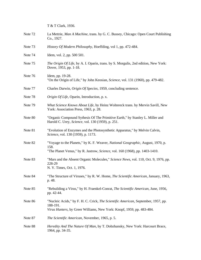|         | T & T Clark, 1936.                                                                                                                                                     |
|---------|------------------------------------------------------------------------------------------------------------------------------------------------------------------------|
| Note 72 | La Mettrie, <i>Man A Machine</i> , trans. by G. C. Bussey, Chicago: Open Court Publishing<br>Co., 1927.                                                                |
| Note 73 | History Of Modern Philosophy, Hoeffding, vol 1, pp. 472-484.                                                                                                           |
| Note 74 | Idem, vol. 2, pp. 500 501.                                                                                                                                             |
| Note 75 | The Origin Of Life, by A. I. Oparin, trans. by S. Morgulis, 2nd edition, New York:<br>Dover, 1953, pp. 1-18.                                                           |
| Note 76 | Idem, pp. 19-28.<br>"On the Origin of Life," by John Keosian, Science, vol. 131 (1960), pp. 479-482.                                                                   |
| Note 77 | Charles Darwin, Origin Of Species, 1959, concluding sentence.                                                                                                          |
| Note 78 | Origin Of Life, Oparin, Introduction, p. x.                                                                                                                            |
| Note 79 | What Science Knows About Life, by Heinz Woltereck trans. by Mervin Savill, New<br>York: Association Press, 1963, p. 28.                                                |
| Note 80 | "Organic Compound Sythesis Of The Primitive Earth," by Stanley L. Miller and<br>Harold C. Urey, Science, vol. 130 (1959), p. 251.                                      |
| Note 81 | "Evolution of Enzymes and the Photosynthetic Apparatus," by Melvin Calvin,<br>Science, vol. 130 (1959), p. 1173.                                                       |
| Note 82 | "Voyage to the Planets," by K. F. Weaver, National Geographic, August, 1970, p.<br>158.<br>"The Planet Venus," by R. Jastrow, Science, vol. 160 (1968), pp. 1403-1410. |
| Note 83 | "Mars and the Absent Organic Molecules," Science News, vol. 110, Oct. 9, 1976, pp.<br>228-29<br>N. Y. Times, Oct. 1, 1976.                                             |
| Note 84 | "The Structure of Viruses," by R. W. Home, The Scientific American, January, 1963,<br>p. 48.                                                                           |
| Note 85 | "Rebuilding a Virus," by H. Fraenkel-Conrat, The Scientific American, June, 1956,<br>pp. 42-44.                                                                        |
| Note 86 | "Nucleic Acids," by F. H. C. Crick, The Scientific American, September, 1957, pp.<br>188-191.<br>Virus Hunters, by Greer Williams, New York: Knopf, 1959, pp. 483-484. |
| Note 87 | The Scientific American, November, 1965, p. 5.                                                                                                                         |
| Note 88 | Heredity And The Nature Of Man, by T. Dobzhansky, New York: Harcourt Brace,<br>1964, pp. 34-35.                                                                        |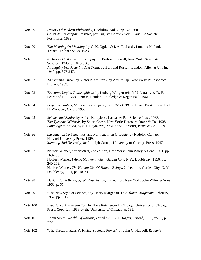| Note 89  | History Of Modern Philosophy, Hoefiding, vol. 2, pp. 320-360.<br>Cours de Philosophie Positive, par Auguste Comte 2 vols., Paris: La Societe<br>Positiviste, 1892.                                                                             |
|----------|------------------------------------------------------------------------------------------------------------------------------------------------------------------------------------------------------------------------------------------------|
| Note 90  | The Meaning Of Meaning, by C. K. Ogden & I. A. Richards, London: K. Paul,<br>Trench, Trubner & Co. 1923.                                                                                                                                       |
| Note 91  | A History Of Western Philosophy, by Bertrand Russell, New York: Simon &<br>Schuster, 1945, pp. 828-836.<br>An Inquiry Into Meaning And Truth, by Bertrand Russell, London: Allen & Unwin,<br>1940, pp. 327-347.                                |
| Note 92  | The Vienna Circle, by Victor Kraft, trans. by Arthur Pap, New York: Philosophical<br>Library, 1953.                                                                                                                                            |
| Note 93  | Tractatus Logico-Philosophicus, by Ludwig Wittgenstein (1921), trans. by D. F.<br>Pears and B. F. McGuinness, London: Routledge & Kegan Paul, 1961.                                                                                            |
| Note 94  | Logic, Semantics, Mathematics, Papers from 1923-1938 by Alfred Tarski, trans. by J.<br>H. Woodger, Oxford 1956.                                                                                                                                |
| Note 95  | Science and Sanity, by Alfred Korzybski, Lancaster Pa.: Science Press, 1933.<br>The Tyranny Of Words, by Stuart Chase, New York: Harcourt, Brace & Co., 1938.<br>Language In Action, by S. I. Hayakawa, New York: Harcourt, Brace & Co., 1939. |
| Note 96  | Introduction To Semantics, and Formalization Of Logic, by Rudolph Carnap,<br>Harvard University Press, 1959.                                                                                                                                   |
|          | Meaning And Necessity, by Rudolph Carnap, University of Chicago Press, 1947.                                                                                                                                                                   |
| Note 97  | Norbert Wiener, Cybernetics, 2nd edition, New York: John Wiley & Sons, 1961, pp.<br>169-203.                                                                                                                                                   |
|          | Norbert Wiener, I Am A Mathematician, Garden City, N.Y.: Doubleday, 1956, pp.<br>240-269.                                                                                                                                                      |
|          | Norbert Wiener, The Human Use Of Human Beings, 2nd edition, Garden City, N.Y.:<br>Doubleday, 1954, pp. 48-73.                                                                                                                                  |
| Note 98  | Design For A Brain, by W. Ross Ashby, 2nd edition, New York: John Wiley & Sons,<br>1960, p. 55.                                                                                                                                                |
| Note 99  | "The New Style of Science," by Henry Margenau, Yale Alumni Magazine, February,<br>1962, pp. 8-17.                                                                                                                                              |
| Note 100 | <i>Experience And Prediction, by Hans Reichenbach, Chicago: University of Chicago</i><br>Press, Copyright 1938 by the University of Chicago, p. 192.                                                                                           |
| Note 101 | Adam Smith, <i>Wealth Of Nations</i> , edited by J. E. T Rogers, Oxford, 1880, vol. 2, p.<br>272.                                                                                                                                              |
| Note 102 | "The Threat of Russia's Rising Strategic Power," by John G. Hubbell, Reader's                                                                                                                                                                  |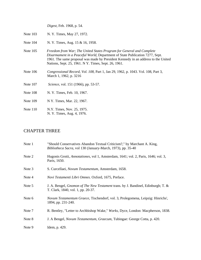|            | <i>Digest</i> , Feb. 1968, p. 54.                                                                                                                                                                                                                                                                 |
|------------|---------------------------------------------------------------------------------------------------------------------------------------------------------------------------------------------------------------------------------------------------------------------------------------------------|
| Note 103   | N. Y. Times, May 27, 1972.                                                                                                                                                                                                                                                                        |
| Note 104   | N. Y. Times, Aug. 15 & 16, 1958.                                                                                                                                                                                                                                                                  |
| Note $105$ | Freedom from War; The United States Program for General and Complete<br>Disarmament in a Peaceful World, Department of State Publication 7277, Sept.<br>1961. The same proposal was made by President Kennedy in an address to the United<br>Nations, Sept. 25, 1961. N Y. Times, Sept. 26, 1961. |
| Note 106   | Congressional Record, Vol. 108, Part 1, Jan 29, 1962, p. 1043. Vol. 108, Part 3,<br>March 1, 1962, p. 3216                                                                                                                                                                                        |
| Note 107   | <i>Science</i> , vol. 151 (1966), pp. 53-57.                                                                                                                                                                                                                                                      |
| Note 108   | N. Y. Times, Feb. 10, 1967.                                                                                                                                                                                                                                                                       |
| Note 109   | N Y. Times, Mar. 22, 1967.                                                                                                                                                                                                                                                                        |
| Note 110   | N.Y. Times, Nov. 25, 1975.<br>N. Y. Times, Aug. 4, 1976.                                                                                                                                                                                                                                          |

## CHAPTER THREE

| Note 1 | "Should Conservatives Abandon Textual Criticism?," by Marchant A. King,<br>Bibliotheca Sacra, vol 130 (January-March, 1973), pp. 35-40 |
|--------|----------------------------------------------------------------------------------------------------------------------------------------|
| Note 2 | Hugonis Grotii, Annotationes, vol 1, Amsterdam, 1641; vol. 2, Paris, 1646; vol. 3,<br>Paris, 1650.                                     |
| Note 3 | S. Curcellaei, Novum Testamentum, Amsterdam, 1658.                                                                                     |
| Note 4 | Novi Testamenti Libri Omnes. Oxford, 1675, Preface.                                                                                    |
| Note 5 | J. A. Bengel, <i>Gnomon of The New Testament</i> trans. by J. Bandinel, Edinburgh; T. &<br>T. Clark, 1840, vol. 1, pp. 20-37.          |
| Note 6 | Novum Testamentum Graece, Tischendorf, vol. 3, Prolegomena, Leipzig: Hinrichs',<br>1894, pp. 231-240.                                  |
| Note 7 | R. Bentley, "Letter to Archbishop Wake," Works, Dyce, London: Macpherson, 1838.                                                        |
| Note 8 | J. A Bengel, <i>Novum Testamentum, Graecum</i> , Tubingae: George Cotta, p. 420.                                                       |
| Note 9 | Idem, p. 429.                                                                                                                          |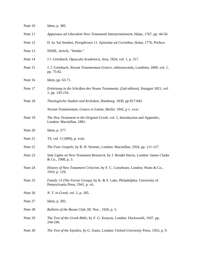| Note 10 | Idem, p. 385.                                                                                                   |
|---------|-----------------------------------------------------------------------------------------------------------------|
| Note 11 | Apparatus ad Liberalem Novi Testamenti Interpretationem, Halae, 1767, pp. 44-50.                                |
| Note 12 | D. Io. Sal Semleri, Paraphrasis 11. Epistolae ad Corinthos, Halae, 1776, Preface.                               |
| Note 13 | NSHE, Article, "Semler."                                                                                        |
| Note 14 | J J. Griesbach, Opuscula Academica, Jena, 1824, vol. 1, p. 317.                                                 |
| Note 15 | J. J. Griesbach, Novum Testamentum Graece, editiosecunda, Londinin, 1809, vol. 1,<br>pp. 75-82.                 |
| Note 16 | Idem, pp. 63-71.                                                                                                |
| Note 17 | Einleitung in die Schriften des Neuen Testaments, (2nd edition), Stuttgart 1821, vol.<br>1, pp. 145-216.        |
| Note 18 | Theologische Studien und Kritieken, Hamburg: 1830, pp 817-845.                                                  |
|         | Novum Testamentum, Graece et Latine, Berlin: 1942, p v. xxxi.                                                   |
| Note 19 | The New Testament in the Original Greek, vol. 2, Introduction and Appendix,<br>London: Macmillan, 1881.         |
| Note 20 | Idem, p. 277.                                                                                                   |
| Note 21 | TS, vol. 5 (1899), p. xviii.                                                                                    |
| Note 22 | The Four Gospels, by B. H. Streeter, London: Macmillan, 1924, pp. 111-127.                                      |
| Note 23 | Side Lights on New Testament Research, by J. Rendel Harris, London: James Clarke<br>& Co., 1908, p. 3.          |
| Note 24 | History of New Testament Criticism, by F. C. Conybeare, London; Watts & Co.,<br>1910, p. 129.                   |
| Note 25 | Family 13 (The Ferrar Group), by K. & S. Lake, Philadelphia: University of<br>Pennsylvania Press, 1941, p. vii. |
| Note 26 | N. T. in Greek, vol. 2, p. 185.                                                                                 |
| Note 27 | Idem, p. 282.                                                                                                   |
| Note 28 | Bulletin of the Bezan Club, III: Nov., 1926, p. 5.                                                              |
| Note 29 | The Text of the Greek Bible, by F. G. Kenyon, London: Duckworth, 1937, pp.<br>244-246.                          |
| Note 30 | The Text of the Epistles, by G. Zuntz, London: Oxford University Press, 1953, p. 9.                             |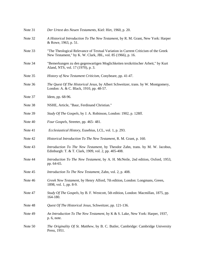| Note 31 | Der Urtext des Neuen Testaments, Kiel: Hirt, 1960, p. 20.                                                                                        |
|---------|--------------------------------------------------------------------------------------------------------------------------------------------------|
| Note 32 | A Historical Introduction To The New Testament, by R. M. Grant, New York: Harper<br>& Rowe, 1963, p. 51.                                         |
| Note 33 | "The Theological Relevance of Textual Variation in Current Criticism of the Greek<br>New Testament," by K. W. Clark, JBL, vol. 85 (1966), p. 16. |
| Note 34 | "Bemerkungen zu den gegenwartigen Moglichkeiten textkritischer Arbeit," by Kurt<br>Aland, NTS, vol. 17 (1970), p. 3.                             |
| Note 35 | History of New Testament Criticism, Conybeare, pp. 41-47.                                                                                        |
| Note 36 | The Quest Of The Historical Jesus, by Albert Schweitzer, trans. by W. Montgomery,<br>London: A. & C. Black, 1910, pp. 48-57.                     |
| Note 37 | Idem, pp. 68-96.                                                                                                                                 |
| Note 38 | NSHE, Article, "Baur, Ferdinand Christian."                                                                                                      |
| Note 39 | Study Of The Gospels, by J. A. Robinson, London: 1902, p. 128ff.                                                                                 |
| Note 40 | Four Gospels, Streeter, pp. 465-481.                                                                                                             |
| Note 41 | Ecclesiastical History, Eusebius, LCL, vol. 1, p. 293.                                                                                           |
| Note 42 | Historical Introduction To The New Testament, R. M. Grant, p. 160.                                                                               |
| Note 43 | Introduction To The New Testament, by Theodor Zahn, trans. by M. W. Jacobus,<br>Edinburgh: T. & T. Clark, 1909, vol. 2, pp. 405-408.             |
| Note 44 | Introduction To The New Testament, by A. H. McNeile, 2nd edition, Oxford, 1953,<br>pp. 64-65.                                                    |
| Note 45 | Introduction To The New Testament, Zahn, vol. 2, p. 408.                                                                                         |
| Note 46 | Greek New Testament, by Henry Alford, 7th edition, London: Longmans, Green,<br>1898, vol. 1, pp. 8-9.                                            |
| Note 47 | Study Of The Gospels, by B. F. Westcott, 5th edition, London: Macmillan, 1875, pp.<br>164-180.                                                   |
| Note 48 | Quest Of The Historical Jesus, Schweitzer, pp. 121-136.                                                                                          |
| Note 49 | An Introduction To The New Testament, by K & S. Lake, New York: Harper, 1937,<br>p. 6, note.                                                     |
| Note 50 | The Originality Of St. Matthew, by B. C. Butler, Cambridge: Cambridge University<br>Press, 1951.                                                 |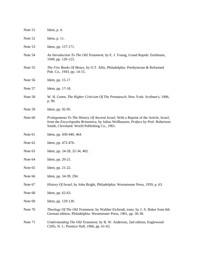| Note 51 | Idem, p. 4.                                                                                                                                                                                                                                |
|---------|--------------------------------------------------------------------------------------------------------------------------------------------------------------------------------------------------------------------------------------------|
| Note 52 | Idem, p. 11.                                                                                                                                                                                                                               |
| Note 53 | Idem, pp. 157-171.                                                                                                                                                                                                                         |
| Note 54 | An Introduction To The Old Testament, by E. J. Young, Grand Rapids: Eerdmans,<br>1949, pp. 120-123.                                                                                                                                        |
| Note 55 | <i>The Five Books Of Moses, by O.T. Allis, Philadelphia: Presbyterian &amp; Reformed</i><br>Pub. Co., 1943, pp. 14-15.                                                                                                                     |
| Note 56 | Idem, pp. 15-17.                                                                                                                                                                                                                           |
| Note 57 | Idem, pp. 17-18.                                                                                                                                                                                                                           |
| Note 58 | W. H. Green, <i>The Higher Criticism Of The Pentateuch</i> , New York: Scribner's, 1906,<br>p. 90.                                                                                                                                         |
| Note 59 | Idem, pp. 92-95.                                                                                                                                                                                                                           |
| Note 60 | Prolegomena To The History Of Ancient Israel, With a Reprint of the Article, Israel,<br>from the <i>Encyclopedia Britannica</i> , by Julius Wellhausen, <i>Preface</i> by Prof. Robertson<br>Smith, Cleveland: World Publishing Co., 1961. |
| Note 61 | Idem, pp. 430-440, 464.                                                                                                                                                                                                                    |
| Note 62 | Idem, pp. 472-476.                                                                                                                                                                                                                         |
| Note 63 | Idem, pp. 24-28, 32-34, 402.                                                                                                                                                                                                               |
| Note 64 | Idem, pp. 20-21.                                                                                                                                                                                                                           |
| Note 65 | Idem, pp. 21-22.                                                                                                                                                                                                                           |
| Note 66 | Idem, pp. 34-39, 294.                                                                                                                                                                                                                      |
| Note 67 | History Of Israel, by John Bright, Philadelphia: Westminster Press, 1959, p. 63.                                                                                                                                                           |
| Note 68 | Idem, pp. 62-63.                                                                                                                                                                                                                           |
| Note 69 | Idem, pp. 129-130.                                                                                                                                                                                                                         |
| Note 70 | Theology Of The Old Testament, by Walther Eichrodt, trans. by J. A. Baker from 6th<br>German edition, Philadelphia: Westminster Press, 1961, pp. 36-38.                                                                                    |
| Note 71 | Understanding The Old Testament, by B. W. Anderson, 2nd edition, Englewood<br>Cliffs, N. J.: Prentice Hall, 1966, pp. 61-65.                                                                                                               |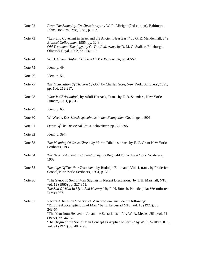| Note 72 | From The Stone Age To Christianity, by W. F. Albright (2nd edition), Baltimore:<br>Johns Hopkins Press, 1946, p. 207.                                                                                                                                                                                                                                                                      |
|---------|--------------------------------------------------------------------------------------------------------------------------------------------------------------------------------------------------------------------------------------------------------------------------------------------------------------------------------------------------------------------------------------------|
| Note 73 | "Law and Covenant in Israel and the Ancient Near East," by G. E. Mendenhall, The<br>Biblical Colloquium, 1955, pp. 32-34.<br>Old Testament Theology, by G. Von Rad, trans. by D. M. G. Stalker, Edinburgh:<br>Oliver & Boyd, 1962, pp. 132-133.                                                                                                                                            |
| Note 74 | W. H. Green, <i>Higher Criticism Of The Pentateuch</i> , pp. 47-52.                                                                                                                                                                                                                                                                                                                        |
| Note 75 | Idem, p. 49.                                                                                                                                                                                                                                                                                                                                                                               |
| Note 76 | Idem, p. 51.                                                                                                                                                                                                                                                                                                                                                                               |
| Note 77 | The Incarnation Of The Son Of God, by Charles Gore, New York: Scribners', 1891,<br>pp. 166, 212-217.                                                                                                                                                                                                                                                                                       |
| Note 78 | What Is Christianity?, by Adolf Harnack, Trans. by T. B. Saunders, New York:<br>Putnam, 1901, p. 51.                                                                                                                                                                                                                                                                                       |
| Note 79 | Idem, p. 65.                                                                                                                                                                                                                                                                                                                                                                               |
| Note 80 | W. Wrede, Des Messiasgeheimnis in den Evangelien, Goettingen, 1901.                                                                                                                                                                                                                                                                                                                        |
| Note 81 | Quest Of The Historical Jesus, Schweitzer, pp. 328-395.                                                                                                                                                                                                                                                                                                                                    |
| Note 82 | Idem, p. 397.                                                                                                                                                                                                                                                                                                                                                                              |
| Note 83 | The Meaning Of Jesus Christ, by Martin Dibelius, trans. by F. C. Grant New York:<br>Scribners', 1939.                                                                                                                                                                                                                                                                                      |
| Note 84 | The New Testament in Current Study, by Reginald Fuller, New York: Scribners',<br>1962.                                                                                                                                                                                                                                                                                                     |
| Note 85 | Theology Of The New Testament, by Rudolph Bultmann, Vol. 1, trans. by Frederick<br>Grobel, New York: Scribners', 1951, p. 30.                                                                                                                                                                                                                                                              |
| Note 86 | "The Synoptic Son of Man Sayings in Recent Discussion," by I. H. Marshall, NTS,<br>vol. 12 (1966) pp. 327-351.<br>The Son Of Man In Myth And History," by F. H. Borsch, Philadelphia: Westminster<br>Press 1967.                                                                                                                                                                           |
| Note 87 | Recent Articles on "the Son of Man problem" include the following:<br>"Exit the Apocalyptic Son of Man," by R. Leivestad NTS, vol. 18 (1972), pp.<br>243-67.<br>"The Man from Heaven in Johannine Sectarianism," by W. A. Meeks, JBL, vol. 91<br>$(1972)$ , pp. 44-72.<br>'The Origin of the Son of Man Concept as Applied to Jesus," by W. O. Walker, JBL,<br>vol. 91 (1972) pp. 482-490. |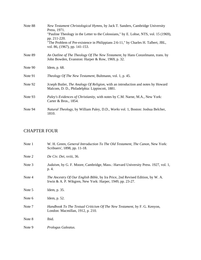| Note 88 | New Testament Christological Hymns, by Jack T. Sanders, Cambridge University<br>Press, 1971.                                               |
|---------|--------------------------------------------------------------------------------------------------------------------------------------------|
|         | "Pauline Theology in the Letter to the Colossians," by E. Lohse, NTS, vol. 15 (1969),<br>pp. 211-220.                                      |
|         | "The Problem of Pre-existence in Philippians 2:6-11," by Charles H. Talbert, JBL,<br>vol. 86, (1967), pp. 141-153.                         |
| Note 89 | An Outline of The Theology Of The New Testament, by Hans Conzelmann, trans. by<br>John Bowden, Evanston: Harper & Row, 1969, p. 32.        |
| Note 90 | Idem, p. 68.                                                                                                                               |
| Note 91 | Theology Of The New Testament, Bultmann, vol. 1, p. 45.                                                                                    |
| Note 92 | Jcseph Butler, <i>The Analogy Of Religion</i> , with an introduction and notes hy Howard<br>Malcom, D. D., Philadelphia: Lippincott, 1881. |
| Note 93 | Paley's Evidences of Christianity, with notes by C.M. Narne, M.A., New York:<br>Carter & Bros., 1854.                                      |
| Note 94 | Natural Theology, by William Paley, D.D., Works vol. 1, Boston: Joshua Belcher,<br>1810.                                                   |

## CHAPTER FOUR

| Note 1 | W. H. Green, <i>General Introduction To The Old Testament</i> , <i>The Canon</i> , New York:<br>Scribuers', 1898, pp. 11-18.                       |
|--------|----------------------------------------------------------------------------------------------------------------------------------------------------|
| Note 2 | De Civ. Dei, xviii, 36.                                                                                                                            |
| Note 3 | <i>Judaism</i> , by G. F. Moore, Cambridge, Mass.: Harvard University Press. 1927, vol. 1,<br>p. 4.                                                |
| Note 4 | <i>The Ancestry Of Our English Bible, by Ira Price, 2nd Revised Edition, by W. A.</i><br>Irwin & A. P. Wikgren, New York: Harper, 1949, pp. 23-27. |
| Note 5 | Idem, p. 35.                                                                                                                                       |
| Note 6 | Idem, p. 52.                                                                                                                                       |
| Note 7 | <i>Handbook To The Textual Criticism Of The New Testament, by F. G. Kenyon,</i><br>London: Macmillan, 1912, p. 210.                                |
| Note 8 | Ibid.                                                                                                                                              |
| Note 9 | Prologus Galeatus.                                                                                                                                 |
|        |                                                                                                                                                    |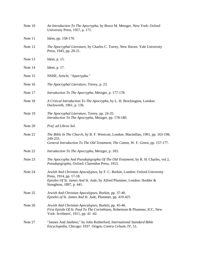| Note 10 | An Introduction To The Apocrypha, by Bruce M. Metzger, New York: Oxford<br>University Press, 1957, p. 171.                                                                                                      |
|---------|-----------------------------------------------------------------------------------------------------------------------------------------------------------------------------------------------------------------|
| Note 11 | Idem, pp. 158-170.                                                                                                                                                                                              |
| Note 12 | The Apocryphal Literature, by Charles C. Torrey, New Haven: Yale University<br>Press, 1945, pp. 20-21.                                                                                                          |
| Note 13 | Idem, p. 15.                                                                                                                                                                                                    |
| Note 14 | Idem, p. 17.                                                                                                                                                                                                    |
| Note 15 | NSHE, Article, "Apocrypha."                                                                                                                                                                                     |
| Note 16 | The Apocryphal Literature, Torrey, p. 23.                                                                                                                                                                       |
| Note 17 | Introduction To The Apocrypha, Metzger, p. 177-178.                                                                                                                                                             |
| Note 18 | A Critical Introduction To The Apocrypha, by L. H. Brockington, London:<br>Duckworth, 1961, p. 136.                                                                                                             |
| Note 19 | The Apocryphal Literature, Torrey, pp. 24-35.<br>Introduction To The Apocrypha, Metzger, pp. 178-180.                                                                                                           |
| Note 20 | Pref. ad Libros Sol.                                                                                                                                                                                            |
| Note 21 | The Bible In The Church, by B. F. Westcott, London: Macmillan, 1901, pp. 163-198,<br>249-255.<br>General Introduction To The Old Testament, The Canon, W. F. Green, pp. 157-177.                                |
| Note 22 | Introduction To The Apocrypha, Metzger, p. 183.                                                                                                                                                                 |
| Note 23 | The Apocrypha And Pseudepigrapha Of The Old Testament, by R. H. Charles, vol 2,<br>Pseudepigrapha, Oxford: Clarendon Press, 1913.                                                                               |
| Note 24 | Jewish And Christian Apocalypses, by F. C. Burkitt, London: Oxford University<br>Press, 1914, pp. 17-18.<br>Epistles Of St. James And St. Jude, by Alfred Plummer, London: Hodder &<br>Stoughton, 1897, p. 441. |
| Note 25 | Jewish And Christian Apocalypses, Burkitt, pp. 37-40.<br>Epistles of St. James And St. Jude, Plummer, pp. 419-425                                                                                               |
| Note 26 | Jewish And Christian Apocalypses, Burkitt, pp. 45-46.<br>First Epistle Of St. Paul To The Corinthians, Robertson & Plummer, ICC, New<br>York: Scribners', 1911, pp. 41 -42.                                     |
| Note 27 | "Jannes And Jambres," by John Rutherford, International Standard Bible<br>Encyclopedia, Chicago: 1937. Origen, Contra Celsum, IV, 51.                                                                           |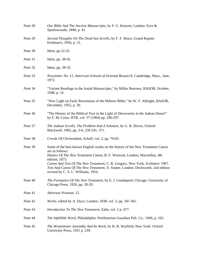| Note 28 | Our Bible And The Ancient Manuscripts, by F. G. Kenyon, London: Eyre &<br>Spottiswoode, 1898, p. 41.                                                                                                                                                                                                                                                                                                         |
|---------|--------------------------------------------------------------------------------------------------------------------------------------------------------------------------------------------------------------------------------------------------------------------------------------------------------------------------------------------------------------------------------------------------------------|
| Note 29 | Second Thoughts On The Dead Sea Scrolls, by F. F. Bruce, Grand Rapids:<br>Eerdman's, 1956, p. 21.                                                                                                                                                                                                                                                                                                            |
| Note 30 | Idem, pp 22-25.                                                                                                                                                                                                                                                                                                                                                                                              |
| Note 31 | Idem, pp. 38-42.                                                                                                                                                                                                                                                                                                                                                                                             |
| Note 32 | Idem, pp. 28-33.                                                                                                                                                                                                                                                                                                                                                                                             |
| Note 33 | Newsletter No. 11, American Schools of Oriental Research, Cambridge, Mass., June,<br>1972.                                                                                                                                                                                                                                                                                                                   |
| Note 34 | "Variant Readings in the Isaiah Manuscripts," by Millar Burrows, BASOR, October,<br>1948, p. 16.                                                                                                                                                                                                                                                                                                             |
| Note 35 | "New Light on Early Recensions of the Hebrew Bible," by W. F. Albright, BASOR,<br>December, 1955, p. 30.                                                                                                                                                                                                                                                                                                     |
| Note 36 | "The History of the Biblical Text in the Light of Discoveries in the Judean Desert"<br>by F. M. Cross, HTR, vol. 57 (1964) pp. 296-297.                                                                                                                                                                                                                                                                      |
| Note 37 | The Judean Scrolls, The Problem And A Solution, by G. R. Driver, Oxford:<br>Blackwell, 1965, pp. 3-6, 239-241, 371.                                                                                                                                                                                                                                                                                          |
| Note 38 | Creeds Of Christendom, Schaff, vol. 2, pp. 79-83.                                                                                                                                                                                                                                                                                                                                                            |
| Note 39 | Some of the best known English works on the history of the New Testament Canon<br>are as follows:<br>History Of The New Testament Canon, B. F. Westcott, London; Macmillan, 4th<br>edition, 1875.<br>Canon And Text Of The New Testament, C. R. Gregory, New York, Scribners' 1907.<br>Text And Canon Of The New Testament, A. Souter, London: Duckworth, 2nd edition<br>revised by C. S. C. Williams, 1954. |
| Note 40 | The Formation Of The New Testament, by E. J. Goodspeed, Chicago: University of<br>Chicago Press, 1926, pp. 28-29.                                                                                                                                                                                                                                                                                            |
| Note 41 | Adversus Praxean, 15.                                                                                                                                                                                                                                                                                                                                                                                        |
| Note 42 | Works. edited by A. Dyce, London: 1838, vol. 3, pp. 347-361.                                                                                                                                                                                                                                                                                                                                                 |
| Note 43 | Introduction To The New Testament, Zahn, vol. 2 p. 477.                                                                                                                                                                                                                                                                                                                                                      |
| Note 44 | The Infallible Word, Philadelphia: Presbyterian Guardian Pub. Co., 1946, p. 162.                                                                                                                                                                                                                                                                                                                             |
| Note 45 | The Westminster Assembly And Its Work, by B. B. Warfield, New York: Oxford<br>University Press, 1931 p. 239.                                                                                                                                                                                                                                                                                                 |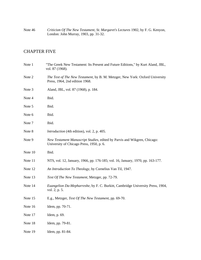Note 46 *Criticism Of The New Testament, St. Margaret's Lectures* 1902, by F. G. Kenyon, London: John Murray, 1903, pp. 31-32.

## CHAPTER FIVE

| Note 1  | "The Greek New Testament: Its Present and Future Editions," by Kurt Aland, JBL,<br>vol. 87 (1968).                   |
|---------|----------------------------------------------------------------------------------------------------------------------|
| Note 2  | The Text of The New Testament, by B. M. Metzger, New York: Oxford University<br>Press, 1964, 2nd edition 1968.       |
| Note 3  | Aland, JBL, vol. 87 (1968), p. 184.                                                                                  |
| Note 4  | Ibid.                                                                                                                |
| Note 5  | Ibid.                                                                                                                |
| Note 6  | Ibid.                                                                                                                |
| Note 7  | Ibid.                                                                                                                |
| Note 8  | <i>Introduction</i> (4th edition), vol. 2, p. 405.                                                                   |
| Note 9  | New Testament Manuscript Studies, edited by Parvis and Wikgren, Chicago:<br>University of Chicago Press, 1950, p. 6. |
| Note 10 | Ibid.                                                                                                                |
| Note 11 | NTS, vol. 12, January, 1966, pp. 176-185; vol. 16, January, 1970, pp. 163-177.                                       |
| Note 12 | An Introduction To Theology, by Cornelius Van Til, 1947.                                                             |
| Note 13 | Text Of The New Testament, Metzger, pp. 72-79.                                                                       |
| Note 14 | Euangelion Da-Mepharreshe, by F. C. Burkitt, Cambridge University Press, 1904,<br>vol. 2, p. 5.                      |
| Note 15 | E.g., Metzger, Text Of The New Testament, pp. 69-70.                                                                 |
| Note 16 | Idem, pp. 70-71.                                                                                                     |
| Note 17 | Idem, p. 69.                                                                                                         |
| Note 18 | Idem, pp. 79-81.                                                                                                     |
| Note 19 | Idem, pp. 81-84.                                                                                                     |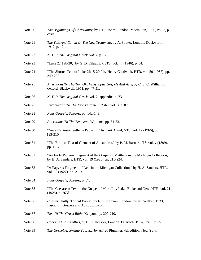| Note 20 | The Beginnings Of Christianity, by J. H. Ropes, London: Macmillan, 1926, vol. 3, p.<br>ccxli.                                          |
|---------|----------------------------------------------------------------------------------------------------------------------------------------|
| Note 21 | The Text And Canon Of The New Testament, by A. Souter, London: Duckworth,<br>1912, p. 124.                                             |
| Note 22 | N. T. In The Original Greek, vol. 2, p. 176.                                                                                           |
| Note 23 | "Luke 22:19b-20," by G. D. Kilpatrick, JTS, vol. 47 (1946), p. 54.                                                                     |
| Note 24 | "The Shorter Text of Luke 22:15-20," by Henry Chadwick, HTR, vol. 50 (1957), pp.<br>249-258.                                           |
| Note 25 | Alterations To The Text Of The Synoptic Gospels And Acts, by C. S. C. Williams,<br>Oxford: Blackwell, 1951, pp. 47-51.                 |
| Note 26 | N. T. In The Original Greek, vol. 2, appendix, p. 73.                                                                                  |
| Note 27 | Introduction To The New Testament, Zahn, vol. 3, p. 87.                                                                                |
| Note 28 | Four Gospels, Streeter, pp. 142-143.                                                                                                   |
| Note 29 | Alterations To The Text, etc., Williams, pp. 51-53.                                                                                    |
| Note 30 | "Neue Neutestamentliche Papyri II," by Kurt Aland, NTS, vol. 12 (1966), pp.<br>193-210.                                                |
| Note 31 | "The Biblical Text of Clement of Alexandria," by P. M. Barnard, TS, vol. v (1899),<br>pp. 1-64.                                        |
| Note 32 | "An Early Papyrus Fragment of the Gospel of Matthew in the Michigan Collection,"<br>by H. A. Sanders, HTR, vol. 19 (1926) pp. 215-224. |
| Note 33 | "A Papyrus Fragment of Acts in the Michigan Collection," by H. A. Sanders, HTR,<br>vol. 20 (1927), pp. 2-19.                           |
| Note 34 | Four Gospels, Streeter, p. 57.                                                                                                         |
| Note 35 | "The Caesarean Text in the Gospel of Mark," by Lake, Blake and New, HTR, vol. 21<br>$(1928)$ , p. 263f.                                |
| Note 36 | Chester Beatty Biblical Papyri, by F. G. Kenyon, London: Emery Walker, 1933,<br>Fascic. II, Gospels and Acts, pp. xi-xxi.              |
| Note 37 | Text Of The Greek Bible, Kenyon, pp. 207-210.                                                                                          |
| Note 38 | Codex B And Its Allies, by H. C. Hoskier, London: Quaritch, 1914, Part I, p. 278.                                                      |
| Note 39 | The Gospel According To Luke, by Alfred Plummer, 4th edition, New York:                                                                |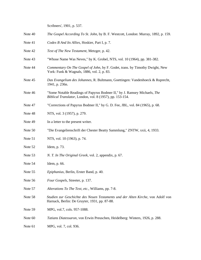Scribners', 1901, p. 537.

| Note 40 | The Gospel According To St. John, by B. F. Westcott, London: Murray, 1892, p. 159.                                                   |
|---------|--------------------------------------------------------------------------------------------------------------------------------------|
| Note 41 | Codex B And Its Allies, Hoskier, Part I, p. 7.                                                                                       |
| Note 42 | Text of The New Testament, Metzger, p. 42.                                                                                           |
| Note 43 | "Whose Name Was Neves," by K. Grobel, NTS, vol. 10 (1964), pp. 381-382.                                                              |
| Note 44 | Commentary On The Gospel of John, by F. Godet, trans. by Timothy Dwight, New<br>York: Funk & Wagnals, 1886, vol. 2, p. 83.           |
| Note 45 | Das Evangelium des Johannes, R. Bultmann, Goettingen: Vandenhoeck & Ruprecht,<br>1941, p. 236n.                                      |
| Note 46 | "Some Notable Readings of Papyrus Bodmer II," by J. Ramsey Michaels, The<br>Biblical Translator, London, vol. 8 (1957), pp. 153-154. |
| Note 47 | "Corrections of Papyrus Bodmer II," by G. D. Fee, JBL, vol. 84 (1965), p. 68.                                                        |
| Note 48 | NTS, vol. 3 (1957), p. 279.                                                                                                          |
| Note 49 | In a letter to the present writer.                                                                                                   |
| Note 50 | "Die Evangelienschrift der Chester Beatty Sammlung," ZNTW, xxii, 4, 1933.                                                            |
| Note 51 | NTS, vol. 10 (1963), p. 74.                                                                                                          |
| Note 52 | Idem, p. 73.                                                                                                                         |
| Note 53 | N. T. In The Original Greek, vol. 2, appendix, p. 67.                                                                                |
| Note 54 | Idem, p. 66.                                                                                                                         |
| Note 55 | Epiphanius, Berlin, Erster Band, p. 40.                                                                                              |
| Note 56 | Four Gospels, Streeter, p. 137.                                                                                                      |
| Note 57 | Alterations To The Text, etc., Williams, pp. 7-8.                                                                                    |
| Note 58 | Studien zur Geschichte des Neuen Testaments und der Alten Kirche, von Adolf von<br>Harnack, Berlin: De Gruyter, 1931, pp. 87-88.     |
| Note 59 | MPG, vol.7, cols. 957-1088.                                                                                                          |
| Note 60 | Tatians Diatessaron, von Erwin Preuschen, Heidelberg: Winters, 1926, p. 288.                                                         |
| Note 61 | MPG, vol. 7, col. 936.                                                                                                               |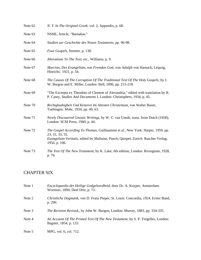| Note 62 | N. T. In The Original Greek, vol. 2, Appendix, p. 68.                                                                                                                                                    |
|---------|----------------------------------------------------------------------------------------------------------------------------------------------------------------------------------------------------------|
| Note 63 | NSHE, Article, "Barnabas."                                                                                                                                                                               |
| Note 64 | Studien zur Geschichte des Neuen Testaments, pp. 96-98.                                                                                                                                                  |
| Note 65 | Four Gospels, Streeter, p. 138.                                                                                                                                                                          |
| Note 66 | Alterations To The Text, etc., Williams, p. 9.                                                                                                                                                           |
| Note 67 | Marcion, Des Evangelium, von Fremden Gott, von Adolph von Harnack, Leipzig,<br>Hinrichs', 1921, p. 54.                                                                                                   |
| Note 68 | The Causes Of The Corruption Of The Traditional Text Of The Holy Gospels, by J.<br>W. Burgon and E. Miller, London: Bell, 1896, pp. 215-218.                                                             |
| Note 69 | "The Excerpta ex Theodoto of Clement of Alexandria," edited with translation by R.<br>P. Casey, Studies And Documents I, London: Christophers, 1934, p. 45.                                              |
| Note 70 | Rechtglaubigheit Und Ketzerei Im Altesten Christentum, von Walter Bauer,<br>Tuebingen: Mohr, 1934, pp. 49, 63.                                                                                           |
| Note 71 | Newly Discouered Gnostic Writings, by W. C. van Unnik, trans. from Dutch (1958),<br>London: SCM Press, 1960, p. 44.                                                                                      |
| Note 72 | The Gospel According To Thomas, Guillaumont et al., New York: Harper, 1959, pp.<br>23, 31, 33, 55.<br>Euangelium Veritatis, edited by Malinine, Puech, Quispel, Zurich: Rascher Verlag,<br>1956, p. 106. |
| Note 73 | The Text Of The New Testament, by K. Lake, 6th edition, London: Rivingtons, 1928,<br>p. 76.                                                                                                              |

## CHAPTER SIX

| Note 1 | Encyclopaedie der Heilige Godgeleerdheid, door Dr. A. Kuyper, Amsterdam:<br>Wormser, 1894, Deel Drie, p. 73. |
|--------|--------------------------------------------------------------------------------------------------------------|
| Note 2 | <i>Christliche Dogmatik</i> , von D. Franz Pieper, St. Louis: Concordia, 1924, Erster Band,<br>p. 290.       |
| Note 3 | <i>The Revision Revised,, by John W. Burgon, London: Murray, 1883, pp. 334-335.</i>                          |
| Note 4 | An Account Of The Printed Text Of The New Testament, by S. P. Tregelles, London:<br>Bagster, 1854, p. 133.   |
| Note 5 | MPG, vol. 6, col. 712.                                                                                       |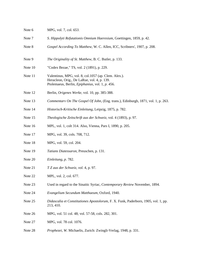| Note 6  | MPG, vol. 7, col. 653.                                                                                                                                 |
|---------|--------------------------------------------------------------------------------------------------------------------------------------------------------|
| Note 7  | S. Hippolyti Refutationis Omnium Haeresium, Goettingen, 1859, p. 42.                                                                                   |
| Note 8  | Gospel According To Matthew, W. C. Allen, ICC, Scribners', 1907, p. 208.                                                                               |
| Note 9  | The Originality of St. Matthew, B. C. Butler, p. 133.                                                                                                  |
| Note 10 | "Codex Bezae," TS, vol. 2 (1891), p. 229.                                                                                                              |
| Note 11 | Valentinus, MPG, vol. 8, col.1057 (ap. Clem. Alex.).<br>Heracleon, Orig., De LaRue, vol. 4, p. 139.<br>Ptolemaeus, Berlin, Epiphanius, vol. 1, p. 456. |
| Note 12 | Berlin, Origenes Werke, vol. 10, pp. 385-388.                                                                                                          |
| Note 13 | Commentary On The Gospel Of John, (Eng. trans.), Edinburgh, 1871, vol. 1, p. 263.                                                                      |
| Note 14 | Historisch-Kritische Einleitung, Leipzig, 1875, p. 782.                                                                                                |
| Note 15 | Theologische Zeitschrift aus der Schweiz, vol. 4 (1893), p. 97.                                                                                        |
| Note 16 | MPL, vol. 1, colt 314. Also, Vienna, Pars I, 1890, p. 205.                                                                                             |
| Note 17 | MPG, vol. 39, cols. 708, 712.                                                                                                                          |
| Note 18 | MPG, vol. 59, col. 204.                                                                                                                                |
| Note 19 | Tatians Diatessaron, Preuschen, p. 131.                                                                                                                |
| Note 20 | Einleitung, p. 782.                                                                                                                                    |
| Note 21 | T Z aus der Schweiz, vol. 4, p. 97.                                                                                                                    |
| Note 22 | MPL, vol. 2, col. 677.                                                                                                                                 |
| Note 23 | Used in regard to the Sinaitic Syriac, Contemporary Review November, 1894.                                                                             |
| Note 24 | Evangelium Secundum Matthaeum, Oxford, 1940.                                                                                                           |
| Note 25 | Didascalia et Constitutiones Apostolorum, F. X. Funk, Paderborn, 1905, vol. 1, pp.<br>213, 410.                                                        |
| Note 26 | MPG, vol. 51 col. 48; vol. 57-58, cols. 282, 301.                                                                                                      |
| Note 27 | MPG, vol. 78 col. 1076.                                                                                                                                |
| Note 28 | Prophezei, W. Michaelis, Zurich: Zwingli-Verlag, 1948, p. 331.                                                                                         |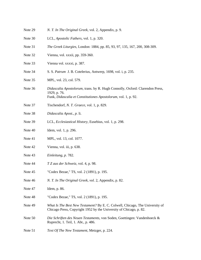| Note 29 | N. T. In The Original Greek, vol. 2, Appendix, p. 9.                                                                                                           |
|---------|----------------------------------------------------------------------------------------------------------------------------------------------------------------|
| Note 30 | LCL, Apostolic Fathers, vol. 1, p. 320.                                                                                                                        |
| Note 31 | The Greek Liturgies, London: 1884, pp. 85, 93, 97, 135, 167, 200, 308-309.                                                                                     |
| Note 32 | Vienna, vol. xxxii, pp. 359-360.                                                                                                                               |
| Note 33 | Vienna vol. xxxxi, p. 387.                                                                                                                                     |
| Note 34 | S. S. Patrum J. B. Cotelerius, Antwerp, 1698, vol. i, p. 235.                                                                                                  |
| Note 35 | MPL, vol. 23, col. 579.                                                                                                                                        |
| Note 36 | Didascalia Apostolorum, trans. by R. Hugh Connolly, Oxford: Clarendon Press,<br>1929, p. 76.<br>Funk, Didascalia et Constitutiones Apostolorum, vol. 1, p. 92. |
| Note 37 | Tischendorf, N. T. Graece, vol. 1, p. 829.                                                                                                                     |
| Note 38 | Didascalia Apost., p. li.                                                                                                                                      |
| Note 39 | LCL, Ecclesiastical History, Eusebius, vol. 1, p. 298.                                                                                                         |
| Note 40 | Idem, vol. 1, p. 296.                                                                                                                                          |
| Note 41 | MPL, vol. 13, col. 1077.                                                                                                                                       |
| Note 42 | Vienna, vol. iii, p. 638.                                                                                                                                      |
| Note 43 | Einleitung, p. 782.                                                                                                                                            |
| Note 44 | T Z aus der Schweiz, vol. 4, p. 98.                                                                                                                            |
| Note 45 | "Codex Bezae," TS, vol. 2 (1891), p. 195.                                                                                                                      |
| Note 46 | N. T. In The Original Greek, vol. 2, Appendix, p. 82.                                                                                                          |
| Note 47 | Idem, p. 86.                                                                                                                                                   |
| Note 48 | "Codex Bezae," TS, vol. 2 (1891), p. 195.                                                                                                                      |
| Note 49 | What Is The Best New Testament? By E. C. Colwell, Chicago, The University of<br>Chicago Press, Copyright 1952 by the University of Chicago, p. 82.             |
| Note 50 | Die Schriften des Neuen Testaments, von Soden, Goettingen: Vandenhoeck &<br>Ruprecht, 1. Teil, 1. Abt., p. 486.                                                |
| Note 51 | Text Of The New Testament, Metzger, p. 224.                                                                                                                    |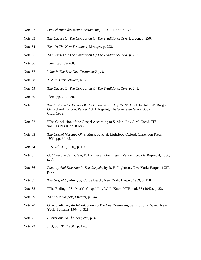| Note 52 | Die Schriften des Neuen Testaments, 1. Teil, 1 Abt. p. .500.                                                                                                        |
|---------|---------------------------------------------------------------------------------------------------------------------------------------------------------------------|
| Note 53 | The Causes Of The Corruption Of The Traditional Text, Burgon, p. 250.                                                                                               |
| Note 54 | Text Of The New Testament, Metzger, p. 223.                                                                                                                         |
| Note 55 | The Causes Of The Corruption Of The Traditional Text, p. 257.                                                                                                       |
| Note 56 | Idem, pp. 259-260.                                                                                                                                                  |
| Note 57 | What Is The Best New Testament?, p. 81.                                                                                                                             |
| Note 58 | T. Z. aus der Schweiz, p. 98.                                                                                                                                       |
| Note 59 | The Causes Of The Corruption Of The Traditional Text, p. 241.                                                                                                       |
| Note 60 | Idem, pp. 237-238.                                                                                                                                                  |
| Note 61 | The Last Twelve Verses Of The Gospel According To St. Mark, by John W. Burgon,<br>Oxford and London: Parker, 1871. Reprint, The Sovereign Grace Book<br>Club, 1959. |
| Note 62 | "The Conclusion of the Gospel According to S. Mark," by J. M. Creed, JTS,<br>vol. 31 (1930), pp. 80-85.                                                             |
| Note 63 | The Gospel Message Of S. Mark, by R. H. Lightfoot, Oxford: Clarendon Press,<br>1950, pp. 80-85.                                                                     |
| Note 64 | JTS. vol. 31 (1930), p. 180.                                                                                                                                        |
| Note 65 | Galilaea und Jerusalem, E. Lohmeyer, Goettingen: Vandenhoeck & Ruprecht, 1936,<br>p. 77.                                                                            |
| Note 66 | Locality And Doctrine In The Gospels, by R. H. Lightfoot, New York: Harper, 1937,<br>p. 77.                                                                         |
| Note 67 | The Gospel Of Mark, by Curtis Beach, New York: Harper. 1959, p. 118.                                                                                                |
| Note 68 | "The Ending of St. Mark's Gospel," by W. L. Knox, HTR, vol. 35 (1942), p. 22.                                                                                       |
| Note 69 | The Four Gospels, Streeter, p. 344.                                                                                                                                 |
| Note 70 | G. A. Juelicher, An Introduction To The New Testament, trans. by J. P. Ward, New<br>York: Putnam's 1904, p. 328.                                                    |
| Note 71 | Alterations To The Text, etc., p. 45.                                                                                                                               |
| Note 72 | JTS, vol. 31 (1930), p. 176.                                                                                                                                        |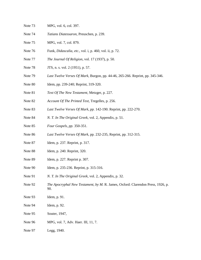- Note 73 MPG, vol. 6, col. 397.
- Note 74 *Tatians Diatessaron,* Preuschen, p. 239.
- Note 75 MPG, vol. 7, col. 879.
- Note 76 Funk, *Didascalia, etc.,* vol. i, p. 460, vol. ii, p. 72.
- Note 77 *The Journal Of Religion,* vol. 17 (1937), p. 50.
- Note 78 JTS, n. s. vol. 2 (1951), p. 57.
- Note 79 *Last Twelve Verses Of Mark,* Burgon, pp. 44-46, 265-266. Reprint, pp. 345-346.
- Note 80 Idem, pp. 239-240; Reprint, 319-320.
- Note 81 *Text Of The New Testament,* Metzger, p. 227.
- Note 82 *Account Of The Printed Text,* Tregelles, p. 256.
- Note 83 *Last Twelve Verses Of Mark, pp.* 142-190. Reprint, pp. 222-270.
- Note 84 *N. T. In The Original Greek,* vol. 2, Appendix, p. 51.
- Note 85 *Four Gospels, pp.* 350-351.
- Note 86 *Last Twelve Verses Of Mark,* pp. 232-235, Reprint, pp. 312-315.
- Note 87 Idem, p. 237. Reprint, p. 317.
- Note 88 Idem, p. 240. Reprint, 320.
- Note 89 Idem, p. 227. Reprint p. 307.
- Note 90 Idem, p. 235-236. Reprint, p. 315-316.
- Note 91 *N. T. In The Original Greek,* vol. 2, Appendix, p. 32.
- Note 92 *The Apocryphal New Testament, by M.* R. James, Oxford: Clarendon Press, 1926, p. 90.
- Note 93 Idem, p. 91.
- Note 94 Idem, p. 92.
- Note 95 Souter, 1947,
- Note 96 MPG, vol. 7, Adv. Haer. III, 11, 7.
- Note 97 Legg, 1940.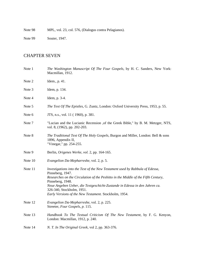Note 98 MPL, vol. 23, col. 576, (Dialogus contra Pelagianos).

Note 99 Souter, 1947.

## CHAPTER SEVEN

| Note 1  | The Washington Manuscript Of The Four Gospels, by H. C. Sanders, New York:<br>Macmillan, 1912.                                                                                                                                                                                                                                                                                |
|---------|-------------------------------------------------------------------------------------------------------------------------------------------------------------------------------------------------------------------------------------------------------------------------------------------------------------------------------------------------------------------------------|
| Note 2  | Idem., p. 41.                                                                                                                                                                                                                                                                                                                                                                 |
| Note 3  | Idem, p. 134.                                                                                                                                                                                                                                                                                                                                                                 |
| Note 4  | Idem, p. 3-4.                                                                                                                                                                                                                                                                                                                                                                 |
| Note 5  | The Text Of The Epistles, G. Zuntz, London: Oxford University Press, 1953, p. 55.                                                                                                                                                                                                                                                                                             |
| Note 6  | JTS, n.s., vol. 11 (1960), p. 381.                                                                                                                                                                                                                                                                                                                                            |
| Note 7  | "Lucian and the Lucianic Recension , of the Greek Bible," by B. M. Metzger, NTS,<br>vol. 8, (1962), pp. 202-203.                                                                                                                                                                                                                                                              |
| Note 8  | <i>The Traditional Text Of The Holy Gospels, Burgon and Miller, London: Bell &amp; sons</i><br>1896, Appendix II,<br>"Vinegar," pp. 254-255.                                                                                                                                                                                                                                  |
| Note 9  | Berlin, Origenes Werke, vol. 2, pp. 164-165.                                                                                                                                                                                                                                                                                                                                  |
| Note 10 | Evangelion Da-Mepharreshe, vol. 2, p. 5.                                                                                                                                                                                                                                                                                                                                      |
| Note 11 | Investigations into the Text of the New Testament used by Rabbula of Edessa,<br>Pinneberg, 1947.<br>Researches on the Circulation of the Peshitto in the Middle of the Fifth Century,<br>Pinneberg, 1948.<br>Neue Angeben Ueber, die Textgeschicht-Zustande in Edessa in den Jahren ca.<br>326-340, Stockholm, 1951.<br>Early Versions of the New Testament. Stockholm, 1954. |
| Note 12 | Evangelion Da-Mepharreshe, vol. 2, p. 225.<br>Streeter, Four Gospels, p. 115.                                                                                                                                                                                                                                                                                                 |
| Note 13 | Handbook To The Textual Criticism Of The New Testament, by F. G. Kenyon,<br>London: Macmillan, 1912, p. 240.                                                                                                                                                                                                                                                                  |
| Note 14 | N. T. In The Original Greek, vol 2, pp. 363-376.                                                                                                                                                                                                                                                                                                                              |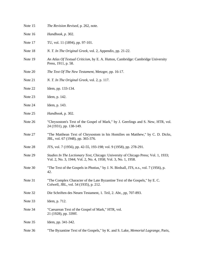- Note 15 *The Revision Revised, p. 262, note.*
- Note 16 *Handbook, p.* 302.
- Note 17 TU, vol. 11 (1894), pp. 97-101.
- Note 18 *N. T. In The Original Greek,* vol. 2, Appendix, pp. 21-22.
- Note 19 *An Atlas Of Textual Criticism,* by E. A. Hutton, Cambridge: Cambridge University Press, 1911, p. 58.
- Note 20 *The Text Of The New Testament,* Metzger, pp. 16-17.
- Note 21 *N. T. In The Original Greek,* vol. 2, p. 117.
- Note 22 Idem, pp. 133-134.
- Note 23 Idem, p. 142.
- Note 24 Idem, p. 143.
- Note 25 *Handbook*, p*.* 302.
- Note 26 "Chrysostom's Text of the Gospel of Mark," by J. Geerlings and S. New, HTR, vol. 24 (1931), pp. 138-149.
- Note 27 "The Matthean Text of Chrysostom in his Homilies on Matthew," by C. D. Dicks, JBL, vol. 67 (1948), pp. 365-376.
- Note 28 JTS, vol. 7 (1956), pp. 42-55, 193-198; vol. 9 (1958), pp. 278-291.
- Note 29 *Studies In The Lectionary Text,* Chicago: University of Chicago Press; Vol. 1, 1933; Vol. 2, No. 3, 1944; Vol. 2, No. 4, 1958; Vol. 3, No. 1, 1958.
- Note 30 "The Text of the Gospels in Photius," by J. N. Birdsall, JTS, n.s., vol. 7 (1956), p. 42.
- Note 31 "The Complex Character of the Late Byzantine Text of the Gospels," by E. C. Colwell, JBL, vol. 54 (1935), p. 212.
- Note 32 Die Schriften des Neuen Testament, 1. Teil, 2. Abt., pp, 707-893.
- Note 33 Idem, p. 712.
- Note 34 "Caesarean Text of the Gospel of Mark," HTR, vol. 21 (1928), pp. 339ff.
- Note 35 Idem, pp. 341-342.
- Note 36 "The Byzantine Text of the Gospels," by K. and S. Lake, *Memorial Lagrange,* Paris,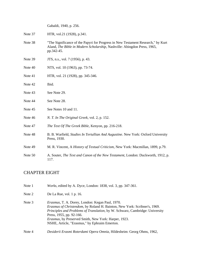Gabaldi, 1940, p. 256.

Note 37 **HTR**, vol.21 (1928), p.341.

- Note 38 "The Significance of the Papyri for Progress in New Testament Research," by Kurt Aland, *The Bible in Modern Scholarship,* Nashville: Abingdon Press, 1965, pp.342-45.
- Note 39 JTS, n.s., vol. 7 (1956), p. 43.
- Note 40 **NTS**, vol. 10 (1963), pp. 73-74.
- Note 41 **HTR**, vol. 21 (1928), pp. 345-346.
- Note 42 Ibid.
- Note 43 See Note 29.
- Note 44 See Note 28.
- Note 45 See Notes 10 and 11.
- Note 46 *N. T. In The Original Greek,* vol. 2, p. 152.
- Note 47 *The Text Of The Greek Bible,* Kenyon, pp. 216-218.
- Note 48 B. B. Warfield, *Studies In Tertullian And Augustine.* New York: Oxford University Press, 1930.
- Note 49 M. R. Vincent, A *History of Textual Criticism,* New York: Macmillan, 1899, p.79.
- Note 50 A. Souter, *The Text and Canon of the New Testament,* London: Duckworth, 1912, p. 117.

## CHAPTER EIGHT

- Note 1 *Works,* edited by A. Dyce, London: 1838, vol. 3, pp. 347-361.
- Note 2 De La Rue, vol. 1 p. 16.
- Note 3 *Erasmus*, T. A. Dorey, London: Kegan Paul, 1970. *Erasmus of Christendom,* by Roland H. Bainton, New York: Scribner's, 1969. *Principles and Problems of Translation,* by W. Schwarz, Cambridge: University Press, 1955, pp. 92-166. *Erasmus,* by Preserved Smith, New York: Harper, 1923. NSHE, Article, "Erasmus," by Ephraim Emerton.
- Note 4 *Desiderii Erasmi Roterdami Opera Omnia,* Hildesheim: Georg Ohms, 1962,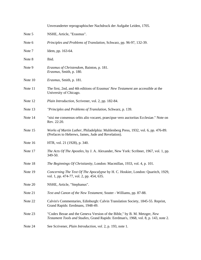|         | Unveranderter reprographischer Nachdruck der Aufgabe Leiden, 1705.                                                                                              |
|---------|-----------------------------------------------------------------------------------------------------------------------------------------------------------------|
| Note 5  | NSHE, Article, "Erasmus".                                                                                                                                       |
| Note 6  | Principles and Problems of Translation, Schwarz, pp. 96-97, 132-39.                                                                                             |
| Note 7  | Idem, pp. 163-64.                                                                                                                                               |
| Note 8  | Ibid.                                                                                                                                                           |
| Note 9  | Erasmus of Christendom, Bainton, p. 181.<br><i>Erasmus</i> , Smith, p. 180.                                                                                     |
| Note 10 | Erasmus, Smith, p. 181.                                                                                                                                         |
| Note 11 | The first, 2nd, and 4th editions of Erasmus' New Testament are accessible at the<br>University of Chicago.                                                      |
| Note 12 | Plain Introduction, Scrivener, vol. 2, pp. 182-84.                                                                                                              |
| Note 13 | "Principles and Problems of Translation, Schwarz, p. 139.                                                                                                       |
| Note 14 | "nisi me consensus orbis alio vocaret, praecipue vero auctoritas Ecclesiae." Note on<br>Rev. 22:20.                                                             |
| Note 15 | Works of Martin Luther, Philadelphia: Muhlenberg Press, 1932, vol. 6, pp. 476-89.<br>(Prefaces to Hebrews, James, Jude and Revelation).                         |
| Note 16 | HTR, vol. 21 (1928), p. 340.                                                                                                                                    |
| Note 17 | The Acts Of The Apostles, by J. A. Alexander, New York: Scribner, 1967, vol. 1, pp.<br>349-50.                                                                  |
| Note 18 | The Beginnings Of Christianity, London: Macmillan, 1933, vol. 4, p. 101.                                                                                        |
| Note 19 | Concerning The Text Of The Apocalypse by H. C. Hoskier, London: Quaritch, 1929,<br>vol. 1, pp. 474-77, vol. 2, pp. 454, 635.                                    |
| Note 20 | NSHE, Article, "Stephanus".                                                                                                                                     |
| Note 21 | Text and Canon of the New Testament, Souter - Williams, pp. 87-88.                                                                                              |
| Note 22 | Calvin's Commentaries, Edinburgh: Calvin Translation Society, 1845-55. Reprint,<br>Grand Rapids: Eerdmans, 1948-49.                                             |
| Note 23 | "Codex Bezae and the Geneva Version of the Bible," by B. M. Metzger, New<br>Testament Tools and Studies, Grand Rapids: Eerdman's, 1968, vol. 8, p. 143, note 2. |
| Note 24 | See Scrivener, <i>Plain Introduction</i> , <i>vol.</i> 2, p. 193, note 1.                                                                                       |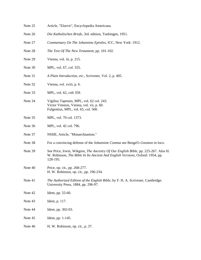- Note 25 Article, "Elzevir", Encyclopedia Americana.
- Note 26 *Die Katholischen Briefe,* 3rd. edition, Tuebingen, 1951.
- Note 27 *Commentary On The Johannine Epistles,* ICC, New York: 1912.
- Note 28 *The Text Of The New Testament,* pp. 101-102.
- Note 29 Vienna, vol. iii, p. 215.
- Note 30 MPL, vol. 67, col. 555.
- Note 31 *A Plain Introduction, etc.,* Scrivener, Vol. 2, p. 405.
- Note 32 Vienna, vol. xviii, p. 6.
- Note 33 MPL, vol. 62, colt 359.
- Note 34 Vigilius Tapensis, MPL, vol. 62 col. 243. Victor Vitensis, Vienna, vol. vii, p. 60. Fulgentius, MPL, vol. 65, col. 500.
- Note 35 MPL, vol. 70 col. 1373.
- Note 36 MPL, vol. 42 col. 796.
- Note 37 NSHE, Article, "Monarchianism."
- Note 38 For a convincing defense of the *Johannine Comma* see Bengel's *Gnomon* in loco.
- Note 39 See Price, Irwin, Wikgren, *The Ancestry Of Our English Bible,* pp. 225-267. Also H. W. Robinson, *The Bible In Its Ancient And English Versions,* Oxford: 1954, pp. 128-195.
- Note 40 Price, op. cit., pp. 268-277. H. W. Robinson, op. cit., pp. 196-234.
- Note 41 *The Authorized Edition of the English Bible,* by F. H. A. Scrivener, Cambridge: University Press, 1884, pp. 296-97.
- Note 42 Idem, pp. 55-60.
- Note 43 Idem, p. 117.
- Note 44 Idem, pp. 302-03.
- Note 45 Idem, pp. 1-145.
- Note 46 H. W. Robinson, op. cit., p. 37.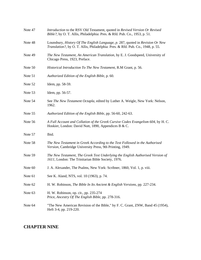| Note 47 | Introduction to the RSV Old Testament, quoted in Revised Version Or Revised<br>Bible?, by O. T. Allis, Philadelphia: Pres. & Rfd. Pub. Co., 1953, p. 51.         |
|---------|------------------------------------------------------------------------------------------------------------------------------------------------------------------|
| Note 48 | Lounsbury, History Of The English Language, p. 287, quoted in Revision Or New<br>Translation?, by O. T. Allis, Philadelphia: Pres. & Rfd. Pub. Co., 1948, p. 55. |
| Note 49 | The New Testament, An American Translation, by E. J. Goodspeed, University of<br>Chicago Press, 1923, Preface.                                                   |
| Note 50 | Historical Introduction To The New Testament, R.M Grant, p. 56.                                                                                                  |
| Note 51 | Authorized Edition of the English Bible, p. 60.                                                                                                                  |
| Note 52 | Idem, pp. 58-59.                                                                                                                                                 |
| Note 53 | Idem, pp. 56-57.                                                                                                                                                 |
| Note 54 | See The New Testament Octapla, edited by Luther A. Weigle, New York: Nelson,<br>1962.                                                                            |
| Note 55 | Authorized Edition of the English Bible, pp. 56-60, 242-63.                                                                                                      |
| Note 56 | A Full Account and Collation of the Greek Cursive Codex Evangelism 604, by H. C.<br>Hoskier, London: David Nutt, 1890, Appendices B & C.                         |
| Note 57 | Ibid.                                                                                                                                                            |
| Note 58 | The New Testament in Greek According to the Text Followed in the Authorised<br>Version, Cambridge University Press, 9th Printing, 1949.                          |
| Note 59 | The New Testament, The Greek Text Underlying the English Authorised Version of<br>1611, London: The Trinitarian Bible Society, 1976.                             |
| Note 60 | J. A. Alexander, The Psalms, New York: Scribner, 1860, Vol. 1, p. viii.                                                                                          |
| Note 61 | See K. Aland, NTS, vol. 10 (1963), p. 74.                                                                                                                        |
| Note 62 | H. W. Robinson, The Bible In Its Ancient & English Versions, pp. 227-234.                                                                                        |
| Note 63 | H. W. Robinson, op. cit., pp. 235-274<br>Price, Ancestry Of The English Bible, pp. 278-316.                                                                      |
| Note 64 | "The New American Revision of the Bible," by F. C. Grant, ZNW, Band 45 (1954),<br>Heft 3-4, pp. 219-220.                                                         |

## **CHAPTER NINE**